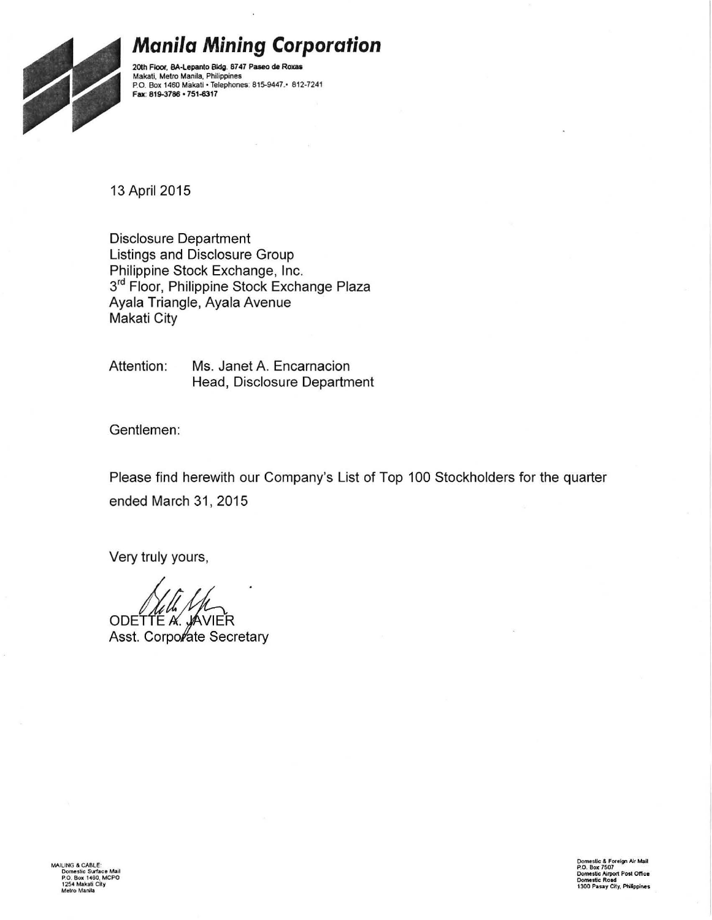

# **Manila Mining Corporation**

2oth Floor, SA-lepanto Bldg. 87 47 Paseo de Roxas Makati, Metro Manila, Philippines P.O. Box 1460 Makatl • Telephones: 815-9447.• 812-7241 Fax: 819-3786 • 751-6317

13 April 2015

Disclosure Department Listings and Disclosure Group Philippine Stock Exchange, Inc. 3<sup>rd</sup> Floor, Philippine Stock Exchange Plaza Ayala Triangle, Ayala Avenue Makati City

Attention: Ms. Janet A. Encarnacion Head, Disclosure Department

Gentlemen:

Please find herewith our Company's List of Top 100 Stockholders for the quarter ended March 31, 2015

Very truly yours,

ODETTE A. JAVIER Asst. Corporate Secretary

MAILING & CABLE:<br>Domestic Surface Mail<br>P.O. Box 1460, MCPO<br>1254 Makati City **Metro Manila**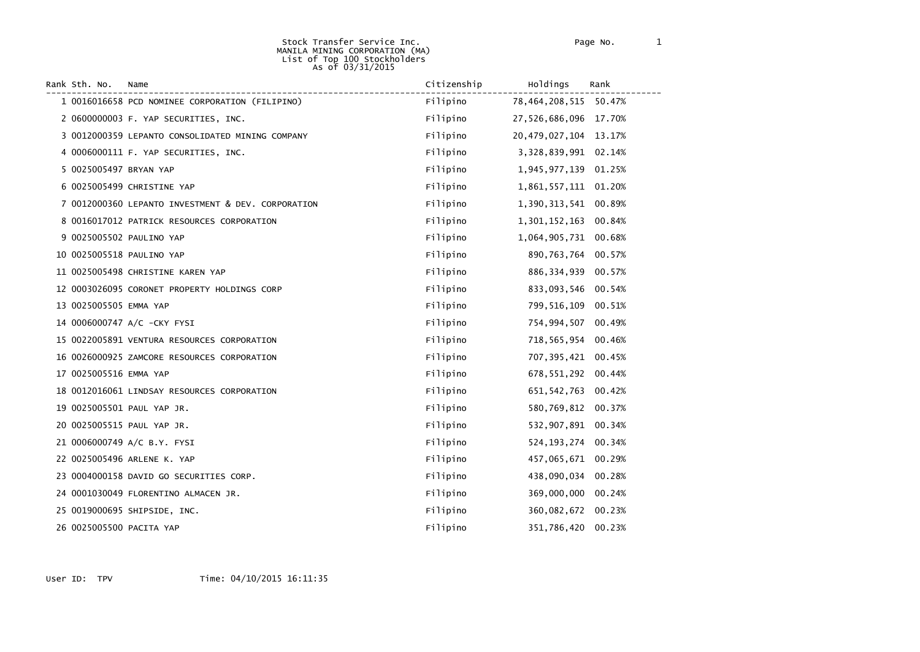#### Stock Transfer Service Inc. Page No. 1 MANILA MINING CORPORATION (MA) List of Top 100 Stockholders As of 03/31/2015

| Rank Sth. No.            | Name                                               | Citizenship | Holdings                  | Rank   |
|--------------------------|----------------------------------------------------|-------------|---------------------------|--------|
|                          | 1 0016016658 PCD NOMINEE CORPORATION (FILIPINO)    | Filipino    | 78, 464, 208, 515         | 50.47% |
|                          | 2 0600000003 F. YAP SECURITIES, INC.               | Filipino    | 27,526,686,096 17.70%     |        |
|                          | 3 0012000359 LEPANTO CONSOLIDATED MINING COMPANY   | Filipino    | 20, 479, 027, 104 13. 17% |        |
|                          | 4 0006000111 F. YAP SECURITIES, INC.               | Filipino    | 3,328,839,991             | 02.14% |
| 5 0025005497 BRYAN YAP   |                                                    | Filipino    | 1,945,977,139             | 01.25% |
|                          | 6 0025005499 CHRISTINE YAP                         | Filipino    | 1,861,557,111 01.20%      |        |
|                          | 7 0012000360 LEPANTO INVESTMENT & DEV. CORPORATION | Filipino    | 1,390,313,541             | 00.89% |
|                          | 8 0016017012 PATRICK RESOURCES CORPORATION         | Filipino    | 1,301,152,163             | 00.84% |
|                          | 9 0025005502 PAULINO YAP                           | Filipino    | 1,064,905,731             | 00.68% |
|                          | 10 0025005518 PAULINO YAP                          | Filipino    | 890,763,764               | 00.57% |
|                          | 11 0025005498 CHRISTINE KAREN YAP                  | Filipino    | 886,334,939               | 00.57% |
|                          | 12 0003026095 CORONET PROPERTY HOLDINGS CORP       | Filipino    | 833,093,546               | 00.54% |
| 13 0025005505 EMMA YAP   |                                                    | Filipino    | 799,516,109               | 00.51% |
|                          | 14 0006000747 A/C -CKY FYSI                        | Filipino    | 754,994,507               | 00.49% |
|                          | 15 0022005891 VENTURA RESOURCES CORPORATION        | Filipino    | 718,565,954               | 00.46% |
|                          | 16 0026000925 ZAMCORE RESOURCES CORPORATION        | Filipino    | 707,395,421               | 00.45% |
| 17 0025005516 EMMA YAP   |                                                    | Filipino    | 678,551,292               | 00.44% |
|                          | 18 0012016061 LINDSAY RESOURCES CORPORATION        | Filipino    | 651, 542, 763             | 00.42% |
|                          | 19 0025005501 PAUL YAP JR.                         | Filipino    | 580,769,812               | 00.37% |
|                          | 20 0025005515 PAUL YAP JR.                         | Filipino    | 532,907,891               | 00.34% |
|                          | 21 0006000749 A/C B.Y. FYSI                        | Filipino    | 524, 193, 274             | 00.34% |
|                          | 22 0025005496 ARLENE K. YAP                        | Filipino    | 457,065,671               | 00.29% |
|                          | 23 0004000158 DAVID GO SECURITIES CORP.            | Filipino    | 438,090,034               | 00.28% |
|                          | 24 0001030049 FLORENTINO ALMACEN JR.               | Filipino    | 369,000,000               | 00.24% |
|                          | 25 0019000695 SHIPSIDE, INC.                       | Filipino    | 360,082,672 00.23%        |        |
| 26 0025005500 PACITA YAP |                                                    | Filipino    | 351,786,420               | 00.23% |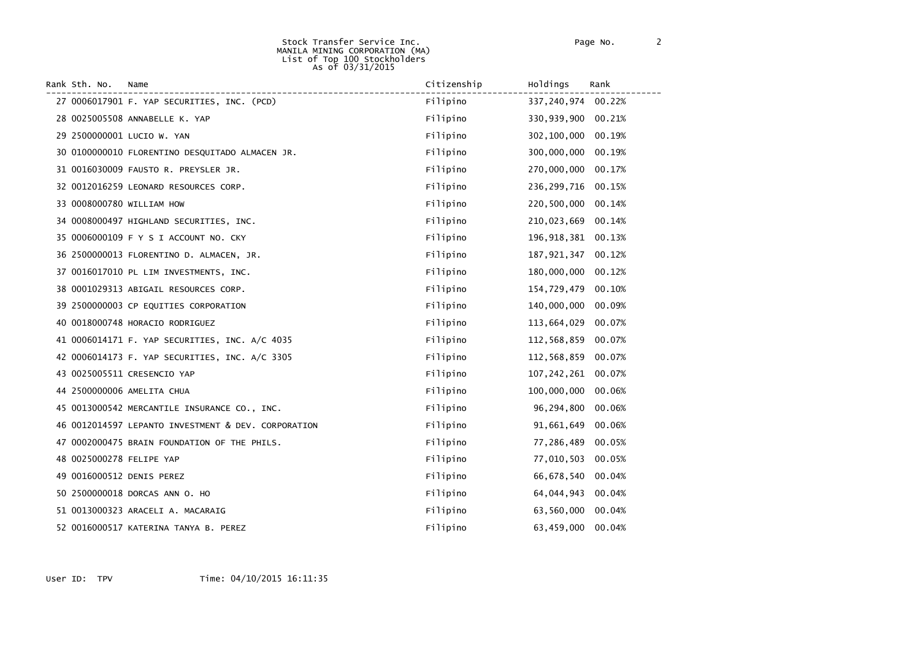#### Stock Transfer Service Inc. Page No. 2 MANILA MINING CORPORATION (MA) List of Top 100 Stockholders As of 03/31/2015

| Rank Sth. No.            | Name                                                | Citizenship | Holdings           | Rank   |
|--------------------------|-----------------------------------------------------|-------------|--------------------|--------|
|                          | 27 0006017901 F. YAP SECURITIES, INC. (PCD)         | Filipino    | 337,240,974 00.22% |        |
|                          | 28 0025005508 ANNABELLE K. YAP                      | Filipino    | 330,939,900        | 00.21% |
|                          | 29 2500000001 LUCIO W. YAN                          | Filipino    | 302,100,000        | 00.19% |
|                          | 30 0100000010 FLORENTINO DESQUITADO ALMACEN JR.     | Filipino    | 300,000,000        | 00.19% |
|                          | 31 0016030009 FAUSTO R. PREYSLER JR.                | Filipino    | 270,000,000        | 00.17% |
|                          | 32 0012016259 LEONARD RESOURCES CORP.               | Filipino    | 236, 299, 716      | 00.15% |
|                          | 33 0008000780 WILLIAM HOW                           | Filipino    | 220,500,000        | 00.14% |
|                          | 34 0008000497 HIGHLAND SECURITIES, INC.             | Filipino    | 210,023,669        | 00.14% |
|                          | 35 0006000109 F Y S I ACCOUNT NO. CKY               | Filipino    | 196,918,381        | 00.13% |
|                          | 36 2500000013 FLORENTINO D. ALMACEN, JR.            | Filipino    | 187,921,347        | 00.12% |
|                          | 37 0016017010 PL LIM INVESTMENTS, INC.              | Filipino    | 180,000,000        | 00.12% |
|                          | 38 0001029313 ABIGAIL RESOURCES CORP.               | Filipino    | 154,729,479        | 00.10% |
|                          | 39 2500000003 CP EQUITIES CORPORATION               | Filipino    | 140,000,000        | 00.09% |
|                          | 40 0018000748 HORACIO RODRIGUEZ                     | Filipino    | 113,664,029        | 00.07% |
|                          | 41 0006014171 F. YAP SECURITIES, INC. A/C 4035      | Filipino    | 112,568,859        | 00.07% |
|                          | 42 0006014173 F. YAP SECURITIES, INC. A/C 3305      | Filipino    | 112,568,859        | 00.07% |
|                          | 43 0025005511 CRESENCIO YAP                         | Filipino    | 107, 242, 261      | 00.07% |
|                          | 44 2500000006 AMELITA CHUA                          | Filipino    | 100,000,000        | 00.06% |
|                          | 45 0013000542 MERCANTILE INSURANCE CO., INC.        | Filipino    | 96,294,800         | 00.06% |
|                          | 46 0012014597 LEPANTO INVESTMENT & DEV. CORPORATION | Filipino    | 91,661,649         | 00.06% |
|                          | 47 0002000475 BRAIN FOUNDATION OF THE PHILS.        | Filipino    | 77,286,489         | 00.05% |
| 48 0025000278 FELIPE YAP |                                                     | Filipino    | 77,010,503         | 00.05% |
|                          | 49 0016000512 DENIS PEREZ                           | Filipino    | 66,678,540         | 00.04% |
|                          | 50 2500000018 DORCAS ANN O. HO                      | Filipino    | 64,044,943         | 00.04% |
|                          | 51 0013000323 ARACELI A. MACARAIG                   | Filipino    | 63,560,000         | 00.04% |
|                          | 52 0016000517 KATERINA TANYA B. PEREZ               | Filipino    | 63,459,000         | 00.04% |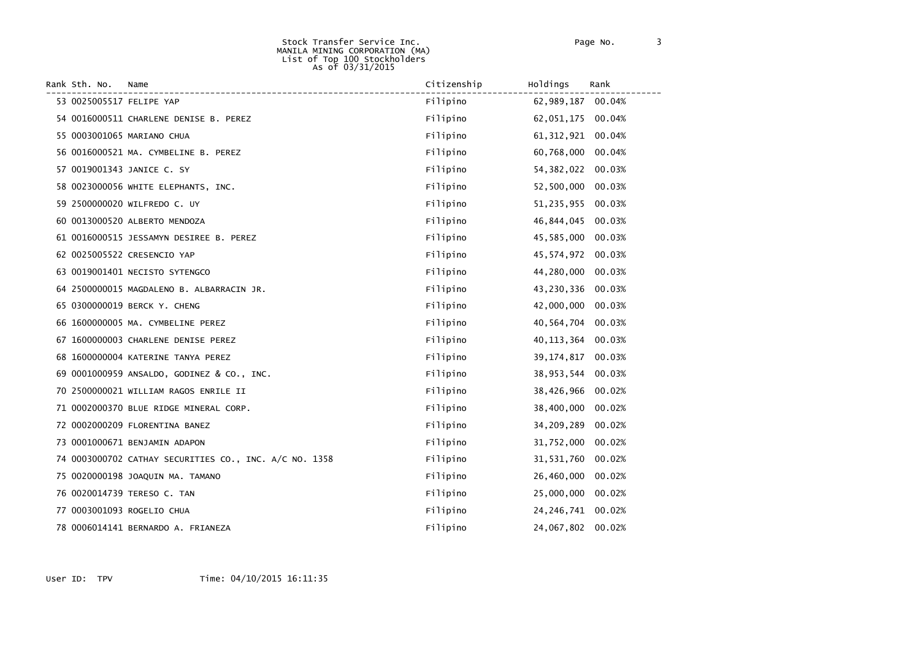#### Stock Transfer Service Inc. Page No. 3 MANILA MINING CORPORATION (MA) List of Top 100 Stockholders As of 03/31/2015

| Rank Sth. No. | Name                                                   | Citizenship | Holdings<br>Rank     |  |
|---------------|--------------------------------------------------------|-------------|----------------------|--|
|               | 53 0025005517 FELIPE YAP                               | Filipino    | 62,989,187 00.04%    |  |
|               | 54 0016000511 CHARLENE DENISE B. PEREZ                 | Filipino    | 62,051,175 00.04%    |  |
|               | 55 0003001065 MARIANO CHUA                             | Filipino    | 61, 312, 921 00.04%  |  |
|               | 56 0016000521 MA. CYMBELINE B. PEREZ                   | Filipino    | 60,768,000 00.04%    |  |
|               | 57 0019001343 JANICE C. SY                             | Filipino    | 54, 382, 022 00.03%  |  |
|               | 58 0023000056 WHITE ELEPHANTS, INC.                    | Filipino    | 52,500,000 00.03%    |  |
|               | 59 2500000020 WILFREDO C. UY                           | Filipino    | 51,235,955 00.03%    |  |
|               | 60 0013000520 ALBERTO MENDOZA                          | Filipino    | 46,844,045 00.03%    |  |
|               | 61 0016000515 JESSAMYN DESIREE B. PEREZ                | Filipino    | 45,585,000 00.03%    |  |
|               | 62 0025005522 CRESENCIO YAP                            | Filipino    | 45,574,972 00.03%    |  |
|               | 63 0019001401 NECISTO SYTENGCO                         | Filipino    | 44,280,000<br>00.03% |  |
|               | 64 2500000015 MAGDALENO B. ALBARRACIN JR.              | Filipino    | 43,230,336<br>00.03% |  |
|               | 65 0300000019 BERCK Y. CHENG                           | Filipino    | 42,000,000 00.03%    |  |
|               | 66 1600000005 MA. CYMBELINE PEREZ                      | Filipino    | 40,564,704<br>00.03% |  |
|               | 67 1600000003 CHARLENE DENISE PEREZ                    | Filipino    | 40, 113, 364 00.03%  |  |
|               | 68 1600000004 KATERINE TANYA PEREZ                     | Filipino    | 39, 174, 817 00.03%  |  |
|               | 69 0001000959 ANSALDO, GODINEZ & CO., INC.             | Filipino    | 38,953,544 00.03%    |  |
|               | 70 2500000021 WILLIAM RAGOS ENRILE II                  | Filipino    | 38,426,966 00.02%    |  |
|               | 71 0002000370 BLUE RIDGE MINERAL CORP.                 | Filipino    | 38,400,000<br>00.02% |  |
|               | 72 0002000209 FLORENTINA BANEZ                         | Filipino    | 34,209,289<br>00.02% |  |
|               | 73 0001000671 BENJAMIN ADAPON                          | Filipino    | 31,752,000 00.02%    |  |
|               | 74 0003000702 CATHAY SECURITIES CO., INC. A/C NO. 1358 | Filipino    | 31,531,760 00.02%    |  |
|               | 75 0020000198 JOAQUIN MA. TAMANO                       | Filipino    | 26,460,000 00.02%    |  |
|               | 76 0020014739 TERESO C. TAN                            | Filipino    | 25,000,000 00.02%    |  |
|               | 77 0003001093 ROGELIO CHUA                             | Filipino    | 24, 246, 741 00.02%  |  |
|               | 78 0006014141 BERNARDO A. FRIANEZA                     | Filipino    | 24,067,802 00.02%    |  |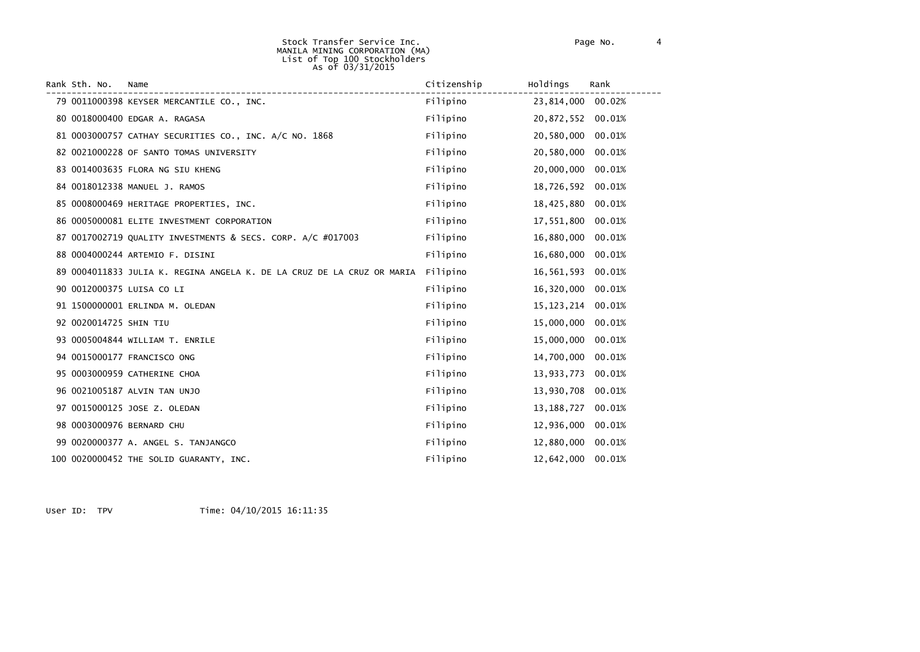#### Stock Transfer Service Inc. Page No. 4 MANILA MINING CORPORATION (MA) List of Top 100 Stockholders As of 03/31/2015

| Rank Sth. No.          | Name                                                                   | Citizenship | Holdings     | Rank   |
|------------------------|------------------------------------------------------------------------|-------------|--------------|--------|
|                        | 79 0011000398 KEYSER MERCANTILE CO., INC.                              | Filipino    | 23,814,000   | 00.02% |
|                        | 80 0018000400 EDGAR A. RAGASA                                          | Filipino    | 20,872,552   | 00.01% |
|                        | 81 0003000757 CATHAY SECURITIES CO., INC. A/C NO. 1868                 | Filipino    | 20,580,000   | 00.01% |
|                        | 82 0021000228 OF SANTO TOMAS UNIVERSITY                                | Filipino    | 20,580,000   | 00.01% |
|                        | 83 0014003635 FLORA NG SIU KHENG                                       | Filipino    | 20,000,000   | 00.01% |
|                        | 84 0018012338 MANUEL J. RAMOS                                          | Filipino    | 18,726,592   | 00.01% |
|                        | 85 0008000469 HERITAGE PROPERTIES, INC.                                | Filipino    | 18,425,880   | 00.01% |
|                        | 86 0005000081 ELITE INVESTMENT CORPORATION                             | Filipino    | 17,551,800   | 00.01% |
|                        | 87 0017002719 QUALITY INVESTMENTS & SECS. CORP. A/C #017003            | Filipino    | 16,880,000   | 00.01% |
|                        | 88 0004000244 ARTEMIO F. DISINI                                        | Filipino    | 16,680,000   | 00.01% |
|                        | 89 0004011833 JULIA K. REGINA ANGELA K. DE LA CRUZ DE LA CRUZ OR MARIA | Filipino    | 16,561,593   | 00.01% |
|                        | 90 0012000375 LUISA CO LI                                              | Filipino    | 16,320,000   | 00.01% |
|                        | 91 1500000001 ERLINDA M. OLEDAN                                        | Filipino    | 15, 123, 214 | 00.01% |
| 92 0020014725 SHIN TIU |                                                                        | Filipino    | 15,000,000   | 00.01% |
|                        | 93 0005004844 WILLIAM T. ENRILE                                        | Filipino    | 15,000,000   | 00.01% |
|                        | 94 0015000177 FRANCISCO ONG                                            | Filipino    | 14,700,000   | 00.01% |
|                        | 95 0003000959 CATHERINE CHOA                                           | Filipino    | 13,933,773   | 00.01% |
|                        | 96 0021005187 ALVIN TAN UNJO                                           | Filipino    | 13,930,708   | 00.01% |
|                        | 97 0015000125 JOSE Z. OLEDAN                                           | Filipino    | 13, 188, 727 | 00.01% |
|                        | 98 0003000976 BERNARD CHU                                              | Filipino    | 12,936,000   | 00.01% |
|                        | 99 0020000377 A. ANGEL S. TANJANGCO                                    | Filipino    | 12,880,000   | 00.01% |
|                        | 100 0020000452 THE SOLID GUARANTY, INC.                                | Filipino    | 12,642,000   | 00.01% |

User ID: TPV Time: 04/10/2015 16:11:35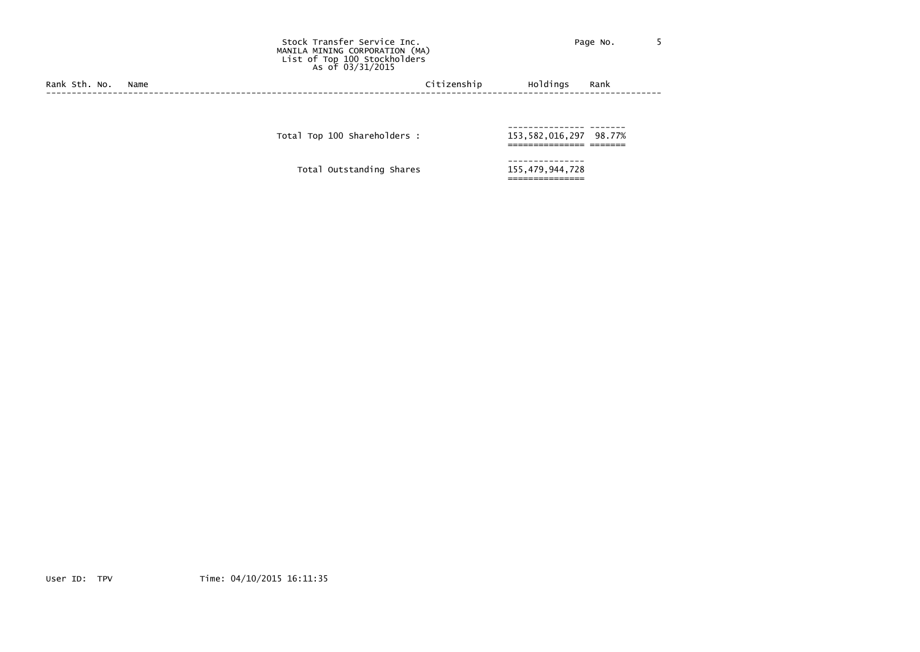Stock Transfer Service Inc. The Contract of the Page No. 5 MANILA MINING CORPORATION (MA) List of Top 100 Stockholders As of 03/31/2015

Rank Sth. No. Name Citizenship Holdings Rank (2008) Rank Citizenship Holdings Rank (2008) Rank (2009) Rank (2009) Rank (2009) Rank (2009) Rank (2009) Rank (2009) Rank (2009) Rank (2009) Rank (2009) Rank (2009) Rank (2009) ------------------------------------------------------------------------------------------------------------------------

--------------- ------- Total Top <sup>100</sup> Shareholders : 153,582,016,297 98.77% =============== =======

--------------- Total Outstanding Shares 155,479,944,728

===============

User ID: TPV Time: 04/10/2015 16:11:35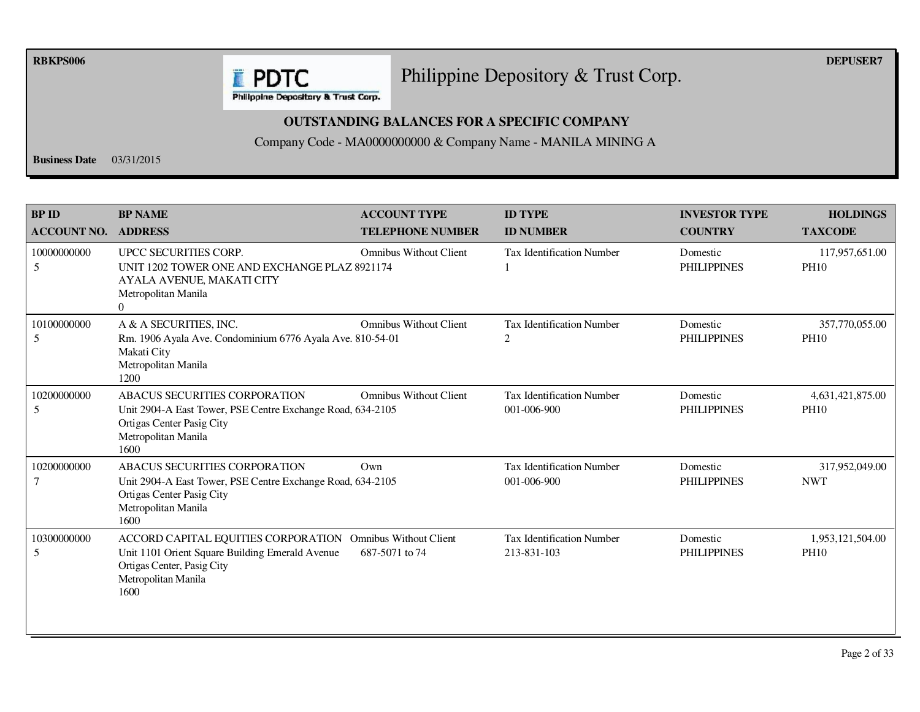**RBKPS006 DEPUSER7** 

## Philippine Depository & Trust Corp.

Philippine Depository & Trust Corp.

**E** PDTC

### **OUTSTANDING BALANCES FOR A SPECIFIC COMPANY**

Company Code - MA0000000000 & Company Name - MANILA MINING A

**Business Date** 03/31/2015

| <b>BP ID</b><br><b>ACCOUNT NO.</b> | <b>BP NAME</b><br><b>ADDRESS</b>                                                                                                                                           | <b>ACCOUNT TYPE</b><br><b>TELEPHONE NUMBER</b> | <b>ID TYPE</b><br><b>ID NUMBER</b>              | <b>INVESTOR TYPE</b><br><b>COUNTRY</b> | <b>HOLDINGS</b><br><b>TAXCODE</b> |
|------------------------------------|----------------------------------------------------------------------------------------------------------------------------------------------------------------------------|------------------------------------------------|-------------------------------------------------|----------------------------------------|-----------------------------------|
| 10000000000<br>5                   | UPCC SECURITIES CORP.<br>UNIT 1202 TOWER ONE AND EXCHANGE PLAZ 8921174<br>AYALA AVENUE, MAKATI CITY<br>Metropolitan Manila<br>$\Omega$                                     | <b>Omnibus Without Client</b>                  | <b>Tax Identification Number</b>                | Domestic<br><b>PHILIPPINES</b>         | 117,957,651.00<br><b>PH10</b>     |
| 10100000000<br>5                   | A & A SECURITIES, INC.<br>Rm. 1906 Ayala Ave. Condominium 6776 Ayala Ave. 810-54-01<br>Makati City<br>Metropolitan Manila<br>1200                                          | <b>Omnibus Without Client</b>                  | Tax Identification Number<br>2                  | Domestic<br><b>PHILIPPINES</b>         | 357,770,055.00<br><b>PH10</b>     |
| 10200000000<br>5                   | <b>ABACUS SECURITIES CORPORATION</b><br>Unit 2904-A East Tower, PSE Centre Exchange Road, 634-2105<br>Ortigas Center Pasig City<br>Metropolitan Manila<br>1600             | <b>Omnibus Without Client</b>                  | <b>Tax Identification Number</b><br>001-006-900 | Domestic<br><b>PHILIPPINES</b>         | 4,631,421,875.00<br><b>PH10</b>   |
| 10200000000                        | <b>ABACUS SECURITIES CORPORATION</b><br>Unit 2904-A East Tower, PSE Centre Exchange Road, 634-2105<br>Ortigas Center Pasig City<br>Metropolitan Manila<br>1600             | Own                                            | <b>Tax Identification Number</b><br>001-006-900 | Domestic<br><b>PHILIPPINES</b>         | 317,952,049.00<br><b>NWT</b>      |
| 10300000000<br>5                   | ACCORD CAPITAL EQUITIES CORPORATION Omnibus Without Client<br>Unit 1101 Orient Square Building Emerald Avenue<br>Ortigas Center, Pasig City<br>Metropolitan Manila<br>1600 | 687-5071 to 74                                 | <b>Tax Identification Number</b><br>213-831-103 | Domestic<br><b>PHILIPPINES</b>         | 1,953,121,504.00<br><b>PH10</b>   |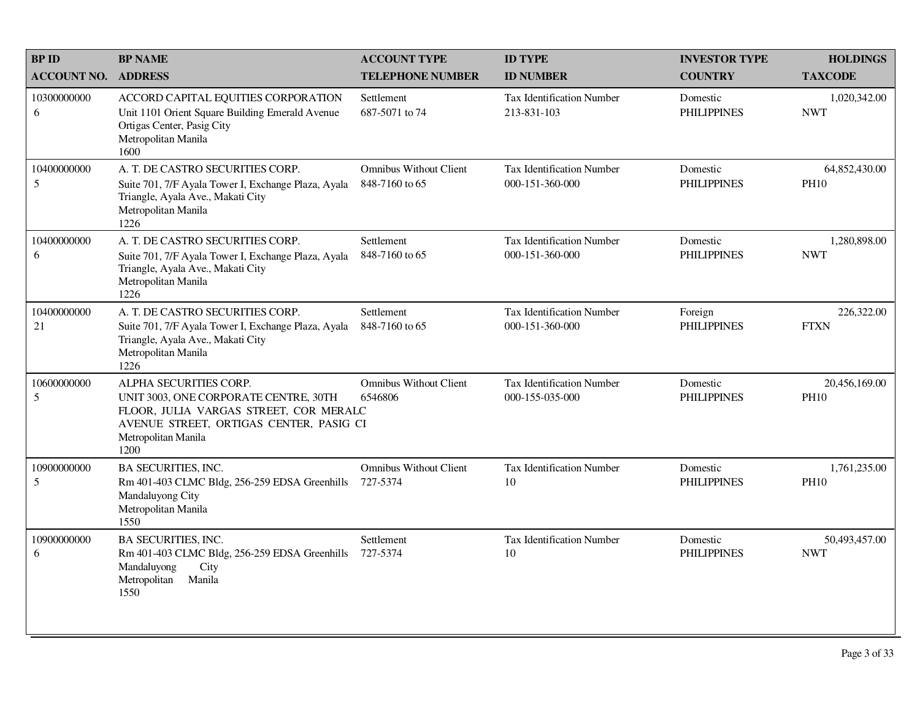| <b>BPID</b>        | <b>BP NAME</b>                                                                                                                                                                      | <b>ACCOUNT TYPE</b>                             | <b>ID TYPE</b>                               | <b>INVESTOR TYPE</b>           | <b>HOLDINGS</b>              |
|--------------------|-------------------------------------------------------------------------------------------------------------------------------------------------------------------------------------|-------------------------------------------------|----------------------------------------------|--------------------------------|------------------------------|
| <b>ACCOUNT NO.</b> | <b>ADDRESS</b>                                                                                                                                                                      | <b>TELEPHONE NUMBER</b>                         | <b>ID NUMBER</b>                             | <b>COUNTRY</b>                 | <b>TAXCODE</b>               |
| 10300000000<br>6   | ACCORD CAPITAL EQUITIES CORPORATION<br>Unit 1101 Orient Square Building Emerald Avenue<br>Ortigas Center, Pasig City<br>Metropolitan Manila<br>1600                                 | Settlement<br>687-5071 to 74                    | Tax Identification Number<br>213-831-103     | Domestic<br><b>PHILIPPINES</b> | 1,020,342.00<br><b>NWT</b>   |
| 10400000000<br>5   | A. T. DE CASTRO SECURITIES CORP.<br>Suite 701, 7/F Ayala Tower I, Exchange Plaza, Ayala<br>Triangle, Ayala Ave., Makati City<br>Metropolitan Manila<br>1226                         | <b>Omnibus Without Client</b><br>848-7160 to 65 | Tax Identification Number<br>000-151-360-000 | Domestic<br><b>PHILIPPINES</b> | 64,852,430.00<br><b>PH10</b> |
| 10400000000<br>6   | A. T. DE CASTRO SECURITIES CORP.<br>Suite 701, 7/F Ayala Tower I, Exchange Plaza, Ayala<br>Triangle, Ayala Ave., Makati City<br>Metropolitan Manila<br>1226                         | Settlement<br>848-7160 to 65                    | Tax Identification Number<br>000-151-360-000 | Domestic<br><b>PHILIPPINES</b> | 1,280,898.00<br><b>NWT</b>   |
| 10400000000<br>21  | A. T. DE CASTRO SECURITIES CORP.<br>Suite 701, 7/F Ayala Tower I, Exchange Plaza, Ayala<br>Triangle, Ayala Ave., Makati City<br>Metropolitan Manila<br>1226                         | Settlement<br>848-7160 to 65                    | Tax Identification Number<br>000-151-360-000 | Foreign<br><b>PHILIPPINES</b>  | 226,322.00<br><b>FTXN</b>    |
| 10600000000<br>5   | ALPHA SECURITIES CORP.<br>UNIT 3003, ONE CORPORATE CENTRE, 30TH<br>FLOOR, JULIA VARGAS STREET, COR MERALC<br>AVENUE STREET, ORTIGAS CENTER, PASIG CI<br>Metropolitan Manila<br>1200 | <b>Omnibus Without Client</b><br>6546806        | Tax Identification Number<br>000-155-035-000 | Domestic<br><b>PHILIPPINES</b> | 20,456,169.00<br><b>PH10</b> |
| 10900000000<br>5   | <b>BA SECURITIES, INC.</b><br>Rm 401-403 CLMC Bldg, 256-259 EDSA Greenhills<br>Mandaluyong City<br>Metropolitan Manila<br>1550                                                      | <b>Omnibus Without Client</b><br>727-5374       | Tax Identification Number<br>10              | Domestic<br><b>PHILIPPINES</b> | 1,761,235.00<br><b>PH10</b>  |
| 10900000000<br>6   | <b>BA SECURITIES, INC.</b><br>Rm 401-403 CLMC Bldg, 256-259 EDSA Greenhills<br>Mandaluyong<br>City<br>Metropolitan<br>Manila<br>1550                                                | Settlement<br>727-5374                          | <b>Tax Identification Number</b><br>10       | Domestic<br><b>PHILIPPINES</b> | 50,493,457.00<br><b>NWT</b>  |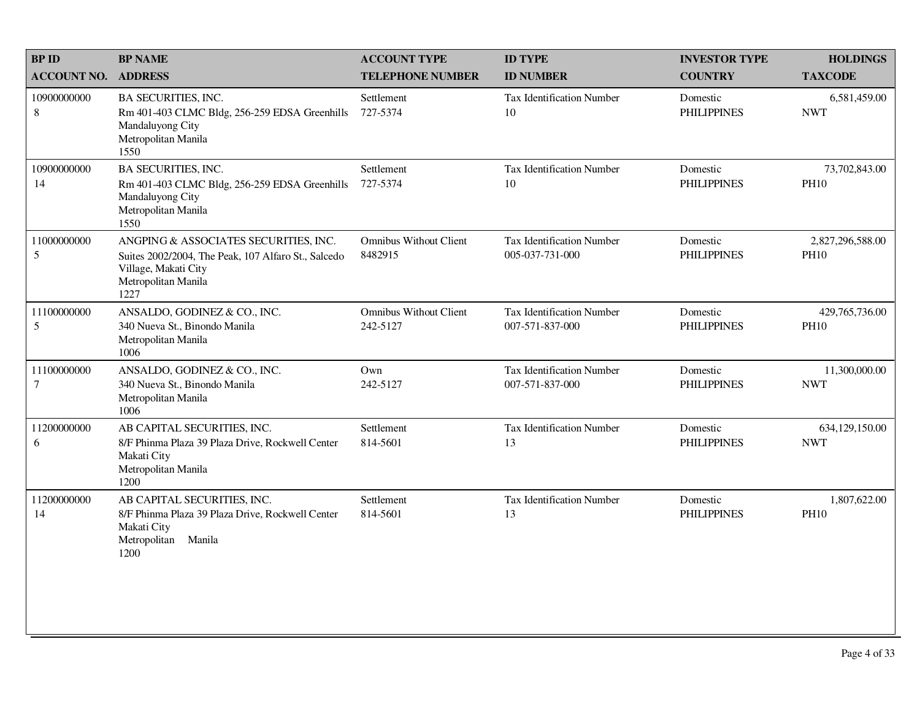| <b>BPID</b>                | <b>BP NAME</b>                                                                                                                                      | <b>ACCOUNT TYPE</b>                       | <b>ID TYPE</b>                               | <b>INVESTOR TYPE</b>           | <b>HOLDINGS</b>                 |
|----------------------------|-----------------------------------------------------------------------------------------------------------------------------------------------------|-------------------------------------------|----------------------------------------------|--------------------------------|---------------------------------|
| <b>ACCOUNT NO. ADDRESS</b> |                                                                                                                                                     | <b>TELEPHONE NUMBER</b>                   | <b>ID NUMBER</b>                             | <b>COUNTRY</b>                 | <b>TAXCODE</b>                  |
| 10900000000<br>8           | <b>BA SECURITIES, INC.</b><br>Rm 401-403 CLMC Bldg, 256-259 EDSA Greenhills<br>Mandaluyong City<br>Metropolitan Manila<br>1550                      | Settlement<br>727-5374                    | <b>Tax Identification Number</b><br>10       | Domestic<br><b>PHILIPPINES</b> | 6,581,459.00<br><b>NWT</b>      |
| 10900000000<br>14          | <b>BA SECURITIES, INC.</b><br>Rm 401-403 CLMC Bldg, 256-259 EDSA Greenhills<br>Mandaluyong City<br>Metropolitan Manila<br>1550                      | Settlement<br>727-5374                    | Tax Identification Number<br>10              | Domestic<br><b>PHILIPPINES</b> | 73,702,843.00<br><b>PH10</b>    |
| 11000000000<br>5           | ANGPING & ASSOCIATES SECURITIES, INC.<br>Suites 2002/2004, The Peak, 107 Alfaro St., Salcedo<br>Village, Makati City<br>Metropolitan Manila<br>1227 | <b>Omnibus Without Client</b><br>8482915  | Tax Identification Number<br>005-037-731-000 | Domestic<br><b>PHILIPPINES</b> | 2,827,296,588.00<br><b>PH10</b> |
| 11100000000<br>5           | ANSALDO, GODINEZ & CO., INC.<br>340 Nueva St., Binondo Manila<br>Metropolitan Manila<br>1006                                                        | <b>Omnibus Without Client</b><br>242-5127 | Tax Identification Number<br>007-571-837-000 | Domestic<br><b>PHILIPPINES</b> | 429,765,736.00<br><b>PH10</b>   |
| 11100000000<br>7           | ANSALDO, GODINEZ & CO., INC.<br>340 Nueva St., Binondo Manila<br>Metropolitan Manila<br>1006                                                        | Own<br>242-5127                           | Tax Identification Number<br>007-571-837-000 | Domestic<br><b>PHILIPPINES</b> | 11,300,000.00<br><b>NWT</b>     |
| 11200000000<br>6           | AB CAPITAL SECURITIES, INC.<br>8/F Phinma Plaza 39 Plaza Drive, Rockwell Center<br>Makati City<br>Metropolitan Manila<br>1200                       | Settlement<br>814-5601                    | Tax Identification Number<br>13              | Domestic<br><b>PHILIPPINES</b> | 634,129,150.00<br><b>NWT</b>    |
| 11200000000<br>14          | AB CAPITAL SECURITIES, INC.<br>8/F Phinma Plaza 39 Plaza Drive, Rockwell Center<br>Makati City<br>Manila<br>Metropolitan<br>1200                    | Settlement<br>814-5601                    | Tax Identification Number<br>13              | Domestic<br><b>PHILIPPINES</b> | 1,807,622.00<br><b>PH10</b>     |
|                            |                                                                                                                                                     |                                           |                                              |                                |                                 |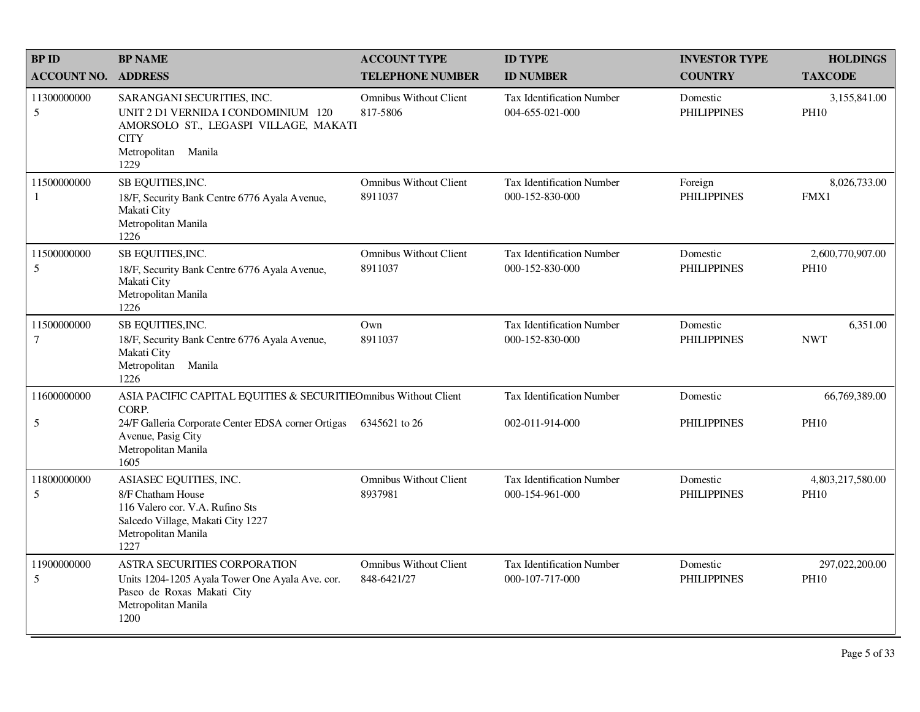| <b>BPID</b><br><b>ACCOUNT NO.</b> | <b>BP NAME</b><br><b>ADDRESS</b>                                                                                                                         | <b>ACCOUNT TYPE</b><br><b>TELEPHONE NUMBER</b> | <b>ID TYPE</b><br><b>ID NUMBER</b>                  | <b>INVESTOR TYPE</b><br><b>COUNTRY</b> | <b>HOLDINGS</b><br><b>TAXCODE</b> |
|-----------------------------------|----------------------------------------------------------------------------------------------------------------------------------------------------------|------------------------------------------------|-----------------------------------------------------|----------------------------------------|-----------------------------------|
| 11300000000<br>5                  | SARANGANI SECURITIES, INC.<br>UNIT 2 D1 VERNIDA I CONDOMINIUM 120<br>AMORSOLO ST., LEGASPI VILLAGE, MAKATI<br><b>CITY</b><br>Metropolitan Manila<br>1229 | <b>Omnibus Without Client</b><br>817-5806      | <b>Tax Identification Number</b><br>004-655-021-000 | Domestic<br><b>PHILIPPINES</b>         | 3,155,841.00<br><b>PH10</b>       |
| 11500000000<br>-1                 | SB EQUITIES, INC.<br>18/F, Security Bank Centre 6776 Ayala Avenue,<br>Makati City<br>Metropolitan Manila<br>1226                                         | <b>Omnibus Without Client</b><br>8911037       | <b>Tax Identification Number</b><br>000-152-830-000 | Foreign<br><b>PHILIPPINES</b>          | 8,026,733.00<br>FMX1              |
| 11500000000<br>5                  | SB EQUITIES, INC.<br>18/F, Security Bank Centre 6776 Ayala Avenue,<br>Makati City<br>Metropolitan Manila<br>1226                                         | <b>Omnibus Without Client</b><br>8911037       | Tax Identification Number<br>000-152-830-000        | Domestic<br><b>PHILIPPINES</b>         | 2,600,770,907.00<br><b>PH10</b>   |
| 11500000000<br>$\tau$             | SB EQUITIES, INC.<br>18/F, Security Bank Centre 6776 Ayala Avenue,<br>Makati City<br>Metropolitan Manila<br>1226                                         | Own<br>8911037                                 | <b>Tax Identification Number</b><br>000-152-830-000 | Domestic<br><b>PHILIPPINES</b>         | 6,351.00<br><b>NWT</b>            |
| 11600000000                       | ASIA PACIFIC CAPITAL EQUITIES & SECURITIEOmnibus Without Client<br>CORP.                                                                                 |                                                | Tax Identification Number                           | Domestic                               | 66,769,389.00                     |
| 5                                 | 24/F Galleria Corporate Center EDSA corner Ortigas<br>Avenue, Pasig City<br>Metropolitan Manila<br>1605                                                  | 6345621 to 26                                  | 002-011-914-000                                     | <b>PHILIPPINES</b>                     | <b>PH10</b>                       |
| 11800000000<br>5                  | ASIASEC EQUITIES, INC.<br>8/F Chatham House<br>116 Valero cor. V.A. Rufino Sts<br>Salcedo Village, Makati City 1227<br>Metropolitan Manila<br>1227       | <b>Omnibus Without Client</b><br>8937981       | <b>Tax Identification Number</b><br>000-154-961-000 | Domestic<br><b>PHILIPPINES</b>         | 4,803,217,580.00<br><b>PH10</b>   |
| 11900000000<br>5                  | ASTRA SECURITIES CORPORATION<br>Units 1204-1205 Ayala Tower One Ayala Ave. cor.<br>Paseo de Roxas Makati City<br>Metropolitan Manila<br>1200             | <b>Omnibus Without Client</b><br>848-6421/27   | <b>Tax Identification Number</b><br>000-107-717-000 | Domestic<br><b>PHILIPPINES</b>         | 297,022,200.00<br><b>PH10</b>     |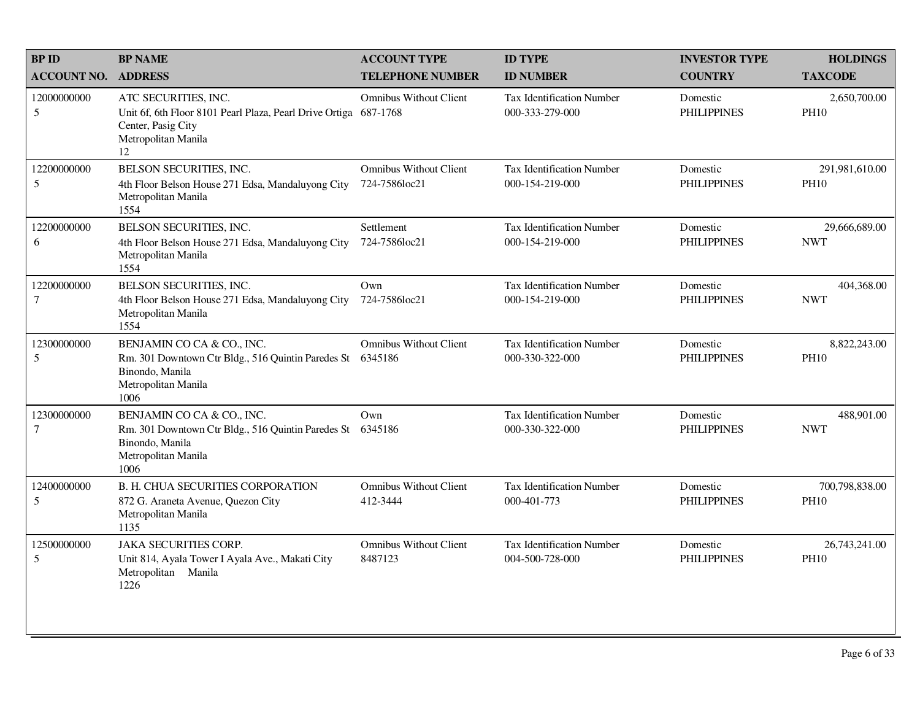| <b>BPID</b>                     | <b>BP NAME</b>                                                                                                                     | <b>ACCOUNT TYPE</b>                            | <b>ID TYPE</b>                                      | <b>INVESTOR TYPE</b>           | <b>HOLDINGS</b>               |
|---------------------------------|------------------------------------------------------------------------------------------------------------------------------------|------------------------------------------------|-----------------------------------------------------|--------------------------------|-------------------------------|
| <b>ACCOUNT NO.</b>              | <b>ADDRESS</b>                                                                                                                     | <b>TELEPHONE NUMBER</b>                        | <b>ID NUMBER</b>                                    | <b>COUNTRY</b>                 | <b>TAXCODE</b>                |
| 12000000000<br>5                | ATC SECURITIES, INC.<br>Unit 6f, 6th Floor 8101 Pearl Plaza, Pearl Drive Ortiga<br>Center, Pasig City<br>Metropolitan Manila<br>12 | <b>Omnibus Without Client</b><br>687-1768      | <b>Tax Identification Number</b><br>000-333-279-000 | Domestic<br><b>PHILIPPINES</b> | 2,650,700.00<br><b>PH10</b>   |
| 12200000000<br>5                | BELSON SECURITIES, INC.<br>4th Floor Belson House 271 Edsa, Mandaluyong City<br>Metropolitan Manila<br>1554                        | <b>Omnibus Without Client</b><br>724-7586loc21 | Tax Identification Number<br>000-154-219-000        | Domestic<br><b>PHILIPPINES</b> | 291,981,610.00<br><b>PH10</b> |
| 12200000000<br>6                | BELSON SECURITIES, INC.<br>4th Floor Belson House 271 Edsa, Mandaluyong City<br>Metropolitan Manila<br>1554                        | Settlement<br>724-7586loc21                    | <b>Tax Identification Number</b><br>000-154-219-000 | Domestic<br><b>PHILIPPINES</b> | 29,666,689.00<br><b>NWT</b>   |
| 12200000000<br>$\boldsymbol{7}$ | BELSON SECURITIES, INC.<br>4th Floor Belson House 271 Edsa, Mandaluyong City<br>Metropolitan Manila<br>1554                        | Own<br>724-7586loc21                           | Tax Identification Number<br>000-154-219-000        | Domestic<br><b>PHILIPPINES</b> | 404,368.00<br><b>NWT</b>      |
| 12300000000<br>5                | BENJAMIN CO CA & CO., INC.<br>Rm. 301 Downtown Ctr Bldg., 516 Quintin Paredes St<br>Binondo, Manila<br>Metropolitan Manila<br>1006 | <b>Omnibus Without Client</b><br>6345186       | <b>Tax Identification Number</b><br>000-330-322-000 | Domestic<br><b>PHILIPPINES</b> | 8,822,243.00<br><b>PH10</b>   |
| 12300000000<br>$\tau$           | BENJAMIN CO CA & CO., INC.<br>Rm. 301 Downtown Ctr Bldg., 516 Quintin Paredes St<br>Binondo, Manila<br>Metropolitan Manila<br>1006 | Own<br>6345186                                 | <b>Tax Identification Number</b><br>000-330-322-000 | Domestic<br><b>PHILIPPINES</b> | 488,901.00<br><b>NWT</b>      |
| 12400000000<br>5                | <b>B. H. CHUA SECURITIES CORPORATION</b><br>872 G. Araneta Avenue, Quezon City<br>Metropolitan Manila<br>1135                      | <b>Omnibus Without Client</b><br>412-3444      | Tax Identification Number<br>000-401-773            | Domestic<br><b>PHILIPPINES</b> | 700,798,838.00<br><b>PH10</b> |
| 12500000000<br>5                | <b>JAKA SECURITIES CORP.</b><br>Unit 814, Ayala Tower I Ayala Ave., Makati City<br>Metropolitan Manila<br>1226                     | <b>Omnibus Without Client</b><br>8487123       | Tax Identification Number<br>004-500-728-000        | Domestic<br><b>PHILIPPINES</b> | 26,743,241.00<br><b>PH10</b>  |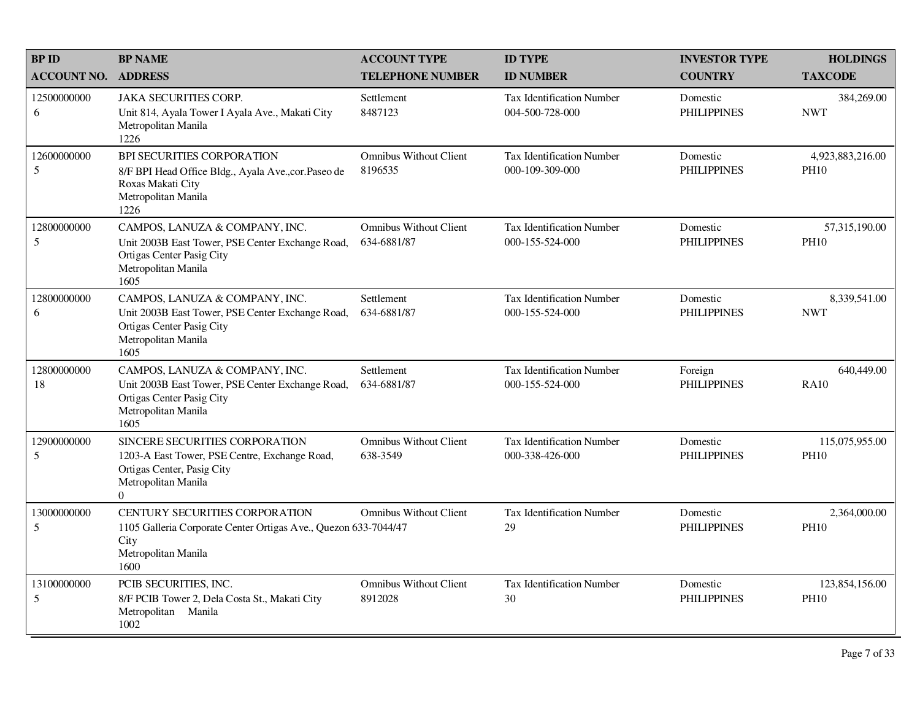| <b>BPID</b>        | <b>BP NAME</b>                                                                                                                                   | <b>ACCOUNT TYPE</b>                          | <b>ID TYPE</b>                                      | <b>INVESTOR TYPE</b>           | <b>HOLDINGS</b>                 |
|--------------------|--------------------------------------------------------------------------------------------------------------------------------------------------|----------------------------------------------|-----------------------------------------------------|--------------------------------|---------------------------------|
| <b>ACCOUNT NO.</b> | <b>ADDRESS</b>                                                                                                                                   | <b>TELEPHONE NUMBER</b>                      | <b>ID NUMBER</b>                                    | <b>COUNTRY</b>                 | <b>TAXCODE</b>                  |
| 12500000000<br>6   | <b>JAKA SECURITIES CORP.</b><br>Unit 814, Ayala Tower I Ayala Ave., Makati City<br>Metropolitan Manila<br>1226                                   | Settlement<br>8487123                        | <b>Tax Identification Number</b><br>004-500-728-000 | Domestic<br><b>PHILIPPINES</b> | 384,269.00<br><b>NWT</b>        |
| 12600000000<br>5   | BPI SECURITIES CORPORATION<br>8/F BPI Head Office Bldg., Ayala Ave., cor. Paseo de<br>Roxas Makati City<br>Metropolitan Manila<br>1226           | <b>Omnibus Without Client</b><br>8196535     | Tax Identification Number<br>000-109-309-000        | Domestic<br><b>PHILIPPINES</b> | 4,923,883,216.00<br><b>PH10</b> |
| 12800000000<br>5   | CAMPOS, LANUZA & COMPANY, INC.<br>Unit 2003B East Tower, PSE Center Exchange Road,<br>Ortigas Center Pasig City<br>Metropolitan Manila<br>1605   | <b>Omnibus Without Client</b><br>634-6881/87 | Tax Identification Number<br>000-155-524-000        | Domestic<br><b>PHILIPPINES</b> | 57,315,190.00<br><b>PH10</b>    |
| 12800000000<br>6   | CAMPOS, LANUZA & COMPANY, INC.<br>Unit 2003B East Tower, PSE Center Exchange Road,<br>Ortigas Center Pasig City<br>Metropolitan Manila<br>1605   | Settlement<br>634-6881/87                    | Tax Identification Number<br>000-155-524-000        | Domestic<br><b>PHILIPPINES</b> | 8,339,541.00<br><b>NWT</b>      |
| 12800000000<br>18  | CAMPOS, LANUZA & COMPANY, INC.<br>Unit 2003B East Tower, PSE Center Exchange Road,<br>Ortigas Center Pasig City<br>Metropolitan Manila<br>1605   | Settlement<br>634-6881/87                    | Tax Identification Number<br>000-155-524-000        | Foreign<br><b>PHILIPPINES</b>  | 640,449.00<br><b>RA10</b>       |
| 12900000000<br>5   | SINCERE SECURITIES CORPORATION<br>1203-A East Tower, PSE Centre, Exchange Road,<br>Ortigas Center, Pasig City<br>Metropolitan Manila<br>$\Omega$ | <b>Omnibus Without Client</b><br>638-3549    | Tax Identification Number<br>000-338-426-000        | Domestic<br><b>PHILIPPINES</b> | 115,075,955.00<br><b>PH10</b>   |
| 13000000000<br>5   | CENTURY SECURITIES CORPORATION<br>1105 Galleria Corporate Center Ortigas Ave., Quezon 633-7044/47<br>City<br>Metropolitan Manila<br>1600         | <b>Omnibus Without Client</b>                | Tax Identification Number<br>29                     | Domestic<br><b>PHILIPPINES</b> | 2,364,000.00<br><b>PH10</b>     |
| 13100000000<br>5   | PCIB SECURITIES, INC.<br>8/F PCIB Tower 2, Dela Costa St., Makati City<br>Metropolitan Manila<br>1002                                            | <b>Omnibus Without Client</b><br>8912028     | <b>Tax Identification Number</b><br>30              | Domestic<br><b>PHILIPPINES</b> | 123,854,156.00<br><b>PH10</b>   |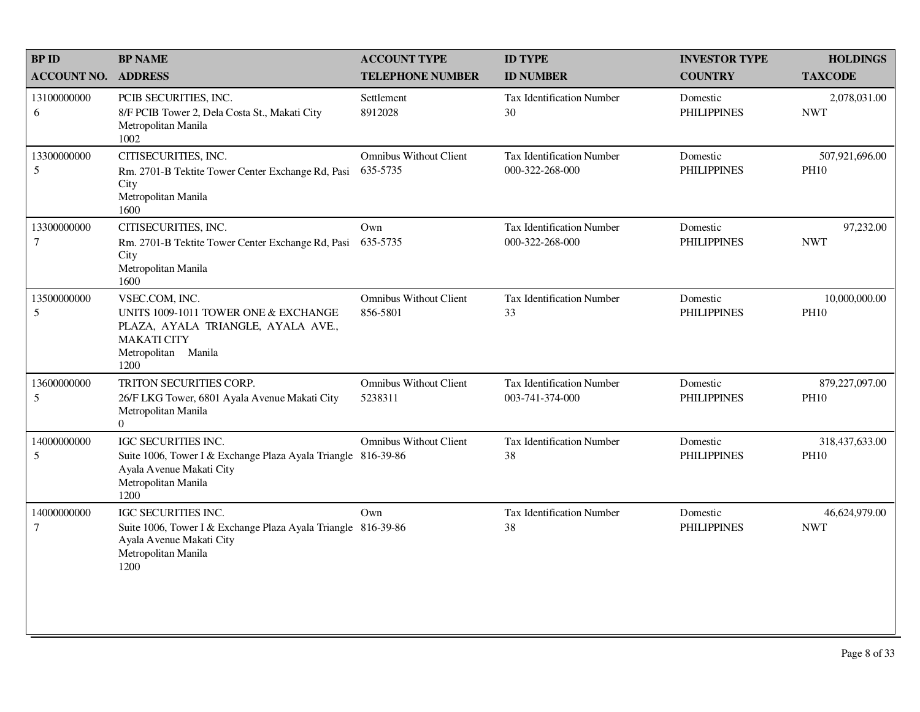| <b>BPID</b>           | <b>BP NAME</b>                                                                                                                                    | <b>ACCOUNT TYPE</b>                       | <b>ID TYPE</b>                               | <b>INVESTOR TYPE</b>           | <b>HOLDINGS</b>               |
|-----------------------|---------------------------------------------------------------------------------------------------------------------------------------------------|-------------------------------------------|----------------------------------------------|--------------------------------|-------------------------------|
| <b>ACCOUNT NO.</b>    | <b>ADDRESS</b>                                                                                                                                    | <b>TELEPHONE NUMBER</b>                   | <b>ID NUMBER</b>                             | <b>COUNTRY</b>                 | <b>TAXCODE</b>                |
| 13100000000<br>6      | PCIB SECURITIES, INC.<br>8/F PCIB Tower 2, Dela Costa St., Makati City<br>Metropolitan Manila<br>1002                                             | Settlement<br>8912028                     | Tax Identification Number<br>30              | Domestic<br><b>PHILIPPINES</b> | 2,078,031.00<br><b>NWT</b>    |
| 13300000000<br>5      | CITISECURITIES, INC.<br>Rm. 2701-B Tektite Tower Center Exchange Rd, Pasi<br>City<br>Metropolitan Manila<br>1600                                  | <b>Omnibus Without Client</b><br>635-5735 | Tax Identification Number<br>000-322-268-000 | Domestic<br><b>PHILIPPINES</b> | 507,921,696.00<br><b>PH10</b> |
| 13300000000<br>7      | CITISECURITIES, INC.<br>Rm. 2701-B Tektite Tower Center Exchange Rd, Pasi<br>City<br>Metropolitan Manila<br>1600                                  | Own<br>635-5735                           | Tax Identification Number<br>000-322-268-000 | Domestic<br><b>PHILIPPINES</b> | 97,232.00<br><b>NWT</b>       |
| 13500000000<br>5      | VSEC.COM, INC.<br>UNITS 1009-1011 TOWER ONE & EXCHANGE<br>PLAZA, AYALA TRIANGLE, AYALA AVE.,<br><b>MAKATI CITY</b><br>Metropolitan Manila<br>1200 | <b>Omnibus Without Client</b><br>856-5801 | Tax Identification Number<br>33              | Domestic<br><b>PHILIPPINES</b> | 10,000,000.00<br><b>PH10</b>  |
| 13600000000<br>5      | TRITON SECURITIES CORP.<br>26/F LKG Tower, 6801 Ayala Avenue Makati City<br>Metropolitan Manila<br>$\overline{0}$                                 | <b>Omnibus Without Client</b><br>5238311  | Tax Identification Number<br>003-741-374-000 | Domestic<br><b>PHILIPPINES</b> | 879,227,097.00<br><b>PH10</b> |
| 14000000000<br>5      | IGC SECURITIES INC.<br>Suite 1006, Tower I & Exchange Plaza Ayala Triangle 816-39-86<br>Ayala Avenue Makati City<br>Metropolitan Manila<br>1200   | Omnibus Without Client                    | Tax Identification Number<br>38              | Domestic<br><b>PHILIPPINES</b> | 318,437,633.00<br><b>PH10</b> |
| 14000000000<br>$\tau$ | IGC SECURITIES INC.<br>Suite 1006, Tower I & Exchange Plaza Ayala Triangle 816-39-86<br>Ayala Avenue Makati City<br>Metropolitan Manila<br>1200   | Own                                       | Tax Identification Number<br>38              | Domestic<br><b>PHILIPPINES</b> | 46,624,979.00<br><b>NWT</b>   |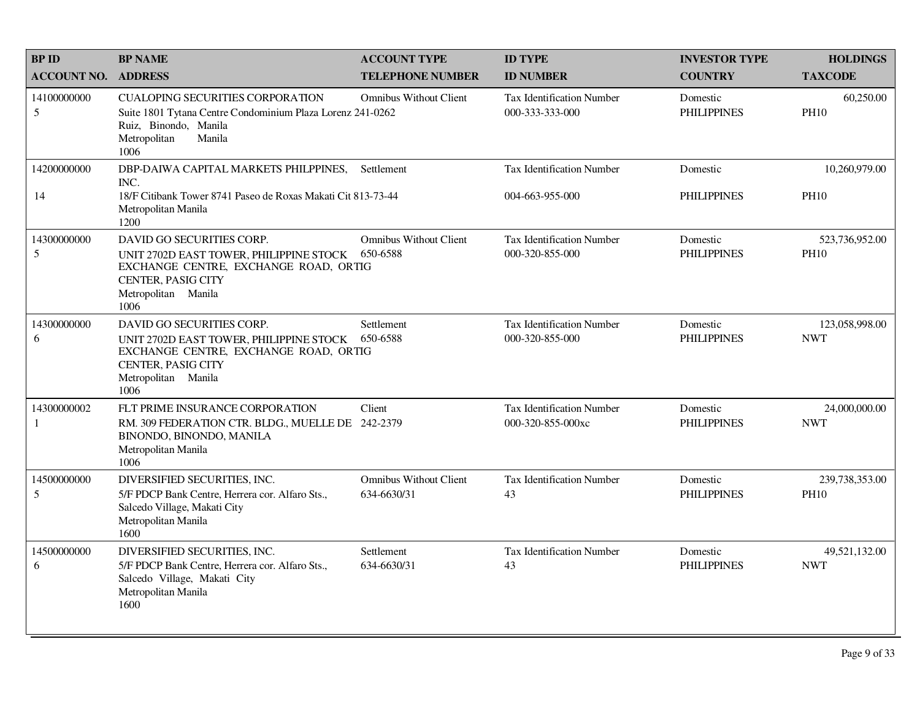| <b>BPID</b>        | <b>BP NAME</b>                                                                                                                                                                    | <b>ACCOUNT TYPE</b>                          | <b>ID TYPE</b>                                        | <b>INVESTOR TYPE</b>           | <b>HOLDINGS</b>               |
|--------------------|-----------------------------------------------------------------------------------------------------------------------------------------------------------------------------------|----------------------------------------------|-------------------------------------------------------|--------------------------------|-------------------------------|
| <b>ACCOUNT NO.</b> | <b>ADDRESS</b>                                                                                                                                                                    | <b>TELEPHONE NUMBER</b>                      | <b>ID NUMBER</b>                                      | <b>COUNTRY</b>                 | <b>TAXCODE</b>                |
| 14100000000<br>5   | <b>CUALOPING SECURITIES CORPORATION</b><br>Suite 1801 Tytana Centre Condominium Plaza Lorenz 241-0262<br>Ruiz, Binondo, Manila<br>Metropolitan<br>Manila<br>1006                  | <b>Omnibus Without Client</b>                | Tax Identification Number<br>000-333-333-000          | Domestic<br><b>PHILIPPINES</b> | 60,250.00<br><b>PH10</b>      |
| 14200000000<br>14  | DBP-DAIWA CAPITAL MARKETS PHILPPINES,<br>INC.<br>18/F Citibank Tower 8741 Paseo de Roxas Makati Cit 813-73-44<br>Metropolitan Manila                                              | Settlement                                   | Tax Identification Number<br>004-663-955-000          | Domestic<br><b>PHILIPPINES</b> | 10,260,979.00<br><b>PH10</b>  |
| 14300000000<br>5   | 1200<br>DAVID GO SECURITIES CORP.<br>UNIT 2702D EAST TOWER, PHILIPPINE STOCK<br>EXCHANGE CENTRE, EXCHANGE ROAD, ORTIG<br><b>CENTER, PASIG CITY</b><br>Metropolitan Manila<br>1006 | <b>Omnibus Without Client</b><br>650-6588    | Tax Identification Number<br>000-320-855-000          | Domestic<br><b>PHILIPPINES</b> | 523,736,952.00<br><b>PH10</b> |
| 14300000000<br>6   | DAVID GO SECURITIES CORP.<br>UNIT 2702D EAST TOWER, PHILIPPINE STOCK<br>EXCHANGE CENTRE, EXCHANGE ROAD, ORTIG<br><b>CENTER, PASIG CITY</b><br>Metropolitan Manila<br>1006         | Settlement<br>650-6588                       | Tax Identification Number<br>000-320-855-000          | Domestic<br><b>PHILIPPINES</b> | 123,058,998.00<br><b>NWT</b>  |
| 14300000002<br>-1  | FLT PRIME INSURANCE CORPORATION<br>RM. 309 FEDERATION CTR. BLDG., MUELLE DE 242-2379<br>BINONDO, BINONDO, MANILA<br>Metropolitan Manila<br>1006                                   | Client                                       | <b>Tax Identification Number</b><br>000-320-855-000xc | Domestic<br><b>PHILIPPINES</b> | 24,000,000.00<br><b>NWT</b>   |
| 14500000000<br>5   | DIVERSIFIED SECURITIES, INC.<br>5/F PDCP Bank Centre, Herrera cor. Alfaro Sts.,<br>Salcedo Village, Makati City<br>Metropolitan Manila<br>1600                                    | <b>Omnibus Without Client</b><br>634-6630/31 | <b>Tax Identification Number</b><br>43                | Domestic<br><b>PHILIPPINES</b> | 239,738,353.00<br><b>PH10</b> |
| 14500000000<br>6   | DIVERSIFIED SECURITIES, INC.<br>5/F PDCP Bank Centre, Herrera cor. Alfaro Sts.,<br>Salcedo Village, Makati City<br>Metropolitan Manila<br>1600                                    | Settlement<br>634-6630/31                    | <b>Tax Identification Number</b><br>43                | Domestic<br><b>PHILIPPINES</b> | 49,521,132.00<br><b>NWT</b>   |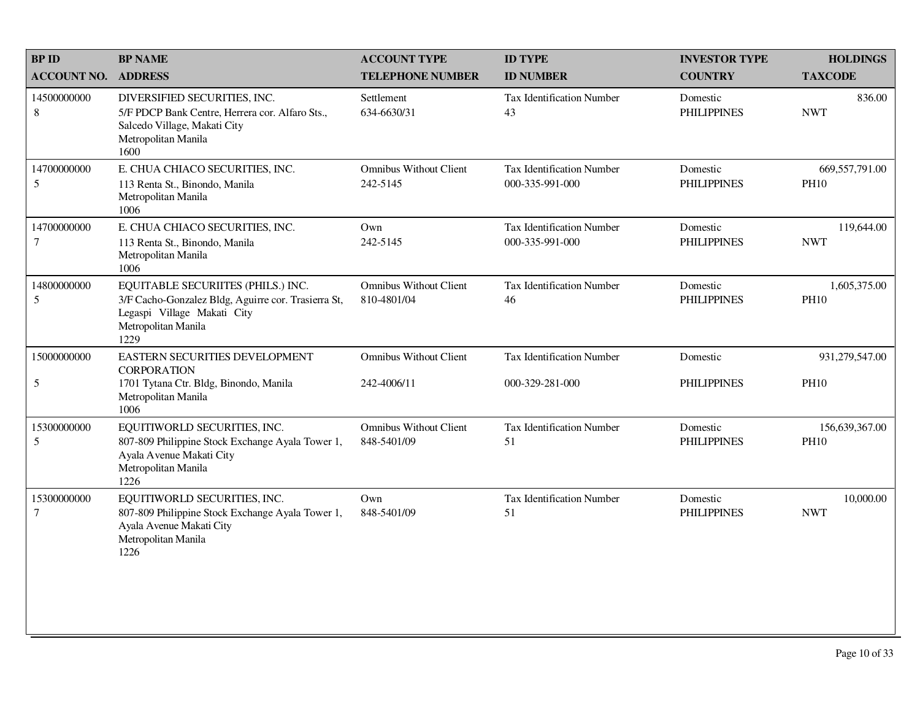| <b>BPID</b>                | <b>BP NAME</b>                                                                                                                                          | <b>ACCOUNT TYPE</b>                          | <b>ID TYPE</b>                               | <b>INVESTOR TYPE</b>           | <b>HOLDINGS</b>               |
|----------------------------|---------------------------------------------------------------------------------------------------------------------------------------------------------|----------------------------------------------|----------------------------------------------|--------------------------------|-------------------------------|
| <b>ACCOUNT NO. ADDRESS</b> |                                                                                                                                                         | <b>TELEPHONE NUMBER</b>                      | <b>ID NUMBER</b>                             | <b>COUNTRY</b>                 | <b>TAXCODE</b>                |
| 14500000000<br>8           | DIVERSIFIED SECURITIES, INC.<br>5/F PDCP Bank Centre, Herrera cor. Alfaro Sts.,<br>Salcedo Village, Makati City<br>Metropolitan Manila<br>1600          | Settlement<br>634-6630/31                    | Tax Identification Number<br>43              | Domestic<br><b>PHILIPPINES</b> | 836.00<br><b>NWT</b>          |
| 14700000000<br>5           | E. CHUA CHIACO SECURITIES, INC.<br>113 Renta St., Binondo, Manila<br>Metropolitan Manila<br>1006                                                        | <b>Omnibus Without Client</b><br>242-5145    | Tax Identification Number<br>000-335-991-000 | Domestic<br><b>PHILIPPINES</b> | 669,557,791.00<br><b>PH10</b> |
| 14700000000<br>7           | E. CHUA CHIACO SECURITIES, INC.<br>113 Renta St., Binondo, Manila<br>Metropolitan Manila<br>1006                                                        | Own<br>242-5145                              | Tax Identification Number<br>000-335-991-000 | Domestic<br><b>PHILIPPINES</b> | 119,644.00<br><b>NWT</b>      |
| 14800000000<br>5           | EQUITABLE SECURIITES (PHILS.) INC.<br>3/F Cacho-Gonzalez Bldg, Aguirre cor. Trasierra St,<br>Legaspi Village Makati City<br>Metropolitan Manila<br>1229 | <b>Omnibus Without Client</b><br>810-4801/04 | Tax Identification Number<br>46              | Domestic<br><b>PHILIPPINES</b> | 1,605,375.00<br><b>PH10</b>   |
| 15000000000                | EASTERN SECURITIES DEVELOPMENT<br><b>CORPORATION</b>                                                                                                    | <b>Omnibus Without Client</b>                | <b>Tax Identification Number</b>             | Domestic                       | 931,279,547.00                |
| 5                          | 1701 Tytana Ctr. Bldg, Binondo, Manila<br>Metropolitan Manila<br>1006                                                                                   | 242-4006/11                                  | 000-329-281-000                              | <b>PHILIPPINES</b>             | <b>PH10</b>                   |
| 15300000000<br>5           | EQUITIWORLD SECURITIES, INC.<br>807-809 Philippine Stock Exchange Ayala Tower 1,<br>Ayala Avenue Makati City<br>Metropolitan Manila<br>1226             | <b>Omnibus Without Client</b><br>848-5401/09 | Tax Identification Number<br>51              | Domestic<br><b>PHILIPPINES</b> | 156,639,367.00<br><b>PH10</b> |
| 15300000000<br>$\tau$      | EQUITIWORLD SECURITIES, INC.<br>807-809 Philippine Stock Exchange Ayala Tower 1,<br>Ayala Avenue Makati City<br>Metropolitan Manila<br>1226             | Own<br>848-5401/09                           | <b>Tax Identification Number</b><br>51       | Domestic<br><b>PHILIPPINES</b> | 10,000.00<br><b>NWT</b>       |
|                            |                                                                                                                                                         |                                              |                                              |                                |                               |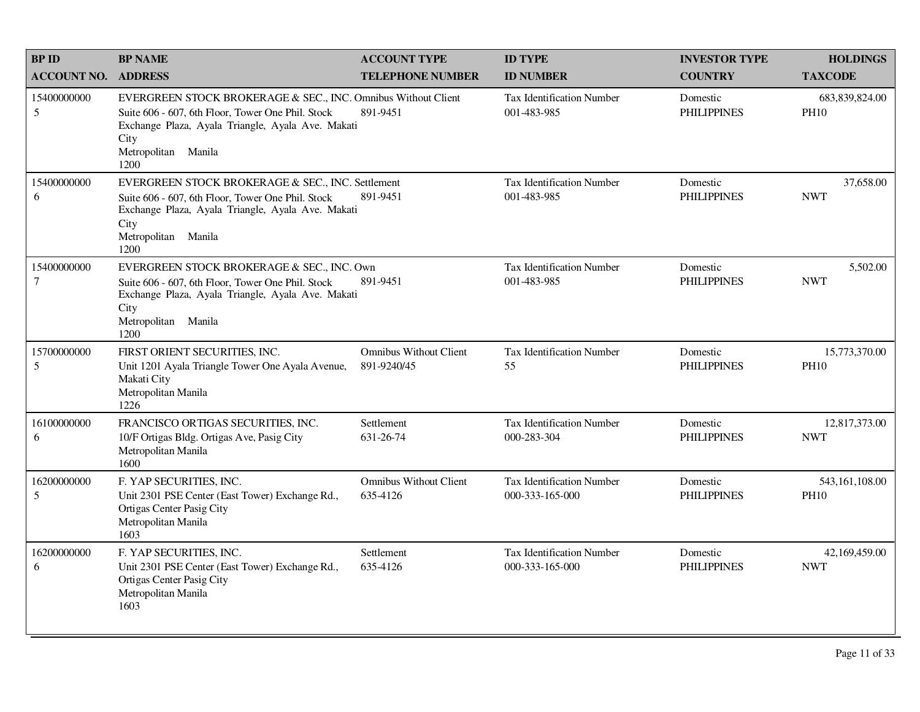| <b>BP ID</b>                  | <b>BP NAME</b>                                                                                                                                                                                                 | <b>ACCOUNT TYPE</b>                          | <b>ID TYPE</b>                                      | <b>INVESTOR TYPE</b>           | <b>HOLDINGS</b>                 |
|-------------------------------|----------------------------------------------------------------------------------------------------------------------------------------------------------------------------------------------------------------|----------------------------------------------|-----------------------------------------------------|--------------------------------|---------------------------------|
| <b>ACCOUNT NO.</b>            | <b>ADDRESS</b>                                                                                                                                                                                                 | <b>TELEPHONE NUMBER</b>                      | <b>ID NUMBER</b>                                    | <b>COUNTRY</b>                 | <b>TAXCODE</b>                  |
| 15400000000<br>5              | EVERGREEN STOCK BROKERAGE & SEC., INC. Omnibus Without Client<br>Suite 606 - 607, 6th Floor, Tower One Phil. Stock<br>Exchange Plaza, Ayala Triangle, Ayala Ave. Makati<br>City<br>Metropolitan Manila<br>1200 | 891-9451                                     | <b>Tax Identification Number</b><br>001-483-985     | Domestic<br><b>PHILIPPINES</b> | 683, 839, 824.00<br><b>PH10</b> |
| 15400000000<br>6              | EVERGREEN STOCK BROKERAGE & SEC., INC. Settlement<br>Suite 606 - 607, 6th Floor, Tower One Phil. Stock<br>Exchange Plaza, Ayala Triangle, Ayala Ave. Makati<br>City<br>Metropolitan Manila<br>1200             | 891-9451                                     | <b>Tax Identification Number</b><br>001-483-985     | Domestic<br><b>PHILIPPINES</b> | 37,658.00<br><b>NWT</b>         |
| 15400000000<br>$\overline{7}$ | EVERGREEN STOCK BROKERAGE & SEC., INC. Own<br>Suite 606 - 607, 6th Floor, Tower One Phil. Stock<br>Exchange Plaza, Ayala Triangle, Ayala Ave. Makati<br>City<br>Metropolitan Manila<br>1200                    | 891-9451                                     | <b>Tax Identification Number</b><br>001-483-985     | Domestic<br><b>PHILIPPINES</b> | 5,502.00<br><b>NWT</b>          |
| 15700000000<br>5              | FIRST ORIENT SECURITIES, INC.<br>Unit 1201 Ayala Triangle Tower One Ayala Avenue,<br>Makati City<br>Metropolitan Manila<br>1226                                                                                | <b>Omnibus Without Client</b><br>891-9240/45 | <b>Tax Identification Number</b><br>55              | Domestic<br><b>PHILIPPINES</b> | 15,773,370.00<br><b>PH10</b>    |
| 16100000000<br>6              | FRANCISCO ORTIGAS SECURITIES, INC.<br>10/F Ortigas Bldg. Ortigas Ave, Pasig City<br>Metropolitan Manila<br>1600                                                                                                | Settlement<br>631-26-74                      | <b>Tax Identification Number</b><br>000-283-304     | Domestic<br><b>PHILIPPINES</b> | 12,817,373.00<br><b>NWT</b>     |
| 16200000000<br>5              | F. YAP SECURITIES, INC.<br>Unit 2301 PSE Center (East Tower) Exchange Rd.,<br>Ortigas Center Pasig City<br>Metropolitan Manila<br>1603                                                                         | <b>Omnibus Without Client</b><br>635-4126    | <b>Tax Identification Number</b><br>000-333-165-000 | Domestic<br><b>PHILIPPINES</b> | 543,161,108.00<br><b>PH10</b>   |
| 16200000000<br>6              | F. YAP SECURITIES, INC.<br>Unit 2301 PSE Center (East Tower) Exchange Rd.,<br>Ortigas Center Pasig City<br>Metropolitan Manila<br>1603                                                                         | Settlement<br>635-4126                       | <b>Tax Identification Number</b><br>000-333-165-000 | Domestic<br><b>PHILIPPINES</b> | 42,169,459.00<br><b>NWT</b>     |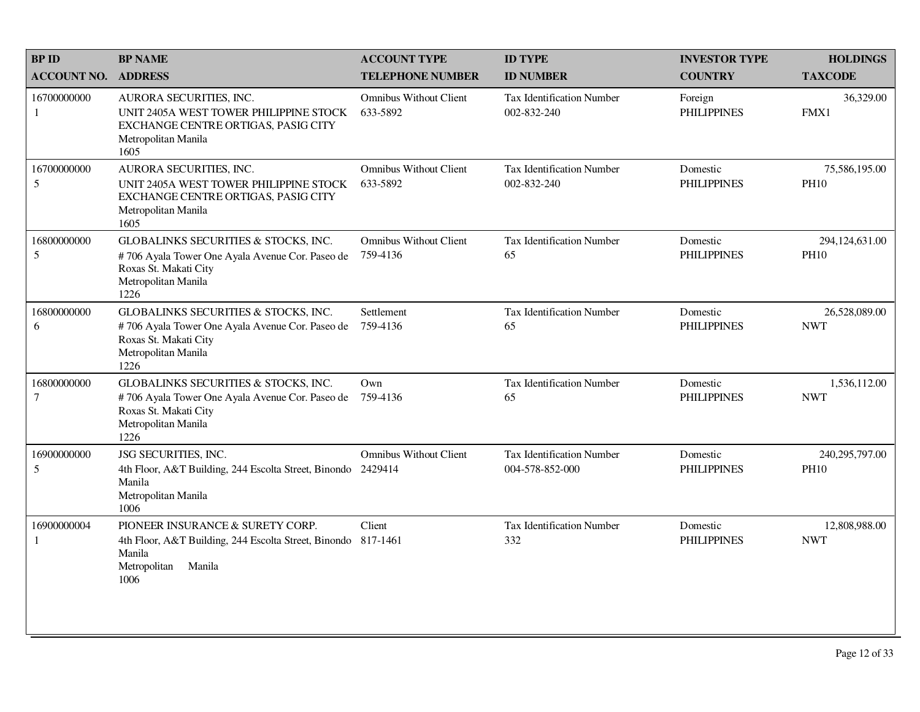| <b>BPID</b>        | <b>BP NAME</b>                                                                                                                                  | <b>ACCOUNT TYPE</b>                       | <b>ID TYPE</b>                                      | <b>INVESTOR TYPE</b>           | <b>HOLDINGS</b>                 |
|--------------------|-------------------------------------------------------------------------------------------------------------------------------------------------|-------------------------------------------|-----------------------------------------------------|--------------------------------|---------------------------------|
| <b>ACCOUNT NO.</b> | <b>ADDRESS</b>                                                                                                                                  | <b>TELEPHONE NUMBER</b>                   | <b>ID NUMBER</b>                                    | <b>COUNTRY</b>                 | <b>TAXCODE</b>                  |
| 16700000000<br>1   | AURORA SECURITIES, INC.<br>UNIT 2405A WEST TOWER PHILIPPINE STOCK<br>EXCHANGE CENTRE ORTIGAS, PASIG CITY<br>Metropolitan Manila<br>1605         | <b>Omnibus Without Client</b><br>633-5892 | Tax Identification Number<br>002-832-240            | Foreign<br><b>PHILIPPINES</b>  | 36,329.00<br>FMX1               |
| 16700000000<br>5   | AURORA SECURITIES, INC.<br>UNIT 2405A WEST TOWER PHILIPPINE STOCK<br>EXCHANGE CENTRE ORTIGAS, PASIG CITY<br>Metropolitan Manila<br>1605         | Omnibus Without Client<br>633-5892        | Tax Identification Number<br>002-832-240            | Domestic<br><b>PHILIPPINES</b> | 75,586,195.00<br><b>PH10</b>    |
| 16800000000<br>5   | GLOBALINKS SECURITIES & STOCKS, INC.<br>#706 Ayala Tower One Ayala Avenue Cor. Paseo de<br>Roxas St. Makati City<br>Metropolitan Manila<br>1226 | <b>Omnibus Without Client</b><br>759-4136 | <b>Tax Identification Number</b><br>65              | Domestic<br><b>PHILIPPINES</b> | 294,124,631.00<br><b>PH10</b>   |
| 16800000000<br>6   | GLOBALINKS SECURITIES & STOCKS, INC.<br>#706 Ayala Tower One Ayala Avenue Cor. Paseo de<br>Roxas St. Makati City<br>Metropolitan Manila<br>1226 | Settlement<br>759-4136                    | Tax Identification Number<br>65                     | Domestic<br><b>PHILIPPINES</b> | 26,528,089.00<br><b>NWT</b>     |
| 16800000000<br>7   | GLOBALINKS SECURITIES & STOCKS, INC.<br>#706 Ayala Tower One Ayala Avenue Cor. Paseo de<br>Roxas St. Makati City<br>Metropolitan Manila<br>1226 | Own<br>759-4136                           | <b>Tax Identification Number</b><br>65              | Domestic<br><b>PHILIPPINES</b> | 1,536,112.00<br><b>NWT</b>      |
| 16900000000<br>5   | JSG SECURITIES, INC.<br>4th Floor, A&T Building, 244 Escolta Street, Binondo 2429414<br>Manila<br>Metropolitan Manila<br>1006                   | <b>Omnibus Without Client</b>             | <b>Tax Identification Number</b><br>004-578-852-000 | Domestic<br><b>PHILIPPINES</b> | 240, 295, 797.00<br><b>PH10</b> |
| 16900000004<br>1   | PIONEER INSURANCE & SURETY CORP.<br>4th Floor, A&T Building, 244 Escolta Street, Binondo 817-1461<br>Manila<br>Metropolitan<br>Manila<br>1006   | Client                                    | Tax Identification Number<br>332                    | Domestic<br><b>PHILIPPINES</b> | 12,808,988.00<br><b>NWT</b>     |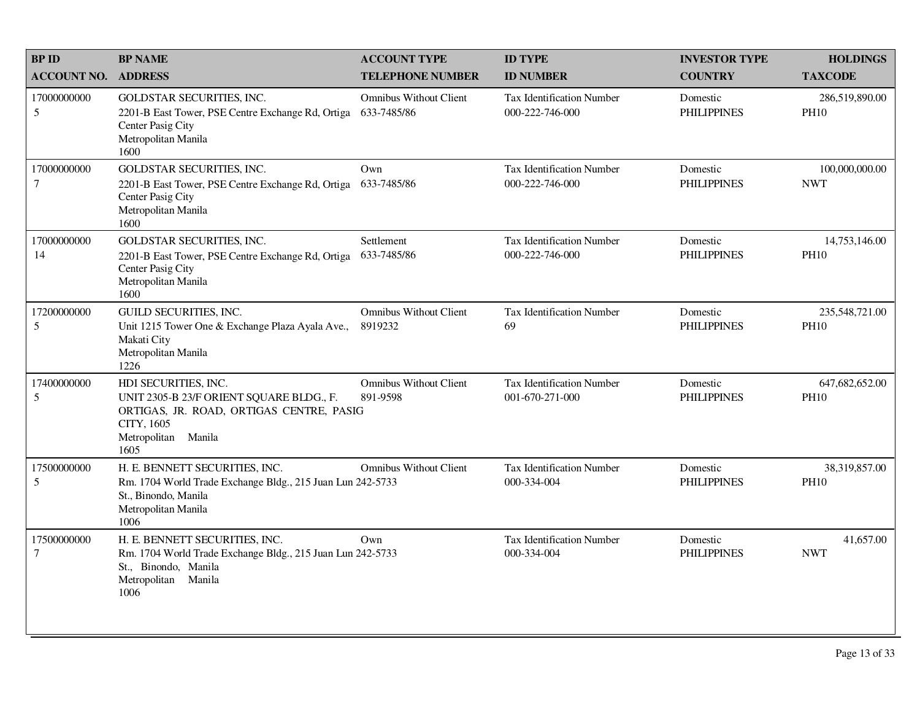| <b>BPID</b>           | <b>BP NAME</b>                                                                                                                                               | <b>ACCOUNT TYPE</b>                          | <b>ID TYPE</b>                                      | <b>INVESTOR TYPE</b>           | <b>HOLDINGS</b>               |
|-----------------------|--------------------------------------------------------------------------------------------------------------------------------------------------------------|----------------------------------------------|-----------------------------------------------------|--------------------------------|-------------------------------|
| <b>ACCOUNT NO.</b>    | <b>ADDRESS</b>                                                                                                                                               | <b>TELEPHONE NUMBER</b>                      | <b>ID NUMBER</b>                                    | <b>COUNTRY</b>                 | <b>TAXCODE</b>                |
| 17000000000<br>5      | GOLDSTAR SECURITIES, INC.<br>2201-B East Tower, PSE Centre Exchange Rd, Ortiga<br>Center Pasig City<br>Metropolitan Manila<br>1600                           | <b>Omnibus Without Client</b><br>633-7485/86 | Tax Identification Number<br>000-222-746-000        | Domestic<br><b>PHILIPPINES</b> | 286,519,890.00<br><b>PH10</b> |
| 17000000000<br>$\tau$ | <b>GOLDSTAR SECURITIES, INC.</b><br>2201-B East Tower, PSE Centre Exchange Rd, Ortiga<br>Center Pasig City<br>Metropolitan Manila<br>1600                    | Own<br>633-7485/86                           | Tax Identification Number<br>000-222-746-000        | Domestic<br><b>PHILIPPINES</b> | 100,000,000.00<br><b>NWT</b>  |
| 17000000000<br>14     | <b>GOLDSTAR SECURITIES, INC.</b><br>2201-B East Tower, PSE Centre Exchange Rd, Ortiga<br>Center Pasig City<br>Metropolitan Manila<br>1600                    | Settlement<br>633-7485/86                    | <b>Tax Identification Number</b><br>000-222-746-000 | Domestic<br><b>PHILIPPINES</b> | 14,753,146.00<br><b>PH10</b>  |
| 17200000000<br>5      | GUILD SECURITIES, INC.<br>Unit 1215 Tower One & Exchange Plaza Ayala Ave.,<br>Makati City<br>Metropolitan Manila<br>1226                                     | <b>Omnibus Without Client</b><br>8919232     | <b>Tax Identification Number</b><br>69              | Domestic<br><b>PHILIPPINES</b> | 235,548,721.00<br><b>PH10</b> |
| 17400000000<br>5      | HDI SECURITIES, INC.<br>UNIT 2305-B 23/F ORIENT SQUARE BLDG., F.<br>ORTIGAS, JR. ROAD, ORTIGAS CENTRE, PASIG<br>CITY, 1605<br>Metropolitan<br>Manila<br>1605 | <b>Omnibus Without Client</b><br>891-9598    | Tax Identification Number<br>001-670-271-000        | Domestic<br><b>PHILIPPINES</b> | 647,682,652.00<br><b>PH10</b> |
| 17500000000<br>5      | H. E. BENNETT SECURITIES, INC.<br>Rm. 1704 World Trade Exchange Bldg., 215 Juan Lun 242-5733<br>St., Binondo, Manila<br>Metropolitan Manila<br>1006          | <b>Omnibus Without Client</b>                | <b>Tax Identification Number</b><br>000-334-004     | Domestic<br><b>PHILIPPINES</b> | 38,319,857.00<br><b>PH10</b>  |
| 17500000000<br>$\tau$ | H. E. BENNETT SECURITIES, INC.<br>Rm. 1704 World Trade Exchange Bldg., 215 Juan Lun 242-5733<br>St., Binondo, Manila<br>Metropolitan<br>Manila<br>1006       | Own                                          | Tax Identification Number<br>000-334-004            | Domestic<br><b>PHILIPPINES</b> | 41,657.00<br><b>NWT</b>       |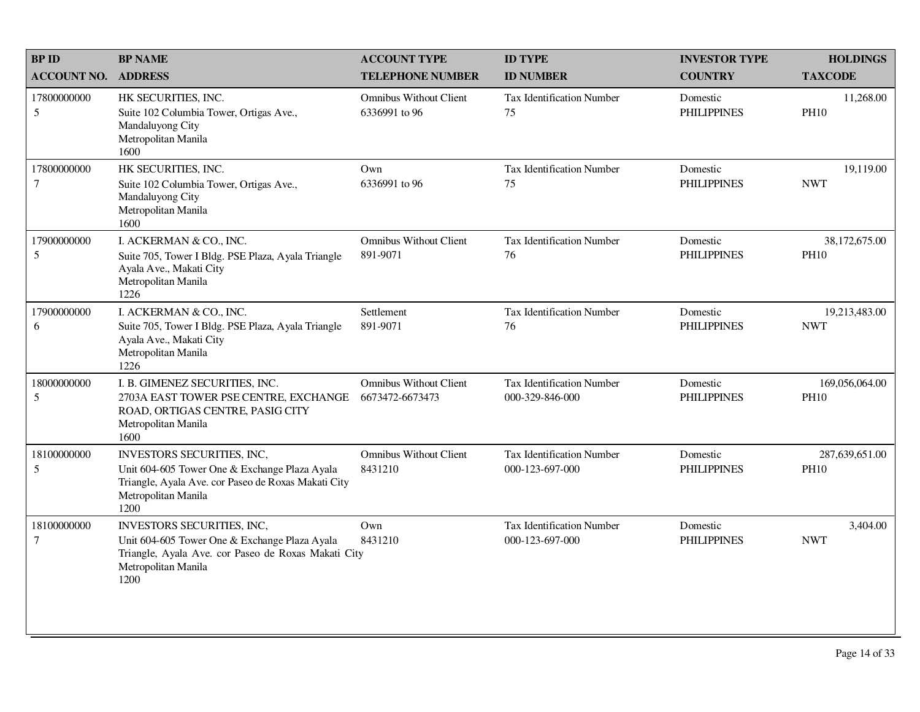| <b>BP ID</b>                   | <b>BP NAME</b>                                                                                                                                                           | <b>ACCOUNT TYPE</b>                              | <b>ID TYPE</b>                                      | <b>INVESTOR TYPE</b>           | <b>HOLDINGS</b>               |
|--------------------------------|--------------------------------------------------------------------------------------------------------------------------------------------------------------------------|--------------------------------------------------|-----------------------------------------------------|--------------------------------|-------------------------------|
| <b>ACCOUNT NO.</b>             | <b>ADDRESS</b>                                                                                                                                                           | <b>TELEPHONE NUMBER</b>                          | <b>ID NUMBER</b>                                    | <b>COUNTRY</b>                 | <b>TAXCODE</b>                |
| 17800000000<br>$5\overline{)}$ | HK SECURITIES, INC.<br>Suite 102 Columbia Tower, Ortigas Ave.,<br>Mandaluyong City<br>Metropolitan Manila<br>1600                                                        | <b>Omnibus Without Client</b><br>6336991 to 96   | Tax Identification Number<br>75                     | Domestic<br><b>PHILIPPINES</b> | 11,268.00<br><b>PH10</b>      |
| 17800000000<br>$\tau$          | HK SECURITIES, INC.<br>Suite 102 Columbia Tower, Ortigas Ave.,<br>Mandaluyong City<br>Metropolitan Manila<br>1600                                                        | Own<br>6336991 to 96                             | <b>Tax Identification Number</b><br>75              | Domestic<br><b>PHILIPPINES</b> | 19,119.00<br><b>NWT</b>       |
| 17900000000<br>5               | I. ACKERMAN & CO., INC.<br>Suite 705, Tower I Bldg. PSE Plaza, Ayala Triangle<br>Ayala Ave., Makati City<br>Metropolitan Manila<br>1226                                  | <b>Omnibus Without Client</b><br>891-9071        | <b>Tax Identification Number</b><br>76              | Domestic<br><b>PHILIPPINES</b> | 38,172,675.00<br><b>PH10</b>  |
| 17900000000<br>6               | I. ACKERMAN & CO., INC.<br>Suite 705, Tower I Bldg. PSE Plaza, Ayala Triangle<br>Ayala Ave., Makati City<br>Metropolitan Manila<br>1226                                  | Settlement<br>891-9071                           | <b>Tax Identification Number</b><br>76              | Domestic<br><b>PHILIPPINES</b> | 19,213,483.00<br><b>NWT</b>   |
| 18000000000<br>5               | I. B. GIMENEZ SECURITIES, INC.<br>2703A EAST TOWER PSE CENTRE, EXCHANGE<br>ROAD, ORTIGAS CENTRE, PASIG CITY<br>Metropolitan Manila<br>1600                               | <b>Omnibus Without Client</b><br>6673472-6673473 | Tax Identification Number<br>000-329-846-000        | Domestic<br><b>PHILIPPINES</b> | 169,056,064.00<br><b>PH10</b> |
| 18100000000<br>5               | <b>INVESTORS SECURITIES, INC.</b><br>Unit 604-605 Tower One & Exchange Plaza Ayala<br>Triangle, Ayala Ave. cor Paseo de Roxas Makati City<br>Metropolitan Manila<br>1200 | <b>Omnibus Without Client</b><br>8431210         | <b>Tax Identification Number</b><br>000-123-697-000 | Domestic<br><b>PHILIPPINES</b> | 287,639,651.00<br><b>PH10</b> |
| 18100000000<br>$\tau$          | INVESTORS SECURITIES, INC,<br>Unit 604-605 Tower One & Exchange Plaza Ayala<br>Triangle, Ayala Ave. cor Paseo de Roxas Makati City<br>Metropolitan Manila<br>1200        | Own<br>8431210                                   | <b>Tax Identification Number</b><br>000-123-697-000 | Domestic<br><b>PHILIPPINES</b> | 3,404.00<br><b>NWT</b>        |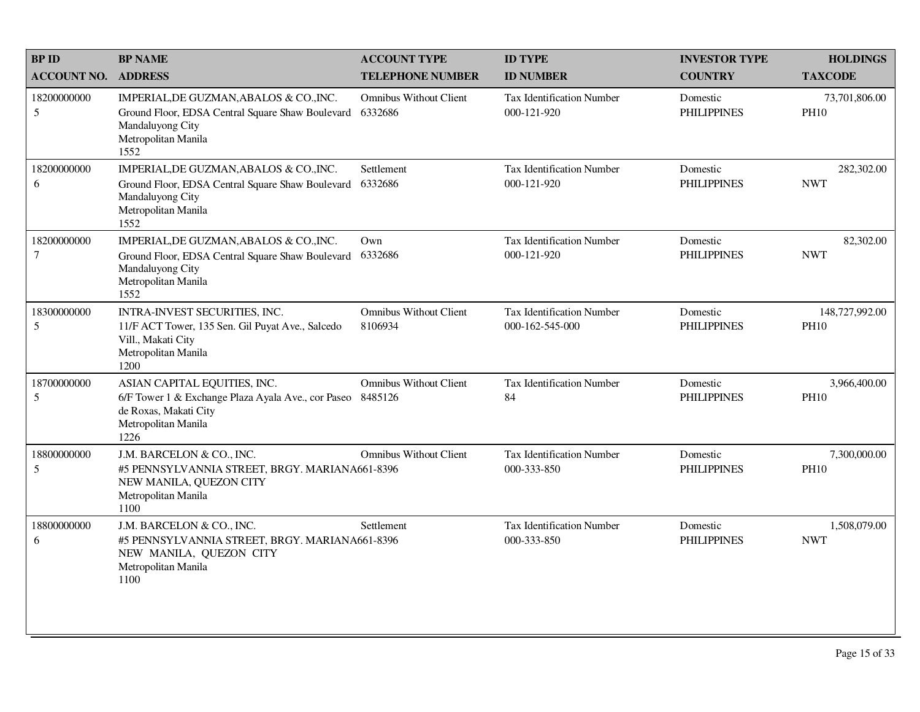| <b>BPID</b>           | <b>BP NAME</b>                                                                                                                                     | <b>ACCOUNT TYPE</b>                      | <b>ID TYPE</b>                                      | <b>INVESTOR TYPE</b>           | <b>HOLDINGS</b>               |
|-----------------------|----------------------------------------------------------------------------------------------------------------------------------------------------|------------------------------------------|-----------------------------------------------------|--------------------------------|-------------------------------|
| <b>ACCOUNT NO.</b>    | <b>ADDRESS</b>                                                                                                                                     | <b>TELEPHONE NUMBER</b>                  | <b>ID NUMBER</b>                                    | <b>COUNTRY</b>                 | <b>TAXCODE</b>                |
| 18200000000<br>5      | IMPERIAL, DE GUZMAN, ABALOS & CO., INC.<br>Ground Floor, EDSA Central Square Shaw Boulevard<br>Mandaluyong City<br>Metropolitan Manila<br>1552     | <b>Omnibus Without Client</b><br>6332686 | <b>Tax Identification Number</b><br>000-121-920     | Domestic<br><b>PHILIPPINES</b> | 73,701,806.00<br><b>PH10</b>  |
| 18200000000<br>6      | IMPERIAL, DE GUZMAN, ABALOS & CO., INC.<br>Ground Floor, EDSA Central Square Shaw Boulevard<br>Mandaluyong City<br>Metropolitan Manila<br>1552     | Settlement<br>6332686                    | <b>Tax Identification Number</b><br>000-121-920     | Domestic<br><b>PHILIPPINES</b> | 282,302.00<br><b>NWT</b>      |
| 18200000000<br>$\tau$ | IMPERIAL, DE GUZMAN, ABALOS & CO., INC.<br>Ground Floor, EDSA Central Square Shaw Boulevard<br>Mandaluyong City<br>Metropolitan Manila<br>1552     | Own<br>6332686                           | Tax Identification Number<br>000-121-920            | Domestic<br><b>PHILIPPINES</b> | 82,302.00<br><b>NWT</b>       |
| 18300000000<br>5      | INTRA-INVEST SECURITIES, INC.<br>11/F ACT Tower, 135 Sen. Gil Puyat Ave., Salcedo<br>Vill., Makati City<br>Metropolitan Manila<br>1200             | <b>Omnibus Without Client</b><br>8106934 | <b>Tax Identification Number</b><br>000-162-545-000 | Domestic<br><b>PHILIPPINES</b> | 148,727,992.00<br><b>PH10</b> |
| 18700000000<br>5      | ASIAN CAPITAL EQUITIES, INC.<br>6/F Tower 1 & Exchange Plaza Ayala Ave., cor Paseo 8485126<br>de Roxas, Makati City<br>Metropolitan Manila<br>1226 | <b>Omnibus Without Client</b>            | <b>Tax Identification Number</b><br>84              | Domestic<br><b>PHILIPPINES</b> | 3,966,400.00<br><b>PH10</b>   |
| 18800000000<br>5      | J.M. BARCELON & CO., INC.<br>#5 PENNSYLVANNIA STREET, BRGY. MARIANA661-8396<br>NEW MANILA, QUEZON CITY<br>Metropolitan Manila<br>1100              | <b>Omnibus Without Client</b>            | Tax Identification Number<br>000-333-850            | Domestic<br><b>PHILIPPINES</b> | 7,300,000.00<br><b>PH10</b>   |
| 18800000000<br>6      | J.M. BARCELON & CO., INC.<br>#5 PENNSYLVANNIA STREET, BRGY. MARIANA661-8396<br>NEW MANILA, QUEZON CITY<br>Metropolitan Manila<br>1100              | Settlement                               | Tax Identification Number<br>000-333-850            | Domestic<br><b>PHILIPPINES</b> | 1,508,079.00<br><b>NWT</b>    |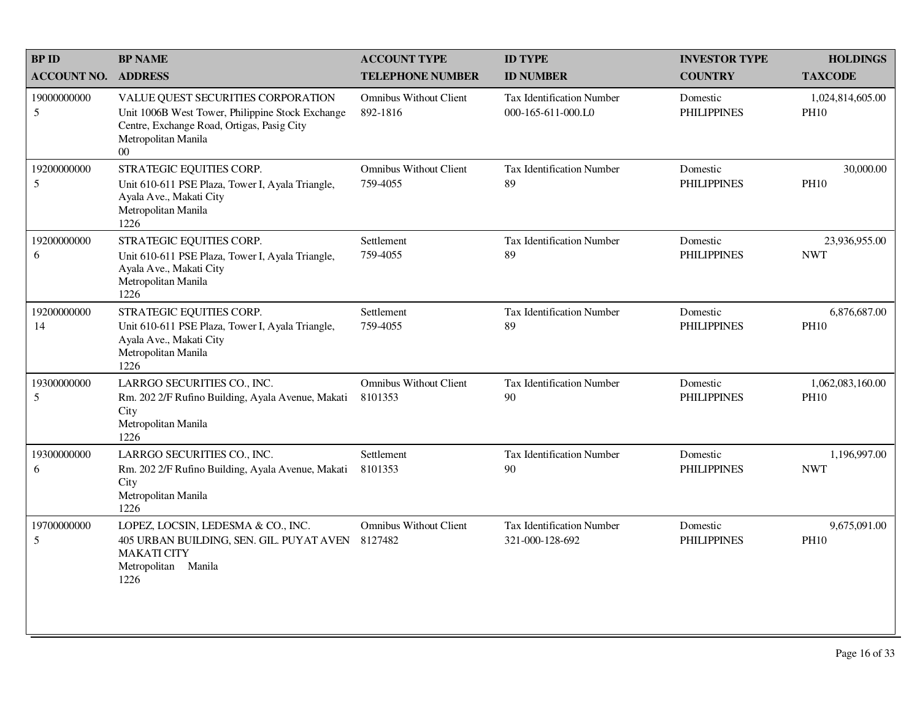| <b>BPID</b>        | <b>BP NAME</b>                                                                                                                                                        | <b>ACCOUNT TYPE</b>                       | <b>ID TYPE</b>                                  | <b>INVESTOR TYPE</b>           | <b>HOLDINGS</b>                 |
|--------------------|-----------------------------------------------------------------------------------------------------------------------------------------------------------------------|-------------------------------------------|-------------------------------------------------|--------------------------------|---------------------------------|
| <b>ACCOUNT NO.</b> | <b>ADDRESS</b>                                                                                                                                                        | <b>TELEPHONE NUMBER</b>                   | <b>ID NUMBER</b>                                | <b>COUNTRY</b>                 | <b>TAXCODE</b>                  |
| 19000000000<br>5   | VALUE QUEST SECURITIES CORPORATION<br>Unit 1006B West Tower, Philippine Stock Exchange<br>Centre, Exchange Road, Ortigas, Pasig City<br>Metropolitan Manila<br>$00\,$ | <b>Omnibus Without Client</b><br>892-1816 | Tax Identification Number<br>000-165-611-000.L0 | Domestic<br><b>PHILIPPINES</b> | 1,024,814,605.00<br><b>PH10</b> |
| 19200000000<br>5   | STRATEGIC EQUITIES CORP.<br>Unit 610-611 PSE Plaza, Tower I, Ayala Triangle,<br>Ayala Ave., Makati City<br>Metropolitan Manila<br>1226                                | <b>Omnibus Without Client</b><br>759-4055 | <b>Tax Identification Number</b><br>89          | Domestic<br><b>PHILIPPINES</b> | 30,000.00<br><b>PH10</b>        |
| 19200000000<br>6   | STRATEGIC EQUITIES CORP.<br>Unit 610-611 PSE Plaza, Tower I, Ayala Triangle,<br>Ayala Ave., Makati City<br>Metropolitan Manila<br>1226                                | Settlement<br>759-4055                    | Tax Identification Number<br>89                 | Domestic<br><b>PHILIPPINES</b> | 23,936,955.00<br><b>NWT</b>     |
| 19200000000<br>14  | STRATEGIC EQUITIES CORP.<br>Unit 610-611 PSE Plaza, Tower I, Ayala Triangle,<br>Ayala Ave., Makati City<br>Metropolitan Manila<br>1226                                | Settlement<br>759-4055                    | Tax Identification Number<br>89                 | Domestic<br><b>PHILIPPINES</b> | 6,876,687.00<br><b>PH10</b>     |
| 19300000000<br>5   | LARRGO SECURITIES CO., INC.<br>Rm. 202 2/F Rufino Building, Ayala Avenue, Makati<br>City<br>Metropolitan Manila<br>1226                                               | <b>Omnibus Without Client</b><br>8101353  | <b>Tax Identification Number</b><br>90          | Domestic<br><b>PHILIPPINES</b> | 1,062,083,160.00<br><b>PH10</b> |
| 19300000000<br>6   | LARRGO SECURITIES CO., INC.<br>Rm. 202 2/F Rufino Building, Ayala Avenue, Makati<br>City<br>Metropolitan Manila<br>1226                                               | Settlement<br>8101353                     | <b>Tax Identification Number</b><br>90          | Domestic<br><b>PHILIPPINES</b> | 1,196,997.00<br><b>NWT</b>      |
| 19700000000<br>5   | LOPEZ, LOCSIN, LEDESMA & CO., INC.<br>405 URBAN BUILDING, SEN. GIL. PUYAT AVEN<br><b>MAKATI CITY</b><br>Metropolitan Manila<br>1226                                   | <b>Omnibus Without Client</b><br>8127482  | Tax Identification Number<br>321-000-128-692    | Domestic<br><b>PHILIPPINES</b> | 9,675,091.00<br><b>PH10</b>     |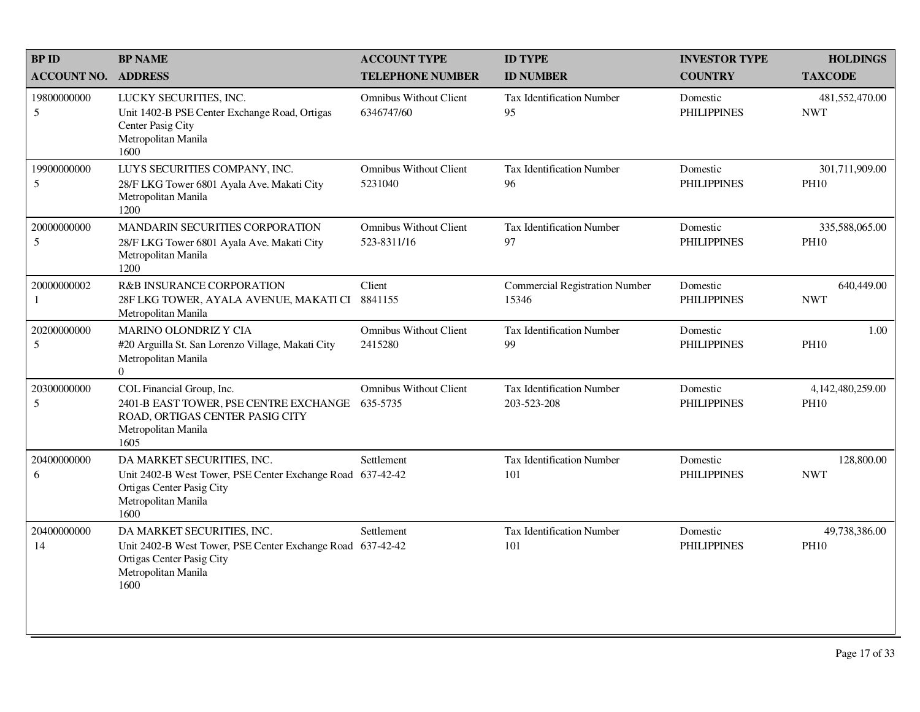| <b>BPID</b>        | <b>BP NAME</b>                                                                                                                                       | <b>ACCOUNT TYPE</b>                          | <b>ID TYPE</b>                                  | <b>INVESTOR TYPE</b>           | <b>HOLDINGS</b>                 |
|--------------------|------------------------------------------------------------------------------------------------------------------------------------------------------|----------------------------------------------|-------------------------------------------------|--------------------------------|---------------------------------|
| <b>ACCOUNT NO.</b> | <b>ADDRESS</b>                                                                                                                                       | <b>TELEPHONE NUMBER</b>                      | <b>ID NUMBER</b>                                | <b>COUNTRY</b>                 | <b>TAXCODE</b>                  |
| 19800000000<br>5   | LUCKY SECURITIES, INC.<br>Unit 1402-B PSE Center Exchange Road, Ortigas<br>Center Pasig City<br>Metropolitan Manila<br>1600                          | <b>Omnibus Without Client</b><br>6346747/60  | <b>Tax Identification Number</b><br>95          | Domestic<br><b>PHILIPPINES</b> | 481,552,470.00<br><b>NWT</b>    |
| 19900000000<br>5   | LUYS SECURITIES COMPANY, INC.<br>28/F LKG Tower 6801 Ayala Ave. Makati City<br>Metropolitan Manila<br>1200                                           | <b>Omnibus Without Client</b><br>5231040     | <b>Tax Identification Number</b><br>96          | Domestic<br><b>PHILIPPINES</b> | 301,711,909.00<br><b>PH10</b>   |
| 20000000000<br>5   | MANDARIN SECURITIES CORPORATION<br>28/F LKG Tower 6801 Ayala Ave. Makati City<br>Metropolitan Manila<br>1200                                         | <b>Omnibus Without Client</b><br>523-8311/16 | <b>Tax Identification Number</b><br>97          | Domestic<br><b>PHILIPPINES</b> | 335,588,065.00<br><b>PH10</b>   |
| 20000000002<br>1   | <b>R&amp;B INSURANCE CORPORATION</b><br>28F LKG TOWER, AYALA AVENUE, MAKATI CI 8841155<br>Metropolitan Manila                                        | Client                                       | <b>Commercial Registration Number</b><br>15346  | Domestic<br><b>PHILIPPINES</b> | 640,449.00<br><b>NWT</b>        |
| 20200000000<br>5   | MARINO OLONDRIZ Y CIA<br>#20 Arguilla St. San Lorenzo Village, Makati City<br>Metropolitan Manila<br>$\Omega$                                        | <b>Omnibus Without Client</b><br>2415280     | <b>Tax Identification Number</b><br>99          | Domestic<br><b>PHILIPPINES</b> | 1.00<br><b>PH10</b>             |
| 20300000000<br>5   | COL Financial Group, Inc.<br>2401-B EAST TOWER, PSE CENTRE EXCHANGE<br>ROAD, ORTIGAS CENTER PASIG CITY<br>Metropolitan Manila<br>1605                | <b>Omnibus Without Client</b><br>635-5735    | <b>Tax Identification Number</b><br>203-523-208 | Domestic<br><b>PHILIPPINES</b> | 4,142,480,259.00<br><b>PH10</b> |
| 20400000000<br>6   | DA MARKET SECURITIES, INC.<br>Unit 2402-B West Tower, PSE Center Exchange Road 637-42-42<br>Ortigas Center Pasig City<br>Metropolitan Manila<br>1600 | Settlement                                   | <b>Tax Identification Number</b><br>101         | Domestic<br><b>PHILIPPINES</b> | 128,800.00<br><b>NWT</b>        |
| 20400000000<br>14  | DA MARKET SECURITIES, INC.<br>Unit 2402-B West Tower, PSE Center Exchange Road 637-42-42<br>Ortigas Center Pasig City<br>Metropolitan Manila<br>1600 | Settlement                                   | <b>Tax Identification Number</b><br>101         | Domestic<br><b>PHILIPPINES</b> | 49,738,386.00<br><b>PH10</b>    |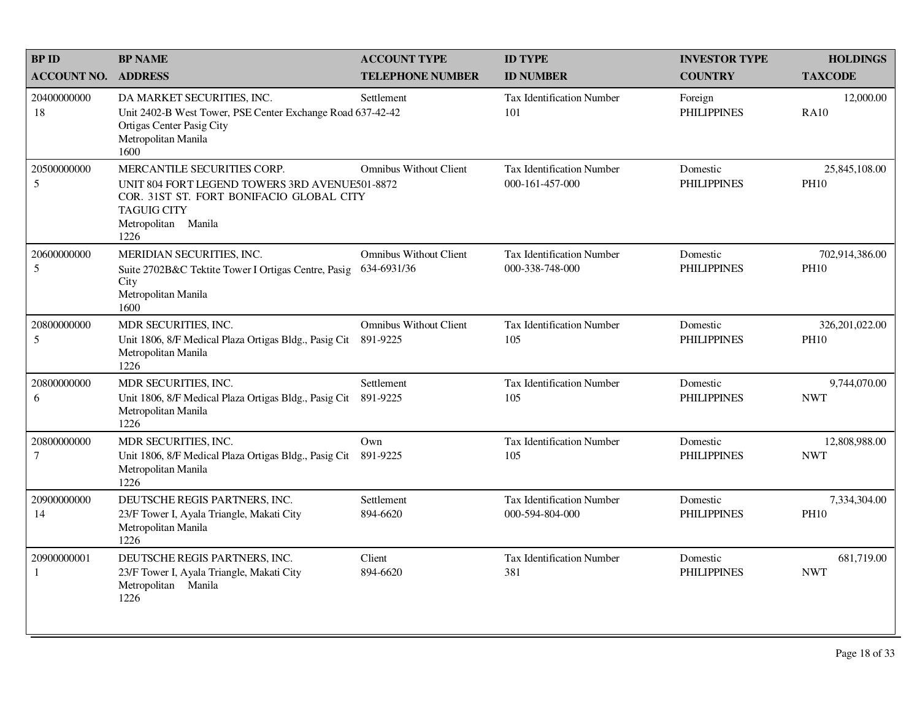| <b>BPID</b>                   | <b>BP NAME</b>                                                                                                                                                                 | <b>ACCOUNT TYPE</b>                          | <b>ID TYPE</b>                                      | <b>INVESTOR TYPE</b>           | <b>HOLDINGS</b>               |
|-------------------------------|--------------------------------------------------------------------------------------------------------------------------------------------------------------------------------|----------------------------------------------|-----------------------------------------------------|--------------------------------|-------------------------------|
| <b>ACCOUNT NO.</b>            | <b>ADDRESS</b>                                                                                                                                                                 | <b>TELEPHONE NUMBER</b>                      | <b>ID NUMBER</b>                                    | <b>COUNTRY</b>                 | <b>TAXCODE</b>                |
| 20400000000<br>18             | DA MARKET SECURITIES, INC.<br>Unit 2402-B West Tower, PSE Center Exchange Road 637-42-42<br>Ortigas Center Pasig City<br>Metropolitan Manila<br>1600                           | Settlement                                   | <b>Tax Identification Number</b><br>101             | Foreign<br><b>PHILIPPINES</b>  | 12,000.00<br><b>RA10</b>      |
| 20500000000<br>5              | MERCANTILE SECURITIES CORP.<br>UNIT 804 FORT LEGEND TOWERS 3RD AVENUE501-8872<br>COR. 31ST ST. FORT BONIFACIO GLOBAL CITY<br><b>TAGUIG CITY</b><br>Metropolitan Manila<br>1226 | <b>Omnibus Without Client</b>                | <b>Tax Identification Number</b><br>000-161-457-000 | Domestic<br><b>PHILIPPINES</b> | 25,845,108.00<br><b>PH10</b>  |
| 20600000000<br>5              | MERIDIAN SECURITIES, INC.<br>Suite 2702B&C Tektite Tower I Ortigas Centre, Pasig<br>City<br>Metropolitan Manila<br>1600                                                        | <b>Omnibus Without Client</b><br>634-6931/36 | <b>Tax Identification Number</b><br>000-338-748-000 | Domestic<br><b>PHILIPPINES</b> | 702,914,386.00<br><b>PH10</b> |
| 20800000000<br>5              | MDR SECURITIES, INC.<br>Unit 1806, 8/F Medical Plaza Ortigas Bldg., Pasig Cit<br>Metropolitan Manila<br>1226                                                                   | <b>Omnibus Without Client</b><br>891-9225    | <b>Tax Identification Number</b><br>105             | Domestic<br><b>PHILIPPINES</b> | 326,201,022.00<br><b>PH10</b> |
| 20800000000<br>6              | MDR SECURITIES, INC.<br>Unit 1806, 8/F Medical Plaza Ortigas Bldg., Pasig Cit<br>Metropolitan Manila<br>1226                                                                   | Settlement<br>891-9225                       | <b>Tax Identification Number</b><br>105             | Domestic<br><b>PHILIPPINES</b> | 9,744,070.00<br><b>NWT</b>    |
| 20800000000<br>$\overline{7}$ | MDR SECURITIES, INC.<br>Unit 1806, 8/F Medical Plaza Ortigas Bldg., Pasig Cit<br>Metropolitan Manila<br>1226                                                                   | Own<br>891-9225                              | <b>Tax Identification Number</b><br>105             | Domestic<br><b>PHILIPPINES</b> | 12,808,988.00<br><b>NWT</b>   |
| 20900000000<br>14             | DEUTSCHE REGIS PARTNERS, INC.<br>23/F Tower I, Ayala Triangle, Makati City<br>Metropolitan Manila<br>1226                                                                      | Settlement<br>894-6620                       | <b>Tax Identification Number</b><br>000-594-804-000 | Domestic<br><b>PHILIPPINES</b> | 7,334,304.00<br><b>PH10</b>   |
| 20900000001<br>$\mathbf{1}$   | DEUTSCHE REGIS PARTNERS, INC.<br>23/F Tower I, Ayala Triangle, Makati City<br>Metropolitan Manila<br>1226                                                                      | Client<br>894-6620                           | <b>Tax Identification Number</b><br>381             | Domestic<br><b>PHILIPPINES</b> | 681,719.00<br><b>NWT</b>      |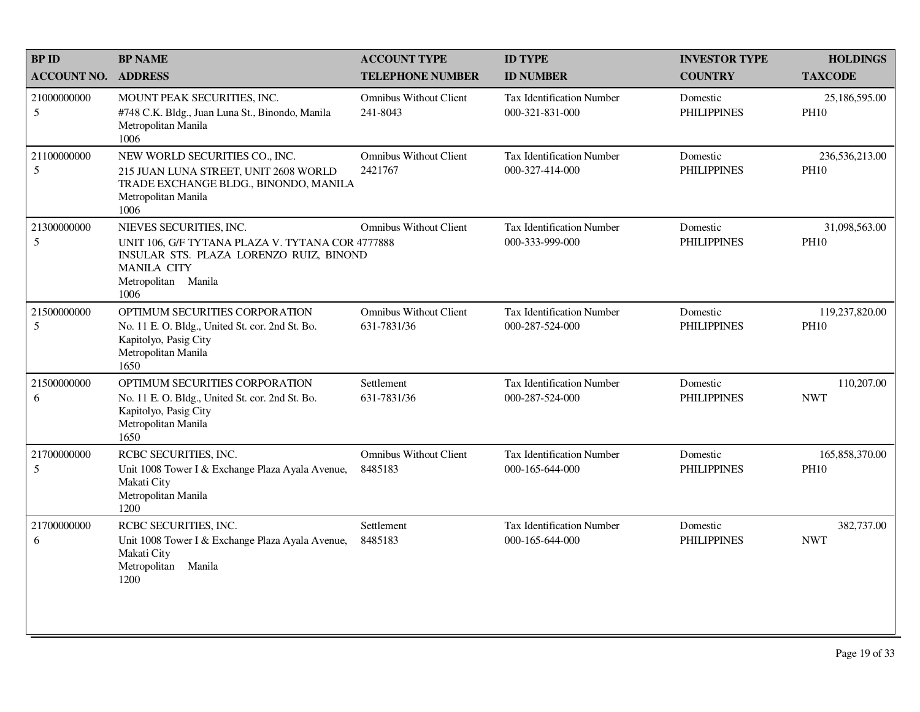| <b>BP ID</b>              | <b>BP NAME</b>                                                                                                                                                              | <b>ACCOUNT TYPE</b>                          | <b>ID TYPE</b>                                      | <b>INVESTOR TYPE</b>           | <b>HOLDINGS</b>               |
|---------------------------|-----------------------------------------------------------------------------------------------------------------------------------------------------------------------------|----------------------------------------------|-----------------------------------------------------|--------------------------------|-------------------------------|
| <b>ACCOUNT NO.</b>        | <b>ADDRESS</b>                                                                                                                                                              | <b>TELEPHONE NUMBER</b>                      | <b>ID NUMBER</b>                                    | <b>COUNTRY</b>                 | <b>TAXCODE</b>                |
| 21000000000<br>$\sqrt{5}$ | MOUNT PEAK SECURITIES, INC.<br>#748 C.K. Bldg., Juan Luna St., Binondo, Manila<br>Metropolitan Manila<br>1006                                                               | <b>Omnibus Without Client</b><br>241-8043    | <b>Tax Identification Number</b><br>000-321-831-000 | Domestic<br><b>PHILIPPINES</b> | 25,186,595.00<br><b>PH10</b>  |
| 21100000000<br>5          | NEW WORLD SECURITIES CO., INC.<br>215 JUAN LUNA STREET, UNIT 2608 WORLD<br>TRADE EXCHANGE BLDG., BINONDO, MANILA<br>Metropolitan Manila<br>1006                             | <b>Omnibus Without Client</b><br>2421767     | <b>Tax Identification Number</b><br>000-327-414-000 | Domestic<br><b>PHILIPPINES</b> | 236,536,213.00<br><b>PH10</b> |
| 21300000000<br>5          | NIEVES SECURITIES, INC.<br>UNIT 106, G/F TYTANA PLAZA V. TYTANA COR 4777888<br>INSULAR STS. PLAZA LORENZO RUIZ, BINOND<br><b>MANILA CITY</b><br>Metropolitan Manila<br>1006 | <b>Omnibus Without Client</b>                | Tax Identification Number<br>000-333-999-000        | Domestic<br><b>PHILIPPINES</b> | 31,098,563.00<br><b>PH10</b>  |
| 21500000000<br>5          | OPTIMUM SECURITIES CORPORATION<br>No. 11 E. O. Bldg., United St. cor. 2nd St. Bo.<br>Kapitolyo, Pasig City<br>Metropolitan Manila<br>1650                                   | <b>Omnibus Without Client</b><br>631-7831/36 | <b>Tax Identification Number</b><br>000-287-524-000 | Domestic<br><b>PHILIPPINES</b> | 119,237,820.00<br><b>PH10</b> |
| 21500000000<br>6          | OPTIMUM SECURITIES CORPORATION<br>No. 11 E. O. Bldg., United St. cor. 2nd St. Bo.<br>Kapitolyo, Pasig City<br>Metropolitan Manila<br>1650                                   | Settlement<br>631-7831/36                    | <b>Tax Identification Number</b><br>000-287-524-000 | Domestic<br><b>PHILIPPINES</b> | 110,207.00<br><b>NWT</b>      |
| 21700000000<br>5          | RCBC SECURITIES, INC.<br>Unit 1008 Tower I & Exchange Plaza Ayala Avenue,<br>Makati City<br>Metropolitan Manila<br>1200                                                     | <b>Omnibus Without Client</b><br>8485183     | <b>Tax Identification Number</b><br>000-165-644-000 | Domestic<br><b>PHILIPPINES</b> | 165,858,370.00<br><b>PH10</b> |
| 21700000000<br>6          | RCBC SECURITIES, INC.<br>Unit 1008 Tower I & Exchange Plaza Ayala Avenue,<br>Makati City<br>Metropolitan<br>Manila<br>1200                                                  | Settlement<br>8485183                        | <b>Tax Identification Number</b><br>000-165-644-000 | Domestic<br><b>PHILIPPINES</b> | 382,737.00<br><b>NWT</b>      |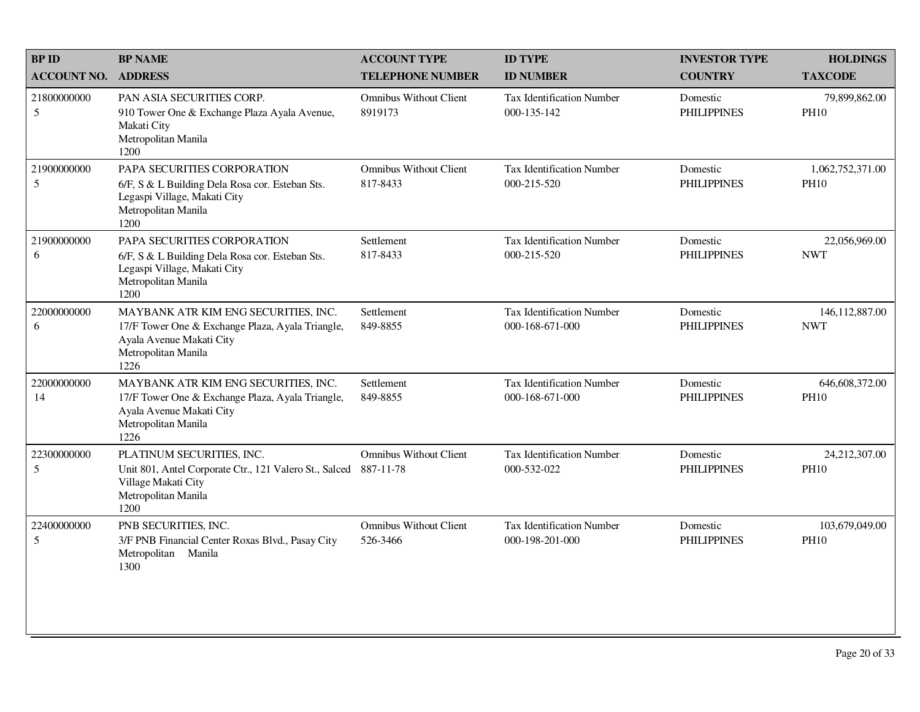| <b>BP ID</b>       | <b>BP NAME</b>                                                                                                                                      | <b>ACCOUNT TYPE</b>                        | <b>ID TYPE</b>                                      | <b>INVESTOR TYPE</b>           | <b>HOLDINGS</b>                 |
|--------------------|-----------------------------------------------------------------------------------------------------------------------------------------------------|--------------------------------------------|-----------------------------------------------------|--------------------------------|---------------------------------|
| <b>ACCOUNT NO.</b> | <b>ADDRESS</b>                                                                                                                                      | <b>TELEPHONE NUMBER</b>                    | <b>ID NUMBER</b>                                    | <b>COUNTRY</b>                 | <b>TAXCODE</b>                  |
| 21800000000<br>5   | PAN ASIA SECURITIES CORP.<br>910 Tower One & Exchange Plaza Ayala Avenue,<br>Makati City<br>Metropolitan Manila<br>1200                             | <b>Omnibus Without Client</b><br>8919173   | <b>Tax Identification Number</b><br>000-135-142     | Domestic<br><b>PHILIPPINES</b> | 79,899,862.00<br><b>PH10</b>    |
| 21900000000<br>5   | PAPA SECURITIES CORPORATION<br>6/F, S & L Building Dela Rosa cor. Esteban Sts.<br>Legaspi Village, Makati City<br>Metropolitan Manila<br>1200       | <b>Omnibus Without Client</b><br>817-8433  | Tax Identification Number<br>000-215-520            | Domestic<br><b>PHILIPPINES</b> | 1,062,752,371.00<br><b>PH10</b> |
| 21900000000<br>6   | PAPA SECURITIES CORPORATION<br>6/F, S & L Building Dela Rosa cor. Esteban Sts.<br>Legaspi Village, Makati City<br>Metropolitan Manila<br>1200       | Settlement<br>817-8433                     | <b>Tax Identification Number</b><br>000-215-520     | Domestic<br><b>PHILIPPINES</b> | 22,056,969.00<br><b>NWT</b>     |
| 22000000000<br>6   | MAYBANK ATR KIM ENG SECURITIES, INC.<br>17/F Tower One & Exchange Plaza, Ayala Triangle,<br>Ayala Avenue Makati City<br>Metropolitan Manila<br>1226 | Settlement<br>849-8855                     | <b>Tax Identification Number</b><br>000-168-671-000 | Domestic<br><b>PHILIPPINES</b> | 146, 112, 887.00<br><b>NWT</b>  |
| 22000000000<br>14  | MAYBANK ATR KIM ENG SECURITIES, INC.<br>17/F Tower One & Exchange Plaza, Ayala Triangle,<br>Ayala Avenue Makati City<br>Metropolitan Manila<br>1226 | Settlement<br>849-8855                     | <b>Tax Identification Number</b><br>000-168-671-000 | Domestic<br><b>PHILIPPINES</b> | 646,608,372.00<br><b>PH10</b>   |
| 22300000000<br>5   | PLATINUM SECURITIES, INC.<br>Unit 801, Antel Corporate Ctr., 121 Valero St., Salced<br>Village Makati City<br>Metropolitan Manila<br>1200           | <b>Omnibus Without Client</b><br>887-11-78 | <b>Tax Identification Number</b><br>000-532-022     | Domestic<br><b>PHILIPPINES</b> | 24,212,307.00<br><b>PH10</b>    |
| 22400000000<br>5   | PNB SECURITIES, INC.<br>3/F PNB Financial Center Roxas Blvd., Pasay City<br>Metropolitan Manila<br>1300                                             | <b>Omnibus Without Client</b><br>526-3466  | <b>Tax Identification Number</b><br>000-198-201-000 | Domestic<br><b>PHILIPPINES</b> | 103,679,049.00<br><b>PH10</b>   |
|                    |                                                                                                                                                     |                                            |                                                     |                                |                                 |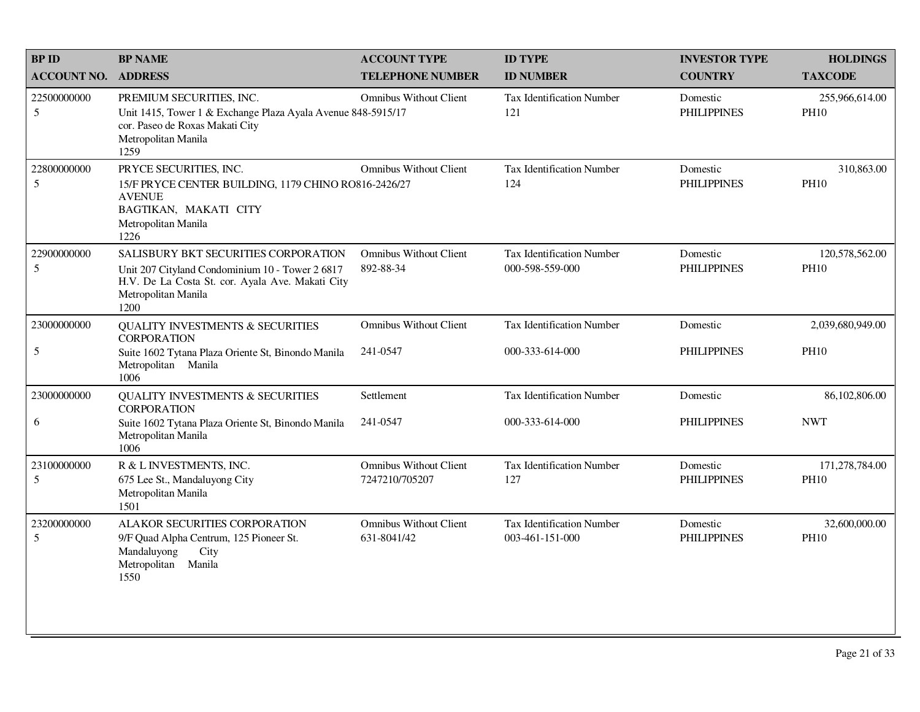| <b>BP ID</b>                   | <b>BP NAME</b>                                                                                                                                                             | <b>ACCOUNT TYPE</b>                             | <b>ID TYPE</b>                                      | <b>INVESTOR TYPE</b>           | <b>HOLDINGS</b>               |
|--------------------------------|----------------------------------------------------------------------------------------------------------------------------------------------------------------------------|-------------------------------------------------|-----------------------------------------------------|--------------------------------|-------------------------------|
| <b>ACCOUNT NO.</b>             | <b>ADDRESS</b>                                                                                                                                                             | <b>TELEPHONE NUMBER</b>                         | <b>ID NUMBER</b>                                    | <b>COUNTRY</b>                 | <b>TAXCODE</b>                |
| 22500000000<br>5               | PREMIUM SECURITIES, INC.<br>Unit 1415, Tower 1 & Exchange Plaza Ayala Avenue 848-5915/17<br>cor. Paseo de Roxas Makati City<br>Metropolitan Manila<br>1259                 | <b>Omnibus Without Client</b>                   | <b>Tax Identification Number</b><br>121             | Domestic<br><b>PHILIPPINES</b> | 255,966,614.00<br><b>PH10</b> |
| 22800000000<br>$5\overline{)}$ | PRYCE SECURITIES, INC.<br>15/F PRYCE CENTER BUILDING, 1179 CHINO RO816-2426/27<br><b>AVENUE</b><br>BAGTIKAN, MAKATI CITY<br>Metropolitan Manila<br>1226                    | <b>Omnibus Without Client</b>                   | <b>Tax Identification Number</b><br>124             | Domestic<br><b>PHILIPPINES</b> | 310,863.00<br><b>PH10</b>     |
| 22900000000<br>$5\overline{)}$ | SALISBURY BKT SECURITIES CORPORATION<br>Unit 207 Cityland Condominium 10 - Tower 2 6817<br>H.V. De La Costa St. cor. Ayala Ave. Makati City<br>Metropolitan Manila<br>1200 | <b>Omnibus Without Client</b><br>892-88-34      | <b>Tax Identification Number</b><br>000-598-559-000 | Domestic<br><b>PHILIPPINES</b> | 120,578,562.00<br><b>PH10</b> |
| 23000000000                    | <b>QUALITY INVESTMENTS &amp; SECURITIES</b><br><b>CORPORATION</b>                                                                                                          | <b>Omnibus Without Client</b>                   | Tax Identification Number                           | Domestic                       | 2,039,680,949.00              |
| 5                              | Suite 1602 Tytana Plaza Oriente St, Binondo Manila<br>Metropolitan Manila<br>1006                                                                                          | 241-0547                                        | 000-333-614-000                                     | <b>PHILIPPINES</b>             | <b>PH10</b>                   |
| 23000000000                    | <b>QUALITY INVESTMENTS &amp; SECURITIES</b><br><b>CORPORATION</b>                                                                                                          | Settlement                                      | <b>Tax Identification Number</b>                    | Domestic                       | 86,102,806.00                 |
| 6                              | Suite 1602 Tytana Plaza Oriente St, Binondo Manila<br>Metropolitan Manila<br>1006                                                                                          | 241-0547                                        | 000-333-614-000                                     | <b>PHILIPPINES</b>             | <b>NWT</b>                    |
| 23100000000<br>5               | R & L INVESTMENTS, INC.<br>675 Lee St., Mandaluyong City<br>Metropolitan Manila<br>1501                                                                                    | <b>Omnibus Without Client</b><br>7247210/705207 | Tax Identification Number<br>127                    | Domestic<br><b>PHILIPPINES</b> | 171,278,784.00<br><b>PH10</b> |
| 23200000000<br>5               | ALAKOR SECURITIES CORPORATION<br>9/F Quad Alpha Centrum, 125 Pioneer St.<br>Mandaluyong<br>City<br>Metropolitan<br>Manila<br>1550                                          | <b>Omnibus Without Client</b><br>631-8041/42    | Tax Identification Number<br>003-461-151-000        | Domestic<br><b>PHILIPPINES</b> | 32,600,000.00<br><b>PH10</b>  |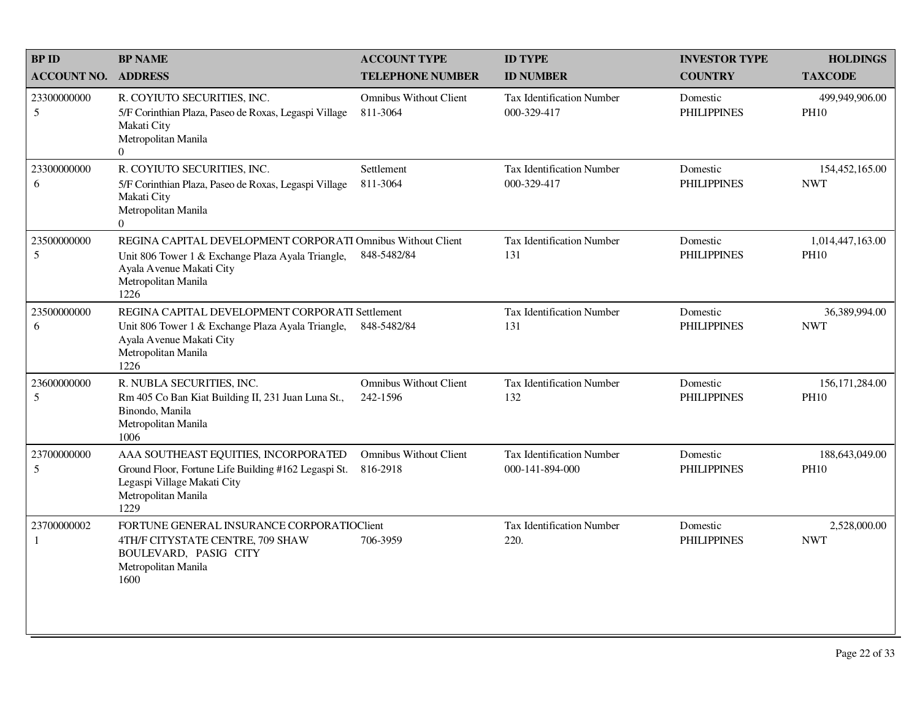| <b>BPID</b>                   | <b>BP NAME</b>                                                                                                                                                              | <b>ACCOUNT TYPE</b>                       | <b>ID TYPE</b>                                      | <b>INVESTOR TYPE</b>           | <b>HOLDINGS</b>                 |
|-------------------------------|-----------------------------------------------------------------------------------------------------------------------------------------------------------------------------|-------------------------------------------|-----------------------------------------------------|--------------------------------|---------------------------------|
| <b>ACCOUNT NO.</b>            | <b>ADDRESS</b>                                                                                                                                                              | <b>TELEPHONE NUMBER</b>                   | <b>ID NUMBER</b>                                    | <b>COUNTRY</b>                 | <b>TAXCODE</b>                  |
| 23300000000<br>5              | R. COYIUTO SECURITIES, INC.<br>5/F Corinthian Plaza, Paseo de Roxas, Legaspi Village<br>Makati City<br>Metropolitan Manila<br>$\overline{0}$                                | <b>Omnibus Without Client</b><br>811-3064 | <b>Tax Identification Number</b><br>000-329-417     | Domestic<br><b>PHILIPPINES</b> | 499,949,906.00<br><b>PH10</b>   |
| 23300000000<br>6              | R. COYIUTO SECURITIES, INC.<br>5/F Corinthian Plaza, Paseo de Roxas, Legaspi Village<br>Makati City<br>Metropolitan Manila<br>$\Omega$                                      | Settlement<br>811-3064                    | <b>Tax Identification Number</b><br>000-329-417     | Domestic<br><b>PHILIPPINES</b> | 154,452,165.00<br><b>NWT</b>    |
| 23500000000<br>5              | REGINA CAPITAL DEVELOPMENT CORPORATI Omnibus Without Client<br>Unit 806 Tower 1 & Exchange Plaza Ayala Triangle,<br>Ayala Avenue Makati City<br>Metropolitan Manila<br>1226 | 848-5482/84                               | <b>Tax Identification Number</b><br>131             | Domestic<br><b>PHILIPPINES</b> | 1,014,447,163.00<br><b>PH10</b> |
| 23500000000<br>6              | REGINA CAPITAL DEVELOPMENT CORPORATI Settlement<br>Unit 806 Tower 1 & Exchange Plaza Ayala Triangle,<br>Ayala Avenue Makati City<br>Metropolitan Manila<br>1226             | 848-5482/84                               | <b>Tax Identification Number</b><br>131             | Domestic<br><b>PHILIPPINES</b> | 36,389,994.00<br><b>NWT</b>     |
| 23600000000<br>5              | R. NUBLA SECURITIES, INC.<br>Rm 405 Co Ban Kiat Building II, 231 Juan Luna St.,<br>Binondo, Manila<br>Metropolitan Manila<br>1006                                           | <b>Omnibus Without Client</b><br>242-1596 | <b>Tax Identification Number</b><br>132             | Domestic<br><b>PHILIPPINES</b> | 156, 171, 284.00<br><b>PH10</b> |
| 23700000000<br>$\mathfrak{S}$ | AAA SOUTHEAST EQUITIES, INCORPORATED<br>Ground Floor, Fortune Life Building #162 Legaspi St.<br>Legaspi Village Makati City<br>Metropolitan Manila<br>1229                  | <b>Omnibus Without Client</b><br>816-2918 | <b>Tax Identification Number</b><br>000-141-894-000 | Domestic<br><b>PHILIPPINES</b> | 188,643,049.00<br><b>PH10</b>   |
| 23700000002<br>1              | FORTUNE GENERAL INSURANCE CORPORATIOCIEnt<br>4TH/F CITYSTATE CENTRE, 709 SHAW<br>BOULEVARD, PASIG CITY<br>Metropolitan Manila<br>1600                                       | 706-3959                                  | <b>Tax Identification Number</b><br>220.            | Domestic<br><b>PHILIPPINES</b> | 2,528,000.00<br><b>NWT</b>      |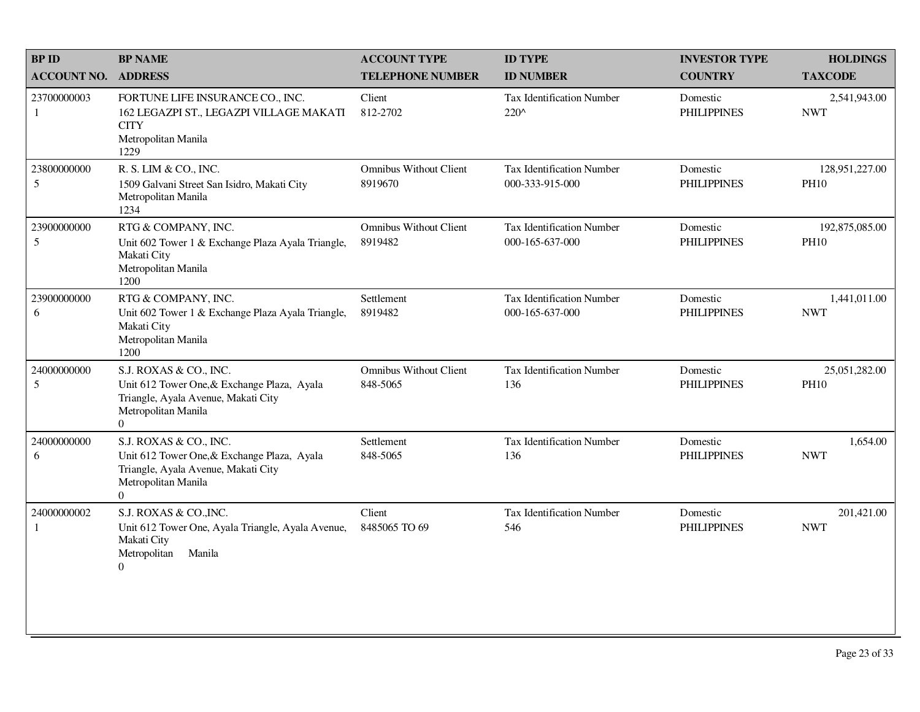| <b>BPID</b>        | <b>BP NAME</b>                                                                                                                                        | <b>ACCOUNT TYPE</b>                       | <b>ID TYPE</b>                                      | <b>INVESTOR TYPE</b>           | <b>HOLDINGS</b>               |
|--------------------|-------------------------------------------------------------------------------------------------------------------------------------------------------|-------------------------------------------|-----------------------------------------------------|--------------------------------|-------------------------------|
| <b>ACCOUNT NO.</b> | <b>ADDRESS</b>                                                                                                                                        | <b>TELEPHONE NUMBER</b>                   | <b>ID NUMBER</b>                                    | <b>COUNTRY</b>                 | <b>TAXCODE</b>                |
| 23700000003<br>1   | FORTUNE LIFE INSURANCE CO., INC.<br>162 LEGAZPI ST., LEGAZPI VILLAGE MAKATI<br><b>CITY</b><br>Metropolitan Manila<br>1229                             | Client<br>812-2702                        | <b>Tax Identification Number</b><br>$220^{\circ}$   | Domestic<br><b>PHILIPPINES</b> | 2,541,943.00<br><b>NWT</b>    |
| 23800000000<br>5   | R. S. LIM & CO., INC.<br>1509 Galvani Street San Isidro, Makati City<br>Metropolitan Manila<br>1234                                                   | <b>Omnibus Without Client</b><br>8919670  | Tax Identification Number<br>000-333-915-000        | Domestic<br><b>PHILIPPINES</b> | 128,951,227.00<br><b>PH10</b> |
| 23900000000<br>5   | RTG & COMPANY, INC.<br>Unit 602 Tower 1 & Exchange Plaza Ayala Triangle,<br>Makati City<br>Metropolitan Manila<br>1200                                | Omnibus Without Client<br>8919482         | Tax Identification Number<br>000-165-637-000        | Domestic<br><b>PHILIPPINES</b> | 192,875,085.00<br><b>PH10</b> |
| 23900000000<br>6   | RTG & COMPANY, INC.<br>Unit 602 Tower 1 & Exchange Plaza Ayala Triangle,<br>Makati City<br>Metropolitan Manila<br>1200                                | Settlement<br>8919482                     | <b>Tax Identification Number</b><br>000-165-637-000 | Domestic<br><b>PHILIPPINES</b> | 1,441,011.00<br><b>NWT</b>    |
| 24000000000<br>5   | S.J. ROXAS & CO., INC.<br>Unit 612 Tower One, & Exchange Plaza, Ayala<br>Triangle, Ayala Avenue, Makati City<br>Metropolitan Manila<br>$\overline{0}$ | <b>Omnibus Without Client</b><br>848-5065 | Tax Identification Number<br>136                    | Domestic<br><b>PHILIPPINES</b> | 25,051,282.00<br><b>PH10</b>  |
| 24000000000<br>6   | S.J. ROXAS & CO., INC.<br>Unit 612 Tower One, & Exchange Plaza, Ayala<br>Triangle, Ayala Avenue, Makati City<br>Metropolitan Manila<br>$\overline{0}$ | Settlement<br>848-5065                    | Tax Identification Number<br>136                    | Domestic<br><b>PHILIPPINES</b> | 1,654.00<br><b>NWT</b>        |
| 24000000002<br>1   | S.J. ROXAS & CO., INC.<br>Unit 612 Tower One, Ayala Triangle, Ayala Avenue,<br>Makati City<br>Metropolitan<br>Manila<br>$\overline{0}$                | Client<br>8485065 TO 69                   | Tax Identification Number<br>546                    | Domestic<br><b>PHILIPPINES</b> | 201,421.00<br><b>NWT</b>      |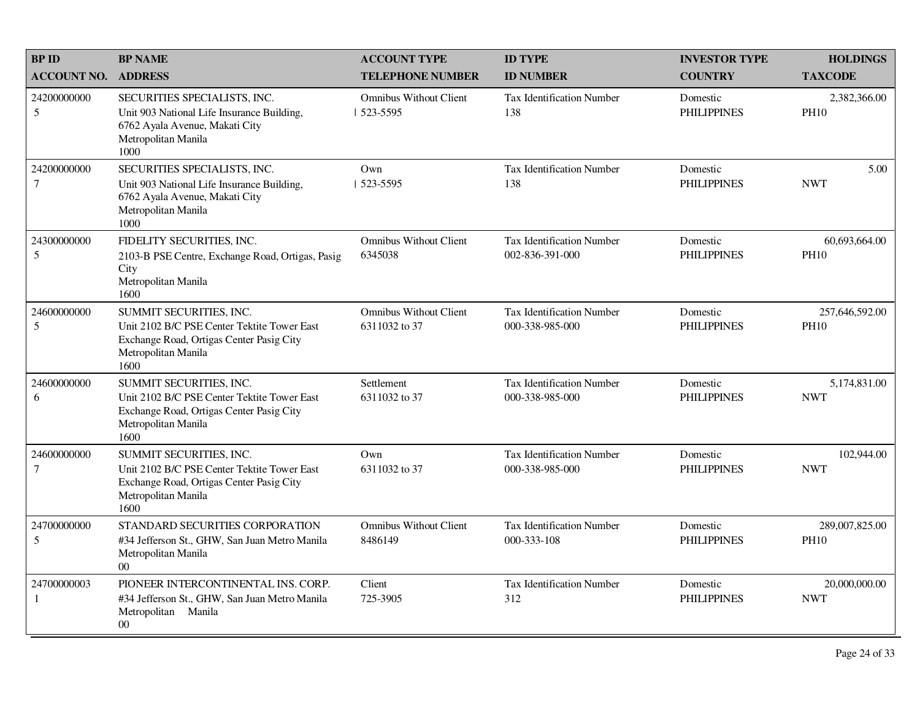| <b>BPID</b>                   | <b>BP NAME</b>                                                                                                                                    | <b>ACCOUNT TYPE</b>                            | <b>ID TYPE</b>                                      | <b>INVESTOR TYPE</b>           | <b>HOLDINGS</b>               |
|-------------------------------|---------------------------------------------------------------------------------------------------------------------------------------------------|------------------------------------------------|-----------------------------------------------------|--------------------------------|-------------------------------|
| <b>ACCOUNT NO.</b>            | <b>ADDRESS</b>                                                                                                                                    | <b>TELEPHONE NUMBER</b>                        | <b>ID NUMBER</b>                                    | <b>COUNTRY</b>                 | <b>TAXCODE</b>                |
| 24200000000<br>5              | SECURITIES SPECIALISTS, INC.<br>Unit 903 National Life Insurance Building,<br>6762 Ayala Avenue, Makati City<br>Metropolitan Manila<br>1000       | <b>Omnibus Without Client</b><br>  523-5595    | Tax Identification Number<br>138                    | Domestic<br><b>PHILIPPINES</b> | 2,382,366.00<br><b>PH10</b>   |
| 24200000000<br>$\overline{7}$ | SECURITIES SPECIALISTS, INC.<br>Unit 903 National Life Insurance Building,<br>6762 Ayala Avenue, Makati City<br>Metropolitan Manila<br>1000       | Own<br>$1523 - 5595$                           | Tax Identification Number<br>138                    | Domestic<br><b>PHILIPPINES</b> | 5.00<br><b>NWT</b>            |
| 24300000000<br>5              | FIDELITY SECURITIES, INC.<br>2103-B PSE Centre, Exchange Road, Ortigas, Pasig<br>City<br>Metropolitan Manila<br>1600                              | <b>Omnibus Without Client</b><br>6345038       | Tax Identification Number<br>002-836-391-000        | Domestic<br><b>PHILIPPINES</b> | 60,693,664.00<br><b>PH10</b>  |
| 24600000000<br>5              | SUMMIT SECURITIES, INC.<br>Unit 2102 B/C PSE Center Tektite Tower East<br>Exchange Road, Ortigas Center Pasig City<br>Metropolitan Manila<br>1600 | <b>Omnibus Without Client</b><br>6311032 to 37 | <b>Tax Identification Number</b><br>000-338-985-000 | Domestic<br><b>PHILIPPINES</b> | 257,646,592.00<br><b>PH10</b> |
| 24600000000<br>6              | SUMMIT SECURITIES, INC.<br>Unit 2102 B/C PSE Center Tektite Tower East<br>Exchange Road, Ortigas Center Pasig City<br>Metropolitan Manila<br>1600 | Settlement<br>6311032 to 37                    | Tax Identification Number<br>000-338-985-000        | Domestic<br><b>PHILIPPINES</b> | 5,174,831.00<br><b>NWT</b>    |
| 24600000000<br>$\overline{7}$ | SUMMIT SECURITIES, INC.<br>Unit 2102 B/C PSE Center Tektite Tower East<br>Exchange Road, Ortigas Center Pasig City<br>Metropolitan Manila<br>1600 | Own<br>6311032 to 37                           | <b>Tax Identification Number</b><br>000-338-985-000 | Domestic<br><b>PHILIPPINES</b> | 102,944.00<br><b>NWT</b>      |
| 24700000000<br>5              | STANDARD SECURITIES CORPORATION<br>#34 Jefferson St., GHW, San Juan Metro Manila<br>Metropolitan Manila<br>00 <sup>0</sup>                        | <b>Omnibus Without Client</b><br>8486149       | <b>Tax Identification Number</b><br>000-333-108     | Domestic<br><b>PHILIPPINES</b> | 289,007,825.00<br><b>PH10</b> |
| 24700000003<br>-1             | PIONEER INTERCONTINENTAL INS. CORP.<br>#34 Jefferson St., GHW, San Juan Metro Manila<br>Metropolitan Manila<br>$00\,$                             | Client<br>725-3905                             | Tax Identification Number<br>312                    | Domestic<br><b>PHILIPPINES</b> | 20,000,000.00<br><b>NWT</b>   |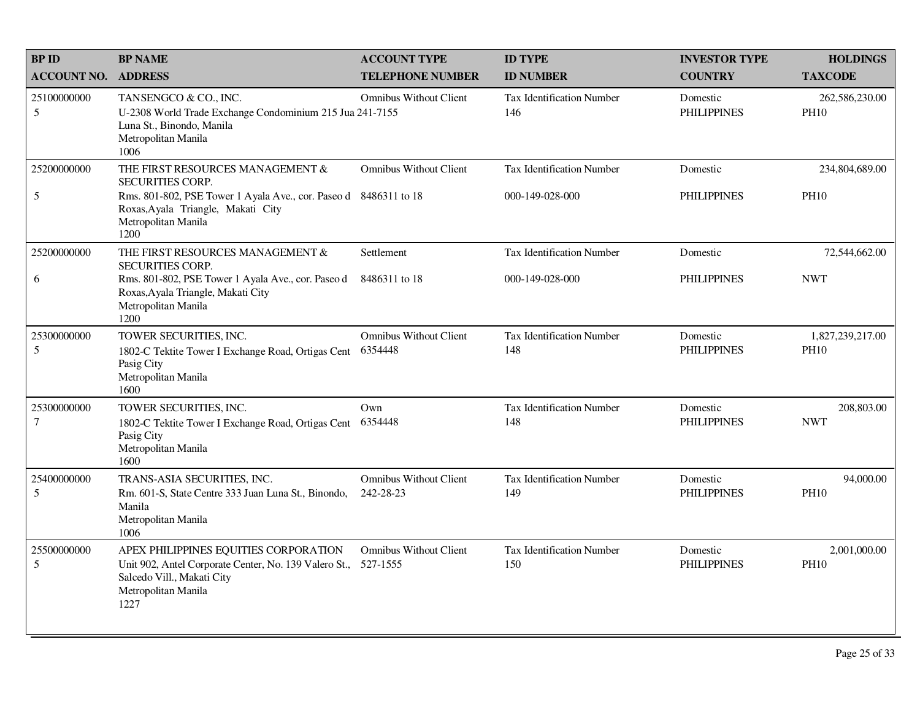| <b>BPID</b>                   | <b>BP NAME</b>                                                                                                                                                                                       | <b>ACCOUNT TYPE</b>                        | <b>ID TYPE</b>                                      | <b>INVESTOR TYPE</b>           | <b>HOLDINGS</b>                 |
|-------------------------------|------------------------------------------------------------------------------------------------------------------------------------------------------------------------------------------------------|--------------------------------------------|-----------------------------------------------------|--------------------------------|---------------------------------|
| <b>ACCOUNT NO.</b>            | <b>ADDRESS</b>                                                                                                                                                                                       | <b>TELEPHONE NUMBER</b>                    | <b>ID NUMBER</b>                                    | <b>COUNTRY</b>                 | <b>TAXCODE</b>                  |
| 25100000000<br>5              | TANSENGCO & CO., INC.<br>U-2308 World Trade Exchange Condominium 215 Jua 241-7155<br>Luna St., Binondo, Manila<br>Metropolitan Manila<br>1006                                                        | <b>Omnibus Without Client</b>              | <b>Tax Identification Number</b><br>146             | Domestic<br><b>PHILIPPINES</b> | 262,586,230.00<br><b>PH10</b>   |
| 25200000000<br>5              | THE FIRST RESOURCES MANAGEMENT &<br><b>SECURITIES CORP.</b><br>Rms. 801-802, PSE Tower 1 Ayala Ave., cor. Paseo d 8486311 to 18<br>Roxas, Ayala Triangle, Makati City<br>Metropolitan Manila<br>1200 | <b>Omnibus Without Client</b>              | <b>Tax Identification Number</b><br>000-149-028-000 | Domestic<br><b>PHILIPPINES</b> | 234,804,689.00<br><b>PH10</b>   |
| 25200000000<br>6              | THE FIRST RESOURCES MANAGEMENT &<br><b>SECURITIES CORP.</b><br>Rms. 801-802, PSE Tower 1 Ayala Ave., cor. Paseo d<br>Roxas, Ayala Triangle, Makati City<br>Metropolitan Manila<br>1200               | Settlement<br>8486311 to 18                | <b>Tax Identification Number</b><br>000-149-028-000 | Domestic<br><b>PHILIPPINES</b> | 72,544,662.00<br><b>NWT</b>     |
| 25300000000<br>5              | TOWER SECURITIES, INC.<br>1802-C Tektite Tower I Exchange Road, Ortigas Cent<br>Pasig City<br>Metropolitan Manila<br>1600                                                                            | <b>Omnibus Without Client</b><br>6354448   | <b>Tax Identification Number</b><br>148             | Domestic<br><b>PHILIPPINES</b> | 1,827,239,217.00<br><b>PH10</b> |
| 25300000000<br>$\overline{7}$ | TOWER SECURITIES, INC.<br>1802-C Tektite Tower I Exchange Road, Ortigas Cent<br>Pasig City<br>Metropolitan Manila<br>1600                                                                            | Own<br>6354448                             | <b>Tax Identification Number</b><br>148             | Domestic<br><b>PHILIPPINES</b> | 208,803.00<br><b>NWT</b>        |
| 25400000000<br>5              | TRANS-ASIA SECURITIES, INC.<br>Rm. 601-S, State Centre 333 Juan Luna St., Binondo,<br>Manila<br>Metropolitan Manila<br>1006                                                                          | <b>Omnibus Without Client</b><br>242-28-23 | <b>Tax Identification Number</b><br>149             | Domestic<br><b>PHILIPPINES</b> | 94,000.00<br><b>PH10</b>        |
| 25500000000<br>5              | APEX PHILIPPINES EQUITIES CORPORATION<br>Unit 902, Antel Corporate Center, No. 139 Valero St.,<br>Salcedo Vill., Makati City<br>Metropolitan Manila<br>1227                                          | <b>Omnibus Without Client</b><br>527-1555  | <b>Tax Identification Number</b><br>150             | Domestic<br><b>PHILIPPINES</b> | 2,001,000.00<br><b>PH10</b>     |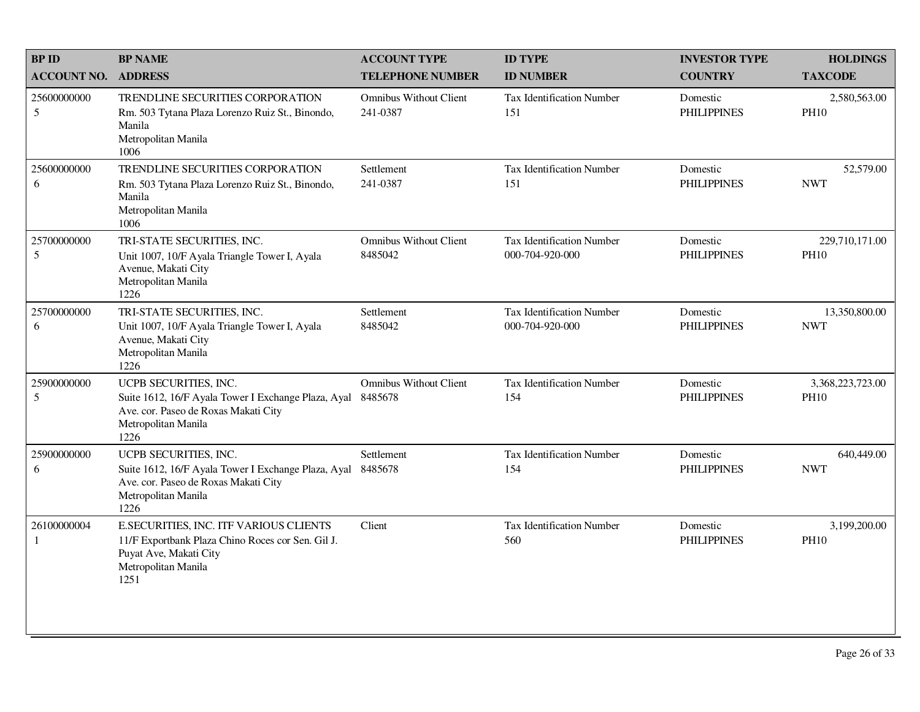| <b>BPID</b>                 | <b>BP NAME</b>                                                                                                                                       | <b>ACCOUNT TYPE</b>                       | <b>ID TYPE</b>                                      | <b>INVESTOR TYPE</b>           | <b>HOLDINGS</b>                 |
|-----------------------------|------------------------------------------------------------------------------------------------------------------------------------------------------|-------------------------------------------|-----------------------------------------------------|--------------------------------|---------------------------------|
| <b>ACCOUNT NO.</b>          | <b>ADDRESS</b>                                                                                                                                       | <b>TELEPHONE NUMBER</b>                   | <b>ID NUMBER</b>                                    | <b>COUNTRY</b>                 | <b>TAXCODE</b>                  |
| 25600000000<br>5            | TRENDLINE SECURITIES CORPORATION<br>Rm. 503 Tytana Plaza Lorenzo Ruiz St., Binondo,<br>Manila<br>Metropolitan Manila<br>1006                         | <b>Omnibus Without Client</b><br>241-0387 | <b>Tax Identification Number</b><br>151             | Domestic<br><b>PHILIPPINES</b> | 2,580,563.00<br><b>PH10</b>     |
| 25600000000<br>6            | TRENDLINE SECURITIES CORPORATION<br>Rm. 503 Tytana Plaza Lorenzo Ruiz St., Binondo,<br>Manila<br>Metropolitan Manila<br>1006                         | Settlement<br>241-0387                    | <b>Tax Identification Number</b><br>151             | Domestic<br><b>PHILIPPINES</b> | 52,579.00<br><b>NWT</b>         |
| 25700000000<br>5            | TRI-STATE SECURITIES, INC.<br>Unit 1007, 10/F Ayala Triangle Tower I, Ayala<br>Avenue, Makati City<br>Metropolitan Manila<br>1226                    | <b>Omnibus Without Client</b><br>8485042  | <b>Tax Identification Number</b><br>000-704-920-000 | Domestic<br><b>PHILIPPINES</b> | 229,710,171.00<br><b>PH10</b>   |
| 25700000000<br>6            | TRI-STATE SECURITIES, INC.<br>Unit 1007, 10/F Ayala Triangle Tower I, Ayala<br>Avenue, Makati City<br>Metropolitan Manila<br>1226                    | Settlement<br>8485042                     | <b>Tax Identification Number</b><br>000-704-920-000 | Domestic<br><b>PHILIPPINES</b> | 13,350,800.00<br><b>NWT</b>     |
| 25900000000<br>5            | UCPB SECURITIES, INC.<br>Suite 1612, 16/F Ayala Tower I Exchange Plaza, Ayal<br>Ave. cor. Paseo de Roxas Makati City<br>Metropolitan Manila<br>1226  | <b>Omnibus Without Client</b><br>8485678  | <b>Tax Identification Number</b><br>154             | Domestic<br><b>PHILIPPINES</b> | 3,368,223,723.00<br><b>PH10</b> |
| 25900000000<br>6            | UCPB SECURITIES, INC.<br>Suite 1612, 16/F Ayala Tower I Exchange Plaza, Ayal<br>Ave. cor. Paseo de Roxas Makati City<br>Metropolitan Manila<br>1226  | Settlement<br>8485678                     | <b>Tax Identification Number</b><br>154             | Domestic<br><b>PHILIPPINES</b> | 640,449.00<br><b>NWT</b>        |
| 26100000004<br>$\mathbf{1}$ | E.SECURITIES, INC. ITF VARIOUS CLIENTS<br>11/F Exportbank Plaza Chino Roces cor Sen. Gil J.<br>Puyat Ave, Makati City<br>Metropolitan Manila<br>1251 | Client                                    | <b>Tax Identification Number</b><br>560             | Domestic<br><b>PHILIPPINES</b> | 3,199,200.00<br><b>PH10</b>     |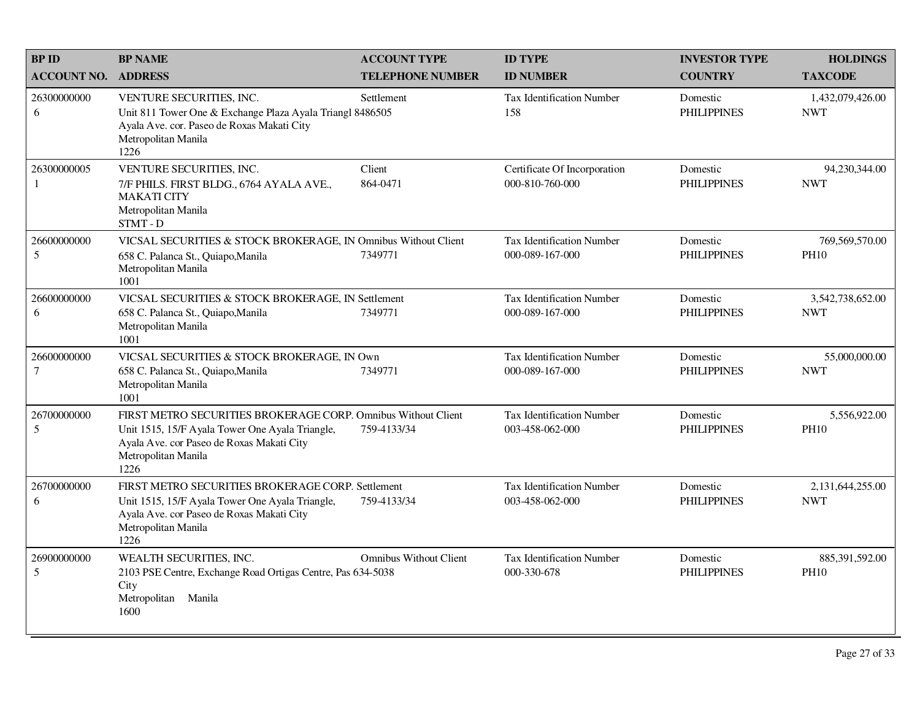| <b>BP ID</b>                  | <b>BP NAME</b>                                                                                                                                                                               | <b>ACCOUNT TYPE</b>           | <b>ID TYPE</b>                                      | <b>INVESTOR TYPE</b>           | <b>HOLDINGS</b>                |
|-------------------------------|----------------------------------------------------------------------------------------------------------------------------------------------------------------------------------------------|-------------------------------|-----------------------------------------------------|--------------------------------|--------------------------------|
| <b>ACCOUNT NO.</b>            | <b>ADDRESS</b>                                                                                                                                                                               | <b>TELEPHONE NUMBER</b>       | <b>ID NUMBER</b>                                    | <b>COUNTRY</b>                 | <b>TAXCODE</b>                 |
| 26300000000<br>6              | VENTURE SECURITIES, INC.<br>Unit 811 Tower One & Exchange Plaza Ayala Triangl 8486505<br>Ayala Ave. cor. Paseo de Roxas Makati City<br>Metropolitan Manila<br>1226                           | Settlement                    | <b>Tax Identification Number</b><br>158             | Domestic<br><b>PHILIPPINES</b> | 1,432,079,426.00<br><b>NWT</b> |
| 26300000005<br>1              | VENTURE SECURITIES, INC.<br>7/F PHILS. FIRST BLDG., 6764 AYALA AVE.,<br><b>MAKATI CITY</b><br>Metropolitan Manila<br>STMT - D                                                                | Client<br>864-0471            | Certificate Of Incorporation<br>000-810-760-000     | Domestic<br><b>PHILIPPINES</b> | 94,230,344.00<br><b>NWT</b>    |
| 26600000000<br>5              | VICSAL SECURITIES & STOCK BROKERAGE, IN Omnibus Without Client<br>658 C. Palanca St., Quiapo, Manila<br>Metropolitan Manila<br>1001                                                          | 7349771                       | <b>Tax Identification Number</b><br>000-089-167-000 | Domestic<br><b>PHILIPPINES</b> | 769,569,570.00<br><b>PH10</b>  |
| 26600000000<br>6              | VICSAL SECURITIES & STOCK BROKERAGE, IN Settlement<br>658 C. Palanca St., Quiapo, Manila<br>Metropolitan Manila<br>1001                                                                      | 7349771                       | <b>Tax Identification Number</b><br>000-089-167-000 | Domestic<br><b>PHILIPPINES</b> | 3,542,738,652.00<br><b>NWT</b> |
| 26600000000<br>$\overline{7}$ | VICSAL SECURITIES & STOCK BROKERAGE, IN Own<br>658 C. Palanca St., Quiapo, Manila<br>Metropolitan Manila<br>1001                                                                             | 7349771                       | <b>Tax Identification Number</b><br>000-089-167-000 | Domestic<br><b>PHILIPPINES</b> | 55,000,000.00<br><b>NWT</b>    |
| 26700000000<br>5              | FIRST METRO SECURITIES BROKERAGE CORP. Omnibus Without Client<br>Unit 1515, 15/F Ayala Tower One Ayala Triangle,<br>Ayala Ave. cor Paseo de Roxas Makati City<br>Metropolitan Manila<br>1226 | 759-4133/34                   | <b>Tax Identification Number</b><br>003-458-062-000 | Domestic<br><b>PHILIPPINES</b> | 5,556,922.00<br><b>PH10</b>    |
| 26700000000<br>6              | FIRST METRO SECURITIES BROKERAGE CORP. Settlement<br>Unit 1515, 15/F Ayala Tower One Ayala Triangle,<br>Ayala Ave. cor Paseo de Roxas Makati City<br>Metropolitan Manila<br>1226             | 759-4133/34                   | <b>Tax Identification Number</b><br>003-458-062-000 | Domestic<br><b>PHILIPPINES</b> | 2,131,644,255.00<br><b>NWT</b> |
| 26900000000<br>5              | WEALTH SECURITIES, INC.<br>2103 PSE Centre, Exchange Road Ortigas Centre, Pas 634-5038<br>City<br>Metropolitan<br>Manila<br>1600                                                             | <b>Omnibus Without Client</b> | <b>Tax Identification Number</b><br>000-330-678     | Domestic<br><b>PHILIPPINES</b> | 885,391,592.00<br><b>PH10</b>  |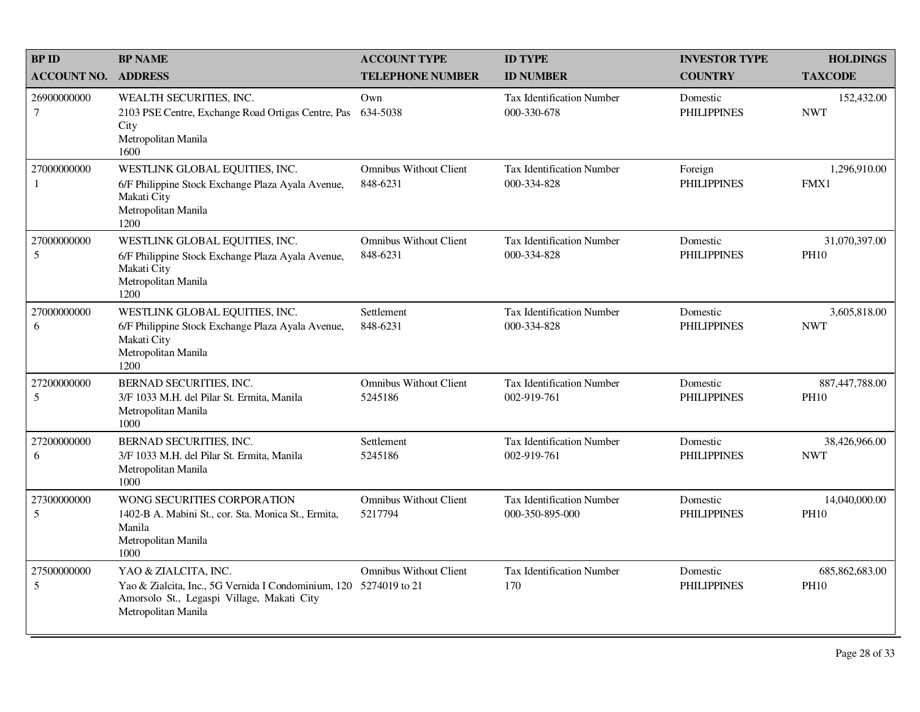| <b>BPID</b>                   | <b>BP NAME</b>                                                                                                                                                 | <b>ACCOUNT TYPE</b>                       | <b>ID TYPE</b>                                      | <b>INVESTOR TYPE</b>           | <b>HOLDINGS</b>                 |
|-------------------------------|----------------------------------------------------------------------------------------------------------------------------------------------------------------|-------------------------------------------|-----------------------------------------------------|--------------------------------|---------------------------------|
| <b>ACCOUNT NO.</b>            | <b>ADDRESS</b>                                                                                                                                                 | <b>TELEPHONE NUMBER</b>                   | <b>ID NUMBER</b>                                    | <b>COUNTRY</b>                 | <b>TAXCODE</b>                  |
| 26900000000<br>$\overline{7}$ | WEALTH SECURITIES, INC.<br>2103 PSE Centre, Exchange Road Ortigas Centre, Pas<br>City<br>Metropolitan Manila<br>1600                                           | Own<br>634-5038                           | <b>Tax Identification Number</b><br>000-330-678     | Domestic<br><b>PHILIPPINES</b> | 152,432.00<br><b>NWT</b>        |
| 27000000000<br>1              | WESTLINK GLOBAL EQUITIES, INC.<br>6/F Philippine Stock Exchange Plaza Ayala Avenue,<br>Makati City<br>Metropolitan Manila<br>1200                              | <b>Omnibus Without Client</b><br>848-6231 | <b>Tax Identification Number</b><br>000-334-828     | Foreign<br><b>PHILIPPINES</b>  | 1,296,910.00<br>FMX1            |
| 27000000000<br>5              | WESTLINK GLOBAL EQUITIES, INC.<br>6/F Philippine Stock Exchange Plaza Ayala Avenue,<br>Makati City<br>Metropolitan Manila<br>1200                              | <b>Omnibus Without Client</b><br>848-6231 | Tax Identification Number<br>000-334-828            | Domestic<br><b>PHILIPPINES</b> | 31,070,397.00<br><b>PH10</b>    |
| 27000000000<br>6              | WESTLINK GLOBAL EQUITIES, INC.<br>6/F Philippine Stock Exchange Plaza Ayala Avenue,<br>Makati City<br>Metropolitan Manila<br>1200                              | Settlement<br>848-6231                    | <b>Tax Identification Number</b><br>000-334-828     | Domestic<br><b>PHILIPPINES</b> | 3,605,818.00<br><b>NWT</b>      |
| 27200000000<br>5              | BERNAD SECURITIES, INC.<br>3/F 1033 M.H. del Pilar St. Ermita, Manila<br>Metropolitan Manila<br>1000                                                           | <b>Omnibus Without Client</b><br>5245186  | <b>Tax Identification Number</b><br>002-919-761     | Domestic<br><b>PHILIPPINES</b> | 887,447,788.00<br><b>PH10</b>   |
| 27200000000<br>6              | BERNAD SECURITIES, INC.<br>3/F 1033 M.H. del Pilar St. Ermita, Manila<br>Metropolitan Manila<br>1000                                                           | Settlement<br>5245186                     | <b>Tax Identification Number</b><br>002-919-761     | Domestic<br><b>PHILIPPINES</b> | 38,426,966.00<br><b>NWT</b>     |
| 27300000000<br>5              | WONG SECURITIES CORPORATION<br>1402-B A. Mabini St., cor. Sta. Monica St., Ermita,<br>Manila<br>Metropolitan Manila<br>1000                                    | <b>Omnibus Without Client</b><br>5217794  | <b>Tax Identification Number</b><br>000-350-895-000 | Domestic<br><b>PHILIPPINES</b> | 14,040,000.00<br><b>PH10</b>    |
| 27500000000<br>5              | YAO & ZIALCITA, INC.<br>Yao & Zialcita, Inc., 5G Vernida I Condominium, 120 5274019 to 21<br>Amorsolo St., Legaspi Village, Makati City<br>Metropolitan Manila | <b>Omnibus Without Client</b>             | <b>Tax Identification Number</b><br>170             | Domestic<br><b>PHILIPPINES</b> | 685, 862, 683.00<br><b>PH10</b> |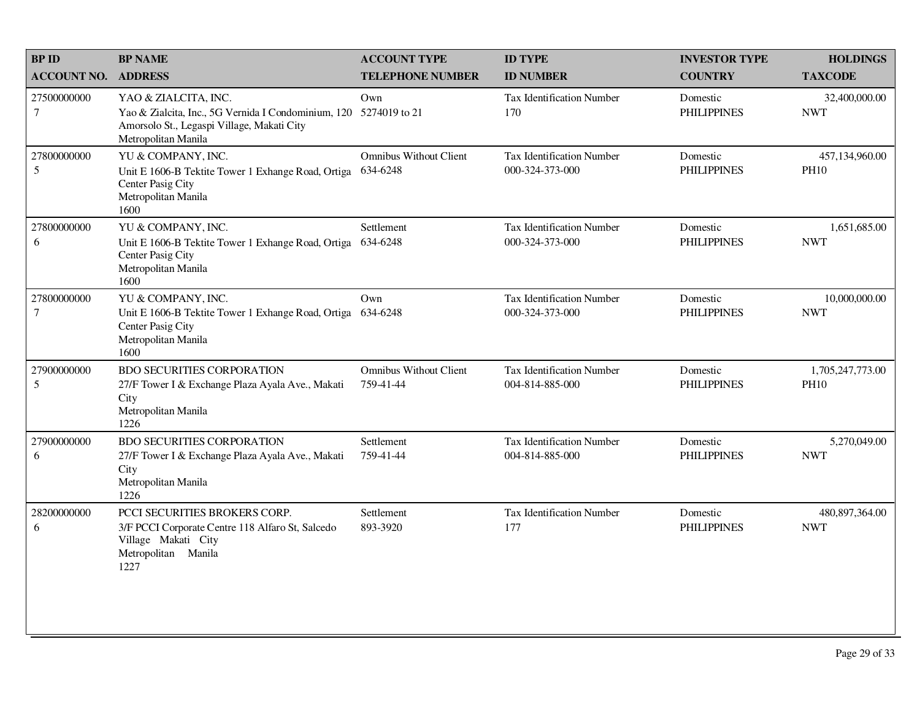| <b>BPID</b>                | <b>BP NAME</b>                                                                                                                                                 | <b>ACCOUNT TYPE</b>                        | <b>ID TYPE</b>                                      | <b>INVESTOR TYPE</b>           | <b>HOLDINGS</b>                 |
|----------------------------|----------------------------------------------------------------------------------------------------------------------------------------------------------------|--------------------------------------------|-----------------------------------------------------|--------------------------------|---------------------------------|
| <b>ACCOUNT NO. ADDRESS</b> |                                                                                                                                                                | <b>TELEPHONE NUMBER</b>                    | <b>ID NUMBER</b>                                    | <b>COUNTRY</b>                 | <b>TAXCODE</b>                  |
| 27500000000<br>$\tau$      | YAO & ZIALCITA, INC.<br>Yao & Zialcita, Inc., 5G Vernida I Condominium, 120 5274019 to 21<br>Amorsolo St., Legaspi Village, Makati City<br>Metropolitan Manila | Own                                        | Tax Identification Number<br>170                    | Domestic<br><b>PHILIPPINES</b> | 32,400,000.00<br><b>NWT</b>     |
| 27800000000<br>5           | YU & COMPANY, INC.<br>Unit E 1606-B Tektite Tower 1 Exhange Road, Ortiga<br>Center Pasig City<br>Metropolitan Manila<br>1600                                   | <b>Omnibus Without Client</b><br>634-6248  | Tax Identification Number<br>000-324-373-000        | Domestic<br><b>PHILIPPINES</b> | 457,134,960.00<br><b>PH10</b>   |
| 27800000000<br>6           | YU & COMPANY, INC.<br>Unit E 1606-B Tektite Tower 1 Exhange Road, Ortiga<br>Center Pasig City<br>Metropolitan Manila<br>1600                                   | Settlement<br>634-6248                     | Tax Identification Number<br>000-324-373-000        | Domestic<br><b>PHILIPPINES</b> | 1,651,685.00<br><b>NWT</b>      |
| 27800000000<br>$\tau$      | YU & COMPANY, INC.<br>Unit E 1606-B Tektite Tower 1 Exhange Road, Ortiga 634-6248<br>Center Pasig City<br>Metropolitan Manila<br>1600                          | Own                                        | Tax Identification Number<br>000-324-373-000        | Domestic<br><b>PHILIPPINES</b> | 10,000,000.00<br><b>NWT</b>     |
| 27900000000<br>5           | <b>BDO SECURITIES CORPORATION</b><br>27/F Tower I & Exchange Plaza Ayala Ave., Makati<br>City<br>Metropolitan Manila<br>1226                                   | <b>Omnibus Without Client</b><br>759-41-44 | <b>Tax Identification Number</b><br>004-814-885-000 | Domestic<br><b>PHILIPPINES</b> | 1,705,247,773.00<br><b>PH10</b> |
| 27900000000<br>6           | <b>BDO SECURITIES CORPORATION</b><br>27/F Tower I & Exchange Plaza Ayala Ave., Makati<br>City<br>Metropolitan Manila<br>1226                                   | Settlement<br>759-41-44                    | Tax Identification Number<br>004-814-885-000        | Domestic<br><b>PHILIPPINES</b> | 5,270,049.00<br><b>NWT</b>      |
| 28200000000<br>6           | PCCI SECURITIES BROKERS CORP.<br>3/F PCCI Corporate Centre 118 Alfaro St, Salcedo<br>Village Makati City<br>Metropolitan Manila<br>1227                        | Settlement<br>893-3920                     | Tax Identification Number<br>177                    | Domestic<br><b>PHILIPPINES</b> | 480,897,364.00<br><b>NWT</b>    |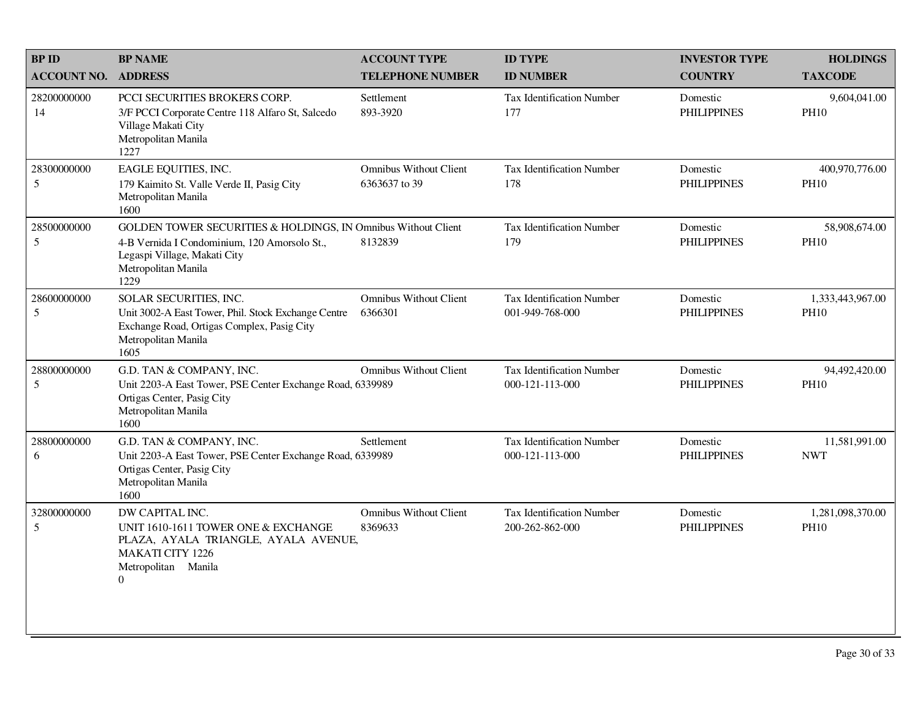| <b>BP ID</b>       | <b>BP NAME</b>                                                                                                                                                               | <b>ACCOUNT TYPE</b>                            | <b>ID TYPE</b>                                      | <b>INVESTOR TYPE</b>           | <b>HOLDINGS</b>                 |
|--------------------|------------------------------------------------------------------------------------------------------------------------------------------------------------------------------|------------------------------------------------|-----------------------------------------------------|--------------------------------|---------------------------------|
| <b>ACCOUNT NO.</b> | <b>ADDRESS</b>                                                                                                                                                               | <b>TELEPHONE NUMBER</b>                        | <b>ID NUMBER</b>                                    | <b>COUNTRY</b>                 | <b>TAXCODE</b>                  |
| 28200000000<br>14  | PCCI SECURITIES BROKERS CORP.<br>3/F PCCI Corporate Centre 118 Alfaro St, Salcedo<br>Village Makati City<br>Metropolitan Manila<br>1227                                      | Settlement<br>893-3920                         | <b>Tax Identification Number</b><br>177             | Domestic<br><b>PHILIPPINES</b> | 9,604,041.00<br><b>PH10</b>     |
| 28300000000<br>5   | EAGLE EQUITIES, INC.<br>179 Kaimito St. Valle Verde II, Pasig City<br>Metropolitan Manila<br>1600                                                                            | <b>Omnibus Without Client</b><br>6363637 to 39 | <b>Tax Identification Number</b><br>178             | Domestic<br><b>PHILIPPINES</b> | 400,970,776.00<br><b>PH10</b>   |
| 28500000000<br>5   | GOLDEN TOWER SECURITIES & HOLDINGS, IN Omnibus Without Client<br>4-B Vernida I Condominium, 120 Amorsolo St.,<br>Legaspi Village, Makati City<br>Metropolitan Manila<br>1229 | 8132839                                        | <b>Tax Identification Number</b><br>179             | Domestic<br><b>PHILIPPINES</b> | 58,908,674.00<br><b>PH10</b>    |
| 28600000000<br>5   | SOLAR SECURITIES, INC.<br>Unit 3002-A East Tower, Phil. Stock Exchange Centre<br>Exchange Road, Ortigas Complex, Pasig City<br>Metropolitan Manila<br>1605                   | <b>Omnibus Without Client</b><br>6366301       | <b>Tax Identification Number</b><br>001-949-768-000 | Domestic<br><b>PHILIPPINES</b> | 1,333,443,967.00<br><b>PH10</b> |
| 28800000000<br>5   | G.D. TAN & COMPANY, INC.<br>Unit 2203-A East Tower, PSE Center Exchange Road, 6339989<br>Ortigas Center, Pasig City<br>Metropolitan Manila<br>1600                           | <b>Omnibus Without Client</b>                  | <b>Tax Identification Number</b><br>000-121-113-000 | Domestic<br><b>PHILIPPINES</b> | 94,492,420.00<br><b>PH10</b>    |
| 28800000000<br>6   | G.D. TAN & COMPANY, INC.<br>Unit 2203-A East Tower, PSE Center Exchange Road, 6339989<br>Ortigas Center, Pasig City<br>Metropolitan Manila<br>1600                           | Settlement                                     | <b>Tax Identification Number</b><br>000-121-113-000 | Domestic<br><b>PHILIPPINES</b> | 11,581,991.00<br><b>NWT</b>     |
| 32800000000<br>5   | DW CAPITAL INC.<br>UNIT 1610-1611 TOWER ONE & EXCHANGE<br>PLAZA, AYALA TRIANGLE, AYALA AVENUE,<br><b>MAKATI CITY 1226</b><br>Metropolitan Manila<br>$\Omega$                 | <b>Omnibus Without Client</b><br>8369633       | <b>Tax Identification Number</b><br>200-262-862-000 | Domestic<br><b>PHILIPPINES</b> | 1,281,098,370.00<br><b>PH10</b> |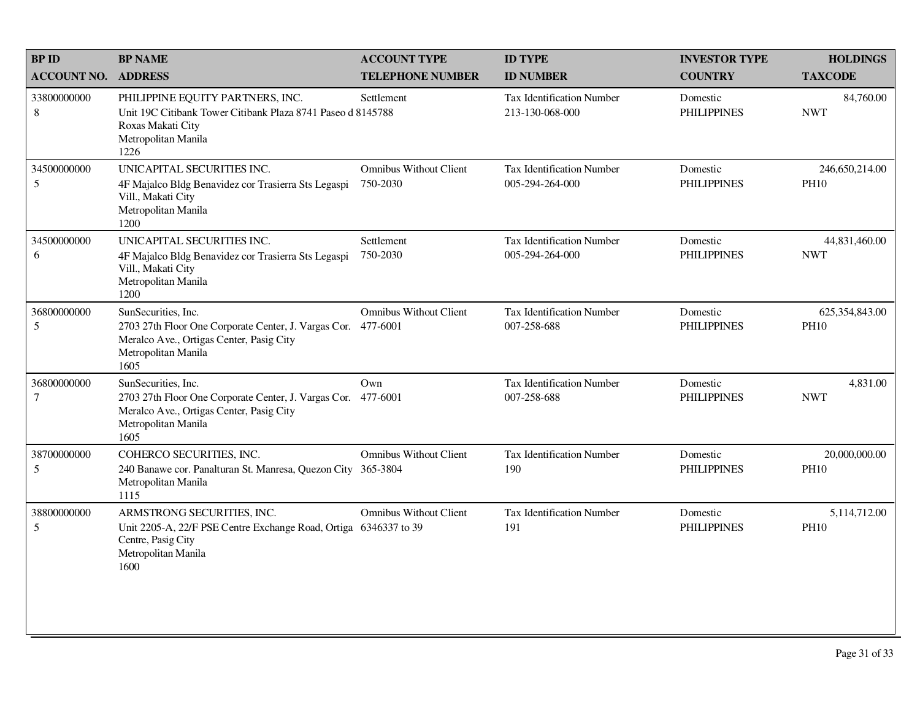| <b>BPID</b>                    | <b>BP NAME</b>                                                                                                                                                  | <b>ACCOUNT TYPE</b>                | <b>ID TYPE</b>                                      | <b>INVESTOR TYPE</b>           | <b>HOLDINGS</b>               |
|--------------------------------|-----------------------------------------------------------------------------------------------------------------------------------------------------------------|------------------------------------|-----------------------------------------------------|--------------------------------|-------------------------------|
| <b>ACCOUNT NO.</b>             | <b>ADDRESS</b>                                                                                                                                                  | <b>TELEPHONE NUMBER</b>            | <b>ID NUMBER</b>                                    | <b>COUNTRY</b>                 | <b>TAXCODE</b>                |
| 33800000000<br>$\,8\,$         | PHILIPPINE EQUITY PARTNERS, INC.<br>Unit 19C Citibank Tower Citibank Plaza 8741 Paseo d 8145788<br>Roxas Makati City<br>Metropolitan Manila<br>1226             | Settlement                         | <b>Tax Identification Number</b><br>213-130-068-000 | Domestic<br><b>PHILIPPINES</b> | 84,760.00<br><b>NWT</b>       |
| 34500000000<br>$5\overline{)}$ | UNICAPITAL SECURITIES INC.<br>4F Majalco Bldg Benavidez cor Trasierra Sts Legaspi<br>Vill., Makati City<br>Metropolitan Manila<br>1200                          | Omnibus Without Client<br>750-2030 | Tax Identification Number<br>005-294-264-000        | Domestic<br><b>PHILIPPINES</b> | 246,650,214.00<br><b>PH10</b> |
| 34500000000<br>6               | UNICAPITAL SECURITIES INC.<br>4F Majalco Bldg Benavidez cor Trasierra Sts Legaspi<br>Vill., Makati City<br>Metropolitan Manila<br>1200                          | Settlement<br>750-2030             | <b>Tax Identification Number</b><br>005-294-264-000 | Domestic<br><b>PHILIPPINES</b> | 44,831,460.00<br><b>NWT</b>   |
| 36800000000<br>5               | SunSecurities, Inc.<br>2703 27th Floor One Corporate Center, J. Vargas Cor. 477-6001<br>Meralco Ave., Ortigas Center, Pasig City<br>Metropolitan Manila<br>1605 | <b>Omnibus Without Client</b>      | Tax Identification Number<br>007-258-688            | Domestic<br><b>PHILIPPINES</b> | 625,354,843.00<br><b>PH10</b> |
| 36800000000<br>$\tau$          | SunSecurities, Inc.<br>2703 27th Floor One Corporate Center, J. Vargas Cor. 477-6001<br>Meralco Ave., Ortigas Center, Pasig City<br>Metropolitan Manila<br>1605 | Own                                | <b>Tax Identification Number</b><br>007-258-688     | Domestic<br><b>PHILIPPINES</b> | 4,831.00<br><b>NWT</b>        |
| 38700000000<br>$\mathfrak{S}$  | COHERCO SECURITIES, INC.<br>240 Banawe cor. Panalturan St. Manresa, Quezon City 365-3804<br>Metropolitan Manila<br>1115                                         | <b>Omnibus Without Client</b>      | <b>Tax Identification Number</b><br>190             | Domestic<br><b>PHILIPPINES</b> | 20,000,000.00<br><b>PH10</b>  |
| 38800000000<br>$\mathfrak{S}$  | ARMSTRONG SECURITIES, INC.<br>Unit 2205-A, 22/F PSE Centre Exchange Road, Ortiga 6346337 to 39<br>Centre, Pasig City<br>Metropolitan Manila<br>1600             | <b>Omnibus Without Client</b>      | <b>Tax Identification Number</b><br>191             | Domestic<br><b>PHILIPPINES</b> | 5,114,712.00<br><b>PH10</b>   |
|                                |                                                                                                                                                                 |                                    |                                                     |                                |                               |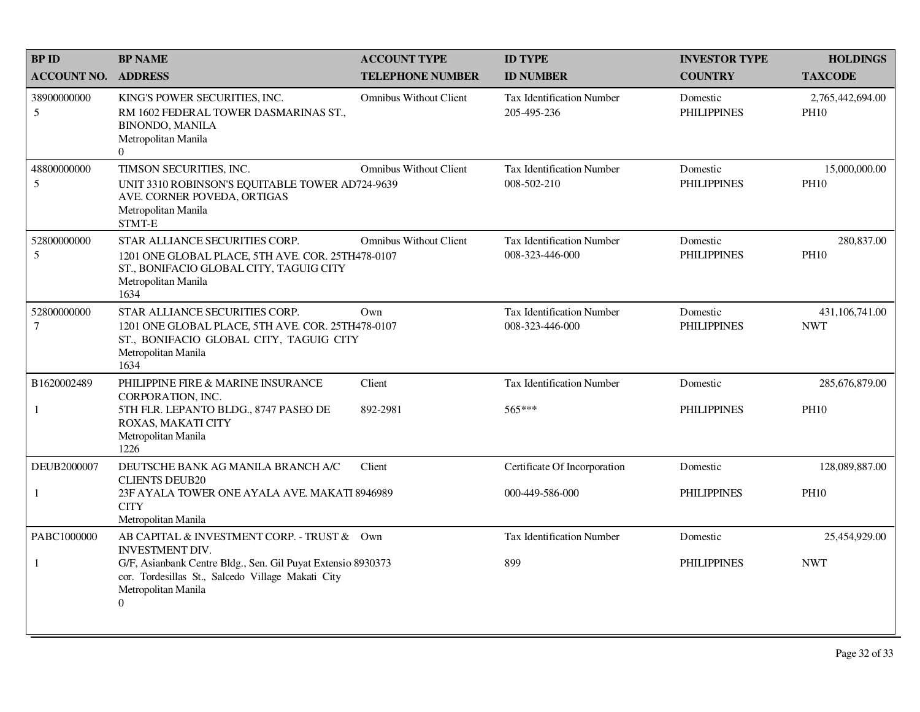| <b>BPID</b>                    | <b>BP NAME</b>                                                                                                                                                | <b>ACCOUNT TYPE</b>           | <b>ID TYPE</b>                                      | <b>INVESTOR TYPE</b>           | <b>HOLDINGS</b>                 |
|--------------------------------|---------------------------------------------------------------------------------------------------------------------------------------------------------------|-------------------------------|-----------------------------------------------------|--------------------------------|---------------------------------|
| <b>ACCOUNT NO.</b>             | <b>ADDRESS</b>                                                                                                                                                | <b>TELEPHONE NUMBER</b>       | <b>ID NUMBER</b>                                    | <b>COUNTRY</b>                 | <b>TAXCODE</b>                  |
| 38900000000<br>5               | KING'S POWER SECURITIES, INC.<br>RM 1602 FEDERAL TOWER DASMARINAS ST.,<br><b>BINONDO, MANILA</b><br>Metropolitan Manila<br>$\overline{0}$                     | <b>Omnibus Without Client</b> | <b>Tax Identification Number</b><br>205-495-236     | Domestic<br><b>PHILIPPINES</b> | 2,765,442,694.00<br><b>PH10</b> |
| 48800000000<br>5               | TIMSON SECURITIES, INC.<br>UNIT 3310 ROBINSON'S EQUITABLE TOWER AD724-9639<br>AVE. CORNER POVEDA, ORTIGAS<br>Metropolitan Manila<br>STMT-E                    | <b>Omnibus Without Client</b> | Tax Identification Number<br>008-502-210            | Domestic<br><b>PHILIPPINES</b> | 15,000,000.00<br><b>PH10</b>    |
| 52800000000<br>5               | STAR ALLIANCE SECURITIES CORP.<br>1201 ONE GLOBAL PLACE, 5TH AVE. COR. 25TH478-0107<br>ST., BONIFACIO GLOBAL CITY, TAGUIG CITY<br>Metropolitan Manila<br>1634 | <b>Omnibus Without Client</b> | <b>Tax Identification Number</b><br>008-323-446-000 | Domestic<br><b>PHILIPPINES</b> | 280,837.00<br><b>PH10</b>       |
| 52800000000<br>$7\phantom{.0}$ | STAR ALLIANCE SECURITIES CORP.<br>1201 ONE GLOBAL PLACE, 5TH AVE. COR. 25TH478-0107<br>ST., BONIFACIO GLOBAL CITY, TAGUIG CITY<br>Metropolitan Manila<br>1634 | Own                           | <b>Tax Identification Number</b><br>008-323-446-000 | Domestic<br><b>PHILIPPINES</b> | 431,106,741.00<br><b>NWT</b>    |
| B1620002489                    | PHILIPPINE FIRE & MARINE INSURANCE<br>CORPORATION, INC.                                                                                                       | Client                        | Tax Identification Number                           | Domestic                       | 285,676,879.00                  |
| $\mathbf{1}$                   | 5TH FLR. LEPANTO BLDG., 8747 PASEO DE<br>ROXAS, MAKATI CITY<br>Metropolitan Manila<br>1226                                                                    | 892-2981                      | 565***                                              | <b>PHILIPPINES</b>             | <b>PH10</b>                     |
| DEUB2000007                    | DEUTSCHE BANK AG MANILA BRANCH A/C<br><b>CLIENTS DEUB20</b>                                                                                                   | Client                        | Certificate Of Incorporation                        | Domestic                       | 128,089,887.00                  |
| 1                              | 23F AYALA TOWER ONE AYALA AVE. MAKATI 8946989<br><b>CITY</b><br>Metropolitan Manila                                                                           |                               | 000-449-586-000                                     | <b>PHILIPPINES</b>             | <b>PH10</b>                     |
| PABC1000000                    | AB CAPITAL & INVESTMENT CORP. - TRUST & Own<br><b>INVESTMENT DIV.</b>                                                                                         |                               | Tax Identification Number                           | Domestic                       | 25,454,929.00                   |
| $\mathbf{1}$                   | G/F, Asianbank Centre Bldg., Sen. Gil Puyat Extensio 8930373<br>cor. Tordesillas St., Salcedo Village Makati City<br>Metropolitan Manila<br>$\boldsymbol{0}$  |                               | 899                                                 | <b>PHILIPPINES</b>             | <b>NWT</b>                      |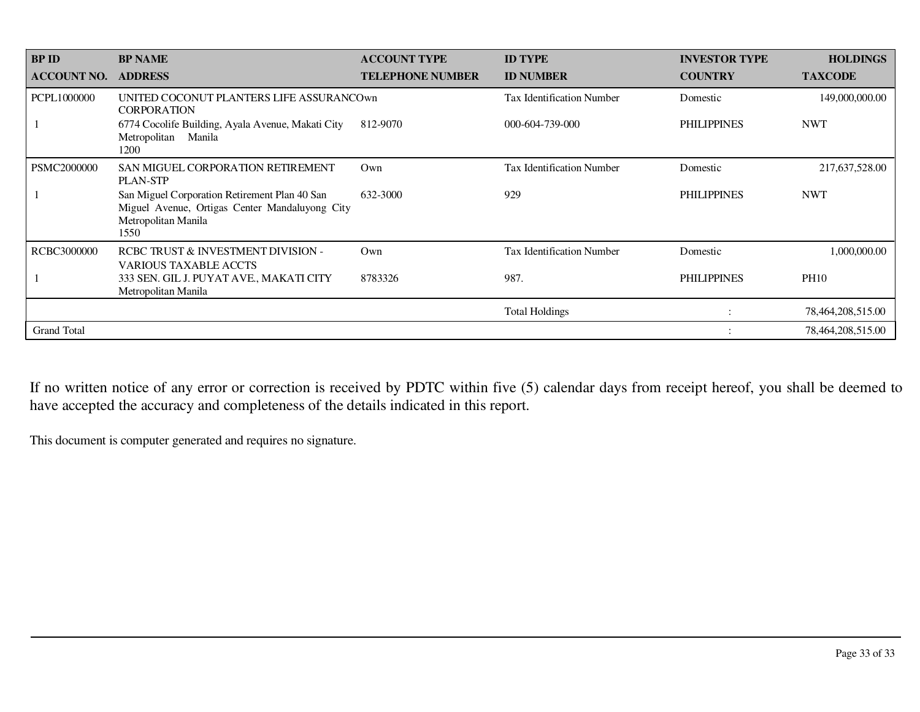| <b>BP ID</b>       | <b>BP NAME</b>                                                                                                                 | <b>ACCOUNT TYPE</b>     | <b>ID TYPE</b>                   | <b>INVESTOR TYPE</b> | <b>HOLDINGS</b>   |
|--------------------|--------------------------------------------------------------------------------------------------------------------------------|-------------------------|----------------------------------|----------------------|-------------------|
| <b>ACCOUNT NO.</b> | <b>ADDRESS</b>                                                                                                                 | <b>TELEPHONE NUMBER</b> | <b>ID NUMBER</b>                 | <b>COUNTRY</b>       | <b>TAXCODE</b>    |
| PCPL1000000        | UNITED COCONUT PLANTERS LIFE ASSURANCOWN<br><b>CORPORATION</b>                                                                 |                         | <b>Tax Identification Number</b> | Domestic             | 149,000,000.00    |
|                    | 6774 Cocolife Building, Ayala Avenue, Makati City<br>Metropolitan Manila<br>1200                                               | 812-9070                | 000-604-739-000                  | <b>PHILIPPINES</b>   | <b>NWT</b>        |
| <b>PSMC2000000</b> | SAN MIGUEL CORPORATION RETIREMENT<br><b>PLAN-STP</b>                                                                           | Own                     | <b>Tax Identification Number</b> | Domestic             | 217,637,528.00    |
|                    | San Miguel Corporation Retirement Plan 40 San<br>Miguel Avenue, Ortigas Center Mandaluyong City<br>Metropolitan Manila<br>1550 | 632-3000                | 929                              | <b>PHILIPPINES</b>   | <b>NWT</b>        |
| RCBC3000000        | RCBC TRUST & INVESTMENT DIVISION -<br><b>VARIOUS TAXABLE ACCTS</b>                                                             | Own                     | <b>Tax Identification Number</b> | Domestic             | 1,000,000.00      |
|                    | 333 SEN. GIL J. PUYAT AVE., MAKATI CITY<br>Metropolitan Manila                                                                 | 8783326                 | 987.                             | <b>PHILIPPINES</b>   | <b>PH10</b>       |
|                    |                                                                                                                                |                         | <b>Total Holdings</b>            |                      | 78,464,208,515.00 |
| <b>Grand Total</b> |                                                                                                                                |                         |                                  |                      | 78,464,208,515.00 |

If no written notice of any error or correction is received by PDTC within five (5) calendar days from receipt hereof, you shall be deemed to have accepted the accuracy and completeness of the details indicated in this report.

This document is computer generated and requires no signature.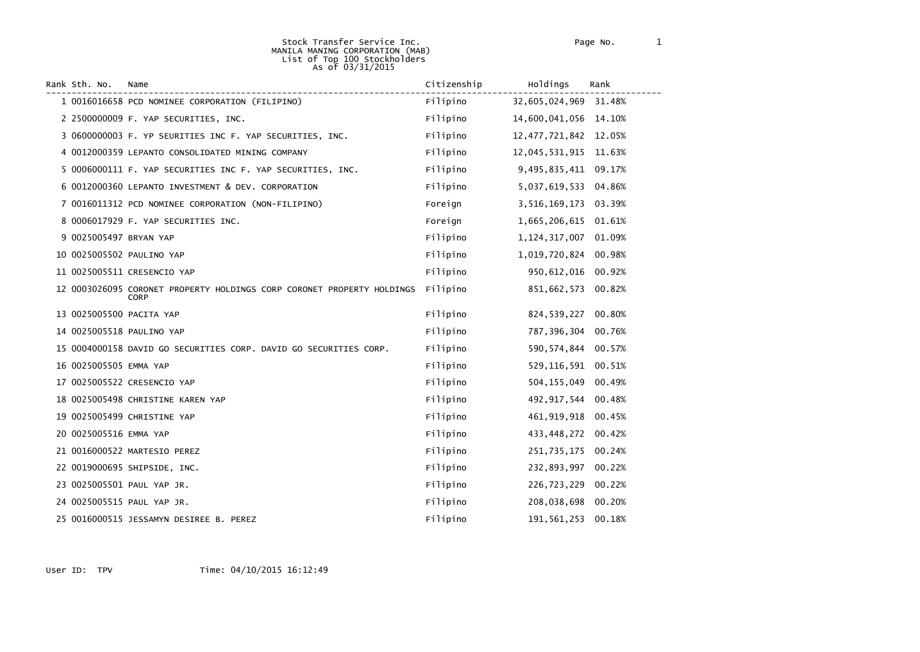#### Stock Transfer Service Inc. Page No. 1 MANILA MANING CORPORATION (MAB) List of Top 100 Stockholders As of 03/31/2015

| Rank Sth. No.          | Name                                                                                  | Citizenship | Holdings                 | Rank   |
|------------------------|---------------------------------------------------------------------------------------|-------------|--------------------------|--------|
|                        | 1 0016016658 PCD NOMINEE CORPORATION (FILIPINO)                                       | Filipino    | 32,605,024,969           | 31.48% |
|                        | 2 2500000009 F. YAP SECURITIES, INC.                                                  | Filipino    | 14,600,041,056 14.10%    |        |
|                        | 3 0600000003 F. YP SEURITIES INC F. YAP SECURITIES, INC.                              | Filipino    | 12, 477, 721, 842 12.05% |        |
|                        | 4 0012000359 LEPANTO CONSOLIDATED MINING COMPANY                                      | Filipino    | 12,045,531,915           | 11.63% |
|                        | 5 0006000111 F. YAP SECURITIES INC F. YAP SECURITIES, INC.                            | Filipino    | 9,495,835,411            | 09.17% |
|                        | 6 0012000360 LEPANTO INVESTMENT & DEV. CORPORATION                                    | Filipino    | 5,037,619,533            | 04.86% |
|                        | 7 0016011312 PCD NOMINEE CORPORATION (NON-FILIPINO)                                   | Foreign     | 3,516,169,173            | 03.39% |
|                        | 8 0006017929 F. YAP SECURITIES INC.                                                   | Foreign     | 1,665,206,615            | 01.61% |
| 9 0025005497 BRYAN YAP |                                                                                       | Filipino    | 1, 124, 317, 007         | 01.09% |
|                        | 10 0025005502 PAULINO YAP                                                             | Filipino    | 1,019,720,824            | 00.98% |
|                        | 11 0025005511 CRESENCIO YAP                                                           | Filipino    | 950, 612, 016            | 00.92% |
|                        | 12 0003026095 CORONET PROPERTY HOLDINGS CORP CORONET PROPERTY HOLDINGS<br><b>CORP</b> | Filipino    | 851,662,573              | 00.82% |
|                        | 13 0025005500 PACITA YAP                                                              | Filipino    | 824,539,227              | 00.80% |
|                        | 14 0025005518 PAULINO YAP                                                             | Filipino    | 787,396,304              | 00.76% |
|                        | 15 0004000158 DAVID GO SECURITIES CORP. DAVID GO SECURITIES CORP.                     | Filipino    | 590, 574, 844            | 00.57% |
| 16 0025005505 EMMA YAP |                                                                                       | Filipino    | 529,116,591              | 00.51% |
|                        | 17 0025005522 CRESENCIO YAP                                                           | Filipino    | 504, 155, 049            | 00.49% |
|                        | 18 0025005498 CHRISTINE KAREN YAP                                                     | Filipino    | 492, 917, 544            | 00.48% |
|                        | 19 0025005499 CHRISTINE YAP                                                           | Filipino    | 461, 919, 918            | 00.45% |
| 20 0025005516 EMMA YAP |                                                                                       | Filipino    | 433,448,272              | 00.42% |
|                        | 21 0016000522 MARTESIO PEREZ                                                          | Filipino    | 251,735,175              | 00.24% |
|                        | 22 0019000695 SHIPSIDE, INC.                                                          | Filipino    | 232,893,997              | 00.22% |
|                        | 23 0025005501 PAUL YAP JR.                                                            | Filipino    | 226,723,229              | 00.22% |
|                        | 24 0025005515 PAUL YAP JR.                                                            | Filipino    | 208,038,698              | 00.20% |
|                        | 25 0016000515 JESSAMYN DESIREE B. PEREZ                                               | Filipino    | 191, 561, 253            | 00.18% |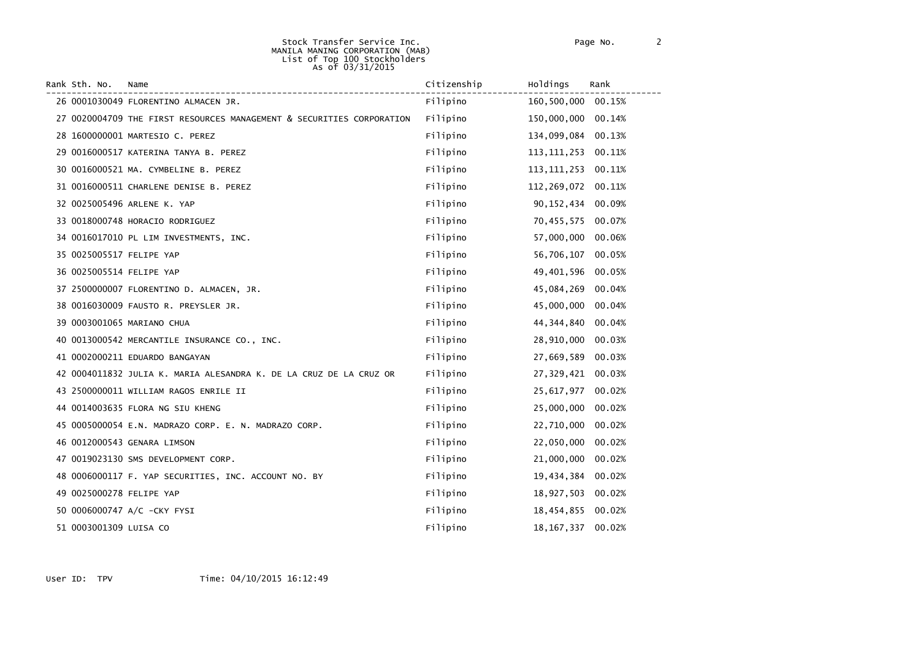#### Stock Transfer Service Inc. Page No. 2 MANILA MANING CORPORATION (MAB) List of Top 100 Stockholders As of 03/31/2015

| Rank Sth. No.            | Name                                                                  | Citizenship | Holdings      | Rank   |
|--------------------------|-----------------------------------------------------------------------|-------------|---------------|--------|
|                          | 26 0001030049 FLORENTINO ALMACEN JR.                                  | Filipino    | 160,500,000   | 00.15% |
|                          | 27 0020004709 THE FIRST RESOURCES MANAGEMENT & SECURITIES CORPORATION | Filipino    | 150,000,000   | 00.14% |
|                          | 28 1600000001 MARTESIO C. PEREZ                                       | Filipino    | 134,099,084   | 00.13% |
|                          | 29 0016000517 KATERINA TANYA B. PEREZ                                 | Filipino    | 113, 111, 253 | 00.11% |
|                          | 30 0016000521 MA. CYMBELINE B. PEREZ                                  | Filipino    | 113, 111, 253 | 00.11% |
|                          | 31 0016000511 CHARLENE DENISE B. PEREZ                                | Filipino    | 112,269,072   | 00.11% |
|                          | 32 0025005496 ARLENE K. YAP                                           | Filipino    | 90,152,434    | 00.09% |
|                          | 33 0018000748 HORACIO RODRIGUEZ                                       | Filipino    | 70,455,575    | 00.07% |
|                          | 34 0016017010 PL LIM INVESTMENTS, INC.                                | Filipino    | 57,000,000    | 00.06% |
| 35 0025005517 FELIPE YAP |                                                                       | Filipino    | 56,706,107    | 00.05% |
| 36 0025005514 FELIPE YAP |                                                                       | Filipino    | 49,401,596    | 00.05% |
|                          | 37 2500000007 FLORENTINO D. ALMACEN, JR.                              | Filipino    | 45,084,269    | 00.04% |
|                          | 38 0016030009 FAUSTO R. PREYSLER JR.                                  | Filipino    | 45,000,000    | 00.04% |
|                          | 39 0003001065 MARIANO CHUA                                            | Filipino    | 44, 344, 840  | 00.04% |
|                          | 40 0013000542 MERCANTILE INSURANCE CO., INC.                          | Filipino    | 28,910,000    | 00.03% |
|                          | 41 0002000211 EDUARDO BANGAYAN                                        | Filipino    | 27,669,589    | 00.03% |
|                          | 42 0004011832 JULIA K. MARIA ALESANDRA K. DE LA CRUZ DE LA CRUZ OR    | Filipino    | 27,329,421    | 00.03% |
|                          | 43 2500000011 WILLIAM RAGOS ENRILE II                                 | Filipino    | 25,617,977    | 00.02% |
|                          | 44 0014003635 FLORA NG SIU KHENG                                      | Filipino    | 25,000,000    | 00.02% |
|                          | 45 0005000054 E.N. MADRAZO CORP. E. N. MADRAZO CORP.                  | Filipino    | 22,710,000    | 00.02% |
|                          | 46 0012000543 GENARA LIMSON                                           | Filipino    | 22,050,000    | 00.02% |
|                          | 47 0019023130 SMS DEVELOPMENT CORP.                                   | Filipino    | 21,000,000    | 00.02% |
|                          | 48 0006000117 F. YAP SECURITIES, INC. ACCOUNT NO. BY                  | Filipino    | 19,434,384    | 00.02% |
| 49 0025000278 FELIPE YAP |                                                                       | Filipino    | 18,927,503    | 00.02% |
|                          | 50 0006000747 A/C -CKY FYSI                                           | Filipino    | 18,454,855    | 00.02% |
| 51 0003001309 LUISA CO   |                                                                       | Filipino    | 18, 167, 337  | 00.02% |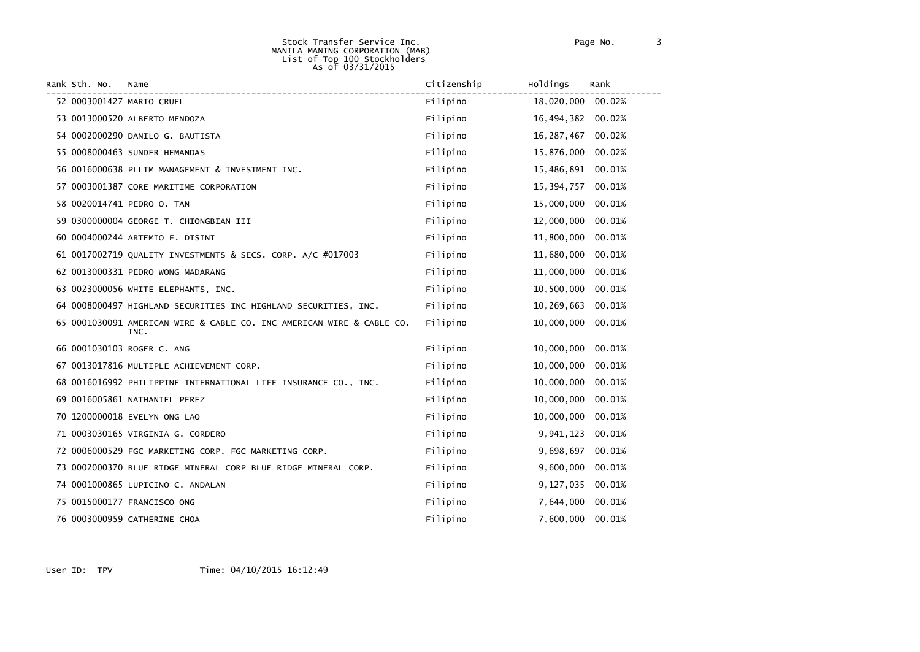#### Stock Transfer Service Inc. Page No. 3 MANILA MANING CORPORATION (MAB) List of Top 100 Stockholders As of 03/31/2015

| Rank Sth. No. | Name                                                                          | Citizenship | Holdings          | Rank   |
|---------------|-------------------------------------------------------------------------------|-------------|-------------------|--------|
|               | 52 0003001427 MARIO CRUEL                                                     | Filipino    | 18,020,000 00.02% |        |
|               | 53 0013000520 ALBERTO MENDOZA                                                 | Filipino    | 16,494,382 00.02% |        |
|               | 54 0002000290 DANILO G. BAUTISTA                                              | Filipino    | 16,287,467        | 00.02% |
|               | 55 0008000463 SUNDER HEMANDAS                                                 | Filipino    | 15,876,000        | 00.02% |
|               | 56 0016000638 PLLIM MANAGEMENT & INVESTMENT INC.                              | Filipino    | 15,486,891 00.01% |        |
|               | 57 0003001387 CORE MARITIME CORPORATION                                       | Filipino    | 15,394,757        | 00.01% |
|               | 58 0020014741 PEDRO O. TAN                                                    | Filipino    | 15,000,000        | 00.01% |
|               | 59 0300000004 GEORGE T. CHIONGBIAN III                                        | Filipino    | 12,000,000        | 00.01% |
|               | 60 0004000244 ARTEMIO F. DISINI                                               | Filipino    | 11,800,000        | 00.01% |
|               | 61 0017002719 QUALITY INVESTMENTS & SECS. CORP. A/C #017003                   | Filipino    | 11,680,000        | 00.01% |
|               | 62 0013000331 PEDRO WONG MADARANG                                             | Filipino    | 11,000,000        | 00.01% |
|               | 63 0023000056 WHITE ELEPHANTS, INC.                                           | Filipino    | 10,500,000 00.01% |        |
|               | 64 0008000497 HIGHLAND SECURITIES INC HIGHLAND SECURITIES, INC.               | Filipino    | 10,269,663        | 00.01% |
|               | 65 0001030091 AMERICAN WIRE & CABLE CO. INC AMERICAN WIRE & CABLE CO.<br>INC. | Filipino    | 10,000,000 00.01% |        |
|               | 66 0001030103 ROGER C. ANG                                                    | Filipino    | 10,000,000 00.01% |        |
|               | 67 0013017816 MULTIPLE ACHIEVEMENT CORP.                                      | Filipino    | 10,000,000        | 00.01% |
|               | 68 0016016992 PHILIPPINE INTERNATIONAL LIFE INSURANCE CO., INC.               | Filipino    | 10,000,000        | 00.01% |
|               | 69 0016005861 NATHANIEL PEREZ                                                 | Filipino    | 10,000,000        | 00.01% |
|               | 70 1200000018 EVELYN ONG LAO                                                  | Filipino    | 10,000,000        | 00.01% |
|               | 71 0003030165 VIRGINIA G. CORDERO                                             | Filipino    | 9,941,123         | 00.01% |
|               | 72 0006000529 FGC MARKETING CORP. FGC MARKETING CORP.                         | Filipino    | 9,698,697         | 00.01% |
|               | 73 0002000370 BLUE RIDGE MINERAL CORP BLUE RIDGE MINERAL CORP.                | Filipino    | 9,600,000 00.01%  |        |
|               | 74 0001000865 LUPICINO C. ANDALAN                                             | Filipino    | 9,127,035         | 00.01% |
|               | 75 0015000177 FRANCISCO ONG                                                   | Filipino    | 7,644,000 00.01%  |        |
|               | 76 0003000959 CATHERINE CHOA                                                  | Filipino    | 7,600,000         | 00.01% |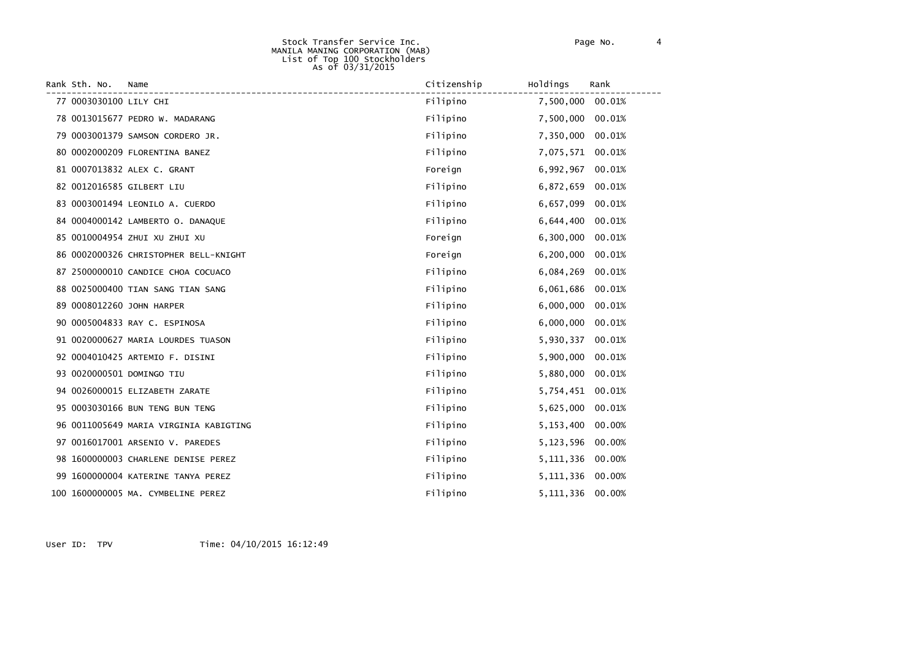#### Stock Transfer Service Inc. Page No. 4 MANILA MANING CORPORATION (MAB) List of Top 100 Stockholders As of 03/31/2015

| Rank Sth. No.          | Name                                   | Citizenship | Holdings         | Rank   |
|------------------------|----------------------------------------|-------------|------------------|--------|
| 77 0003030100 LILY CHI |                                        | Filipino    | 7,500,000        | 00.01% |
|                        | 78 0013015677 PEDRO W. MADARANG        | Filipino    | 7,500,000        | 00.01% |
|                        | 79 0003001379 SAMSON CORDERO JR.       | Filipino    | 7,350,000        | 00.01% |
|                        | 80 0002000209 FLORENTINA BANEZ         | Filipino    | 7,075,571 00.01% |        |
|                        | 81 0007013832 ALEX C. GRANT            | Foreign     | 6,992,967        | 00.01% |
|                        | 82 0012016585 GILBERT LIU              | Filipino    | 6,872,659        | 00.01% |
|                        | 83 0003001494 LEONILO A. CUERDO        | Filipino    | 6,657,099        | 00.01% |
|                        | 84 0004000142 LAMBERTO O. DANAQUE      | Filipino    | 6,644,400        | 00.01% |
|                        | 85 0010004954 ZHUI XU ZHUI XU          | Foreign     | 6,300,000        | 00.01% |
|                        | 86 0002000326 CHRISTOPHER BELL-KNIGHT  | Foreign     | 6,200,000        | 00.01% |
|                        | 87 2500000010 CANDICE CHOA COCUACO     | Filipino    | 6,084,269        | 00.01% |
|                        | 88 0025000400 TIAN SANG TIAN SANG      | Filipino    | 6,061,686 00.01% |        |
|                        | 89 0008012260 JOHN HARPER              | Filipino    | 6,000,000        | 00.01% |
|                        | 90 0005004833 RAY C. ESPINOSA          | Filipino    | 6,000,000        | 00.01% |
|                        | 91 0020000627 MARIA LOURDES TUASON     | Filipino    | 5,930,337        | 00.01% |
|                        | 92 0004010425 ARTEMIO F. DISINI        | Filipino    | 5,900,000 00.01% |        |
|                        | 93 0020000501 DOMINGO TIU              | Filipino    | 5,880,000        | 00.01% |
|                        | 94 0026000015 ELIZABETH ZARATE         | Filipino    | 5,754,451 00.01% |        |
|                        | 95 0003030166 BUN TENG BUN TENG        | Filipino    | 5,625,000        | 00.01% |
|                        | 96 0011005649 MARIA VIRGINIA KABIGTING | Filipino    | 5,153,400        | 00.00% |
|                        | 97 0016017001 ARSENIO V. PAREDES       | Filipino    | 5,123,596        | 00.00% |
|                        | 98 1600000003 CHARLENE DENISE PEREZ    | Filipino    | 5,111,336 00.00% |        |
|                        | 99 1600000004 KATERINE TANYA PEREZ     | Filipino    | 5,111,336 00.00% |        |
|                        | 100 1600000005 MA. CYMBELINE PEREZ     | Filipino    | 5,111,336 00.00% |        |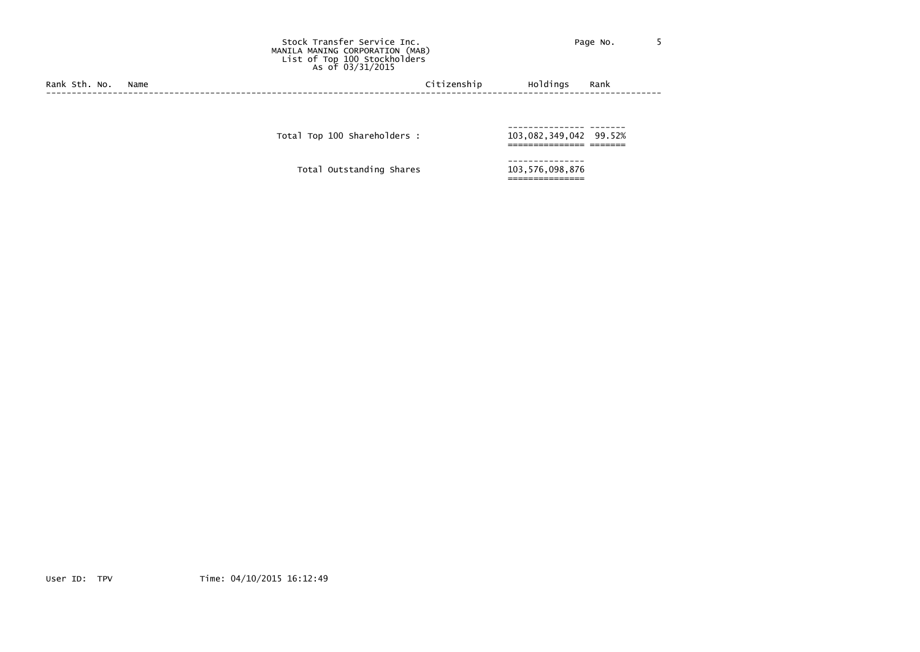### Stock Transfer Service Inc. The Contract of Page No. 5 MANILA MANING CORPORATION (MAB) List of Top 100 Stockholders As of 03/31/2015

Rank Sth. No. Name Citizenship Holdings Rank (2008) Rank Citizenship Holdings Rank (2008) Rank (2009) Rank (2009) Rank (2009) Rank (2009) Rank (2009) Rank (2009) Rank (2009) Rank (2009) Rank (2009) Rank (2009) Rank (2009) ------------------------------------------------------------------------------------------------------------------------

--------------- ------- Total Top <sup>100</sup> Shareholders : 103,082,349,042 99.52% =============== =======

--------------- Total Outstanding Shares 103,576,098,876

===============

User ID: TPV Time: 04/10/2015 16:12:49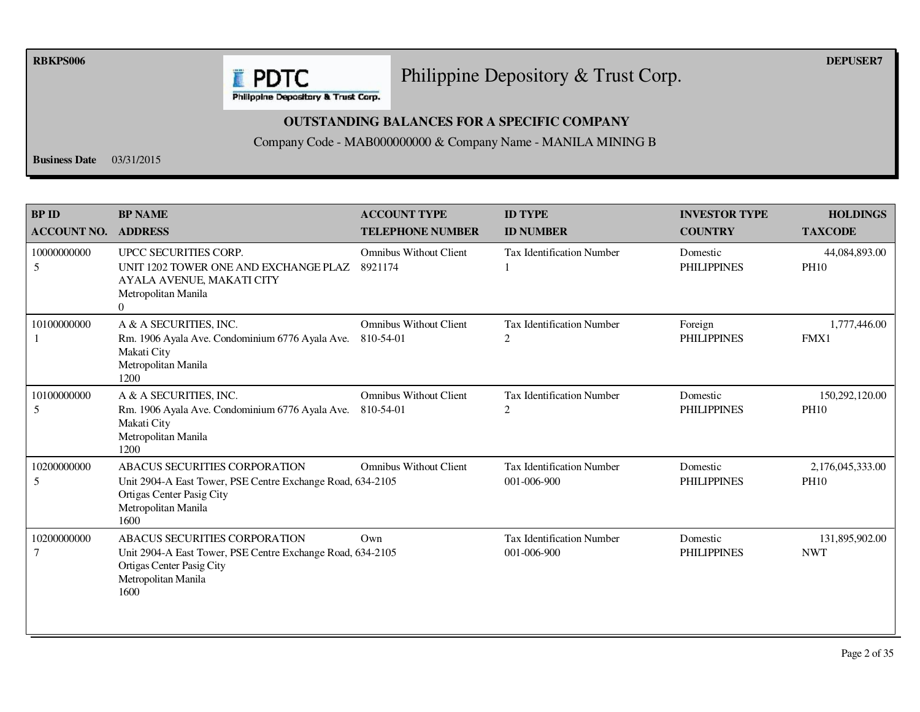**RBKPS006 DEPUSER7** 

# Philippine Depository & Trust Corp.

Philippine Depository & Trust Corp.

**E** PDTC

## **OUTSTANDING BALANCES FOR A SPECIFIC COMPANY**

Company Code - MAB000000000 & Company Name - MANILA MINING B

**Business Date** 03/31/2015

| <b>BP ID</b><br><b>ACCOUNT NO.</b> | <b>BP NAME</b><br><b>ADDRESS</b>                                                                                                                               | <b>ACCOUNT TYPE</b><br><b>TELEPHONE NUMBER</b> | <b>ID TYPE</b><br><b>ID NUMBER</b>              | <b>INVESTOR TYPE</b><br><b>COUNTRY</b> | <b>HOLDINGS</b><br><b>TAXCODE</b> |
|------------------------------------|----------------------------------------------------------------------------------------------------------------------------------------------------------------|------------------------------------------------|-------------------------------------------------|----------------------------------------|-----------------------------------|
| 10000000000<br>5                   | UPCC SECURITIES CORP.<br>UNIT 1202 TOWER ONE AND EXCHANGE PLAZ<br>AYALA AVENUE, MAKATI CITY<br>Metropolitan Manila<br>$\Omega$                                 | <b>Omnibus Without Client</b><br>8921174       | <b>Tax Identification Number</b>                | Domestic<br><b>PHILIPPINES</b>         | 44,084,893.00<br><b>PH10</b>      |
| 10100000000                        | A & A SECURITIES, INC.<br>Rm. 1906 Ayala Ave. Condominium 6776 Ayala Ave.<br>Makati City<br>Metropolitan Manila<br>1200                                        | <b>Omnibus Without Client</b><br>810-54-01     | <b>Tax Identification Number</b><br>2           | Foreign<br><b>PHILIPPINES</b>          | 1,777,446.00<br>FMX1              |
| 10100000000<br>5                   | A & A SECURITIES, INC.<br>Rm. 1906 Ayala Ave. Condominium 6776 Ayala Ave.<br>Makati City<br>Metropolitan Manila<br>1200                                        | <b>Omnibus Without Client</b><br>810-54-01     | <b>Tax Identification Number</b><br>2           | Domestic<br><b>PHILIPPINES</b>         | 150,292,120.00<br><b>PH10</b>     |
| 10200000000<br>5                   | <b>ABACUS SECURITIES CORPORATION</b><br>Unit 2904-A East Tower, PSE Centre Exchange Road, 634-2105<br>Ortigas Center Pasig City<br>Metropolitan Manila<br>1600 | <b>Omnibus Without Client</b>                  | <b>Tax Identification Number</b><br>001-006-900 | Domestic<br><b>PHILIPPINES</b>         | 2,176,045,333.00<br><b>PH10</b>   |
| 10200000000<br>7                   | <b>ABACUS SECURITIES CORPORATION</b><br>Unit 2904-A East Tower, PSE Centre Exchange Road, 634-2105<br>Ortigas Center Pasig City<br>Metropolitan Manila<br>1600 | $Qw$ n                                         | <b>Tax Identification Number</b><br>001-006-900 | Domestic<br><b>PHILIPPINES</b>         | 131,895,902.00<br><b>NWT</b>      |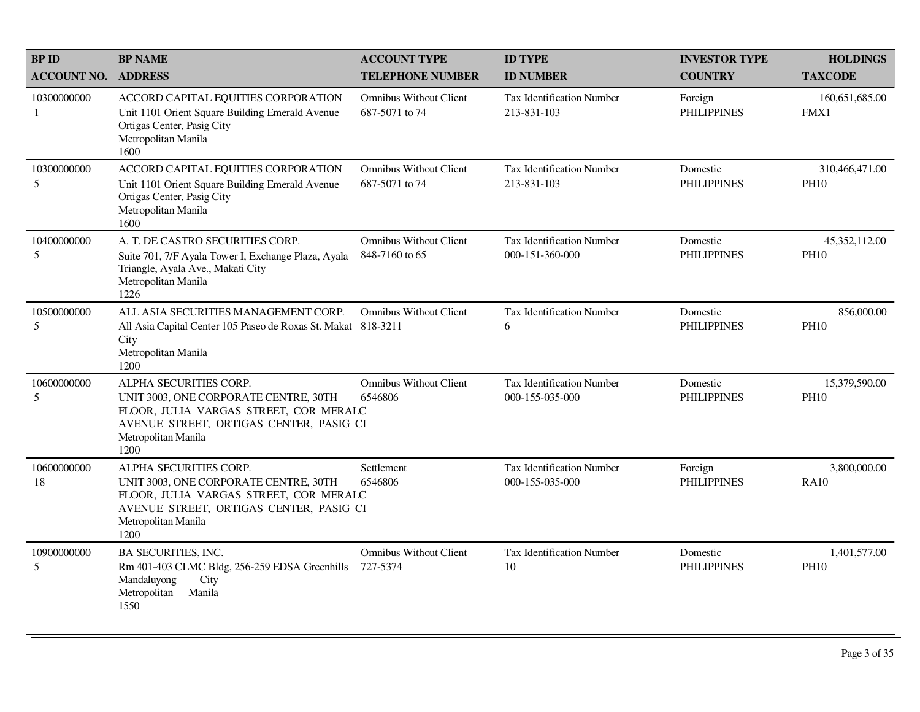| <b>BPID</b>        | <b>BP NAME</b>                                                                                                                                                                      | <b>ACCOUNT TYPE</b>                             | <b>ID TYPE</b>                                      | <b>INVESTOR TYPE</b>           | <b>HOLDINGS</b>               |
|--------------------|-------------------------------------------------------------------------------------------------------------------------------------------------------------------------------------|-------------------------------------------------|-----------------------------------------------------|--------------------------------|-------------------------------|
| <b>ACCOUNT NO.</b> | <b>ADDRESS</b>                                                                                                                                                                      | <b>TELEPHONE NUMBER</b>                         | <b>ID NUMBER</b>                                    | <b>COUNTRY</b>                 | <b>TAXCODE</b>                |
| 10300000000<br>-1  | ACCORD CAPITAL EQUITIES CORPORATION<br>Unit 1101 Orient Square Building Emerald Avenue<br>Ortigas Center, Pasig City<br>Metropolitan Manila<br>1600                                 | <b>Omnibus Without Client</b><br>687-5071 to 74 | <b>Tax Identification Number</b><br>213-831-103     | Foreign<br><b>PHILIPPINES</b>  | 160,651,685.00<br>FMX1        |
| 10300000000<br>5   | ACCORD CAPITAL EQUITIES CORPORATION<br>Unit 1101 Orient Square Building Emerald Avenue<br>Ortigas Center, Pasig City<br>Metropolitan Manila<br>1600                                 | <b>Omnibus Without Client</b><br>687-5071 to 74 | <b>Tax Identification Number</b><br>213-831-103     | Domestic<br><b>PHILIPPINES</b> | 310,466,471.00<br><b>PH10</b> |
| 10400000000<br>5   | A. T. DE CASTRO SECURITIES CORP.<br>Suite 701, 7/F Ayala Tower I, Exchange Plaza, Ayala<br>Triangle, Ayala Ave., Makati City<br>Metropolitan Manila<br>1226                         | <b>Omnibus Without Client</b><br>848-7160 to 65 | <b>Tax Identification Number</b><br>000-151-360-000 | Domestic<br><b>PHILIPPINES</b> | 45,352,112.00<br><b>PH10</b>  |
| 10500000000<br>5   | ALL ASIA SECURITIES MANAGEMENT CORP.<br>All Asia Capital Center 105 Paseo de Roxas St. Makat 818-3211<br>City<br>Metropolitan Manila<br>1200                                        | <b>Omnibus Without Client</b>                   | <b>Tax Identification Number</b><br>6               | Domestic<br><b>PHILIPPINES</b> | 856,000.00<br><b>PH10</b>     |
| 10600000000<br>5   | ALPHA SECURITIES CORP.<br>UNIT 3003, ONE CORPORATE CENTRE, 30TH<br>FLOOR, JULIA VARGAS STREET, COR MERALC<br>AVENUE STREET, ORTIGAS CENTER, PASIG CI<br>Metropolitan Manila<br>1200 | <b>Omnibus Without Client</b><br>6546806        | <b>Tax Identification Number</b><br>000-155-035-000 | Domestic<br><b>PHILIPPINES</b> | 15,379,590.00<br><b>PH10</b>  |
| 10600000000<br>18  | ALPHA SECURITIES CORP.<br>UNIT 3003, ONE CORPORATE CENTRE, 30TH<br>FLOOR, JULIA VARGAS STREET, COR MERALC<br>AVENUE STREET, ORTIGAS CENTER, PASIG CI<br>Metropolitan Manila<br>1200 | Settlement<br>6546806                           | <b>Tax Identification Number</b><br>000-155-035-000 | Foreign<br><b>PHILIPPINES</b>  | 3,800,000.00<br><b>RA10</b>   |
| 10900000000<br>5   | <b>BA SECURITIES, INC.</b><br>Rm 401-403 CLMC Bldg, 256-259 EDSA Greenhills<br>Mandaluyong<br>City<br>Metropolitan<br>Manila<br>1550                                                | <b>Omnibus Without Client</b><br>727-5374       | Tax Identification Number<br>10                     | Domestic<br><b>PHILIPPINES</b> | 1,401,577.00<br><b>PH10</b>   |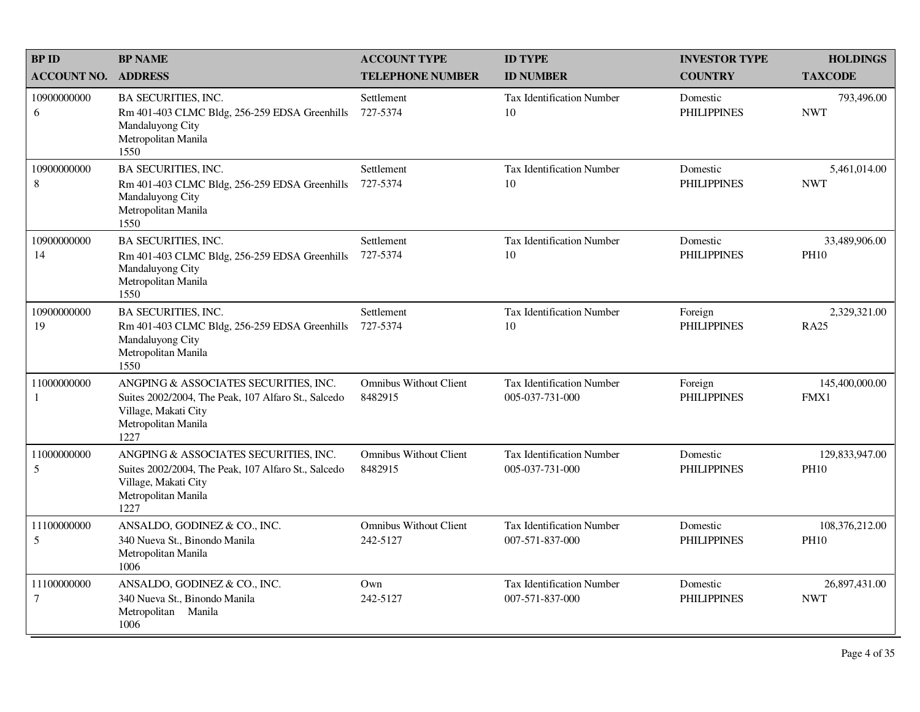| <b>BPID</b>                   | <b>BP NAME</b>                                                                                                                                      | <b>ACCOUNT TYPE</b>                       | <b>ID TYPE</b>                                      | <b>INVESTOR TYPE</b>           | <b>HOLDINGS</b>               |
|-------------------------------|-----------------------------------------------------------------------------------------------------------------------------------------------------|-------------------------------------------|-----------------------------------------------------|--------------------------------|-------------------------------|
| <b>ACCOUNT NO.</b>            | <b>ADDRESS</b>                                                                                                                                      | <b>TELEPHONE NUMBER</b>                   | <b>ID NUMBER</b>                                    | <b>COUNTRY</b>                 | <b>TAXCODE</b>                |
| 10900000000<br>6              | <b>BA SECURITIES, INC.</b><br>Rm 401-403 CLMC Bldg, 256-259 EDSA Greenhills<br>Mandaluyong City<br>Metropolitan Manila<br>1550                      | Settlement<br>727-5374                    | <b>Tax Identification Number</b><br>10              | Domestic<br><b>PHILIPPINES</b> | 793,496.00<br><b>NWT</b>      |
| 10900000000<br>$\,8\,$        | <b>BA SECURITIES, INC.</b><br>Rm 401-403 CLMC Bldg, 256-259 EDSA Greenhills<br>Mandaluyong City<br>Metropolitan Manila<br>1550                      | Settlement<br>727-5374                    | Tax Identification Number<br>10                     | Domestic<br><b>PHILIPPINES</b> | 5,461,014.00<br><b>NWT</b>    |
| 10900000000<br>14             | BA SECURITIES, INC.<br>Rm 401-403 CLMC Bldg, 256-259 EDSA Greenhills<br>Mandaluyong City<br>Metropolitan Manila<br>1550                             | Settlement<br>727-5374                    | <b>Tax Identification Number</b><br>10              | Domestic<br><b>PHILIPPINES</b> | 33,489,906.00<br><b>PH10</b>  |
| 10900000000<br>19             | <b>BA SECURITIES, INC.</b><br>Rm 401-403 CLMC Bldg, 256-259 EDSA Greenhills<br>Mandaluyong City<br>Metropolitan Manila<br>1550                      | Settlement<br>727-5374                    | Tax Identification Number<br>10                     | Foreign<br><b>PHILIPPINES</b>  | 2,329,321.00<br><b>RA25</b>   |
| 11000000000<br>1              | ANGPING & ASSOCIATES SECURITIES, INC.<br>Suites 2002/2004, The Peak, 107 Alfaro St., Salcedo<br>Village, Makati City<br>Metropolitan Manila<br>1227 | <b>Omnibus Without Client</b><br>8482915  | <b>Tax Identification Number</b><br>005-037-731-000 | Foreign<br><b>PHILIPPINES</b>  | 145,400,000.00<br>FMX1        |
| 11000000000<br>5              | ANGPING & ASSOCIATES SECURITIES, INC.<br>Suites 2002/2004, The Peak, 107 Alfaro St., Salcedo<br>Village, Makati City<br>Metropolitan Manila<br>1227 | <b>Omnibus Without Client</b><br>8482915  | Tax Identification Number<br>005-037-731-000        | Domestic<br><b>PHILIPPINES</b> | 129,833,947.00<br><b>PH10</b> |
| 11100000000<br>5              | ANSALDO, GODINEZ & CO., INC.<br>340 Nueva St., Binondo Manila<br>Metropolitan Manila<br>1006                                                        | <b>Omnibus Without Client</b><br>242-5127 | <b>Tax Identification Number</b><br>007-571-837-000 | Domestic<br><b>PHILIPPINES</b> | 108,376,212.00<br><b>PH10</b> |
| 11100000000<br>$\overline{7}$ | ANSALDO, GODINEZ & CO., INC.<br>340 Nueva St., Binondo Manila<br>Metropolitan Manila<br>1006                                                        | Own<br>242-5127                           | <b>Tax Identification Number</b><br>007-571-837-000 | Domestic<br><b>PHILIPPINES</b> | 26,897,431.00<br><b>NWT</b>   |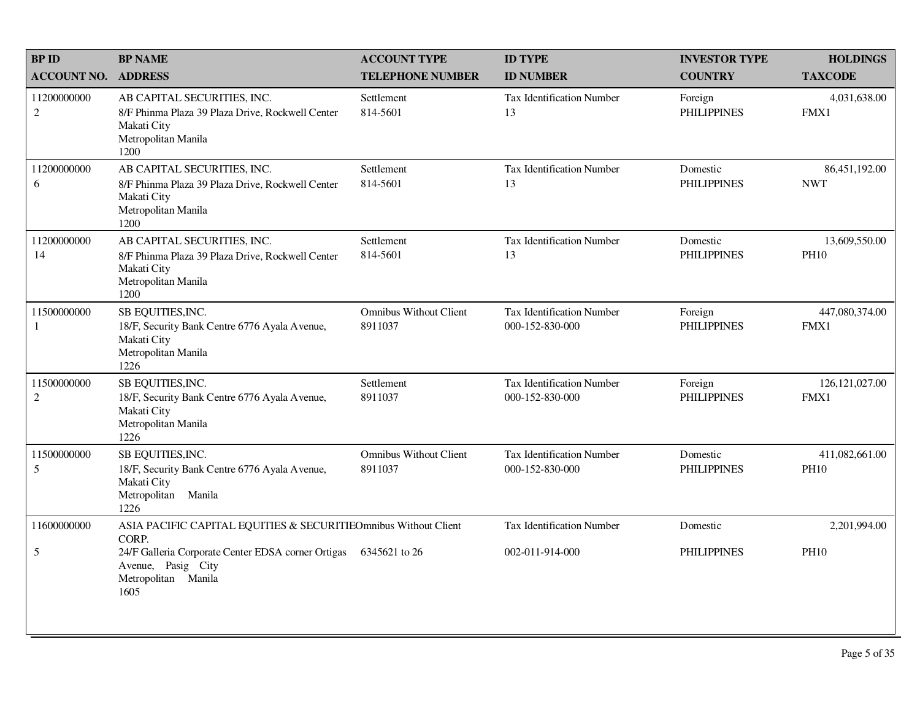| <b>BP ID</b>                  | <b>BP NAME</b>                                                                                                                | <b>ACCOUNT TYPE</b>                      | <b>ID TYPE</b>                                      | <b>INVESTOR TYPE</b>           | <b>HOLDINGS</b>               |
|-------------------------------|-------------------------------------------------------------------------------------------------------------------------------|------------------------------------------|-----------------------------------------------------|--------------------------------|-------------------------------|
| <b>ACCOUNT NO.</b>            | <b>ADDRESS</b>                                                                                                                | <b>TELEPHONE NUMBER</b>                  | <b>ID NUMBER</b>                                    | <b>COUNTRY</b>                 | <b>TAXCODE</b>                |
| 11200000000<br>$\overline{2}$ | AB CAPITAL SECURITIES, INC.<br>8/F Phinma Plaza 39 Plaza Drive, Rockwell Center<br>Makati City<br>Metropolitan Manila<br>1200 | Settlement<br>814-5601                   | <b>Tax Identification Number</b><br>13              | Foreign<br><b>PHILIPPINES</b>  | 4,031,638.00<br>FMX1          |
| 11200000000<br>6              | AB CAPITAL SECURITIES, INC.<br>8/F Phinma Plaza 39 Plaza Drive, Rockwell Center<br>Makati City<br>Metropolitan Manila<br>1200 | Settlement<br>814-5601                   | <b>Tax Identification Number</b><br>13              | Domestic<br><b>PHILIPPINES</b> | 86,451,192.00<br><b>NWT</b>   |
| 11200000000<br>14             | AB CAPITAL SECURITIES, INC.<br>8/F Phinma Plaza 39 Plaza Drive, Rockwell Center<br>Makati City<br>Metropolitan Manila<br>1200 | Settlement<br>814-5601                   | <b>Tax Identification Number</b><br>13              | Domestic<br><b>PHILIPPINES</b> | 13,609,550.00<br><b>PH10</b>  |
| 11500000000<br>1              | SB EQUITIES, INC.<br>18/F, Security Bank Centre 6776 Ayala Avenue,<br>Makati City<br>Metropolitan Manila<br>1226              | <b>Omnibus Without Client</b><br>8911037 | <b>Tax Identification Number</b><br>000-152-830-000 | Foreign<br><b>PHILIPPINES</b>  | 447,080,374.00<br>FMX1        |
| 11500000000<br>$\overline{2}$ | SB EQUITIES, INC.<br>18/F, Security Bank Centre 6776 Ayala Avenue,<br>Makati City<br>Metropolitan Manila<br>1226              | Settlement<br>8911037                    | <b>Tax Identification Number</b><br>000-152-830-000 | Foreign<br><b>PHILIPPINES</b>  | 126, 121, 027.00<br>FMX1      |
| 11500000000<br>5              | SB EQUITIES, INC.<br>18/F, Security Bank Centre 6776 Ayala Avenue,<br>Makati City<br>Metropolitan Manila<br>1226              | <b>Omnibus Without Client</b><br>8911037 | <b>Tax Identification Number</b><br>000-152-830-000 | Domestic<br><b>PHILIPPINES</b> | 411,082,661.00<br><b>PH10</b> |
| 11600000000                   | ASIA PACIFIC CAPITAL EQUITIES & SECURITIEOmnibus Without Client<br>CORP.                                                      |                                          | Tax Identification Number                           | Domestic                       | 2,201,994.00                  |
| 5                             | 24/F Galleria Corporate Center EDSA corner Ortigas<br>Avenue, Pasig City<br>Metropolitan Manila<br>1605                       | 6345621 to 26                            | 002-011-914-000                                     | <b>PHILIPPINES</b>             | <b>PH10</b>                   |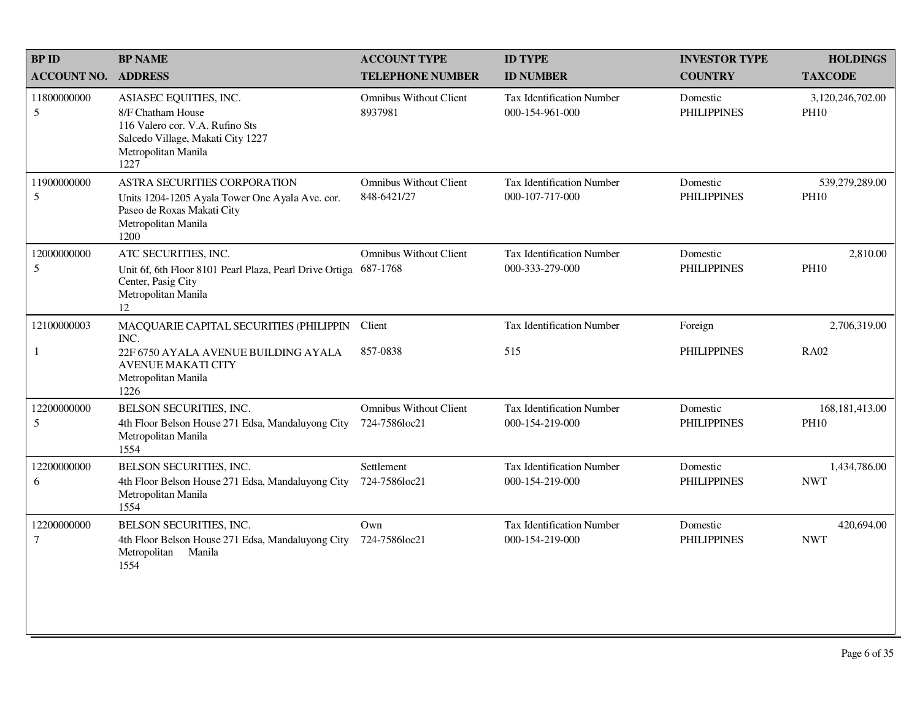| <b>BP ID</b>                   | <b>BP NAME</b>                                                                                                                                     | <b>ACCOUNT TYPE</b>                            | <b>ID TYPE</b>                                      | <b>INVESTOR TYPE</b>           | <b>HOLDINGS</b>                 |
|--------------------------------|----------------------------------------------------------------------------------------------------------------------------------------------------|------------------------------------------------|-----------------------------------------------------|--------------------------------|---------------------------------|
| <b>ACCOUNT NO.</b>             | <b>ADDRESS</b>                                                                                                                                     | <b>TELEPHONE NUMBER</b>                        | <b>ID NUMBER</b>                                    | <b>COUNTRY</b>                 | <b>TAXCODE</b>                  |
| 11800000000<br>$5\overline{)}$ | ASIASEC EQUITIES, INC.<br>8/F Chatham House<br>116 Valero cor. V.A. Rufino Sts<br>Salcedo Village, Makati City 1227<br>Metropolitan Manila<br>1227 | <b>Omnibus Without Client</b><br>8937981       | Tax Identification Number<br>000-154-961-000        | Domestic<br><b>PHILIPPINES</b> | 3,120,246,702.00<br><b>PH10</b> |
| 11900000000<br>5               | ASTRA SECURITIES CORPORATION<br>Units 1204-1205 Ayala Tower One Ayala Ave. cor.<br>Paseo de Roxas Makati City<br>Metropolitan Manila<br>1200       | <b>Omnibus Without Client</b><br>848-6421/27   | Tax Identification Number<br>000-107-717-000        | Domestic<br><b>PHILIPPINES</b> | 539,279,289.00<br><b>PH10</b>   |
| 12000000000<br>5               | ATC SECURITIES, INC.<br>Unit 6f, 6th Floor 8101 Pearl Plaza, Pearl Drive Ortiga<br>Center, Pasig City<br>Metropolitan Manila<br>12                 | <b>Omnibus Without Client</b><br>687-1768      | <b>Tax Identification Number</b><br>000-333-279-000 | Domestic<br><b>PHILIPPINES</b> | 2,810.00<br><b>PH10</b>         |
| 12100000003                    | MACQUARIE CAPITAL SECURITIES (PHILIPPIN<br>INC.                                                                                                    | Client                                         | <b>Tax Identification Number</b>                    | Foreign                        | 2,706,319.00                    |
| $\mathbf{1}$                   | 22F 6750 AYALA AVENUE BUILDING AYALA<br><b>AVENUE MAKATI CITY</b><br>Metropolitan Manila<br>1226                                                   | 857-0838                                       | 515                                                 | <b>PHILIPPINES</b>             | <b>RA02</b>                     |
| 12200000000<br>5               | BELSON SECURITIES, INC.<br>4th Floor Belson House 271 Edsa, Mandaluyong City<br>Metropolitan Manila<br>1554                                        | <b>Omnibus Without Client</b><br>724-7586loc21 | <b>Tax Identification Number</b><br>000-154-219-000 | Domestic<br><b>PHILIPPINES</b> | 168, 181, 413.00<br><b>PH10</b> |
| 12200000000<br>6               | BELSON SECURITIES, INC.<br>4th Floor Belson House 271 Edsa, Mandaluyong City<br>Metropolitan Manila<br>1554                                        | Settlement<br>724-7586loc21                    | <b>Tax Identification Number</b><br>000-154-219-000 | Domestic<br><b>PHILIPPINES</b> | 1,434,786.00<br><b>NWT</b>      |
| 12200000000<br>$\tau$          | BELSON SECURITIES, INC.<br>4th Floor Belson House 271 Edsa, Mandaluyong City<br>Metropolitan<br>Manila<br>1554                                     | Own<br>724-7586loc21                           | <b>Tax Identification Number</b><br>000-154-219-000 | Domestic<br><b>PHILIPPINES</b> | 420,694.00<br><b>NWT</b>        |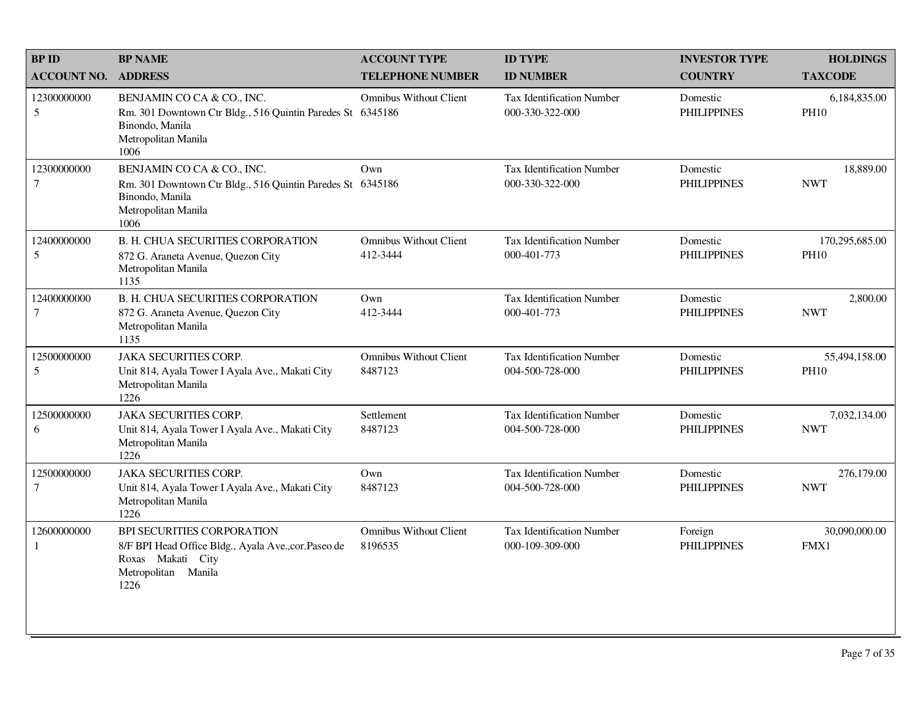| <b>BP ID</b>                    | <b>BP NAME</b>                                                                                                                             | <b>ACCOUNT TYPE</b>                       | <b>ID TYPE</b>                                      | <b>INVESTOR TYPE</b>           | <b>HOLDINGS</b>               |
|---------------------------------|--------------------------------------------------------------------------------------------------------------------------------------------|-------------------------------------------|-----------------------------------------------------|--------------------------------|-------------------------------|
| <b>ACCOUNT NO.</b>              | <b>ADDRESS</b>                                                                                                                             | <b>TELEPHONE NUMBER</b>                   | <b>ID NUMBER</b>                                    | <b>COUNTRY</b>                 | <b>TAXCODE</b>                |
| 12300000000<br>5                | BENJAMIN CO CA & CO., INC.<br>Rm. 301 Downtown Ctr Bldg., 516 Quintin Paredes St 6345186<br>Binondo, Manila<br>Metropolitan Manila<br>1006 | <b>Omnibus Without Client</b>             | Tax Identification Number<br>000-330-322-000        | Domestic<br><b>PHILIPPINES</b> | 6,184,835.00<br><b>PH10</b>   |
| 12300000000<br>$\tau$           | BENJAMIN CO CA & CO., INC.<br>Rm. 301 Downtown Ctr Bldg., 516 Quintin Paredes St 6345186<br>Binondo, Manila<br>Metropolitan Manila<br>1006 | Own                                       | <b>Tax Identification Number</b><br>000-330-322-000 | Domestic<br><b>PHILIPPINES</b> | 18,889.00<br><b>NWT</b>       |
| 12400000000<br>5                | <b>B. H. CHUA SECURITIES CORPORATION</b><br>872 G. Araneta Avenue, Quezon City<br>Metropolitan Manila<br>1135                              | <b>Omnibus Without Client</b><br>412-3444 | Tax Identification Number<br>000-401-773            | Domestic<br><b>PHILIPPINES</b> | 170,295,685.00<br><b>PH10</b> |
| 12400000000<br>$\boldsymbol{7}$ | <b>B. H. CHUA SECURITIES CORPORATION</b><br>872 G. Araneta Avenue, Quezon City<br>Metropolitan Manila<br>1135                              | Own<br>412-3444                           | <b>Tax Identification Number</b><br>000-401-773     | Domestic<br><b>PHILIPPINES</b> | 2,800.00<br><b>NWT</b>        |
| 12500000000<br>5                | <b>JAKA SECURITIES CORP.</b><br>Unit 814, Ayala Tower I Ayala Ave., Makati City<br>Metropolitan Manila<br>1226                             | <b>Omnibus Without Client</b><br>8487123  | Tax Identification Number<br>004-500-728-000        | Domestic<br><b>PHILIPPINES</b> | 55,494,158.00<br><b>PH10</b>  |
| 12500000000<br>6                | <b>JAKA SECURITIES CORP.</b><br>Unit 814, Ayala Tower I Ayala Ave., Makati City<br>Metropolitan Manila<br>1226                             | Settlement<br>8487123                     | <b>Tax Identification Number</b><br>004-500-728-000 | Domestic<br><b>PHILIPPINES</b> | 7,032,134.00<br><b>NWT</b>    |
| 12500000000<br>$\tau$           | <b>JAKA SECURITIES CORP.</b><br>Unit 814, Ayala Tower I Ayala Ave., Makati City<br>Metropolitan Manila<br>1226                             | Own<br>8487123                            | <b>Tax Identification Number</b><br>004-500-728-000 | Domestic<br><b>PHILIPPINES</b> | 276,179.00<br><b>NWT</b>      |
| 12600000000<br>1                | BPI SECURITIES CORPORATION<br>8/F BPI Head Office Bldg., Ayala Ave., cor. Paseo de<br>Roxas Makati City<br>Metropolitan Manila<br>1226     | <b>Omnibus Without Client</b><br>8196535  | Tax Identification Number<br>000-109-309-000        | Foreign<br><b>PHILIPPINES</b>  | 30,090,000.00<br>FMX1         |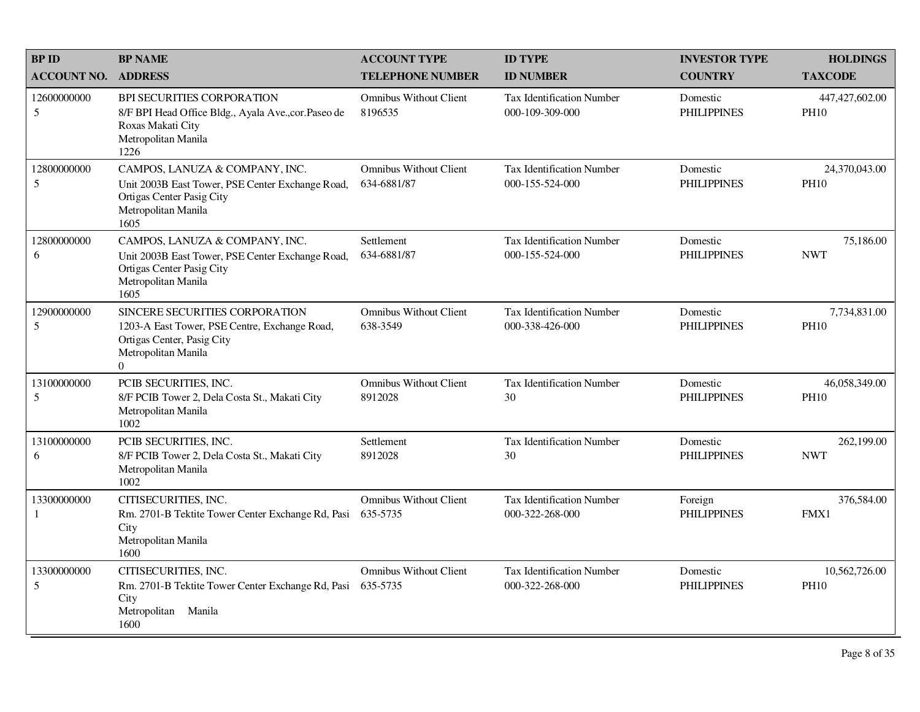| <b>BPID</b>                 | <b>BP NAME</b>                                                                                                                                   | <b>ACCOUNT TYPE</b>                          | <b>ID TYPE</b>                                      | <b>INVESTOR TYPE</b>           | <b>HOLDINGS</b>               |
|-----------------------------|--------------------------------------------------------------------------------------------------------------------------------------------------|----------------------------------------------|-----------------------------------------------------|--------------------------------|-------------------------------|
| <b>ACCOUNT NO.</b>          | <b>ADDRESS</b>                                                                                                                                   | <b>TELEPHONE NUMBER</b>                      | <b>ID NUMBER</b>                                    | <b>COUNTRY</b>                 | <b>TAXCODE</b>                |
| 12600000000<br>5            | BPI SECURITIES CORPORATION<br>8/F BPI Head Office Bldg., Ayala Ave., cor. Paseo de<br>Roxas Makati City<br>Metropolitan Manila<br>1226           | <b>Omnibus Without Client</b><br>8196535     | <b>Tax Identification Number</b><br>000-109-309-000 | Domestic<br><b>PHILIPPINES</b> | 447,427,602.00<br><b>PH10</b> |
| 12800000000<br>5            | CAMPOS, LANUZA & COMPANY, INC.<br>Unit 2003B East Tower, PSE Center Exchange Road,<br>Ortigas Center Pasig City<br>Metropolitan Manila<br>1605   | <b>Omnibus Without Client</b><br>634-6881/87 | <b>Tax Identification Number</b><br>000-155-524-000 | Domestic<br><b>PHILIPPINES</b> | 24,370,043.00<br><b>PH10</b>  |
| 12800000000<br>6            | CAMPOS, LANUZA & COMPANY, INC.<br>Unit 2003B East Tower, PSE Center Exchange Road,<br>Ortigas Center Pasig City<br>Metropolitan Manila<br>1605   | Settlement<br>634-6881/87                    | <b>Tax Identification Number</b><br>000-155-524-000 | Domestic<br><b>PHILIPPINES</b> | 75,186.00<br><b>NWT</b>       |
| 12900000000<br>5            | SINCERE SECURITIES CORPORATION<br>1203-A East Tower, PSE Centre, Exchange Road,<br>Ortigas Center, Pasig City<br>Metropolitan Manila<br>$\Omega$ | <b>Omnibus Without Client</b><br>638-3549    | <b>Tax Identification Number</b><br>000-338-426-000 | Domestic<br><b>PHILIPPINES</b> | 7,734,831.00<br><b>PH10</b>   |
| 13100000000<br>5            | PCIB SECURITIES, INC.<br>8/F PCIB Tower 2, Dela Costa St., Makati City<br>Metropolitan Manila<br>1002                                            | <b>Omnibus Without Client</b><br>8912028     | <b>Tax Identification Number</b><br>30              | Domestic<br><b>PHILIPPINES</b> | 46,058,349.00<br><b>PH10</b>  |
| 13100000000<br>6            | PCIB SECURITIES, INC.<br>8/F PCIB Tower 2, Dela Costa St., Makati City<br>Metropolitan Manila<br>1002                                            | Settlement<br>8912028                        | <b>Tax Identification Number</b><br>30              | Domestic<br><b>PHILIPPINES</b> | 262,199.00<br><b>NWT</b>      |
| 13300000000<br>$\mathbf{1}$ | CITISECURITIES, INC.<br>Rm. 2701-B Tektite Tower Center Exchange Rd, Pasi<br>City<br>Metropolitan Manila<br>1600                                 | <b>Omnibus Without Client</b><br>635-5735    | <b>Tax Identification Number</b><br>000-322-268-000 | Foreign<br><b>PHILIPPINES</b>  | 376,584.00<br>FMX1            |
| 13300000000<br>5            | CITISECURITIES, INC.<br>Rm. 2701-B Tektite Tower Center Exchange Rd, Pasi<br>City<br>Metropolitan Manila<br>1600                                 | <b>Omnibus Without Client</b><br>635-5735    | <b>Tax Identification Number</b><br>000-322-268-000 | Domestic<br><b>PHILIPPINES</b> | 10,562,726.00<br><b>PH10</b>  |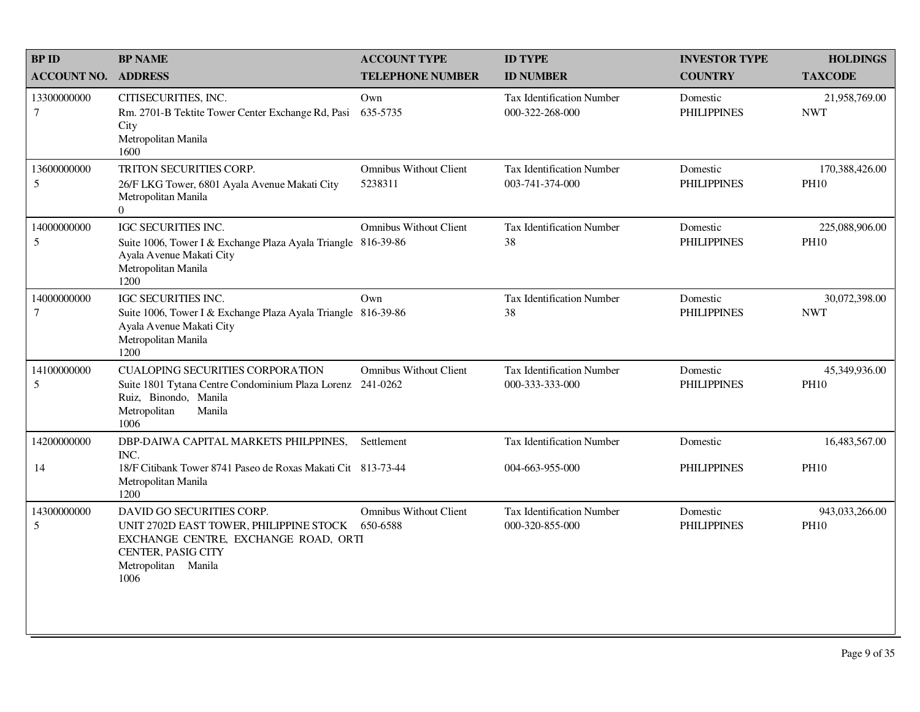| <b>BPID</b>                   | <b>BP NAME</b>                                                                                                                                                             | <b>ACCOUNT TYPE</b>                      | <b>ID TYPE</b>                                      | <b>INVESTOR TYPE</b>           | <b>HOLDINGS</b>               |
|-------------------------------|----------------------------------------------------------------------------------------------------------------------------------------------------------------------------|------------------------------------------|-----------------------------------------------------|--------------------------------|-------------------------------|
| <b>ACCOUNT NO.</b>            | <b>ADDRESS</b>                                                                                                                                                             | <b>TELEPHONE NUMBER</b>                  | <b>ID NUMBER</b>                                    | <b>COUNTRY</b>                 | <b>TAXCODE</b>                |
| 13300000000<br>$\tau$         | CITISECURITIES, INC.<br>Rm. 2701-B Tektite Tower Center Exchange Rd, Pasi<br>City<br>Metropolitan Manila<br>1600                                                           | Own<br>635-5735                          | <b>Tax Identification Number</b><br>000-322-268-000 | Domestic<br><b>PHILIPPINES</b> | 21,958,769.00<br><b>NWT</b>   |
| 13600000000<br>5              | TRITON SECURITIES CORP.<br>26/F LKG Tower, 6801 Ayala Avenue Makati City<br>Metropolitan Manila<br>$\Omega$                                                                | <b>Omnibus Without Client</b><br>5238311 | Tax Identification Number<br>003-741-374-000        | Domestic<br><b>PHILIPPINES</b> | 170,388,426.00<br><b>PH10</b> |
| 14000000000<br>5              | IGC SECURITIES INC.<br>Suite 1006, Tower I & Exchange Plaza Ayala Triangle 816-39-86<br>Ayala Avenue Makati City<br>Metropolitan Manila<br>1200                            | <b>Omnibus Without Client</b>            | Tax Identification Number<br>38                     | Domestic<br><b>PHILIPPINES</b> | 225,088,906.00<br><b>PH10</b> |
| 14000000000<br>$\overline{7}$ | IGC SECURITIES INC.<br>Suite 1006, Tower I & Exchange Plaza Ayala Triangle 816-39-86<br>Ayala Avenue Makati City<br>Metropolitan Manila<br>1200                            | Own                                      | Tax Identification Number<br>38                     | Domestic<br><b>PHILIPPINES</b> | 30,072,398.00<br><b>NWT</b>   |
| 14100000000<br>5              | <b>CUALOPING SECURITIES CORPORATION</b><br>Suite 1801 Tytana Centre Condominium Plaza Lorenz 241-0262<br>Ruiz, Binondo, Manila<br>Metropolitan<br>Manila<br>1006           | <b>Omnibus Without Client</b>            | Tax Identification Number<br>000-333-333-000        | Domestic<br><b>PHILIPPINES</b> | 45,349,936.00<br><b>PH10</b>  |
| 14200000000                   | DBP-DAIWA CAPITAL MARKETS PHILPPINES,<br>INC.                                                                                                                              | Settlement                               | Tax Identification Number                           | Domestic                       | 16,483,567.00                 |
| 14                            | 18/F Citibank Tower 8741 Paseo de Roxas Makati Cit 813-73-44<br>Metropolitan Manila<br>1200                                                                                |                                          | 004-663-955-000                                     | <b>PHILIPPINES</b>             | <b>PH10</b>                   |
| 14300000000<br>5              | DAVID GO SECURITIES CORP.<br>UNIT 2702D EAST TOWER, PHILIPPINE STOCK 650-6588<br>EXCHANGE CENTRE, EXCHANGE ROAD, ORTI<br>CENTER, PASIG CITY<br>Metropolitan Manila<br>1006 | <b>Omnibus Without Client</b>            | Tax Identification Number<br>000-320-855-000        | Domestic<br><b>PHILIPPINES</b> | 943,033,266.00<br><b>PH10</b> |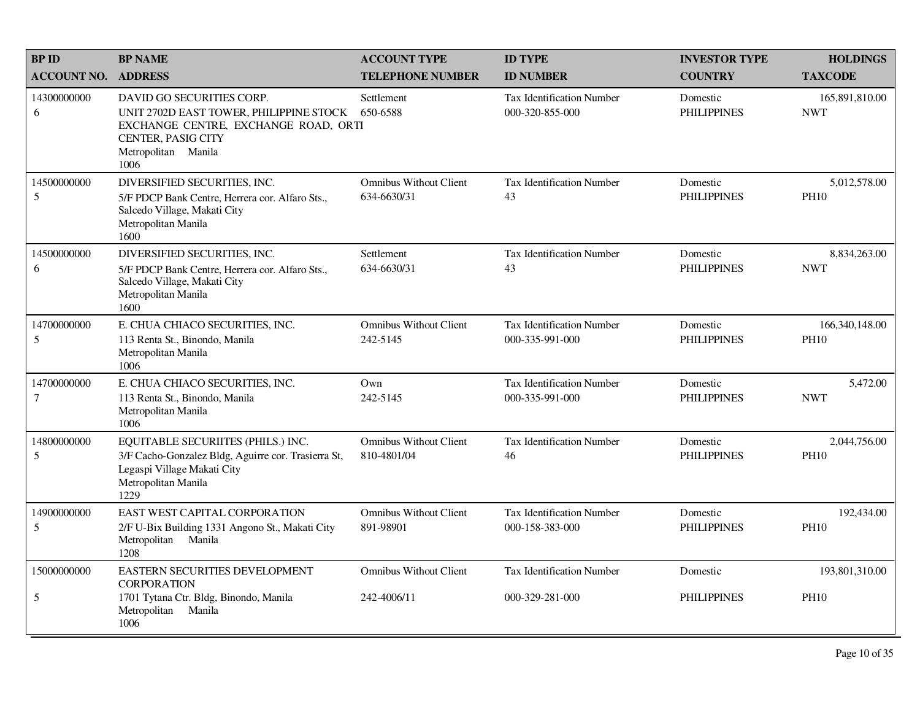| <b>BP ID</b>                  | <b>BP NAME</b>                                                                                                                                                    | <b>ACCOUNT TYPE</b>                          | <b>ID TYPE</b>                                      | <b>INVESTOR TYPE</b>           | <b>HOLDINGS</b>                 |
|-------------------------------|-------------------------------------------------------------------------------------------------------------------------------------------------------------------|----------------------------------------------|-----------------------------------------------------|--------------------------------|---------------------------------|
| <b>ACCOUNT NO.</b>            | <b>ADDRESS</b>                                                                                                                                                    | <b>TELEPHONE NUMBER</b>                      | <b>ID NUMBER</b>                                    | <b>COUNTRY</b>                 | <b>TAXCODE</b>                  |
| 14300000000<br>6              | DAVID GO SECURITIES CORP.<br>UNIT 2702D EAST TOWER, PHILIPPINE STOCK<br>EXCHANGE CENTRE, EXCHANGE ROAD, ORTI<br>CENTER, PASIG CITY<br>Metropolitan Manila<br>1006 | Settlement<br>650-6588                       | <b>Tax Identification Number</b><br>000-320-855-000 | Domestic<br><b>PHILIPPINES</b> | 165,891,810.00<br><b>NWT</b>    |
| 14500000000<br>5              | DIVERSIFIED SECURITIES, INC.<br>5/F PDCP Bank Centre, Herrera cor. Alfaro Sts.,<br>Salcedo Village, Makati City<br>Metropolitan Manila<br>1600                    | <b>Omnibus Without Client</b><br>634-6630/31 | <b>Tax Identification Number</b><br>43              | Domestic<br><b>PHILIPPINES</b> | 5,012,578.00<br><b>PH10</b>     |
| 14500000000<br>6              | DIVERSIFIED SECURITIES, INC.<br>5/F PDCP Bank Centre, Herrera cor. Alfaro Sts.,<br>Salcedo Village, Makati City<br>Metropolitan Manila<br>1600                    | Settlement<br>634-6630/31                    | Tax Identification Number<br>43                     | Domestic<br><b>PHILIPPINES</b> | 8,834,263.00<br><b>NWT</b>      |
| 14700000000<br>5              | E. CHUA CHIACO SECURITIES, INC.<br>113 Renta St., Binondo, Manila<br>Metropolitan Manila<br>1006                                                                  | <b>Omnibus Without Client</b><br>242-5145    | Tax Identification Number<br>000-335-991-000        | Domestic<br><b>PHILIPPINES</b> | 166, 340, 148.00<br><b>PH10</b> |
| 14700000000<br>$\tau$         | E. CHUA CHIACO SECURITIES, INC.<br>113 Renta St., Binondo, Manila<br>Metropolitan Manila<br>1006                                                                  | Own<br>242-5145                              | <b>Tax Identification Number</b><br>000-335-991-000 | Domestic<br><b>PHILIPPINES</b> | 5,472.00<br><b>NWT</b>          |
| 14800000000<br>5              | EQUITABLE SECURIITES (PHILS.) INC.<br>3/F Cacho-Gonzalez Bldg, Aguirre cor. Trasierra St,<br>Legaspi Village Makati City<br>Metropolitan Manila<br>1229           | <b>Omnibus Without Client</b><br>810-4801/04 | Tax Identification Number<br>46                     | Domestic<br><b>PHILIPPINES</b> | 2,044,756.00<br><b>PH10</b>     |
| 14900000000<br>5              | EAST WEST CAPITAL CORPORATION<br>2/F U-Bix Building 1331 Angono St., Makati City<br>Manila<br>Metropolitan<br>1208                                                | <b>Omnibus Without Client</b><br>891-98901   | <b>Tax Identification Number</b><br>000-158-383-000 | Domestic<br><b>PHILIPPINES</b> | 192,434.00<br><b>PH10</b>       |
| 15000000000<br>$\mathfrak{S}$ | EASTERN SECURITIES DEVELOPMENT<br><b>CORPORATION</b><br>1701 Tytana Ctr. Bldg, Binondo, Manila<br>Metropolitan<br>Manila                                          | <b>Omnibus Without Client</b><br>242-4006/11 | <b>Tax Identification Number</b><br>000-329-281-000 | Domestic<br><b>PHILIPPINES</b> | 193,801,310.00<br><b>PH10</b>   |
|                               | 1006                                                                                                                                                              |                                              |                                                     |                                |                                 |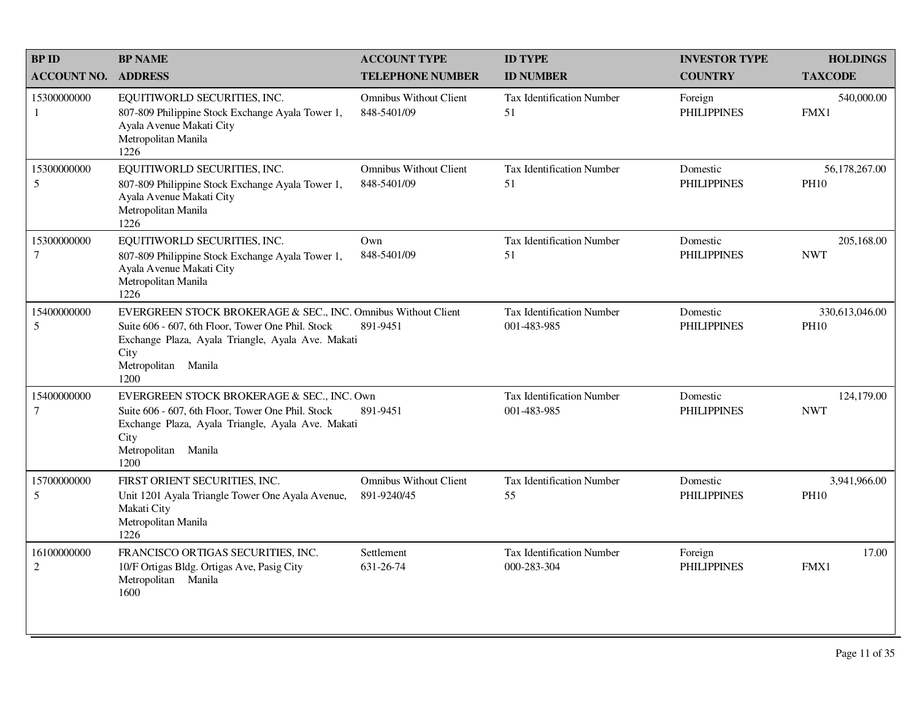| <b>BP NAME</b>                                                                                                                              | <b>ACCOUNT TYPE</b>                          | <b>ID TYPE</b>                                                                                                                                                                                                        | <b>INVESTOR TYPE</b>           | <b>HOLDINGS</b>               |
|---------------------------------------------------------------------------------------------------------------------------------------------|----------------------------------------------|-----------------------------------------------------------------------------------------------------------------------------------------------------------------------------------------------------------------------|--------------------------------|-------------------------------|
| <b>ADDRESS</b>                                                                                                                              | <b>TELEPHONE NUMBER</b>                      | <b>ID NUMBER</b>                                                                                                                                                                                                      | <b>COUNTRY</b>                 | <b>TAXCODE</b>                |
| EQUITIWORLD SECURITIES, INC.<br>807-809 Philippine Stock Exchange Ayala Tower 1,<br>Ayala Avenue Makati City<br>Metropolitan Manila<br>1226 | <b>Omnibus Without Client</b><br>848-5401/09 | <b>Tax Identification Number</b><br>51                                                                                                                                                                                | Foreign<br><b>PHILIPPINES</b>  | 540,000.00<br>FMX1            |
| EQUITIWORLD SECURITIES, INC.<br>807-809 Philippine Stock Exchange Ayala Tower 1,<br>Ayala Avenue Makati City<br>Metropolitan Manila<br>1226 | <b>Omnibus Without Client</b><br>848-5401/09 | Tax Identification Number<br>51                                                                                                                                                                                       | Domestic<br><b>PHILIPPINES</b> | 56,178,267.00<br><b>PH10</b>  |
| EQUITIWORLD SECURITIES, INC.<br>807-809 Philippine Stock Exchange Ayala Tower 1,<br>Ayala Avenue Makati City<br>Metropolitan Manila<br>1226 | Own<br>848-5401/09                           | Tax Identification Number<br>51                                                                                                                                                                                       | Domestic<br><b>PHILIPPINES</b> | 205,168.00<br><b>NWT</b>      |
| Suite 606 - 607, 6th Floor, Tower One Phil. Stock<br>City<br>Metropolitan Manila<br>1200                                                    | 891-9451                                     | Tax Identification Number<br>001-483-985                                                                                                                                                                              | Domestic<br><b>PHILIPPINES</b> | 330,613,046.00<br><b>PH10</b> |
| Suite 606 - 607, 6th Floor, Tower One Phil. Stock<br>City<br>Metropolitan Manila<br>1200                                                    | 891-9451                                     | <b>Tax Identification Number</b><br>001-483-985                                                                                                                                                                       | Domestic<br><b>PHILIPPINES</b> | 124,179.00<br><b>NWT</b>      |
| FIRST ORIENT SECURITIES, INC.<br>Unit 1201 Ayala Triangle Tower One Ayala Avenue,<br>Makati City<br>Metropolitan Manila<br>1226             | <b>Omnibus Without Client</b><br>891-9240/45 | <b>Tax Identification Number</b><br>55                                                                                                                                                                                | Domestic<br><b>PHILIPPINES</b> | 3,941,966.00<br><b>PH10</b>   |
| FRANCISCO ORTIGAS SECURITIES, INC.<br>10/F Ortigas Bldg. Ortigas Ave, Pasig City<br>Metropolitan Manila<br>1600                             | Settlement<br>631-26-74                      | <b>Tax Identification Number</b><br>000-283-304                                                                                                                                                                       | Foreign<br><b>PHILIPPINES</b>  | 17.00<br>FMX1                 |
|                                                                                                                                             |                                              | EVERGREEN STOCK BROKERAGE & SEC., INC. Omnibus Without Client<br>Exchange Plaza, Ayala Triangle, Ayala Ave. Makati<br>EVERGREEN STOCK BROKERAGE & SEC., INC. Own<br>Exchange Plaza, Ayala Triangle, Ayala Ave. Makati |                                |                               |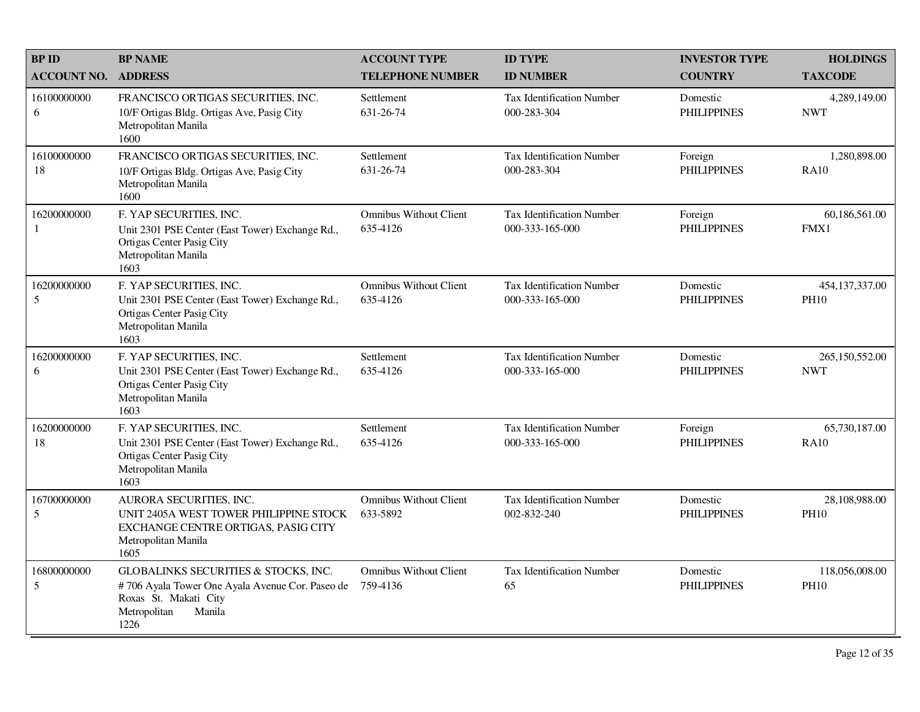| <b>BPID</b>        | <b>BP NAME</b>                                                                                                                                                | <b>ACCOUNT TYPE</b>                       | <b>ID TYPE</b>                                      | <b>INVESTOR TYPE</b>           | <b>HOLDINGS</b>               |
|--------------------|---------------------------------------------------------------------------------------------------------------------------------------------------------------|-------------------------------------------|-----------------------------------------------------|--------------------------------|-------------------------------|
| <b>ACCOUNT NO.</b> | <b>ADDRESS</b>                                                                                                                                                | <b>TELEPHONE NUMBER</b>                   | <b>ID NUMBER</b>                                    | <b>COUNTRY</b>                 | <b>TAXCODE</b>                |
| 16100000000<br>6   | FRANCISCO ORTIGAS SECURITIES, INC.<br>10/F Ortigas Bldg. Ortigas Ave, Pasig City<br>Metropolitan Manila<br>1600                                               | Settlement<br>631-26-74                   | <b>Tax Identification Number</b><br>000-283-304     | Domestic<br><b>PHILIPPINES</b> | 4,289,149.00<br><b>NWT</b>    |
| 16100000000<br>18  | FRANCISCO ORTIGAS SECURITIES, INC.<br>10/F Ortigas Bldg. Ortigas Ave, Pasig City<br>Metropolitan Manila<br>1600                                               | Settlement<br>631-26-74                   | Tax Identification Number<br>000-283-304            | Foreign<br><b>PHILIPPINES</b>  | 1,280,898.00<br><b>RA10</b>   |
| 16200000000<br>1   | F. YAP SECURITIES, INC.<br>Unit 2301 PSE Center (East Tower) Exchange Rd.,<br>Ortigas Center Pasig City<br>Metropolitan Manila<br>1603                        | <b>Omnibus Without Client</b><br>635-4126 | Tax Identification Number<br>000-333-165-000        | Foreign<br><b>PHILIPPINES</b>  | 60,186,561.00<br>FMX1         |
| 16200000000<br>5   | F. YAP SECURITIES, INC.<br>Unit 2301 PSE Center (East Tower) Exchange Rd.,<br>Ortigas Center Pasig City<br>Metropolitan Manila<br>1603                        | <b>Omnibus Without Client</b><br>635-4126 | <b>Tax Identification Number</b><br>000-333-165-000 | Domestic<br><b>PHILIPPINES</b> | 454,137,337.00<br><b>PH10</b> |
| 16200000000<br>6   | F. YAP SECURITIES, INC.<br>Unit 2301 PSE Center (East Tower) Exchange Rd.,<br>Ortigas Center Pasig City<br>Metropolitan Manila<br>1603                        | Settlement<br>635-4126                    | <b>Tax Identification Number</b><br>000-333-165-000 | Domestic<br><b>PHILIPPINES</b> | 265,150,552.00<br><b>NWT</b>  |
| 16200000000<br>18  | F. YAP SECURITIES, INC.<br>Unit 2301 PSE Center (East Tower) Exchange Rd.,<br>Ortigas Center Pasig City<br>Metropolitan Manila<br>1603                        | Settlement<br>635-4126                    | <b>Tax Identification Number</b><br>000-333-165-000 | Foreign<br><b>PHILIPPINES</b>  | 65,730,187.00<br><b>RA10</b>  |
| 16700000000<br>5   | AURORA SECURITIES, INC.<br>UNIT 2405A WEST TOWER PHILIPPINE STOCK<br>EXCHANGE CENTRE ORTIGAS, PASIG CITY<br>Metropolitan Manila<br>1605                       | <b>Omnibus Without Client</b><br>633-5892 | <b>Tax Identification Number</b><br>002-832-240     | Domestic<br><b>PHILIPPINES</b> | 28,108,988.00<br><b>PH10</b>  |
| 16800000000<br>5   | <b>GLOBALINKS SECURITIES &amp; STOCKS, INC.</b><br>#706 Ayala Tower One Ayala Avenue Cor. Paseo de<br>Roxas St. Makati City<br>Metropolitan<br>Manila<br>1226 | <b>Omnibus Without Client</b><br>759-4136 | Tax Identification Number<br>65                     | Domestic<br><b>PHILIPPINES</b> | 118,056,008.00<br><b>PH10</b> |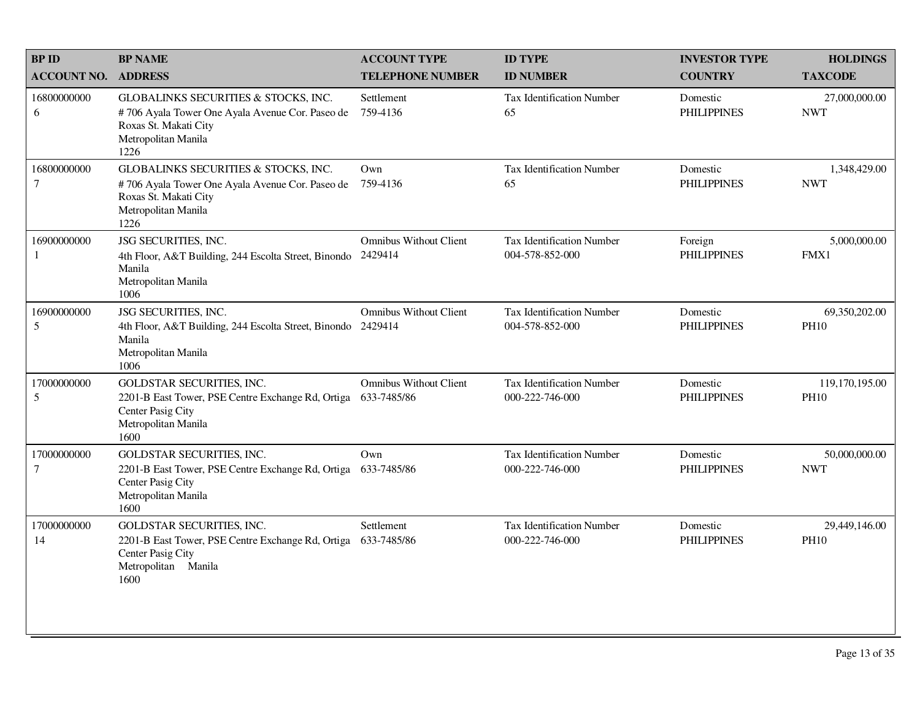| <b>BPID</b>                     | <b>BP NAME</b>                                                                                                                                  | <b>ACCOUNT TYPE</b>                          | <b>ID TYPE</b>                                      | <b>INVESTOR TYPE</b>           | <b>HOLDINGS</b>               |
|---------------------------------|-------------------------------------------------------------------------------------------------------------------------------------------------|----------------------------------------------|-----------------------------------------------------|--------------------------------|-------------------------------|
| <b>ACCOUNT NO.</b>              | <b>ADDRESS</b>                                                                                                                                  | <b>TELEPHONE NUMBER</b>                      | <b>ID NUMBER</b>                                    | <b>COUNTRY</b>                 | <b>TAXCODE</b>                |
| 16800000000<br>6                | GLOBALINKS SECURITIES & STOCKS, INC.<br>#706 Ayala Tower One Ayala Avenue Cor. Paseo de<br>Roxas St. Makati City<br>Metropolitan Manila<br>1226 | Settlement<br>759-4136                       | Tax Identification Number<br>65                     | Domestic<br><b>PHILIPPINES</b> | 27,000,000.00<br><b>NWT</b>   |
| 16800000000<br>$\tau$           | GLOBALINKS SECURITIES & STOCKS, INC.<br>#706 Ayala Tower One Ayala Avenue Cor. Paseo de<br>Roxas St. Makati City<br>Metropolitan Manila<br>1226 | Own<br>759-4136                              | Tax Identification Number<br>65                     | Domestic<br><b>PHILIPPINES</b> | 1,348,429.00<br><b>NWT</b>    |
| 16900000000<br>$\mathbf{1}$     | JSG SECURITIES, INC.<br>4th Floor, A&T Building, 244 Escolta Street, Binondo<br>Manila<br>Metropolitan Manila<br>1006                           | <b>Omnibus Without Client</b><br>2429414     | <b>Tax Identification Number</b><br>004-578-852-000 | Foreign<br><b>PHILIPPINES</b>  | 5,000,000.00<br>FMX1          |
| 16900000000<br>5                | JSG SECURITIES, INC.<br>4th Floor, A&T Building, 244 Escolta Street, Binondo 2429414<br>Manila<br>Metropolitan Manila<br>1006                   | <b>Omnibus Without Client</b>                | <b>Tax Identification Number</b><br>004-578-852-000 | Domestic<br><b>PHILIPPINES</b> | 69,350,202.00<br><b>PH10</b>  |
| 17000000000<br>5                | <b>GOLDSTAR SECURITIES, INC.</b><br>2201-B East Tower, PSE Centre Exchange Rd, Ortiga<br>Center Pasig City<br>Metropolitan Manila<br>1600       | <b>Omnibus Without Client</b><br>633-7485/86 | <b>Tax Identification Number</b><br>000-222-746-000 | Domestic<br><b>PHILIPPINES</b> | 119,170,195.00<br><b>PH10</b> |
| 17000000000<br>$\boldsymbol{7}$ | GOLDSTAR SECURITIES, INC.<br>2201-B East Tower, PSE Centre Exchange Rd, Ortiga<br>Center Pasig City<br>Metropolitan Manila<br>1600              | Own<br>633-7485/86                           | <b>Tax Identification Number</b><br>000-222-746-000 | Domestic<br><b>PHILIPPINES</b> | 50,000,000.00<br><b>NWT</b>   |
| 17000000000<br>14               | <b>GOLDSTAR SECURITIES, INC.</b><br>2201-B East Tower, PSE Centre Exchange Rd, Ortiga<br>Center Pasig City<br>Metropolitan Manila<br>1600       | Settlement<br>633-7485/86                    | Tax Identification Number<br>000-222-746-000        | Domestic<br><b>PHILIPPINES</b> | 29,449,146.00<br><b>PH10</b>  |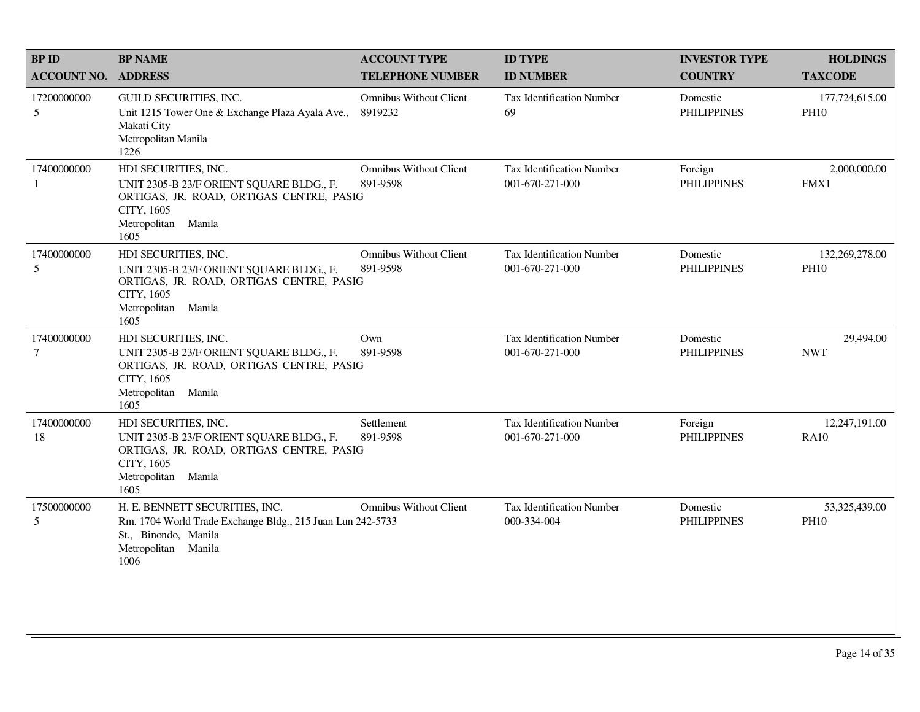| <b>BP ID</b>                  | <b>BP NAME</b>                                                                                                                                               | <b>ACCOUNT TYPE</b>                       | <b>ID TYPE</b>                                      | <b>INVESTOR TYPE</b>           | <b>HOLDINGS</b>               |
|-------------------------------|--------------------------------------------------------------------------------------------------------------------------------------------------------------|-------------------------------------------|-----------------------------------------------------|--------------------------------|-------------------------------|
| <b>ACCOUNT NO.</b>            | <b>ADDRESS</b>                                                                                                                                               | <b>TELEPHONE NUMBER</b>                   | <b>ID NUMBER</b>                                    | <b>COUNTRY</b>                 | <b>TAXCODE</b>                |
| 17200000000<br>5              | GUILD SECURITIES, INC.<br>Unit 1215 Tower One & Exchange Plaza Ayala Ave.,<br>Makati City<br>Metropolitan Manila<br>1226                                     | <b>Omnibus Without Client</b><br>8919232  | Tax Identification Number<br>69                     | Domestic<br><b>PHILIPPINES</b> | 177,724,615.00<br><b>PH10</b> |
| 17400000000<br>1              | HDI SECURITIES, INC.<br>UNIT 2305-B 23/F ORIENT SQUARE BLDG., F.<br>ORTIGAS, JR. ROAD, ORTIGAS CENTRE, PASIG<br>CITY, 1605<br>Metropolitan Manila<br>1605    | <b>Omnibus Without Client</b><br>891-9598 | Tax Identification Number<br>001-670-271-000        | Foreign<br><b>PHILIPPINES</b>  | 2,000,000.00<br>FMX1          |
| 17400000000<br>5              | HDI SECURITIES, INC.<br>UNIT 2305-B 23/F ORIENT SQUARE BLDG., F.<br>ORTIGAS, JR. ROAD, ORTIGAS CENTRE, PASIG<br>CITY, 1605<br>Manila<br>Metropolitan<br>1605 | <b>Omnibus Without Client</b><br>891-9598 | Tax Identification Number<br>001-670-271-000        | Domestic<br><b>PHILIPPINES</b> | 132,269,278.00<br><b>PH10</b> |
| 17400000000<br>$\overline{7}$ | HDI SECURITIES, INC.<br>UNIT 2305-B 23/F ORIENT SQUARE BLDG., F.<br>ORTIGAS, JR. ROAD, ORTIGAS CENTRE, PASIG<br>CITY, 1605<br>Metropolitan Manila<br>1605    | Own<br>891-9598                           | <b>Tax Identification Number</b><br>001-670-271-000 | Domestic<br><b>PHILIPPINES</b> | 29,494.00<br><b>NWT</b>       |
| 17400000000<br>18             | HDI SECURITIES, INC.<br>UNIT 2305-B 23/F ORIENT SQUARE BLDG., F.<br>ORTIGAS, JR. ROAD, ORTIGAS CENTRE, PASIG<br>CITY, 1605<br>Metropolitan<br>Manila<br>1605 | Settlement<br>891-9598                    | <b>Tax Identification Number</b><br>001-670-271-000 | Foreign<br><b>PHILIPPINES</b>  | 12,247,191.00<br><b>RA10</b>  |
| 17500000000<br>5              | H. E. BENNETT SECURITIES, INC.<br>Rm. 1704 World Trade Exchange Bldg., 215 Juan Lun 242-5733<br>St., Binondo, Manila<br>Metropolitan Manila<br>1006          | <b>Omnibus Without Client</b>             | Tax Identification Number<br>000-334-004            | Domestic<br><b>PHILIPPINES</b> | 53,325,439.00<br><b>PH10</b>  |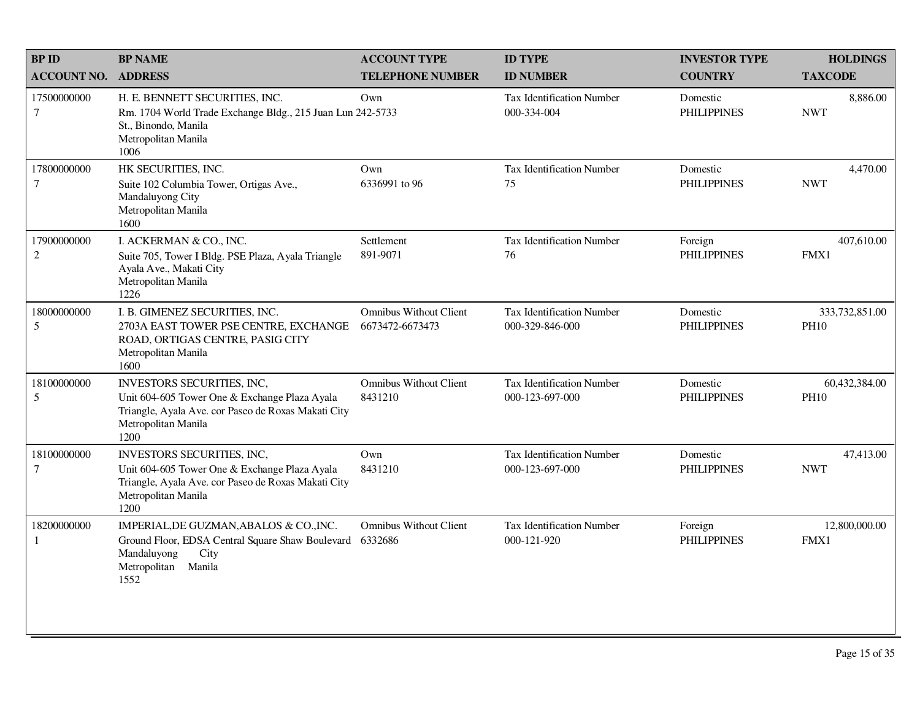| <b>BP ID</b>                | <b>BP NAME</b>                                                                                                                                                    | <b>ACCOUNT TYPE</b>                              | <b>ID TYPE</b>                                      | <b>INVESTOR TYPE</b>           | <b>HOLDINGS</b>               |
|-----------------------------|-------------------------------------------------------------------------------------------------------------------------------------------------------------------|--------------------------------------------------|-----------------------------------------------------|--------------------------------|-------------------------------|
| <b>ACCOUNT NO.</b>          | <b>ADDRESS</b>                                                                                                                                                    | <b>TELEPHONE NUMBER</b>                          | <b>ID NUMBER</b>                                    | <b>COUNTRY</b>                 | <b>TAXCODE</b>                |
| 17500000000<br>7            | H. E. BENNETT SECURITIES, INC.<br>Rm. 1704 World Trade Exchange Bldg., 215 Juan Lun 242-5733<br>St., Binondo, Manila<br>Metropolitan Manila<br>1006               | Own                                              | Tax Identification Number<br>000-334-004            | Domestic<br><b>PHILIPPINES</b> | 8,886.00<br><b>NWT</b>        |
| 17800000000<br>$\tau$       | HK SECURITIES, INC.<br>Suite 102 Columbia Tower, Ortigas Ave.,<br>Mandaluyong City<br>Metropolitan Manila<br>1600                                                 | Own<br>6336991 to 96                             | <b>Tax Identification Number</b><br>75              | Domestic<br><b>PHILIPPINES</b> | 4,470.00<br><b>NWT</b>        |
| 17900000000<br>$\sqrt{2}$   | I. ACKERMAN & CO., INC.<br>Suite 705, Tower I Bldg. PSE Plaza, Ayala Triangle<br>Ayala Ave., Makati City<br>Metropolitan Manila<br>1226                           | Settlement<br>891-9071                           | <b>Tax Identification Number</b><br>76              | Foreign<br><b>PHILIPPINES</b>  | 407,610.00<br>FMX1            |
| 18000000000<br>5            | I. B. GIMENEZ SECURITIES, INC.<br>2703A EAST TOWER PSE CENTRE, EXCHANGE<br>ROAD, ORTIGAS CENTRE, PASIG CITY<br>Metropolitan Manila<br>1600                        | <b>Omnibus Without Client</b><br>6673472-6673473 | <b>Tax Identification Number</b><br>000-329-846-000 | Domestic<br><b>PHILIPPINES</b> | 333,732,851.00<br><b>PH10</b> |
| 18100000000<br>5            | INVESTORS SECURITIES, INC,<br>Unit 604-605 Tower One & Exchange Plaza Ayala<br>Triangle, Ayala Ave. cor Paseo de Roxas Makati City<br>Metropolitan Manila<br>1200 | <b>Omnibus Without Client</b><br>8431210         | <b>Tax Identification Number</b><br>000-123-697-000 | Domestic<br><b>PHILIPPINES</b> | 60,432,384.00<br><b>PH10</b>  |
| 18100000000<br>$\tau$       | INVESTORS SECURITIES, INC,<br>Unit 604-605 Tower One & Exchange Plaza Ayala<br>Triangle, Ayala Ave. cor Paseo de Roxas Makati City<br>Metropolitan Manila<br>1200 | Own<br>8431210                                   | Tax Identification Number<br>000-123-697-000        | Domestic<br><b>PHILIPPINES</b> | 47,413.00<br><b>NWT</b>       |
| 18200000000<br>$\mathbf{1}$ | IMPERIAL, DE GUZMAN, ABALOS & CO., INC.<br>Ground Floor, EDSA Central Square Shaw Boulevard<br>Mandaluyong<br>City<br>Metropolitan<br>Manila<br>1552              | <b>Omnibus Without Client</b><br>6332686         | Tax Identification Number<br>000-121-920            | Foreign<br><b>PHILIPPINES</b>  | 12,800,000.00<br>FMX1         |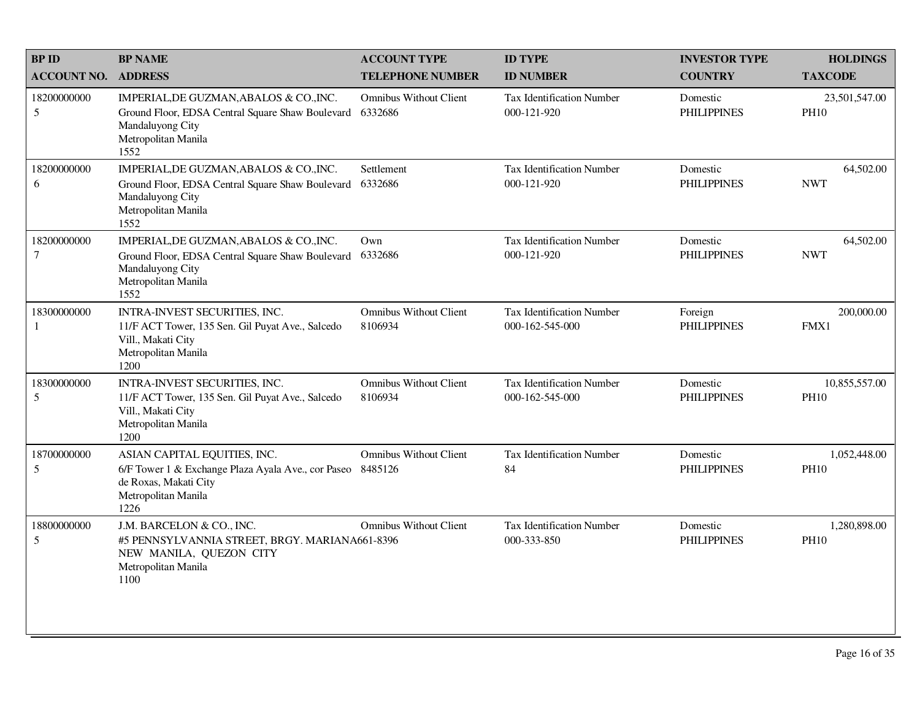| <b>BPID</b>                   | <b>BP NAME</b>                                                                                                                                     | <b>ACCOUNT TYPE</b>                      | <b>ID TYPE</b>                                      | <b>INVESTOR TYPE</b>           | <b>HOLDINGS</b>              |
|-------------------------------|----------------------------------------------------------------------------------------------------------------------------------------------------|------------------------------------------|-----------------------------------------------------|--------------------------------|------------------------------|
| <b>ACCOUNT NO.</b>            | <b>ADDRESS</b>                                                                                                                                     | <b>TELEPHONE NUMBER</b>                  | <b>ID NUMBER</b>                                    | <b>COUNTRY</b>                 | <b>TAXCODE</b>               |
| 18200000000<br>5              | IMPERIAL, DE GUZMAN, ABALOS & CO., INC.<br>Ground Floor, EDSA Central Square Shaw Boulevard<br>Mandaluyong City<br>Metropolitan Manila<br>1552     | <b>Omnibus Without Client</b><br>6332686 | Tax Identification Number<br>000-121-920            | Domestic<br><b>PHILIPPINES</b> | 23,501,547.00<br><b>PH10</b> |
| 18200000000<br>6              | IMPERIAL, DE GUZMAN, ABALOS & CO., INC.<br>Ground Floor, EDSA Central Square Shaw Boulevard<br>Mandaluyong City<br>Metropolitan Manila<br>1552     | Settlement<br>6332686                    | Tax Identification Number<br>000-121-920            | Domestic<br><b>PHILIPPINES</b> | 64,502.00<br><b>NWT</b>      |
| 18200000000<br>$\overline{7}$ | IMPERIAL, DE GUZMAN, ABALOS & CO., INC.<br>Ground Floor, EDSA Central Square Shaw Boulevard<br>Mandaluyong City<br>Metropolitan Manila<br>1552     | Own<br>6332686                           | <b>Tax Identification Number</b><br>000-121-920     | Domestic<br><b>PHILIPPINES</b> | 64,502.00<br><b>NWT</b>      |
| 18300000000<br>1              | INTRA-INVEST SECURITIES, INC.<br>11/F ACT Tower, 135 Sen. Gil Puyat Ave., Salcedo<br>Vill., Makati City<br>Metropolitan Manila<br>1200             | <b>Omnibus Without Client</b><br>8106934 | <b>Tax Identification Number</b><br>000-162-545-000 | Foreign<br><b>PHILIPPINES</b>  | 200,000.00<br>FMX1           |
| 18300000000<br>5              | INTRA-INVEST SECURITIES, INC.<br>11/F ACT Tower, 135 Sen. Gil Puyat Ave., Salcedo<br>Vill., Makati City<br>Metropolitan Manila<br>1200             | <b>Omnibus Without Client</b><br>8106934 | <b>Tax Identification Number</b><br>000-162-545-000 | Domestic<br><b>PHILIPPINES</b> | 10,855,557.00<br><b>PH10</b> |
| 18700000000<br>5              | ASIAN CAPITAL EQUITIES, INC.<br>6/F Tower 1 & Exchange Plaza Ayala Ave., cor Paseo 8485126<br>de Roxas, Makati City<br>Metropolitan Manila<br>1226 | <b>Omnibus Without Client</b>            | Tax Identification Number<br>84                     | Domestic<br><b>PHILIPPINES</b> | 1,052,448.00<br><b>PH10</b>  |
| 18800000000<br>5              | J.M. BARCELON & CO., INC.<br>#5 PENNSYLVANNIA STREET, BRGY. MARIANA661-8396<br>NEW MANILA, QUEZON CITY<br>Metropolitan Manila<br>1100              | <b>Omnibus Without Client</b>            | <b>Tax Identification Number</b><br>000-333-850     | Domestic<br><b>PHILIPPINES</b> | 1,280,898.00<br><b>PH10</b>  |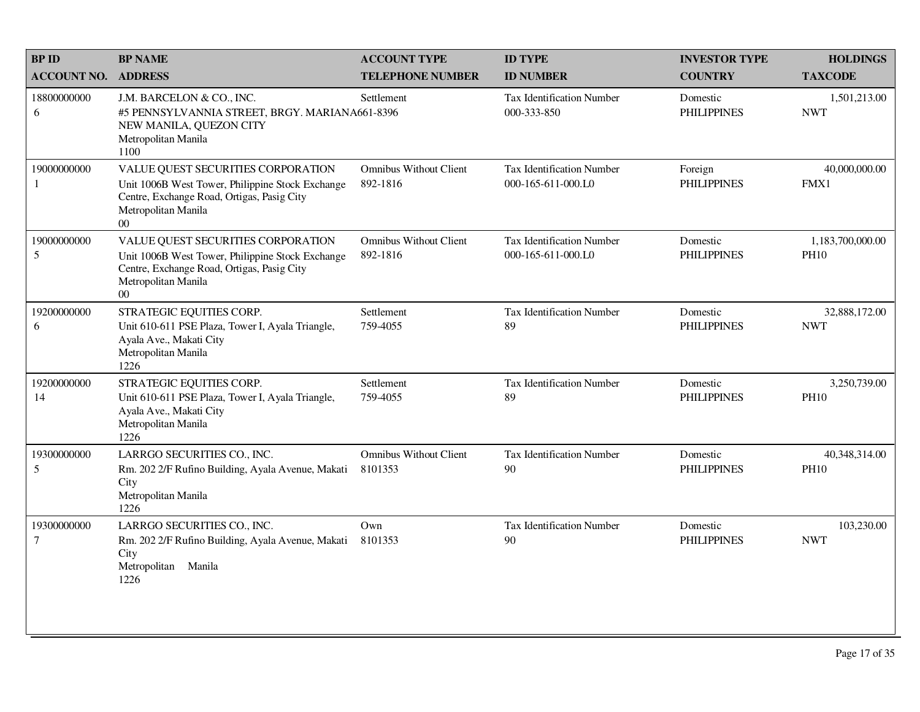| <b>BPID</b>           | <b>BP NAME</b>                                                                                                                                                        | <b>ACCOUNT TYPE</b>                       | <b>ID TYPE</b>                                         | <b>INVESTOR TYPE</b>           | <b>HOLDINGS</b>                 |
|-----------------------|-----------------------------------------------------------------------------------------------------------------------------------------------------------------------|-------------------------------------------|--------------------------------------------------------|--------------------------------|---------------------------------|
| <b>ACCOUNT NO.</b>    | <b>ADDRESS</b>                                                                                                                                                        | <b>TELEPHONE NUMBER</b>                   | <b>ID NUMBER</b>                                       | <b>COUNTRY</b>                 | <b>TAXCODE</b>                  |
| 18800000000<br>6      | J.M. BARCELON & CO., INC.<br>#5 PENNSYLVANNIA STREET, BRGY. MARIANA661-8396<br>NEW MANILA, QUEZON CITY<br>Metropolitan Manila<br>1100                                 | Settlement                                | <b>Tax Identification Number</b><br>000-333-850        | Domestic<br><b>PHILIPPINES</b> | 1,501,213.00<br><b>NWT</b>      |
| 19000000000<br>1      | VALUE QUEST SECURITIES CORPORATION<br>Unit 1006B West Tower, Philippine Stock Exchange<br>Centre, Exchange Road, Ortigas, Pasig City<br>Metropolitan Manila<br>$00\,$ | <b>Omnibus Without Client</b><br>892-1816 | <b>Tax Identification Number</b><br>000-165-611-000.L0 | Foreign<br><b>PHILIPPINES</b>  | 40,000,000.00<br>FMX1           |
| 19000000000<br>5      | VALUE QUEST SECURITIES CORPORATION<br>Unit 1006B West Tower, Philippine Stock Exchange<br>Centre, Exchange Road, Ortigas, Pasig City<br>Metropolitan Manila<br>$00\,$ | <b>Omnibus Without Client</b><br>892-1816 | <b>Tax Identification Number</b><br>000-165-611-000.L0 | Domestic<br><b>PHILIPPINES</b> | 1,183,700,000.00<br><b>PH10</b> |
| 19200000000<br>6      | STRATEGIC EQUITIES CORP.<br>Unit 610-611 PSE Plaza, Tower I, Ayala Triangle,<br>Ayala Ave., Makati City<br>Metropolitan Manila<br>1226                                | Settlement<br>759-4055                    | <b>Tax Identification Number</b><br>89                 | Domestic<br><b>PHILIPPINES</b> | 32,888,172.00<br><b>NWT</b>     |
| 19200000000<br>14     | STRATEGIC EQUITIES CORP.<br>Unit 610-611 PSE Plaza, Tower I, Ayala Triangle,<br>Ayala Ave., Makati City<br>Metropolitan Manila<br>1226                                | Settlement<br>759-4055                    | Tax Identification Number<br>89                        | Domestic<br><b>PHILIPPINES</b> | 3,250,739.00<br><b>PH10</b>     |
| 19300000000<br>5      | LARRGO SECURITIES CO., INC.<br>Rm. 202 2/F Rufino Building, Ayala Avenue, Makati<br>City<br>Metropolitan Manila<br>1226                                               | <b>Omnibus Without Client</b><br>8101353  | Tax Identification Number<br>90                        | Domestic<br><b>PHILIPPINES</b> | 40,348,314.00<br><b>PH10</b>    |
| 19300000000<br>$\tau$ | LARRGO SECURITIES CO., INC.<br>Rm. 202 2/F Rufino Building, Ayala Avenue, Makati<br>City<br>Metropolitan Manila<br>1226                                               | Own<br>8101353                            | Tax Identification Number<br>90                        | Domestic<br><b>PHILIPPINES</b> | 103,230.00<br><b>NWT</b>        |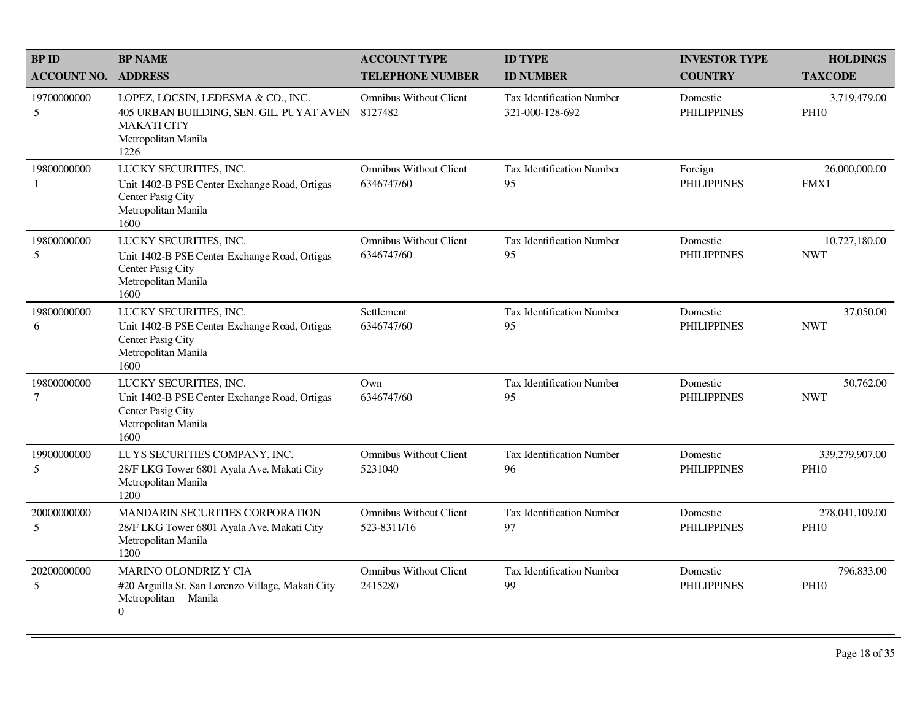| <b>BPID</b>                 | <b>BP NAME</b>                                                                                                                      | <b>ACCOUNT TYPE</b>                          | <b>ID TYPE</b>                                      | <b>INVESTOR TYPE</b>           | <b>HOLDINGS</b>               |
|-----------------------------|-------------------------------------------------------------------------------------------------------------------------------------|----------------------------------------------|-----------------------------------------------------|--------------------------------|-------------------------------|
| <b>ACCOUNT NO.</b>          | <b>ADDRESS</b>                                                                                                                      | <b>TELEPHONE NUMBER</b>                      | <b>ID NUMBER</b>                                    | <b>COUNTRY</b>                 | <b>TAXCODE</b>                |
| 19700000000<br>5            | LOPEZ, LOCSIN, LEDESMA & CO., INC.<br>405 URBAN BUILDING, SEN. GIL. PUYAT AVEN<br><b>MAKATI CITY</b><br>Metropolitan Manila<br>1226 | Omnibus Without Client<br>8127482            | <b>Tax Identification Number</b><br>321-000-128-692 | Domestic<br><b>PHILIPPINES</b> | 3,719,479.00<br><b>PH10</b>   |
| 19800000000<br>$\mathbf{1}$ | LUCKY SECURITIES, INC.<br>Unit 1402-B PSE Center Exchange Road, Ortigas<br>Center Pasig City<br>Metropolitan Manila<br>1600         | <b>Omnibus Without Client</b><br>6346747/60  | Tax Identification Number<br>95                     | Foreign<br><b>PHILIPPINES</b>  | 26,000,000.00<br>FMX1         |
| 19800000000<br>5            | LUCKY SECURITIES, INC.<br>Unit 1402-B PSE Center Exchange Road, Ortigas<br>Center Pasig City<br>Metropolitan Manila<br>1600         | <b>Omnibus Without Client</b><br>6346747/60  | <b>Tax Identification Number</b><br>95              | Domestic<br><b>PHILIPPINES</b> | 10,727,180.00<br><b>NWT</b>   |
| 19800000000<br>6            | LUCKY SECURITIES, INC.<br>Unit 1402-B PSE Center Exchange Road, Ortigas<br>Center Pasig City<br>Metropolitan Manila<br>1600         | Settlement<br>6346747/60                     | <b>Tax Identification Number</b><br>95              | Domestic<br><b>PHILIPPINES</b> | 37,050.00<br><b>NWT</b>       |
| 19800000000<br>7            | LUCKY SECURITIES, INC.<br>Unit 1402-B PSE Center Exchange Road, Ortigas<br>Center Pasig City<br>Metropolitan Manila<br>1600         | Own<br>6346747/60                            | Tax Identification Number<br>95                     | Domestic<br><b>PHILIPPINES</b> | 50,762.00<br><b>NWT</b>       |
| 19900000000<br>5            | LUYS SECURITIES COMPANY, INC.<br>28/F LKG Tower 6801 Ayala Ave. Makati City<br>Metropolitan Manila<br>1200                          | <b>Omnibus Without Client</b><br>5231040     | <b>Tax Identification Number</b><br>96              | Domestic<br><b>PHILIPPINES</b> | 339,279,907.00<br><b>PH10</b> |
| 20000000000<br>5            | MANDARIN SECURITIES CORPORATION<br>28/F LKG Tower 6801 Ayala Ave. Makati City<br>Metropolitan Manila<br>1200                        | <b>Omnibus Without Client</b><br>523-8311/16 | <b>Tax Identification Number</b><br>97              | Domestic<br><b>PHILIPPINES</b> | 278,041,109.00<br><b>PH10</b> |
| 20200000000<br>5            | MARINO OLONDRIZ Y CIA<br>#20 Arguilla St. San Lorenzo Village, Makati City<br>Metropolitan Manila<br>$\mathbf{0}$                   | <b>Omnibus Without Client</b><br>2415280     | Tax Identification Number<br>99                     | Domestic<br><b>PHILIPPINES</b> | 796,833.00<br><b>PH10</b>     |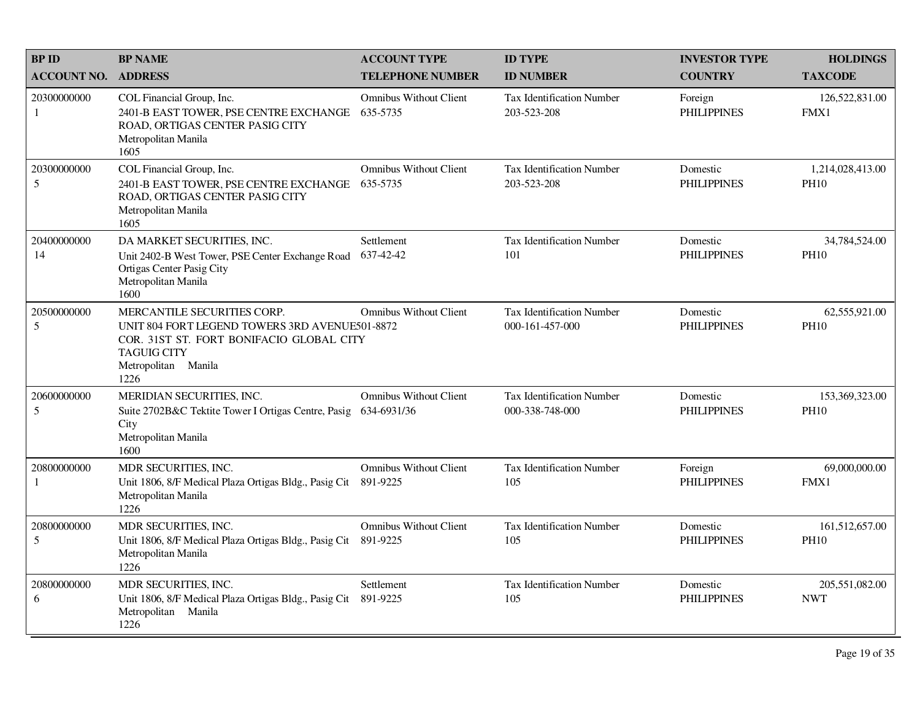| <b>BP ID</b>                  | <b>BP NAME</b>                                                                                                                                                                 | <b>ACCOUNT TYPE</b>                          | <b>ID TYPE</b>                                      | <b>INVESTOR TYPE</b>           | <b>HOLDINGS</b>                 |
|-------------------------------|--------------------------------------------------------------------------------------------------------------------------------------------------------------------------------|----------------------------------------------|-----------------------------------------------------|--------------------------------|---------------------------------|
| <b>ACCOUNT NO.</b>            | <b>ADDRESS</b>                                                                                                                                                                 | <b>TELEPHONE NUMBER</b>                      | <b>ID NUMBER</b>                                    | <b>COUNTRY</b>                 | <b>TAXCODE</b>                  |
| 20300000000<br>1              | COL Financial Group, Inc.<br>2401-B EAST TOWER, PSE CENTRE EXCHANGE<br>ROAD, ORTIGAS CENTER PASIG CITY<br>Metropolitan Manila<br>1605                                          | <b>Omnibus Without Client</b><br>635-5735    | <b>Tax Identification Number</b><br>203-523-208     | Foreign<br><b>PHILIPPINES</b>  | 126,522,831.00<br>FMX1          |
| 20300000000<br>5              | COL Financial Group, Inc.<br>2401-B EAST TOWER, PSE CENTRE EXCHANGE<br>ROAD, ORTIGAS CENTER PASIG CITY<br>Metropolitan Manila<br>1605                                          | <b>Omnibus Without Client</b><br>635-5735    | <b>Tax Identification Number</b><br>203-523-208     | Domestic<br><b>PHILIPPINES</b> | 1,214,028,413.00<br><b>PH10</b> |
| 20400000000<br>14             | DA MARKET SECURITIES, INC.<br>Unit 2402-B West Tower, PSE Center Exchange Road<br>Ortigas Center Pasig City<br>Metropolitan Manila<br>1600                                     | Settlement<br>637-42-42                      | Tax Identification Number<br>101                    | Domestic<br><b>PHILIPPINES</b> | 34,784,524.00<br><b>PH10</b>    |
| 20500000000<br>$\mathfrak{S}$ | MERCANTILE SECURITIES CORP.<br>UNIT 804 FORT LEGEND TOWERS 3RD AVENUE501-8872<br>COR. 31ST ST. FORT BONIFACIO GLOBAL CITY<br><b>TAGUIG CITY</b><br>Metropolitan Manila<br>1226 | <b>Omnibus Without Client</b>                | Tax Identification Number<br>000-161-457-000        | Domestic<br><b>PHILIPPINES</b> | 62,555,921.00<br><b>PH10</b>    |
| 20600000000<br>5              | MERIDIAN SECURITIES, INC.<br>Suite 2702B&C Tektite Tower I Ortigas Centre, Pasig<br>City<br>Metropolitan Manila<br>1600                                                        | <b>Omnibus Without Client</b><br>634-6931/36 | <b>Tax Identification Number</b><br>000-338-748-000 | Domestic<br><b>PHILIPPINES</b> | 153,369,323.00<br><b>PH10</b>   |
| 20800000000<br>1              | MDR SECURITIES, INC.<br>Unit 1806, 8/F Medical Plaza Ortigas Bldg., Pasig Cit<br>Metropolitan Manila<br>1226                                                                   | <b>Omnibus Without Client</b><br>891-9225    | Tax Identification Number<br>105                    | Foreign<br><b>PHILIPPINES</b>  | 69,000,000.00<br>FMX1           |
| 20800000000<br>5              | MDR SECURITIES, INC.<br>Unit 1806, 8/F Medical Plaza Ortigas Bldg., Pasig Cit<br>Metropolitan Manila<br>1226                                                                   | <b>Omnibus Without Client</b><br>891-9225    | Tax Identification Number<br>105                    | Domestic<br><b>PHILIPPINES</b> | 161,512,657.00<br><b>PH10</b>   |
| 20800000000<br>6              | MDR SECURITIES, INC.<br>Unit 1806, 8/F Medical Plaza Ortigas Bldg., Pasig Cit<br>Metropolitan Manila<br>1226                                                                   | Settlement<br>891-9225                       | Tax Identification Number<br>105                    | Domestic<br><b>PHILIPPINES</b> | 205,551,082.00<br><b>NWT</b>    |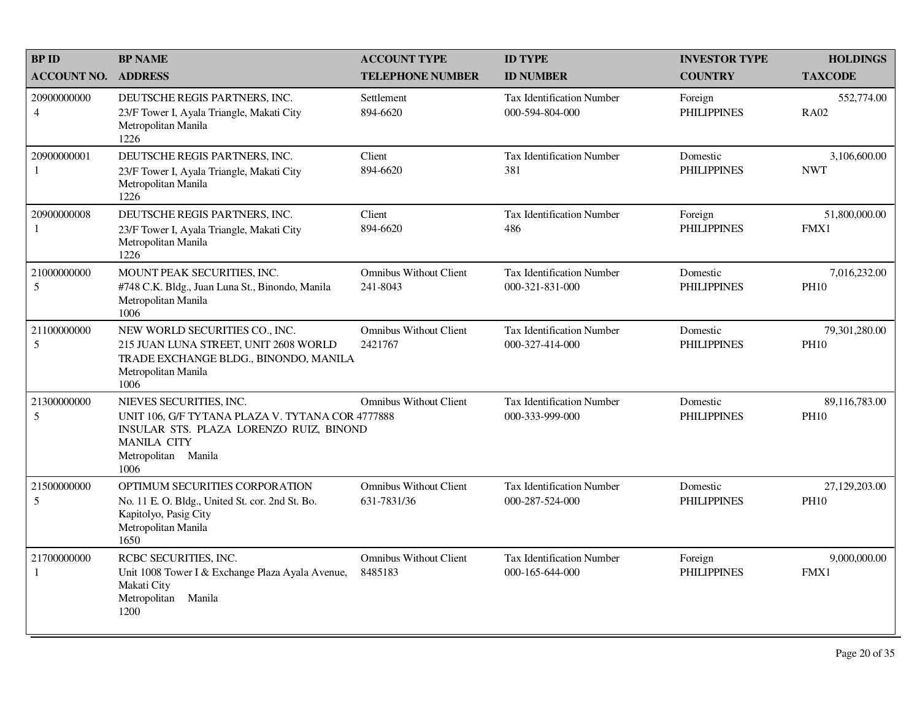| <b>BPID</b><br><b>ACCOUNT NO.</b> | <b>BP NAME</b><br><b>ADDRESS</b>                                                                                                                                            | <b>ACCOUNT TYPE</b><br><b>TELEPHONE NUMBER</b> | <b>ID TYPE</b><br><b>ID NUMBER</b>                  | <b>INVESTOR TYPE</b><br><b>COUNTRY</b> | <b>HOLDINGS</b><br><b>TAXCODE</b> |
|-----------------------------------|-----------------------------------------------------------------------------------------------------------------------------------------------------------------------------|------------------------------------------------|-----------------------------------------------------|----------------------------------------|-----------------------------------|
| 20900000000<br>$\overline{4}$     | DEUTSCHE REGIS PARTNERS, INC.<br>23/F Tower I, Ayala Triangle, Makati City<br>Metropolitan Manila<br>1226                                                                   | Settlement<br>894-6620                         | <b>Tax Identification Number</b><br>000-594-804-000 | Foreign<br><b>PHILIPPINES</b>          | 552,774.00<br><b>RA02</b>         |
| 20900000001<br>-1                 | DEUTSCHE REGIS PARTNERS, INC.<br>23/F Tower I, Ayala Triangle, Makati City<br>Metropolitan Manila<br>1226                                                                   | Client<br>894-6620                             | Tax Identification Number<br>381                    | Domestic<br><b>PHILIPPINES</b>         | 3,106,600.00<br><b>NWT</b>        |
| 20900000008<br>-1                 | DEUTSCHE REGIS PARTNERS, INC.<br>23/F Tower I, Ayala Triangle, Makati City<br>Metropolitan Manila<br>1226                                                                   | Client<br>894-6620                             | <b>Tax Identification Number</b><br>486             | Foreign<br><b>PHILIPPINES</b>          | 51,800,000.00<br>FMX1             |
| 21000000000<br>5                  | MOUNT PEAK SECURITIES, INC.<br>#748 C.K. Bldg., Juan Luna St., Binondo, Manila<br>Metropolitan Manila<br>1006                                                               | <b>Omnibus Without Client</b><br>241-8043      | <b>Tax Identification Number</b><br>000-321-831-000 | Domestic<br><b>PHILIPPINES</b>         | 7,016,232.00<br><b>PH10</b>       |
| 21100000000<br>5                  | NEW WORLD SECURITIES CO., INC.<br>215 JUAN LUNA STREET, UNIT 2608 WORLD<br>TRADE EXCHANGE BLDG., BINONDO, MANILA<br>Metropolitan Manila<br>1006                             | <b>Omnibus Without Client</b><br>2421767       | <b>Tax Identification Number</b><br>000-327-414-000 | Domestic<br><b>PHILIPPINES</b>         | 79,301,280.00<br><b>PH10</b>      |
| 21300000000<br>5                  | NIEVES SECURITIES, INC.<br>UNIT 106, G/F TYTANA PLAZA V. TYTANA COR 4777888<br>INSULAR STS. PLAZA LORENZO RUIZ, BINOND<br><b>MANILA CITY</b><br>Metropolitan Manila<br>1006 | <b>Omnibus Without Client</b>                  | <b>Tax Identification Number</b><br>000-333-999-000 | Domestic<br><b>PHILIPPINES</b>         | 89,116,783.00<br><b>PH10</b>      |
| 21500000000<br>5                  | OPTIMUM SECURITIES CORPORATION<br>No. 11 E.O. Bldg., United St. cor. 2nd St. Bo.<br>Kapitolyo, Pasig City<br>Metropolitan Manila<br>1650                                    | <b>Omnibus Without Client</b><br>631-7831/36   | <b>Tax Identification Number</b><br>000-287-524-000 | Domestic<br><b>PHILIPPINES</b>         | 27,129,203.00<br><b>PH10</b>      |
| 21700000000<br>-1                 | RCBC SECURITIES, INC.<br>Unit 1008 Tower I & Exchange Plaza Ayala Avenue,<br>Makati City<br>Metropolitan<br>Manila<br>1200                                                  | <b>Omnibus Without Client</b><br>8485183       | Tax Identification Number<br>000-165-644-000        | Foreign<br><b>PHILIPPINES</b>          | 9,000,000.00<br>FMX1              |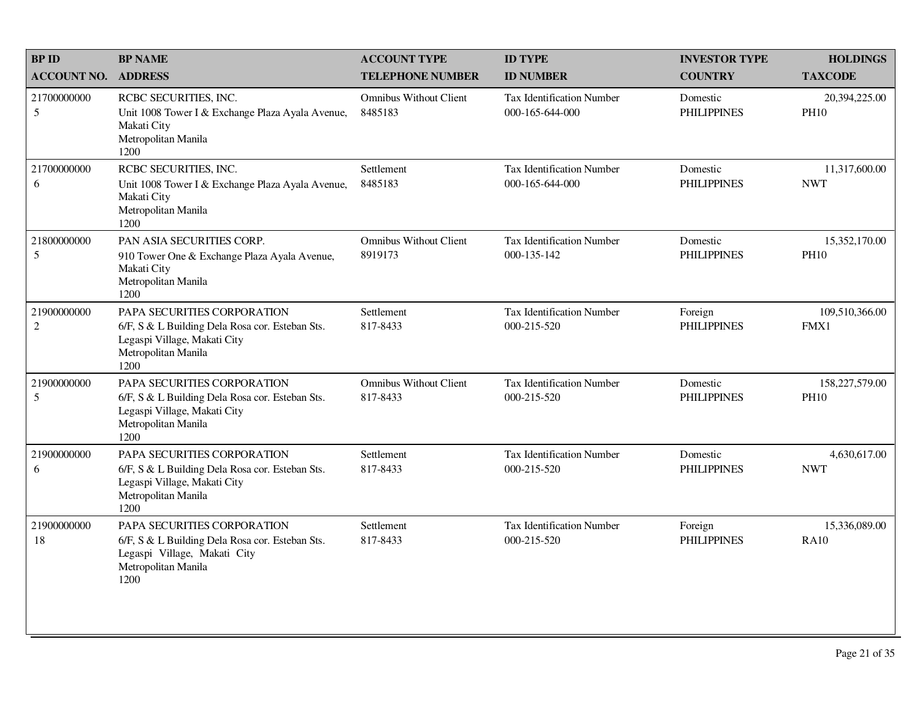| <b>BP ID</b>                  | <b>BP NAME</b>                                                                                                                                | <b>ACCOUNT TYPE</b>                       | <b>ID TYPE</b>                                      | <b>INVESTOR TYPE</b>           | <b>HOLDINGS</b>               |
|-------------------------------|-----------------------------------------------------------------------------------------------------------------------------------------------|-------------------------------------------|-----------------------------------------------------|--------------------------------|-------------------------------|
| <b>ACCOUNT NO.</b>            | <b>ADDRESS</b>                                                                                                                                | <b>TELEPHONE NUMBER</b>                   | <b>ID NUMBER</b>                                    | <b>COUNTRY</b>                 | <b>TAXCODE</b>                |
| 21700000000<br>5              | RCBC SECURITIES, INC.<br>Unit 1008 Tower I & Exchange Plaza Ayala Avenue,<br>Makati City<br>Metropolitan Manila<br>1200                       | <b>Omnibus Without Client</b><br>8485183  | Tax Identification Number<br>000-165-644-000        | Domestic<br><b>PHILIPPINES</b> | 20,394,225.00<br><b>PH10</b>  |
| 21700000000<br>6              | RCBC SECURITIES, INC.<br>Unit 1008 Tower I & Exchange Plaza Ayala Avenue,<br>Makati City<br>Metropolitan Manila<br>1200                       | Settlement<br>8485183                     | <b>Tax Identification Number</b><br>000-165-644-000 | Domestic<br><b>PHILIPPINES</b> | 11,317,600.00<br><b>NWT</b>   |
| 21800000000<br>5              | PAN ASIA SECURITIES CORP.<br>910 Tower One & Exchange Plaza Ayala Avenue,<br>Makati City<br>Metropolitan Manila<br>1200                       | <b>Omnibus Without Client</b><br>8919173  | <b>Tax Identification Number</b><br>000-135-142     | Domestic<br><b>PHILIPPINES</b> | 15,352,170.00<br><b>PH10</b>  |
| 21900000000<br>$\overline{2}$ | PAPA SECURITIES CORPORATION<br>6/F, S & L Building Dela Rosa cor. Esteban Sts.<br>Legaspi Village, Makati City<br>Metropolitan Manila<br>1200 | Settlement<br>817-8433                    | <b>Tax Identification Number</b><br>000-215-520     | Foreign<br><b>PHILIPPINES</b>  | 109,510,366.00<br>FMX1        |
| 21900000000<br>5              | PAPA SECURITIES CORPORATION<br>6/F, S & L Building Dela Rosa cor. Esteban Sts.<br>Legaspi Village, Makati City<br>Metropolitan Manila<br>1200 | <b>Omnibus Without Client</b><br>817-8433 | <b>Tax Identification Number</b><br>000-215-520     | Domestic<br><b>PHILIPPINES</b> | 158,227,579.00<br><b>PH10</b> |
| 21900000000<br>6              | PAPA SECURITIES CORPORATION<br>6/F, S & L Building Dela Rosa cor. Esteban Sts.<br>Legaspi Village, Makati City<br>Metropolitan Manila<br>1200 | Settlement<br>817-8433                    | <b>Tax Identification Number</b><br>000-215-520     | Domestic<br><b>PHILIPPINES</b> | 4,630,617.00<br><b>NWT</b>    |
| 21900000000<br>18             | PAPA SECURITIES CORPORATION<br>6/F, S & L Building Dela Rosa cor. Esteban Sts.<br>Legaspi Village, Makati City<br>Metropolitan Manila<br>1200 | Settlement<br>817-8433                    | Tax Identification Number<br>000-215-520            | Foreign<br><b>PHILIPPINES</b>  | 15,336,089.00<br><b>RA10</b>  |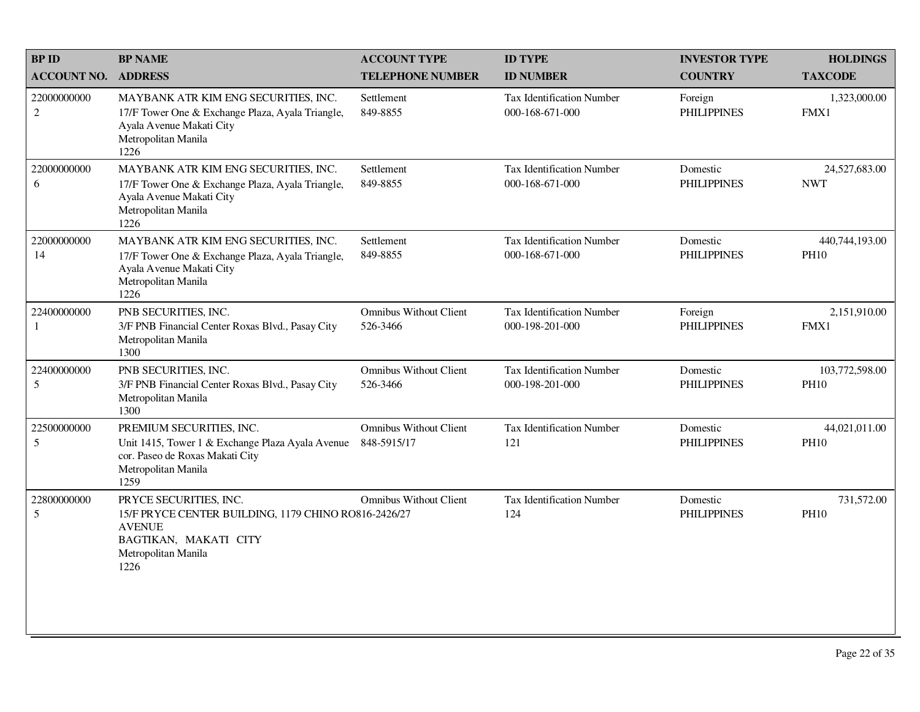| <b>BP NAME</b>                                                                                                                                      | <b>ACCOUNT TYPE</b>                          | <b>ID TYPE</b>                                       | <b>INVESTOR TYPE</b>           | <b>HOLDINGS</b>               |
|-----------------------------------------------------------------------------------------------------------------------------------------------------|----------------------------------------------|------------------------------------------------------|--------------------------------|-------------------------------|
| <b>ADDRESS</b>                                                                                                                                      | <b>TELEPHONE NUMBER</b>                      | <b>ID NUMBER</b>                                     | <b>COUNTRY</b>                 | <b>TAXCODE</b>                |
| MAYBANK ATR KIM ENG SECURITIES, INC.<br>17/F Tower One & Exchange Plaza, Ayala Triangle,<br>Ayala Avenue Makati City<br>Metropolitan Manila<br>1226 | Settlement<br>849-8855                       | <b>Tax Identification Number</b><br>000-168-671-000  | Foreign<br><b>PHILIPPINES</b>  | 1,323,000.00<br>FMX1          |
| MAYBANK ATR KIM ENG SECURITIES, INC.<br>17/F Tower One & Exchange Plaza, Ayala Triangle,<br>Ayala Avenue Makati City<br>Metropolitan Manila<br>1226 | Settlement<br>849-8855                       | Tax Identification Number<br>000-168-671-000         | Domestic<br><b>PHILIPPINES</b> | 24,527,683.00<br><b>NWT</b>   |
| MAYBANK ATR KIM ENG SECURITIES, INC.<br>17/F Tower One & Exchange Plaza, Ayala Triangle,<br>Ayala Avenue Makati City<br>Metropolitan Manila<br>1226 | Settlement<br>849-8855                       | <b>Tax Identification Number</b><br>000-168-671-000  | Domestic<br><b>PHILIPPINES</b> | 440,744,193.00<br><b>PH10</b> |
| PNB SECURITIES, INC.<br>3/F PNB Financial Center Roxas Blvd., Pasay City<br>Metropolitan Manila<br>1300                                             | <b>Omnibus Without Client</b><br>526-3466    | <b>Tax Identification Number</b><br>000-198-201-000  | Foreign<br><b>PHILIPPINES</b>  | 2,151,910.00<br>FMX1          |
| PNB SECURITIES, INC.<br>3/F PNB Financial Center Roxas Blvd., Pasay City<br>Metropolitan Manila<br>1300                                             | <b>Omnibus Without Client</b><br>526-3466    | <b>Tax Identification Number</b><br>000-198-201-000  | Domestic<br><b>PHILIPPINES</b> | 103,772,598.00<br><b>PH10</b> |
| PREMIUM SECURITIES, INC.<br>Unit 1415, Tower 1 & Exchange Plaza Ayala Avenue<br>cor. Paseo de Roxas Makati City<br>Metropolitan Manila<br>1259      | <b>Omnibus Without Client</b><br>848-5915/17 | Tax Identification Number<br>121                     | Domestic<br><b>PHILIPPINES</b> | 44,021,011.00<br><b>PH10</b>  |
| PRYCE SECURITIES, INC.<br><b>AVENUE</b><br>BAGTIKAN, MAKATI CITY<br>Metropolitan Manila<br>1226                                                     | <b>Omnibus Without Client</b>                | <b>Tax Identification Number</b><br>124              | Domestic<br><b>PHILIPPINES</b> | 731,572.00<br><b>PH10</b>     |
|                                                                                                                                                     |                                              | 15/F PRYCE CENTER BUILDING, 1179 CHINO RO816-2426/27 |                                |                               |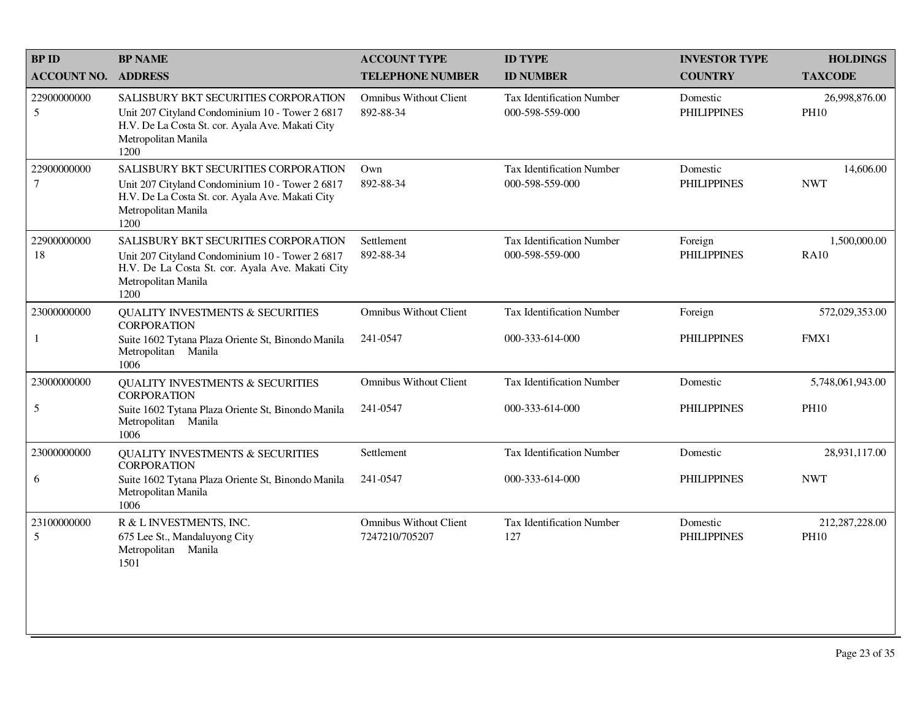| <b>BP NAME</b>                                                                                                                                                             | <b>ACCOUNT TYPE</b>                                        | <b>ID TYPE</b>                                      | <b>INVESTOR TYPE</b>           | <b>HOLDINGS</b>               |
|----------------------------------------------------------------------------------------------------------------------------------------------------------------------------|------------------------------------------------------------|-----------------------------------------------------|--------------------------------|-------------------------------|
|                                                                                                                                                                            | <b>TELEPHONE NUMBER</b>                                    | <b>ID NUMBER</b>                                    | <b>COUNTRY</b>                 | <b>TAXCODE</b>                |
| SALISBURY BKT SECURITIES CORPORATION<br>Unit 207 Cityland Condominium 10 - Tower 2 6817<br>H.V. De La Costa St. cor. Ayala Ave. Makati City<br>Metropolitan Manila<br>1200 | <b>Omnibus Without Client</b><br>892-88-34                 | <b>Tax Identification Number</b><br>000-598-559-000 | Domestic<br><b>PHILIPPINES</b> | 26,998,876.00<br><b>PH10</b>  |
| SALISBURY BKT SECURITIES CORPORATION<br>Unit 207 Cityland Condominium 10 - Tower 2 6817<br>H.V. De La Costa St. cor. Ayala Ave. Makati City<br>Metropolitan Manila<br>1200 | Own<br>892-88-34                                           | Tax Identification Number<br>000-598-559-000        | Domestic<br><b>PHILIPPINES</b> | 14,606.00<br><b>NWT</b>       |
| SALISBURY BKT SECURITIES CORPORATION<br>Unit 207 Cityland Condominium 10 - Tower 2 6817<br>H.V. De La Costa St. cor. Ayala Ave. Makati City<br>Metropolitan Manila<br>1200 | Settlement<br>892-88-34                                    | <b>Tax Identification Number</b><br>000-598-559-000 | Foreign<br><b>PHILIPPINES</b>  | 1,500,000.00<br><b>RA10</b>   |
| <b>QUALITY INVESTMENTS &amp; SECURITIES</b>                                                                                                                                | <b>Omnibus Without Client</b>                              | Tax Identification Number                           | Foreign                        | 572,029,353.00                |
| Suite 1602 Tytana Plaza Oriente St, Binondo Manila<br>Metropolitan Manila<br>1006                                                                                          | 241-0547                                                   | 000-333-614-000                                     | <b>PHILIPPINES</b>             | FMX1                          |
| QUALITY INVESTMENTS & SECURITIES<br><b>CORPORATION</b>                                                                                                                     | <b>Omnibus Without Client</b>                              | Tax Identification Number                           | Domestic                       | 5,748,061,943.00              |
| Suite 1602 Tytana Plaza Oriente St, Binondo Manila<br>Metropolitan Manila<br>1006                                                                                          | 241-0547                                                   | 000-333-614-000                                     | <b>PHILIPPINES</b>             | <b>PH10</b>                   |
| <b>QUALITY INVESTMENTS &amp; SECURITIES</b>                                                                                                                                | Settlement                                                 | <b>Tax Identification Number</b>                    | Domestic                       | 28,931,117.00                 |
| Suite 1602 Tytana Plaza Oriente St, Binondo Manila<br>Metropolitan Manila<br>1006                                                                                          | 241-0547                                                   | 000-333-614-000                                     | <b>PHILIPPINES</b>             | <b>NWT</b>                    |
| R & L INVESTMENTS, INC.<br>675 Lee St., Mandaluyong City<br>Metropolitan Manila<br>1501                                                                                    | <b>Omnibus Without Client</b><br>7247210/705207            | <b>Tax Identification Number</b><br>127             | Domestic<br><b>PHILIPPINES</b> | 212,287,228.00<br><b>PH10</b> |
|                                                                                                                                                                            | <b>ADDRESS</b><br><b>CORPORATION</b><br><b>CORPORATION</b> |                                                     |                                |                               |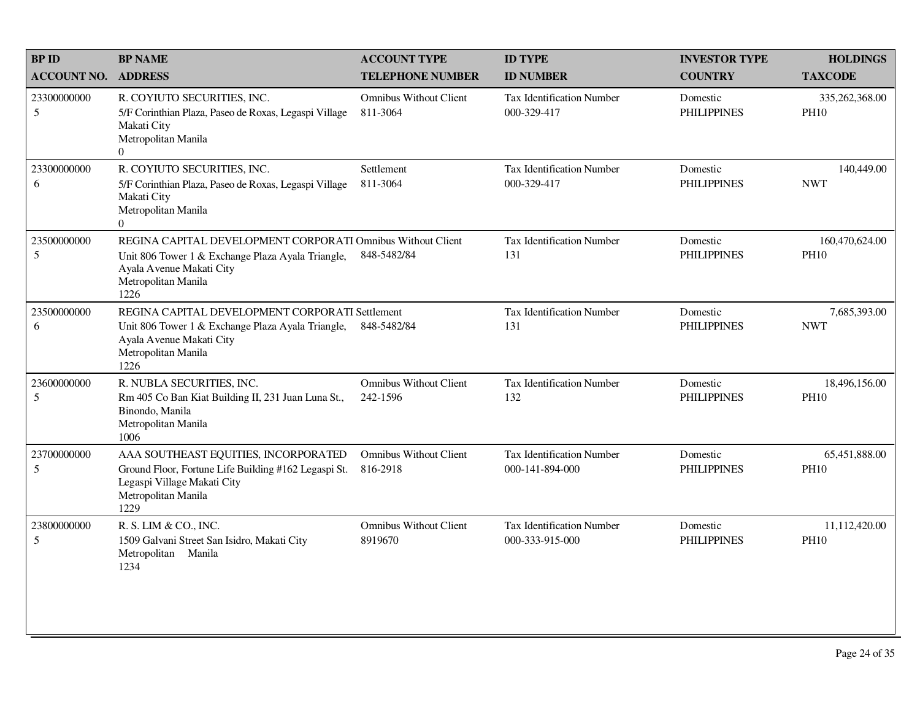| <b>BP ID</b>       | <b>BP NAME</b>                                                                                                                                                              | <b>ACCOUNT TYPE</b>                       | <b>ID TYPE</b>                                      | <b>INVESTOR TYPE</b>           | <b>HOLDINGS</b>               |
|--------------------|-----------------------------------------------------------------------------------------------------------------------------------------------------------------------------|-------------------------------------------|-----------------------------------------------------|--------------------------------|-------------------------------|
| <b>ACCOUNT NO.</b> | <b>ADDRESS</b>                                                                                                                                                              | <b>TELEPHONE NUMBER</b>                   | <b>ID NUMBER</b>                                    | <b>COUNTRY</b>                 | <b>TAXCODE</b>                |
| 23300000000<br>5   | R. COYIUTO SECURITIES, INC.<br>5/F Corinthian Plaza, Paseo de Roxas, Legaspi Village<br>Makati City<br>Metropolitan Manila<br>$\Omega$                                      | <b>Omnibus Without Client</b><br>811-3064 | <b>Tax Identification Number</b><br>000-329-417     | Domestic<br><b>PHILIPPINES</b> | 335,262,368.00<br><b>PH10</b> |
| 23300000000<br>6   | R. COYIUTO SECURITIES, INC.<br>5/F Corinthian Plaza, Paseo de Roxas, Legaspi Village<br>Makati City<br>Metropolitan Manila<br>$\overline{0}$                                | Settlement<br>811-3064                    | Tax Identification Number<br>000-329-417            | Domestic<br><b>PHILIPPINES</b> | 140,449.00<br><b>NWT</b>      |
| 23500000000<br>5   | REGINA CAPITAL DEVELOPMENT CORPORATI Omnibus Without Client<br>Unit 806 Tower 1 & Exchange Plaza Ayala Triangle,<br>Ayala Avenue Makati City<br>Metropolitan Manila<br>1226 | 848-5482/84                               | <b>Tax Identification Number</b><br>131             | Domestic<br><b>PHILIPPINES</b> | 160,470,624.00<br><b>PH10</b> |
| 23500000000<br>6   | REGINA CAPITAL DEVELOPMENT CORPORATI Settlement<br>Unit 806 Tower 1 & Exchange Plaza Ayala Triangle,<br>Ayala Avenue Makati City<br>Metropolitan Manila<br>1226             | 848-5482/84                               | <b>Tax Identification Number</b><br>131             | Domestic<br><b>PHILIPPINES</b> | 7,685,393.00<br><b>NWT</b>    |
| 23600000000<br>5   | R. NUBLA SECURITIES, INC.<br>Rm 405 Co Ban Kiat Building II, 231 Juan Luna St.,<br>Binondo, Manila<br>Metropolitan Manila<br>1006                                           | <b>Omnibus Without Client</b><br>242-1596 | <b>Tax Identification Number</b><br>132             | Domestic<br><b>PHILIPPINES</b> | 18,496,156.00<br><b>PH10</b>  |
| 23700000000<br>5   | AAA SOUTHEAST EQUITIES, INCORPORATED<br>Ground Floor, Fortune Life Building #162 Legaspi St.<br>Legaspi Village Makati City<br>Metropolitan Manila<br>1229                  | <b>Omnibus Without Client</b><br>816-2918 | <b>Tax Identification Number</b><br>000-141-894-000 | Domestic<br><b>PHILIPPINES</b> | 65,451,888.00<br><b>PH10</b>  |
| 23800000000<br>5   | R. S. LIM & CO., INC.<br>1509 Galvani Street San Isidro, Makati City<br>Metropolitan Manila<br>1234                                                                         | <b>Omnibus Without Client</b><br>8919670  | <b>Tax Identification Number</b><br>000-333-915-000 | Domestic<br><b>PHILIPPINES</b> | 11,112,420.00<br><b>PH10</b>  |
|                    |                                                                                                                                                                             |                                           |                                                     |                                |                               |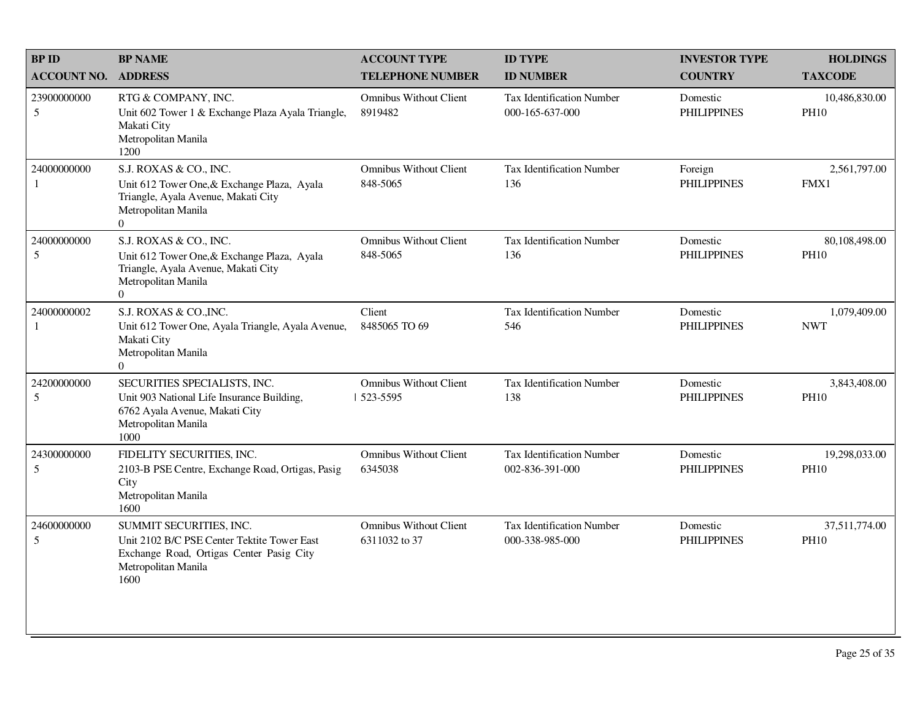| <b>BP ID</b>                   | <b>BP NAME</b>                                                                                                                                        | <b>ACCOUNT TYPE</b>                            | <b>ID TYPE</b>                                      | <b>INVESTOR TYPE</b>           | <b>HOLDINGS</b>              |
|--------------------------------|-------------------------------------------------------------------------------------------------------------------------------------------------------|------------------------------------------------|-----------------------------------------------------|--------------------------------|------------------------------|
| <b>ACCOUNT NO.</b>             | <b>ADDRESS</b>                                                                                                                                        | <b>TELEPHONE NUMBER</b>                        | <b>ID NUMBER</b>                                    | <b>COUNTRY</b>                 | <b>TAXCODE</b>               |
| 23900000000<br>5               | RTG & COMPANY, INC.<br>Unit 602 Tower 1 & Exchange Plaza Ayala Triangle,<br>Makati City<br>Metropolitan Manila<br>1200                                | <b>Omnibus Without Client</b><br>8919482       | <b>Tax Identification Number</b><br>000-165-637-000 | Domestic<br><b>PHILIPPINES</b> | 10,486,830.00<br><b>PH10</b> |
| 24000000000<br>1               | S.J. ROXAS & CO., INC.<br>Unit 612 Tower One, & Exchange Plaza, Ayala<br>Triangle, Ayala Avenue, Makati City<br>Metropolitan Manila<br>$\overline{0}$ | <b>Omnibus Without Client</b><br>848-5065      | Tax Identification Number<br>136                    | Foreign<br><b>PHILIPPINES</b>  | 2,561,797.00<br>FMX1         |
| 24000000000<br>5               | S.J. ROXAS & CO., INC.<br>Unit 612 Tower One, & Exchange Plaza, Ayala<br>Triangle, Ayala Avenue, Makati City<br>Metropolitan Manila<br>$\Omega$       | <b>Omnibus Without Client</b><br>848-5065      | <b>Tax Identification Number</b><br>136             | Domestic<br><b>PHILIPPINES</b> | 80,108,498.00<br><b>PH10</b> |
| 24000000002<br>1               | S.J. ROXAS & CO., INC.<br>Unit 612 Tower One, Ayala Triangle, Ayala Avenue,<br>Makati City<br>Metropolitan Manila<br>$\Omega$                         | Client<br>8485065 TO 69                        | <b>Tax Identification Number</b><br>546             | Domestic<br><b>PHILIPPINES</b> | 1,079,409.00<br><b>NWT</b>   |
| 24200000000<br>5               | SECURITIES SPECIALISTS, INC.<br>Unit 903 National Life Insurance Building,<br>6762 Ayala Avenue, Makati City<br>Metropolitan Manila<br>1000           | <b>Omnibus Without Client</b><br>  523-5595    | <b>Tax Identification Number</b><br>138             | Domestic<br><b>PHILIPPINES</b> | 3,843,408.00<br><b>PH10</b>  |
| 24300000000<br>5               | FIDELITY SECURITIES, INC.<br>2103-B PSE Centre, Exchange Road, Ortigas, Pasig<br>City<br>Metropolitan Manila<br>1600                                  | <b>Omnibus Without Client</b><br>6345038       | Tax Identification Number<br>002-836-391-000        | Domestic<br><b>PHILIPPINES</b> | 19,298,033.00<br><b>PH10</b> |
| 24600000000<br>$5\overline{)}$ | SUMMIT SECURITIES, INC.<br>Unit 2102 B/C PSE Center Tektite Tower East<br>Exchange Road, Ortigas Center Pasig City<br>Metropolitan Manila<br>1600     | <b>Omnibus Without Client</b><br>6311032 to 37 | Tax Identification Number<br>000-338-985-000        | Domestic<br><b>PHILIPPINES</b> | 37,511,774.00<br><b>PH10</b> |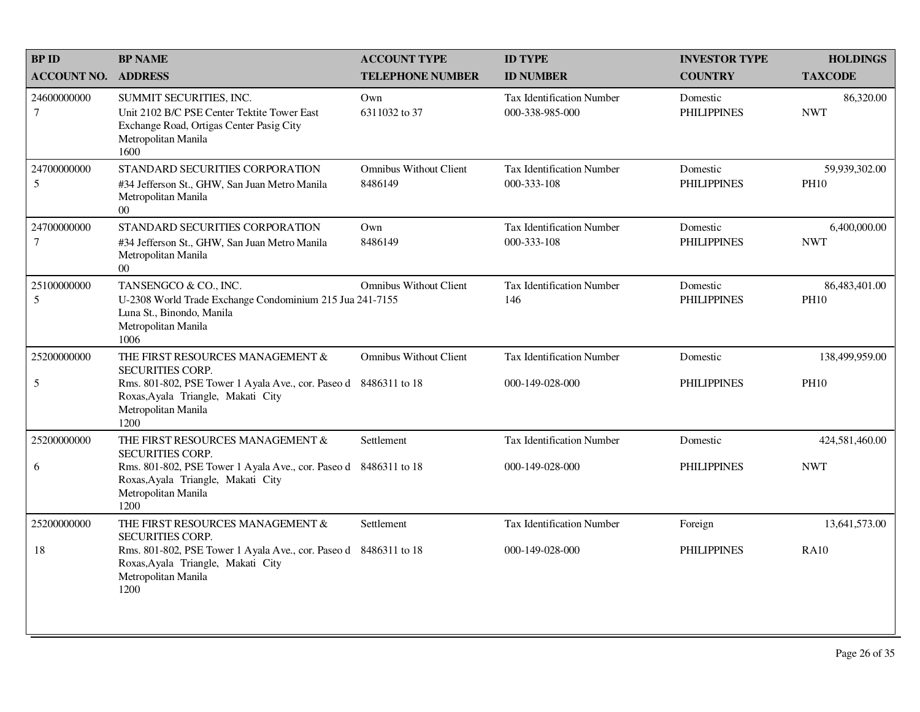| <b>BPID</b>           | <b>BP NAME</b>                                                                                                                                    | <b>ACCOUNT TYPE</b>                      | <b>ID TYPE</b>                                      | <b>INVESTOR TYPE</b>           | <b>HOLDINGS</b>              |
|-----------------------|---------------------------------------------------------------------------------------------------------------------------------------------------|------------------------------------------|-----------------------------------------------------|--------------------------------|------------------------------|
| <b>ACCOUNT NO.</b>    | <b>ADDRESS</b>                                                                                                                                    | <b>TELEPHONE NUMBER</b>                  | <b>ID NUMBER</b>                                    | <b>COUNTRY</b>                 | <b>TAXCODE</b>               |
| 24600000000<br>$\tau$ | SUMMIT SECURITIES, INC.<br>Unit 2102 B/C PSE Center Tektite Tower East<br>Exchange Road, Ortigas Center Pasig City<br>Metropolitan Manila<br>1600 | Own<br>6311032 to 37                     | <b>Tax Identification Number</b><br>000-338-985-000 | Domestic<br><b>PHILIPPINES</b> | 86,320.00<br><b>NWT</b>      |
| 24700000000<br>5      | STANDARD SECURITIES CORPORATION<br>#34 Jefferson St., GHW, San Juan Metro Manila<br>Metropolitan Manila<br>00 <sup>1</sup>                        | <b>Omnibus Without Client</b><br>8486149 | <b>Tax Identification Number</b><br>000-333-108     | Domestic<br><b>PHILIPPINES</b> | 59,939,302.00<br><b>PH10</b> |
| 24700000000<br>$\tau$ | STANDARD SECURITIES CORPORATION<br>#34 Jefferson St., GHW, San Juan Metro Manila<br>Metropolitan Manila<br>$00\,$                                 | Own<br>8486149                           | <b>Tax Identification Number</b><br>000-333-108     | Domestic<br><b>PHILIPPINES</b> | 6,400,000.00<br><b>NWT</b>   |
| 25100000000<br>5      | TANSENGCO & CO., INC.<br>U-2308 World Trade Exchange Condominium 215 Jua 241-7155<br>Luna St., Binondo, Manila<br>Metropolitan Manila<br>1006     | <b>Omnibus Without Client</b>            | <b>Tax Identification Number</b><br>146             | Domestic<br><b>PHILIPPINES</b> | 86,483,401.00<br><b>PH10</b> |
| 25200000000           | THE FIRST RESOURCES MANAGEMENT &<br><b>SECURITIES CORP.</b>                                                                                       | <b>Omnibus Without Client</b>            | Tax Identification Number                           | Domestic                       | 138,499,959.00               |
| $\sqrt{5}$            | Rms. 801-802, PSE Tower 1 Ayala Ave., cor. Paseo d 8486311 to 18<br>Roxas, Ayala Triangle, Makati City<br>Metropolitan Manila<br>1200             |                                          | 000-149-028-000                                     | <b>PHILIPPINES</b>             | <b>PH10</b>                  |
| 25200000000           | THE FIRST RESOURCES MANAGEMENT $\&$<br><b>SECURITIES CORP.</b>                                                                                    | Settlement                               | Tax Identification Number                           | Domestic                       | 424,581,460.00               |
| 6                     | Rms. 801-802, PSE Tower 1 Ayala Ave., cor. Paseo d 8486311 to 18<br>Roxas, Ayala Triangle, Makati City<br>Metropolitan Manila<br>1200             |                                          | 000-149-028-000                                     | <b>PHILIPPINES</b>             | <b>NWT</b>                   |
| 25200000000           | THE FIRST RESOURCES MANAGEMENT &<br><b>SECURITIES CORP.</b>                                                                                       | Settlement                               | Tax Identification Number                           | Foreign                        | 13,641,573.00                |
| 18                    | Rms. 801-802, PSE Tower 1 Ayala Ave., cor. Paseo d 8486311 to 18<br>Roxas, Ayala Triangle, Makati City<br>Metropolitan Manila<br>1200             |                                          | 000-149-028-000                                     | <b>PHILIPPINES</b>             | <b>RA10</b>                  |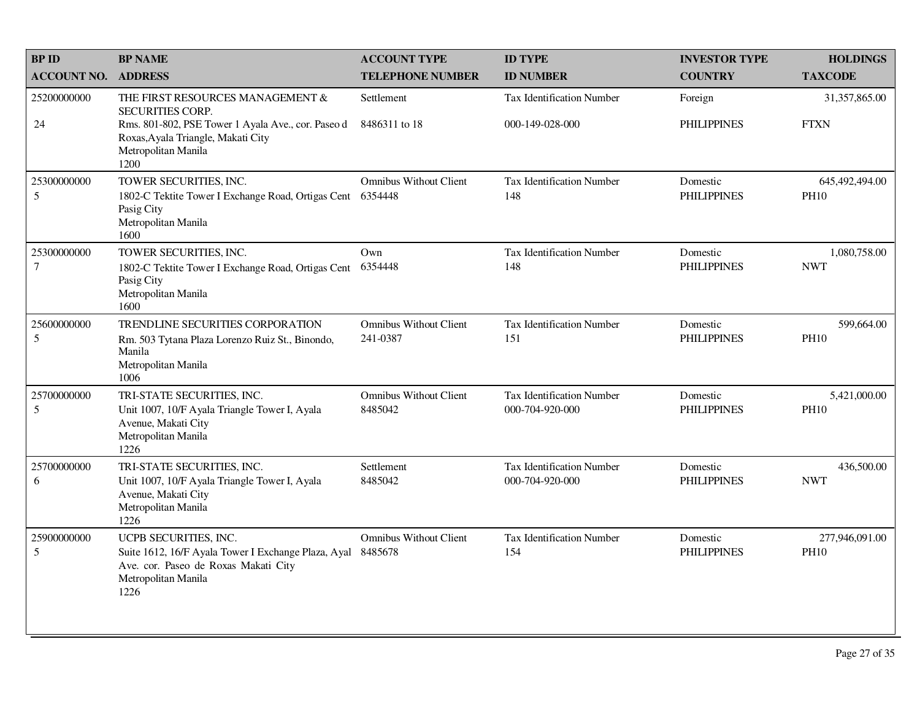| <b>BPID</b>                   | <b>BP NAME</b>                                                                                                                                      | <b>ACCOUNT TYPE</b>                       | <b>ID TYPE</b>                                      | <b>INVESTOR TYPE</b>           | <b>HOLDINGS</b>               |
|-------------------------------|-----------------------------------------------------------------------------------------------------------------------------------------------------|-------------------------------------------|-----------------------------------------------------|--------------------------------|-------------------------------|
| <b>ACCOUNT NO.</b>            | <b>ADDRESS</b>                                                                                                                                      | <b>TELEPHONE NUMBER</b>                   | <b>ID NUMBER</b>                                    | <b>COUNTRY</b>                 | <b>TAXCODE</b>                |
| 25200000000                   | THE FIRST RESOURCES MANAGEMENT &<br><b>SECURITIES CORP.</b>                                                                                         | Settlement                                | <b>Tax Identification Number</b>                    | Foreign                        | 31,357,865.00                 |
| 24                            | Rms. 801-802, PSE Tower 1 Ayala Ave., cor. Paseo d<br>Roxas, Ayala Triangle, Makati City<br>Metropolitan Manila<br>1200                             | 8486311 to 18                             | 000-149-028-000                                     | <b>PHILIPPINES</b>             | <b>FTXN</b>                   |
| 25300000000<br>5              | TOWER SECURITIES, INC.<br>1802-C Tektite Tower I Exchange Road, Ortigas Cent<br>Pasig City<br>Metropolitan Manila<br>1600                           | <b>Omnibus Without Client</b><br>6354448  | Tax Identification Number<br>148                    | Domestic<br><b>PHILIPPINES</b> | 645,492,494.00<br><b>PH10</b> |
| 25300000000<br>$\overline{7}$ | TOWER SECURITIES, INC.<br>1802-C Tektite Tower I Exchange Road, Ortigas Cent<br>Pasig City<br>Metropolitan Manila<br>1600                           | Own<br>6354448                            | Tax Identification Number<br>148                    | Domestic<br><b>PHILIPPINES</b> | 1,080,758.00<br><b>NWT</b>    |
| 25600000000<br>5              | TRENDLINE SECURITIES CORPORATION<br>Rm. 503 Tytana Plaza Lorenzo Ruiz St., Binondo,<br>Manila<br>Metropolitan Manila<br>1006                        | <b>Omnibus Without Client</b><br>241-0387 | Tax Identification Number<br>151                    | Domestic<br><b>PHILIPPINES</b> | 599,664.00<br><b>PH10</b>     |
| 25700000000<br>5              | TRI-STATE SECURITIES, INC.<br>Unit 1007, 10/F Ayala Triangle Tower I, Ayala<br>Avenue, Makati City<br>Metropolitan Manila<br>1226                   | <b>Omnibus Without Client</b><br>8485042  | <b>Tax Identification Number</b><br>000-704-920-000 | Domestic<br><b>PHILIPPINES</b> | 5,421,000.00<br><b>PH10</b>   |
| 25700000000<br>6              | TRI-STATE SECURITIES, INC.<br>Unit 1007, 10/F Ayala Triangle Tower I, Ayala<br>Avenue, Makati City<br>Metropolitan Manila<br>1226                   | Settlement<br>8485042                     | <b>Tax Identification Number</b><br>000-704-920-000 | Domestic<br><b>PHILIPPINES</b> | 436,500.00<br><b>NWT</b>      |
| 25900000000<br>5              | UCPB SECURITIES, INC.<br>Suite 1612, 16/F Ayala Tower I Exchange Plaza, Ayal<br>Ave. cor. Paseo de Roxas Makati City<br>Metropolitan Manila<br>1226 | <b>Omnibus Without Client</b><br>8485678  | <b>Tax Identification Number</b><br>154             | Domestic<br><b>PHILIPPINES</b> | 277,946,091.00<br><b>PH10</b> |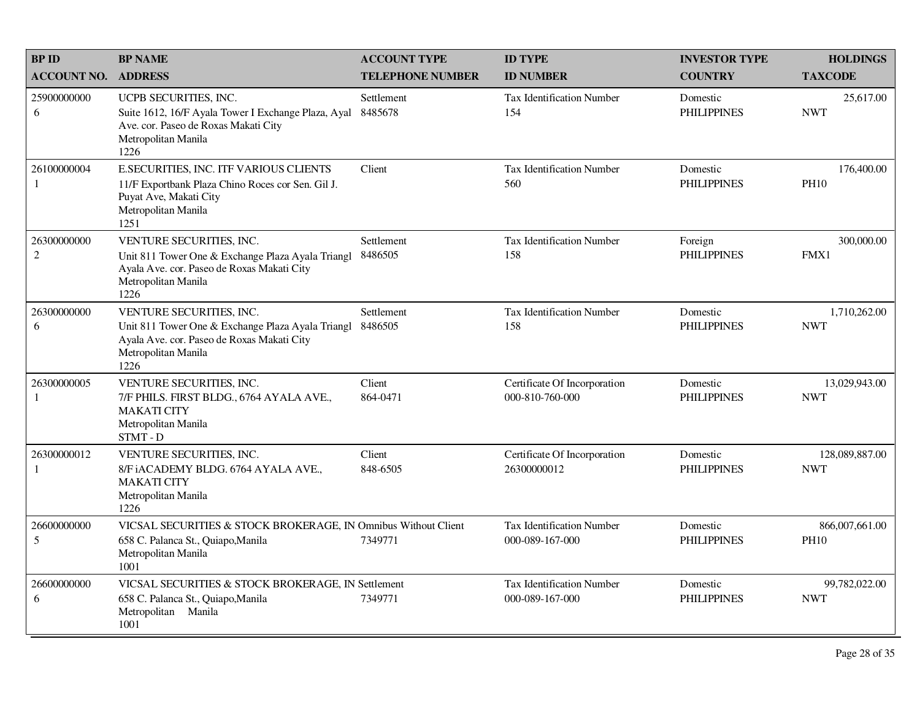| <b>BPID</b>        | <b>BP NAME</b>                                                                                                                                              | <b>ACCOUNT TYPE</b>     | <b>ID TYPE</b>                                      | <b>INVESTOR TYPE</b>           | <b>HOLDINGS</b>               |
|--------------------|-------------------------------------------------------------------------------------------------------------------------------------------------------------|-------------------------|-----------------------------------------------------|--------------------------------|-------------------------------|
| <b>ACCOUNT NO.</b> | <b>ADDRESS</b>                                                                                                                                              | <b>TELEPHONE NUMBER</b> | <b>ID NUMBER</b>                                    | <b>COUNTRY</b>                 | <b>TAXCODE</b>                |
| 25900000000<br>6   | UCPB SECURITIES, INC.<br>Suite 1612, 16/F Ayala Tower I Exchange Plaza, Ayal<br>Ave. cor. Paseo de Roxas Makati City<br>Metropolitan Manila<br>1226         | Settlement<br>8485678   | <b>Tax Identification Number</b><br>154             | Domestic<br><b>PHILIPPINES</b> | 25,617.00<br><b>NWT</b>       |
| 26100000004<br>1   | <b>E.SECURITIES, INC. ITF VARIOUS CLIENTS</b><br>11/F Exportbank Plaza Chino Roces cor Sen. Gil J.<br>Puyat Ave, Makati City<br>Metropolitan Manila<br>1251 | Client                  | Tax Identification Number<br>560                    | Domestic<br><b>PHILIPPINES</b> | 176,400.00<br><b>PH10</b>     |
| 26300000000<br>2   | VENTURE SECURITIES, INC.<br>Unit 811 Tower One & Exchange Plaza Ayala Triangl<br>Ayala Ave. cor. Paseo de Roxas Makati City<br>Metropolitan Manila<br>1226  | Settlement<br>8486505   | Tax Identification Number<br>158                    | Foreign<br><b>PHILIPPINES</b>  | 300,000.00<br>FMX1            |
| 26300000000<br>6   | VENTURE SECURITIES, INC.<br>Unit 811 Tower One & Exchange Plaza Ayala Triangl<br>Ayala Ave. cor. Paseo de Roxas Makati City<br>Metropolitan Manila<br>1226  | Settlement<br>8486505   | <b>Tax Identification Number</b><br>158             | Domestic<br><b>PHILIPPINES</b> | 1,710,262.00<br><b>NWT</b>    |
| 26300000005<br>1   | VENTURE SECURITIES, INC.<br>7/F PHILS. FIRST BLDG., 6764 AYALA AVE.,<br><b>MAKATI CITY</b><br>Metropolitan Manila<br>STMT-D                                 | Client<br>864-0471      | Certificate Of Incorporation<br>000-810-760-000     | Domestic<br><b>PHILIPPINES</b> | 13,029,943.00<br><b>NWT</b>   |
| 26300000012<br>1   | VENTURE SECURITIES, INC.<br>8/F iACADEMY BLDG. 6764 AYALA AVE.,<br><b>MAKATI CITY</b><br>Metropolitan Manila<br>1226                                        | Client<br>848-6505      | Certificate Of Incorporation<br>26300000012         | Domestic<br><b>PHILIPPINES</b> | 128,089,887.00<br><b>NWT</b>  |
| 26600000000<br>5   | VICSAL SECURITIES & STOCK BROKERAGE, IN Omnibus Without Client<br>658 C. Palanca St., Quiapo, Manila<br>Metropolitan Manila<br>1001                         | 7349771                 | <b>Tax Identification Number</b><br>000-089-167-000 | Domestic<br><b>PHILIPPINES</b> | 866,007,661.00<br><b>PH10</b> |
| 26600000000<br>6   | VICSAL SECURITIES & STOCK BROKERAGE, IN Settlement<br>658 C. Palanca St., Quiapo, Manila<br>Metropolitan Manila<br>1001                                     | 7349771                 | Tax Identification Number<br>000-089-167-000        | Domestic<br><b>PHILIPPINES</b> | 99,782,022.00<br><b>NWT</b>   |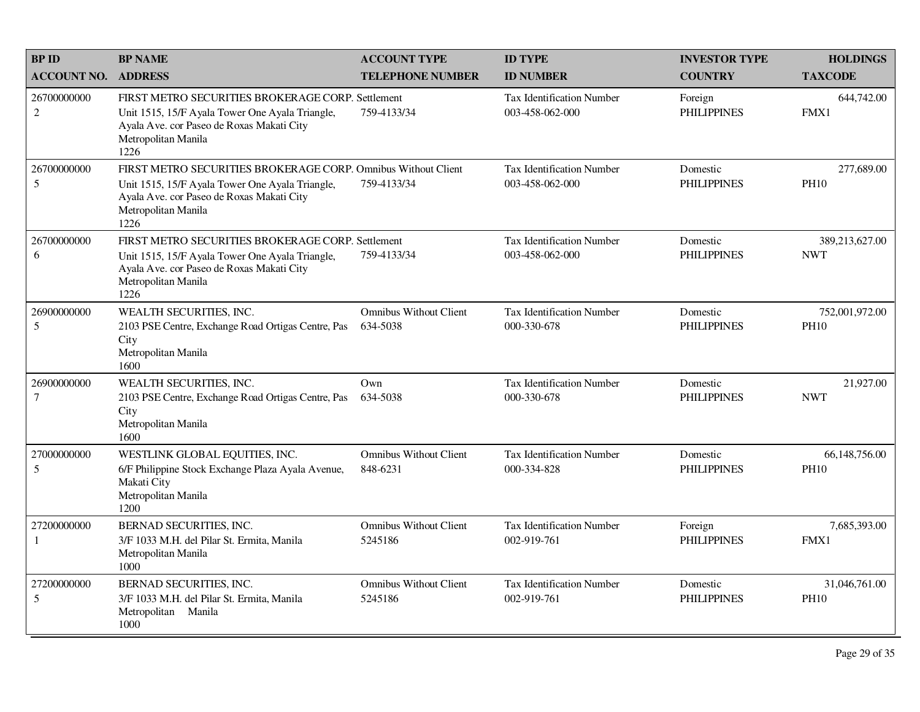| <b>BPID</b>                   | <b>BP NAME</b>                                                                                                                                                                               | <b>ACCOUNT TYPE</b>                       | <b>ID TYPE</b>                                      | <b>INVESTOR TYPE</b>           | <b>HOLDINGS</b>               |
|-------------------------------|----------------------------------------------------------------------------------------------------------------------------------------------------------------------------------------------|-------------------------------------------|-----------------------------------------------------|--------------------------------|-------------------------------|
| <b>ACCOUNT NO. ADDRESS</b>    |                                                                                                                                                                                              | <b>TELEPHONE NUMBER</b>                   | <b>ID NUMBER</b>                                    | <b>COUNTRY</b>                 | <b>TAXCODE</b>                |
| 26700000000<br>2              | FIRST METRO SECURITIES BROKERAGE CORP. Settlement<br>Unit 1515, 15/F Ayala Tower One Ayala Triangle,<br>Ayala Ave. cor Paseo de Roxas Makati City<br>Metropolitan Manila<br>1226             | 759-4133/34                               | <b>Tax Identification Number</b><br>003-458-062-000 | Foreign<br><b>PHILIPPINES</b>  | 644,742.00<br>FMX1            |
| 26700000000<br>5              | FIRST METRO SECURITIES BROKERAGE CORP. Omnibus Without Client<br>Unit 1515, 15/F Ayala Tower One Ayala Triangle,<br>Ayala Ave. cor Paseo de Roxas Makati City<br>Metropolitan Manila<br>1226 | 759-4133/34                               | Tax Identification Number<br>003-458-062-000        | Domestic<br><b>PHILIPPINES</b> | 277,689.00<br><b>PH10</b>     |
| 26700000000<br>6              | FIRST METRO SECURITIES BROKERAGE CORP. Settlement<br>Unit 1515, 15/F Ayala Tower One Ayala Triangle,<br>Ayala Ave. cor Paseo de Roxas Makati City<br>Metropolitan Manila<br>1226             | 759-4133/34                               | <b>Tax Identification Number</b><br>003-458-062-000 | Domestic<br><b>PHILIPPINES</b> | 389,213,627.00<br><b>NWT</b>  |
| 26900000000<br>5              | WEALTH SECURITIES, INC.<br>2103 PSE Centre, Exchange Road Ortigas Centre, Pas<br>City<br>Metropolitan Manila<br>1600                                                                         | <b>Omnibus Without Client</b><br>634-5038 | Tax Identification Number<br>000-330-678            | Domestic<br><b>PHILIPPINES</b> | 752,001,972.00<br><b>PH10</b> |
| 26900000000<br>$\overline{7}$ | WEALTH SECURITIES, INC.<br>2103 PSE Centre, Exchange Road Ortigas Centre, Pas<br>City<br>Metropolitan Manila<br>1600                                                                         | Own<br>634-5038                           | <b>Tax Identification Number</b><br>000-330-678     | Domestic<br><b>PHILIPPINES</b> | 21,927.00<br><b>NWT</b>       |
| 27000000000<br>5              | WESTLINK GLOBAL EQUITIES, INC.<br>6/F Philippine Stock Exchange Plaza Ayala Avenue,<br>Makati City<br>Metropolitan Manila<br>1200                                                            | <b>Omnibus Without Client</b><br>848-6231 | Tax Identification Number<br>000-334-828            | Domestic<br><b>PHILIPPINES</b> | 66,148,756.00<br><b>PH10</b>  |
| 27200000000<br>-1             | BERNAD SECURITIES, INC.<br>3/F 1033 M.H. del Pilar St. Ermita, Manila<br>Metropolitan Manila<br>1000                                                                                         | <b>Omnibus Without Client</b><br>5245186  | Tax Identification Number<br>002-919-761            | Foreign<br><b>PHILIPPINES</b>  | 7,685,393.00<br>FMX1          |
| 27200000000<br>5              | BERNAD SECURITIES, INC.<br>3/F 1033 M.H. del Pilar St. Ermita, Manila<br>Metropolitan Manila<br>1000                                                                                         | <b>Omnibus Without Client</b><br>5245186  | Tax Identification Number<br>002-919-761            | Domestic<br><b>PHILIPPINES</b> | 31,046,761.00<br><b>PH10</b>  |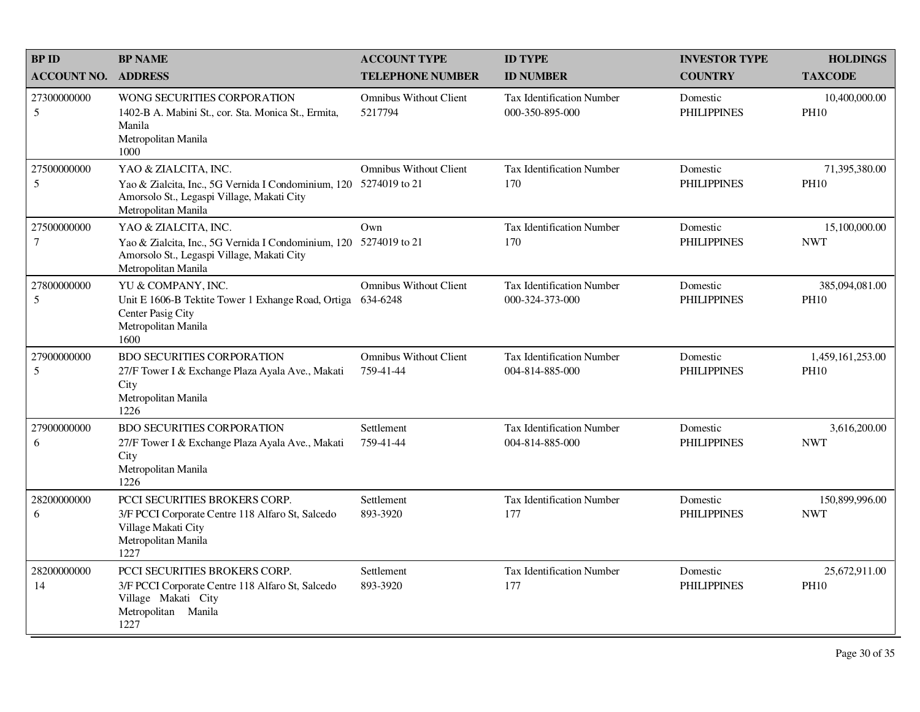| <b>BPID</b>                   | <b>BP NAME</b>                                                                                                                                                 | <b>ACCOUNT TYPE</b>                            | <b>ID TYPE</b>                                      | <b>INVESTOR TYPE</b>           | <b>HOLDINGS</b>                 |
|-------------------------------|----------------------------------------------------------------------------------------------------------------------------------------------------------------|------------------------------------------------|-----------------------------------------------------|--------------------------------|---------------------------------|
| <b>ACCOUNT NO.</b>            | <b>ADDRESS</b>                                                                                                                                                 | <b>TELEPHONE NUMBER</b>                        | <b>ID NUMBER</b>                                    | <b>COUNTRY</b>                 | <b>TAXCODE</b>                  |
| 27300000000<br>5              | WONG SECURITIES CORPORATION<br>1402-B A. Mabini St., cor. Sta. Monica St., Ermita,<br>Manila<br>Metropolitan Manila<br>1000                                    | <b>Omnibus Without Client</b><br>5217794       | Tax Identification Number<br>000-350-895-000        | Domestic<br><b>PHILIPPINES</b> | 10,400,000.00<br><b>PH10</b>    |
| 27500000000<br>5              | YAO & ZIALCITA, INC.<br>Yao & Zialcita, Inc., 5G Vernida I Condominium, 120<br>Amorsolo St., Legaspi Village, Makati City<br>Metropolitan Manila               | <b>Omnibus Without Client</b><br>5274019 to 21 | <b>Tax Identification Number</b><br>170             | Domestic<br><b>PHILIPPINES</b> | 71,395,380.00<br><b>PH10</b>    |
| 27500000000<br>$\overline{7}$ | YAO & ZIALCITA, INC.<br>Yao & Zialcita, Inc., 5G Vernida I Condominium, 120 5274019 to 21<br>Amorsolo St., Legaspi Village, Makati City<br>Metropolitan Manila | Own                                            | <b>Tax Identification Number</b><br>170             | Domestic<br><b>PHILIPPINES</b> | 15,100,000.00<br><b>NWT</b>     |
| 27800000000<br>5              | YU & COMPANY, INC.<br>Unit E 1606-B Tektite Tower 1 Exhange Road, Ortiga<br>Center Pasig City<br>Metropolitan Manila<br>1600                                   | <b>Omnibus Without Client</b><br>634-6248      | Tax Identification Number<br>000-324-373-000        | Domestic<br><b>PHILIPPINES</b> | 385,094,081.00<br><b>PH10</b>   |
| 27900000000<br>5              | <b>BDO SECURITIES CORPORATION</b><br>27/F Tower I & Exchange Plaza Ayala Ave., Makati<br>City<br>Metropolitan Manila<br>1226                                   | <b>Omnibus Without Client</b><br>759-41-44     | <b>Tax Identification Number</b><br>004-814-885-000 | Domestic<br><b>PHILIPPINES</b> | 1,459,161,253.00<br><b>PH10</b> |
| 27900000000<br>6              | <b>BDO SECURITIES CORPORATION</b><br>27/F Tower I & Exchange Plaza Ayala Ave., Makati<br>City<br>Metropolitan Manila<br>1226                                   | Settlement<br>759-41-44                        | <b>Tax Identification Number</b><br>004-814-885-000 | Domestic<br><b>PHILIPPINES</b> | 3,616,200.00<br><b>NWT</b>      |
| 28200000000<br>6              | PCCI SECURITIES BROKERS CORP.<br>3/F PCCI Corporate Centre 118 Alfaro St, Salcedo<br>Village Makati City<br>Metropolitan Manila<br>1227                        | Settlement<br>893-3920                         | Tax Identification Number<br>177                    | Domestic<br><b>PHILIPPINES</b> | 150,899,996.00<br><b>NWT</b>    |
| 28200000000<br>14             | PCCI SECURITIES BROKERS CORP.<br>3/F PCCI Corporate Centre 118 Alfaro St, Salcedo<br>Village Makati City<br>Metropolitan Manila<br>1227                        | Settlement<br>893-3920                         | <b>Tax Identification Number</b><br>177             | Domestic<br><b>PHILIPPINES</b> | 25,672,911.00<br><b>PH10</b>    |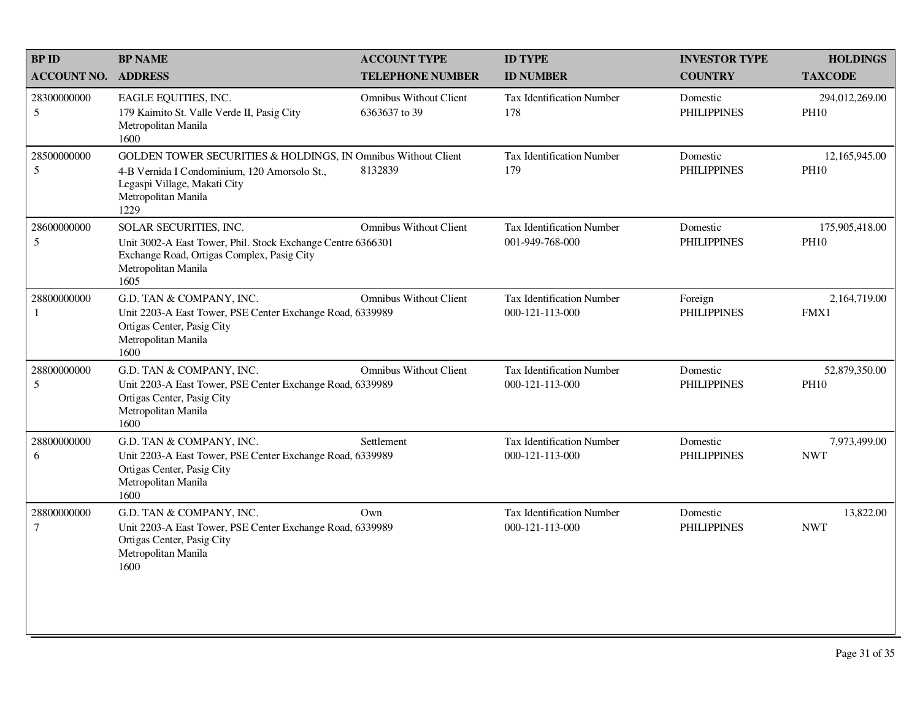| <b>BP NAME</b>                                                                                              | <b>ACCOUNT TYPE</b>                            | <b>ID TYPE</b>                                                                                                                                                                                                                                                                                                                                                                   | <b>INVESTOR TYPE</b>           | <b>HOLDINGS</b>               |
|-------------------------------------------------------------------------------------------------------------|------------------------------------------------|----------------------------------------------------------------------------------------------------------------------------------------------------------------------------------------------------------------------------------------------------------------------------------------------------------------------------------------------------------------------------------|--------------------------------|-------------------------------|
| <b>ACCOUNT NO.</b><br><b>ADDRESS</b>                                                                        | <b>TELEPHONE NUMBER</b>                        | <b>ID NUMBER</b>                                                                                                                                                                                                                                                                                                                                                                 | <b>COUNTRY</b>                 | <b>TAXCODE</b>                |
| EAGLE EQUITIES, INC.<br>179 Kaimito St. Valle Verde II, Pasig City<br>Metropolitan Manila<br>1600           | <b>Omnibus Without Client</b><br>6363637 to 39 | <b>Tax Identification Number</b><br>178                                                                                                                                                                                                                                                                                                                                          | Domestic<br><b>PHILIPPINES</b> | 294,012,269.00<br><b>PH10</b> |
| 4-B Vernida I Condominium, 120 Amorsolo St.,<br>Legaspi Village, Makati City<br>Metropolitan Manila<br>1229 | 8132839                                        | <b>Tax Identification Number</b><br>179                                                                                                                                                                                                                                                                                                                                          | Domestic<br><b>PHILIPPINES</b> | 12,165,945.00<br><b>PH10</b>  |
| SOLAR SECURITIES, INC.<br>Exchange Road, Ortigas Complex, Pasig City<br>Metropolitan Manila<br>1605         | <b>Omnibus Without Client</b>                  | <b>Tax Identification Number</b><br>001-949-768-000                                                                                                                                                                                                                                                                                                                              | Domestic<br><b>PHILIPPINES</b> | 175,905,418.00<br><b>PH10</b> |
| G.D. TAN & COMPANY, INC.<br>Ortigas Center, Pasig City<br>Metropolitan Manila<br>1600                       | <b>Omnibus Without Client</b>                  | <b>Tax Identification Number</b><br>000-121-113-000                                                                                                                                                                                                                                                                                                                              | Foreign<br><b>PHILIPPINES</b>  | 2,164,719.00<br>FMX1          |
| G.D. TAN & COMPANY, INC.<br>Ortigas Center, Pasig City<br>Metropolitan Manila<br>1600                       | <b>Omnibus Without Client</b>                  | <b>Tax Identification Number</b><br>000-121-113-000                                                                                                                                                                                                                                                                                                                              | Domestic<br><b>PHILIPPINES</b> | 52,879,350.00<br><b>PH10</b>  |
| G.D. TAN & COMPANY, INC.<br>Ortigas Center, Pasig City<br>Metropolitan Manila<br>1600                       | Settlement                                     | Tax Identification Number<br>000-121-113-000                                                                                                                                                                                                                                                                                                                                     | Domestic<br><b>PHILIPPINES</b> | 7,973,499.00<br><b>NWT</b>    |
| G.D. TAN & COMPANY, INC.<br>Ortigas Center, Pasig City<br>Metropolitan Manila<br>1600                       | Own                                            | Tax Identification Number<br>000-121-113-000                                                                                                                                                                                                                                                                                                                                     | Domestic<br><b>PHILIPPINES</b> | 13,822.00<br><b>NWT</b>       |
|                                                                                                             |                                                | GOLDEN TOWER SECURITIES & HOLDINGS, IN Omnibus Without Client<br>Unit 3002-A East Tower, Phil. Stock Exchange Centre 6366301<br>Unit 2203-A East Tower, PSE Center Exchange Road, 6339989<br>Unit 2203-A East Tower, PSE Center Exchange Road, 6339989<br>Unit 2203-A East Tower, PSE Center Exchange Road, 6339989<br>Unit 2203-A East Tower, PSE Center Exchange Road, 6339989 |                                |                               |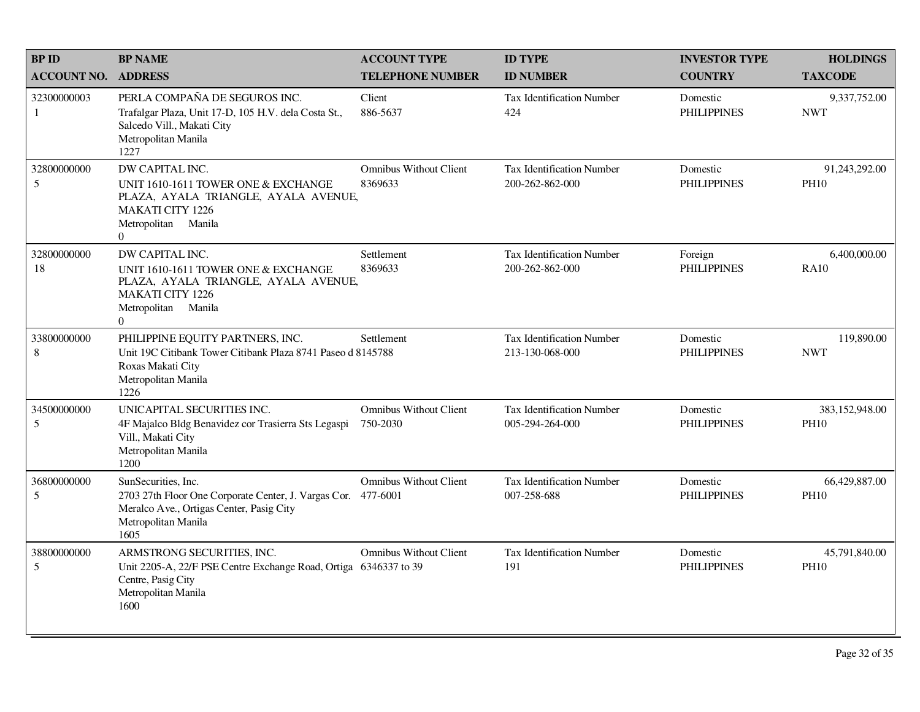| <b>BPID</b>        | <b>BP NAME</b>                                                                                                                                                     | <b>ACCOUNT TYPE</b>                       | <b>ID TYPE</b>                                      | <b>INVESTOR TYPE</b>           | <b>HOLDINGS</b>               |
|--------------------|--------------------------------------------------------------------------------------------------------------------------------------------------------------------|-------------------------------------------|-----------------------------------------------------|--------------------------------|-------------------------------|
| <b>ACCOUNT NO.</b> | <b>ADDRESS</b>                                                                                                                                                     | <b>TELEPHONE NUMBER</b>                   | <b>ID NUMBER</b>                                    | <b>COUNTRY</b>                 | <b>TAXCODE</b>                |
| 32300000003<br>1   | PERLA COMPAÑA DE SEGUROS INC.<br>Trafalgar Plaza, Unit 17-D, 105 H.V. dela Costa St.,<br>Salcedo Vill., Makati City<br>Metropolitan Manila<br>1227                 | Client<br>886-5637                        | <b>Tax Identification Number</b><br>424             | Domestic<br><b>PHILIPPINES</b> | 9,337,752.00<br><b>NWT</b>    |
| 32800000000<br>5   | DW CAPITAL INC.<br>UNIT 1610-1611 TOWER ONE & EXCHANGE<br>PLAZA, AYALA TRIANGLE, AYALA AVENUE,<br><b>MAKATI CITY 1226</b><br>Metropolitan Manila<br>$\overline{0}$ | <b>Omnibus Without Client</b><br>8369633  | <b>Tax Identification Number</b><br>200-262-862-000 | Domestic<br><b>PHILIPPINES</b> | 91,243,292.00<br><b>PH10</b>  |
| 32800000000<br>18  | DW CAPITAL INC.<br>UNIT 1610-1611 TOWER ONE & EXCHANGE<br>PLAZA, AYALA TRIANGLE, AYALA AVENUE,<br><b>MAKATI CITY 1226</b><br>Metropolitan Manila<br>$\Omega$       | Settlement<br>8369633                     | <b>Tax Identification Number</b><br>200-262-862-000 | Foreign<br><b>PHILIPPINES</b>  | 6,400,000.00<br><b>RA10</b>   |
| 33800000000<br>8   | PHILIPPINE EQUITY PARTNERS, INC.<br>Unit 19C Citibank Tower Citibank Plaza 8741 Paseo d 8145788<br>Roxas Makati City<br>Metropolitan Manila<br>1226                | Settlement                                | <b>Tax Identification Number</b><br>213-130-068-000 | Domestic<br><b>PHILIPPINES</b> | 119,890.00<br><b>NWT</b>      |
| 34500000000<br>5   | UNICAPITAL SECURITIES INC.<br>4F Majalco Bldg Benavidez cor Trasierra Sts Legaspi<br>Vill., Makati City<br>Metropolitan Manila<br>1200                             | <b>Omnibus Without Client</b><br>750-2030 | <b>Tax Identification Number</b><br>005-294-264-000 | Domestic<br><b>PHILIPPINES</b> | 383,152,948.00<br><b>PH10</b> |
| 36800000000<br>5   | SunSecurities, Inc.<br>2703 27th Floor One Corporate Center, J. Vargas Cor. 477-6001<br>Meralco Ave., Ortigas Center, Pasig City<br>Metropolitan Manila<br>1605    | <b>Omnibus Without Client</b>             | <b>Tax Identification Number</b><br>007-258-688     | Domestic<br><b>PHILIPPINES</b> | 66,429,887.00<br><b>PH10</b>  |
| 38800000000<br>5   | ARMSTRONG SECURITIES, INC.<br>Unit 2205-A, 22/F PSE Centre Exchange Road, Ortiga 6346337 to 39<br>Centre, Pasig City<br>Metropolitan Manila<br>1600                | <b>Omnibus Without Client</b>             | <b>Tax Identification Number</b><br>191             | Domestic<br><b>PHILIPPINES</b> | 45,791,840.00<br><b>PH10</b>  |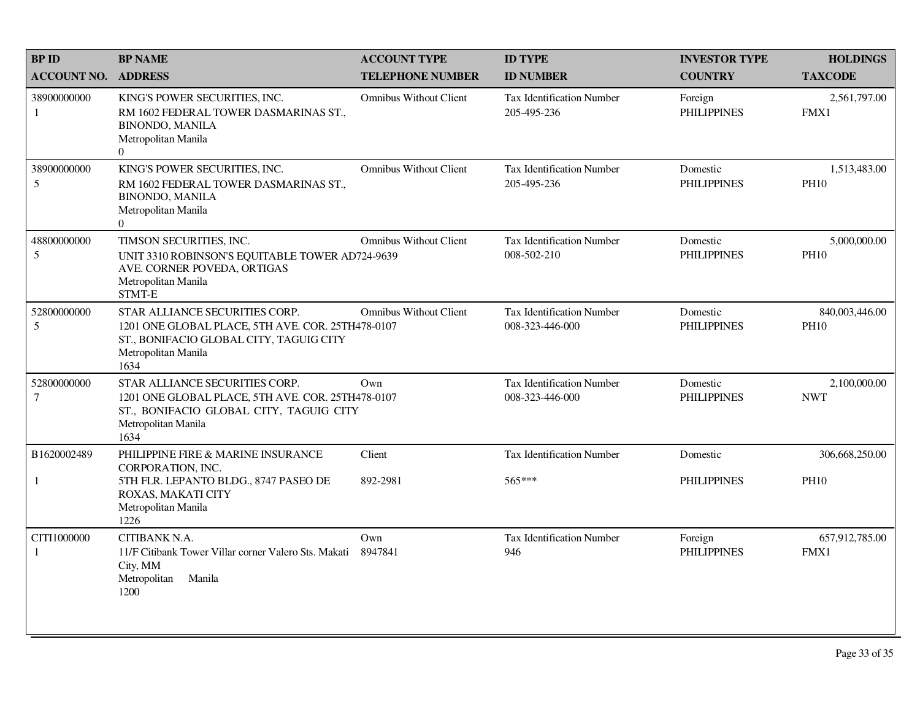| <b>BPID</b>                   | <b>BP NAME</b>                                                                                                                                                | <b>ACCOUNT TYPE</b>           | <b>ID TYPE</b>                                      | <b>INVESTOR TYPE</b>           | <b>HOLDINGS</b>               |
|-------------------------------|---------------------------------------------------------------------------------------------------------------------------------------------------------------|-------------------------------|-----------------------------------------------------|--------------------------------|-------------------------------|
| <b>ACCOUNT NO.</b>            | <b>ADDRESS</b>                                                                                                                                                | <b>TELEPHONE NUMBER</b>       | <b>ID NUMBER</b>                                    | <b>COUNTRY</b>                 | <b>TAXCODE</b>                |
| 38900000000<br>1              | KING'S POWER SECURITIES, INC.<br>RM 1602 FEDERAL TOWER DASMARINAS ST.,<br><b>BINONDO, MANILA</b><br>Metropolitan Manila<br>$\overline{0}$                     | <b>Omnibus Without Client</b> | <b>Tax Identification Number</b><br>205-495-236     | Foreign<br><b>PHILIPPINES</b>  | 2,561,797.00<br>FMX1          |
| 38900000000<br>5              | KING'S POWER SECURITIES, INC.<br>RM 1602 FEDERAL TOWER DASMARINAS ST.,<br><b>BINONDO, MANILA</b><br>Metropolitan Manila<br>$\Omega$                           | <b>Omnibus Without Client</b> | Tax Identification Number<br>205-495-236            | Domestic<br><b>PHILIPPINES</b> | 1,513,483.00<br><b>PH10</b>   |
| 48800000000<br>5              | TIMSON SECURITIES, INC.<br>UNIT 3310 ROBINSON'S EQUITABLE TOWER AD724-9639<br>AVE. CORNER POVEDA, ORTIGAS<br>Metropolitan Manila<br>STMT-E                    | <b>Omnibus Without Client</b> | Tax Identification Number<br>008-502-210            | Domestic<br><b>PHILIPPINES</b> | 5,000,000.00<br><b>PH10</b>   |
| 52800000000<br>5              | STAR ALLIANCE SECURITIES CORP.<br>1201 ONE GLOBAL PLACE, 5TH AVE. COR. 25TH478-0107<br>ST., BONIFACIO GLOBAL CITY, TAGUIG CITY<br>Metropolitan Manila<br>1634 | <b>Omnibus Without Client</b> | <b>Tax Identification Number</b><br>008-323-446-000 | Domestic<br><b>PHILIPPINES</b> | 840,003,446.00<br><b>PH10</b> |
| 52800000000<br>$\overline{7}$ | STAR ALLIANCE SECURITIES CORP.<br>1201 ONE GLOBAL PLACE, 5TH AVE. COR. 25TH478-0107<br>ST., BONIFACIO GLOBAL CITY, TAGUIG CITY<br>Metropolitan Manila<br>1634 | Own                           | <b>Tax Identification Number</b><br>008-323-446-000 | Domestic<br><b>PHILIPPINES</b> | 2,100,000.00<br><b>NWT</b>    |
| B1620002489                   | PHILIPPINE FIRE & MARINE INSURANCE<br>CORPORATION, INC.                                                                                                       | Client                        | <b>Tax Identification Number</b>                    | Domestic                       | 306,668,250.00                |
| $\mathbf{1}$                  | 5TH FLR. LEPANTO BLDG., 8747 PASEO DE<br>ROXAS, MAKATI CITY<br>Metropolitan Manila<br>1226                                                                    | 892-2981                      | 565***                                              | <b>PHILIPPINES</b>             | <b>PH10</b>                   |
| CITI1000000<br>1              | CITIBANK N.A.<br>11/F Citibank Tower Villar corner Valero Sts. Makati<br>City, MM<br>Manila<br>Metropolitan<br>1200                                           | Own<br>8947841                | Tax Identification Number<br>946                    | Foreign<br><b>PHILIPPINES</b>  | 657,912,785.00<br>FMX1        |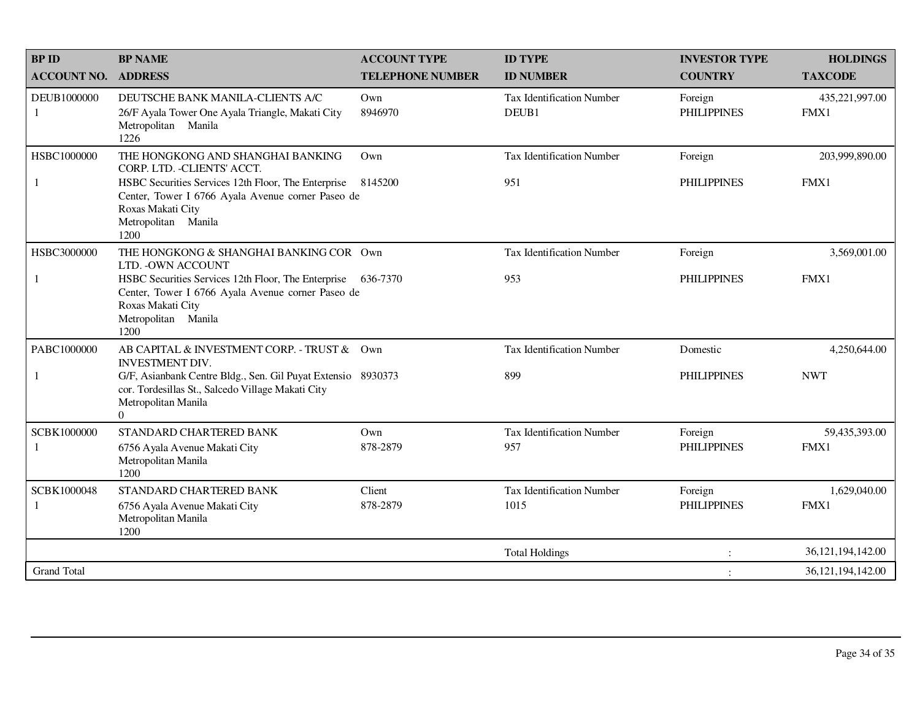| <b>BPID</b>                 | <b>BP NAME</b>                                                                                                                                                        | <b>ACCOUNT TYPE</b>     | <b>ID TYPE</b>                          | <b>INVESTOR TYPE</b>          | <b>HOLDINGS</b>        |
|-----------------------------|-----------------------------------------------------------------------------------------------------------------------------------------------------------------------|-------------------------|-----------------------------------------|-------------------------------|------------------------|
| <b>ACCOUNT NO.</b>          | <b>ADDRESS</b>                                                                                                                                                        | <b>TELEPHONE NUMBER</b> | <b>ID NUMBER</b>                        | <b>COUNTRY</b>                | <b>TAXCODE</b>         |
| DEUB1000000<br>$\mathbf{1}$ | DEUTSCHE BANK MANILA-CLIENTS A/C<br>26/F Ayala Tower One Ayala Triangle, Makati City<br>Metropolitan Manila<br>1226                                                   | Own<br>8946970          | Tax Identification Number<br>DEUB1      | Foreign<br><b>PHILIPPINES</b> | 435,221,997.00<br>FMX1 |
| HSBC1000000                 | THE HONGKONG AND SHANGHAI BANKING<br>CORP. LTD. - CLIENTS' ACCT.                                                                                                      | Own                     | <b>Tax Identification Number</b>        | Foreign                       | 203,999,890.00         |
| -1                          | HSBC Securities Services 12th Floor, The Enterprise<br>Center, Tower I 6766 Ayala Avenue corner Paseo de<br>Roxas Makati City<br>Metropolitan Manila<br>1200          | 8145200                 | 951                                     | <b>PHILIPPINES</b>            | FMX1                   |
| HSBC3000000                 | THE HONGKONG & SHANGHAI BANKING COR Own<br>LTD. - OWN ACCOUNT                                                                                                         |                         | <b>Tax Identification Number</b>        | Foreign                       | 3,569,001.00           |
| -1                          | HSBC Securities Services 12th Floor, The Enterprise 636-7370<br>Center, Tower I 6766 Ayala Avenue corner Paseo de<br>Roxas Makati City<br>Metropolitan Manila<br>1200 |                         | 953                                     | <b>PHILIPPINES</b>            | FMX1                   |
| PABC1000000                 | AB CAPITAL & INVESTMENT CORP. - TRUST & Own<br><b>INVESTMENT DIV.</b>                                                                                                 |                         | <b>Tax Identification Number</b>        | Domestic                      | 4,250,644.00           |
| 1                           | G/F, Asianbank Centre Bldg., Sen. Gil Puyat Extensio 8930373<br>cor. Tordesillas St., Salcedo Village Makati City<br>Metropolitan Manila<br>$\Omega$                  |                         | 899                                     | <b>PHILIPPINES</b>            | <b>NWT</b>             |
| SCBK1000000<br>1            | STANDARD CHARTERED BANK<br>6756 Ayala Avenue Makati City<br>Metropolitan Manila<br>1200                                                                               | Own<br>878-2879         | <b>Tax Identification Number</b><br>957 | Foreign<br><b>PHILIPPINES</b> | 59,435,393.00<br>FMX1  |
| SCBK1000048                 | STANDARD CHARTERED BANK                                                                                                                                               | Client                  | <b>Tax Identification Number</b>        | Foreign                       | 1,629,040.00           |
| -1                          | 6756 Ayala Avenue Makati City<br>Metropolitan Manila<br>1200                                                                                                          | 878-2879                | 1015                                    | <b>PHILIPPINES</b>            | FMX1                   |
|                             |                                                                                                                                                                       |                         | <b>Total Holdings</b>                   |                               | 36, 121, 194, 142.00   |
| <b>Grand Total</b>          |                                                                                                                                                                       |                         |                                         | $\ddot{\cdot}$                | 36, 121, 194, 142.00   |